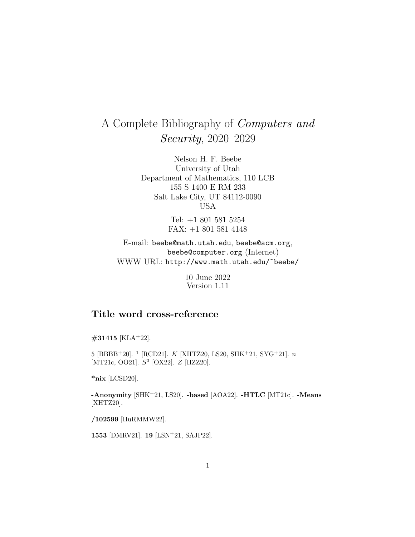## A Complete Bibliography of Computers and Security, 2020–2029

Nelson H. F. Beebe University of Utah Department of Mathematics, 110 LCB 155 S 1400 E RM 233 Salt Lake City, UT 84112-0090 USA

> Tel: +1 801 581 5254 FAX: +1 801 581 4148

E-mail: beebe@math.utah.edu, beebe@acm.org, beebe@computer.org (Internet) WWW URL: http://www.math.utah.edu/~beebe/

> 10 June 2022 Version 1.11

## **Title word cross-reference**

## **#31415** [KLA<sup>+</sup>22].

5 [BBBB<sup>+</sup>20]. <sup>1</sup> [RCD21]. *K* [XHTZ20, LS20, SHK<sup>+</sup>21, SYG<sup>+</sup>21]. *n* [MT21c, OO21]. S<sup>3</sup> [OX22]. Z [HZZ20].

**\*nix** [LCSD20].

**-Anonymity** [SHK<sup>+</sup>21, LS20]. **-based** [AOA22]. **-HTLC** [MT21c]. **-Means** [XHTZ20].

**/102599** [HuRMMW22].

**1553** [DMRV21]. **19** [LSN<sup>+</sup>21, SAJP22].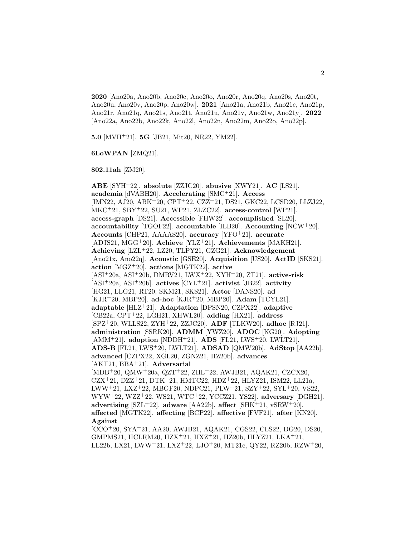**2020** [Ano20a, Ano20b, Ano20c, Ano20o, Ano20r, Ano20q, Ano20s, Ano20t, Ano20u, Ano20v, Ano20p, Ano20w]. **2021** [Ano21a, Ano21b, Ano21c, Ano21p, Ano21r, Ano21q, Ano21s, Ano21t, Ano21u, Ano21v, Ano21w, Ano21y]. **2022** [Ano22a, Ano22b, Ano22k, Ano22l, Ano22n, Ano22m, Ano22o, Ano22p].

**5.0** [MVH<sup>+</sup>21]. **5G** [JB21, Mit20, NR22, YM22].

## **6LoWPAN** [ZMQ21].

**802.11ah** [ZM20].

**ABE** [SYH<sup>+</sup>22]. **absolute** [ZZJC20]. **abusive** [XWY21]. **AC** [LS21]. **academia** [dVABH20]. **Accelerating** [SMC<sup>+</sup>21]. **Access** [IMN22, AJ20, ABK<sup>+</sup>20, CPT<sup>+</sup>22, CZZ<sup>+</sup>21, DS21, GKC22, LCSD20, LLZJ22, MKC<sup>+</sup>21, SBY<sup>+</sup>22, SU21, WP21, ZLZC22]. **access-control** [WP21]. **access-graph** [DS21]. **Accessible** [FHW22]. **accomplished** [SL20]. **accountability** [TGOF22]. **accountable** [ILB20]. **Accounting** [NCW<sup>+</sup>20]. **Accounts** [CHP21, AAAAS20]. **accuracy** [YFO<sup>+</sup>21]. **accurate** [ADJS21, MGG<sup>+</sup>20]. **Achieve** [YLZ<sup>+</sup>21]. **Achievements** [MAKH21]. **Achieving** [LZL<sup>+</sup>22, LZ20, TLPY21, GZG21]. **Acknowledgement** [Ano21x, Ano22q]. **Acoustic** [GSE20]. **Acquisition** [US20]. **ActID** [SKS21]. **action** [MGZ<sup>+</sup>20]. **actions** [MGTK22]. **active** [ASI<sup>+</sup>20a, ASI<sup>+</sup>20b, DMRV21, LWX<sup>+</sup>22, XYH<sup>+</sup>20, ZT21]. **active-risk** [ASI<sup>+</sup>20a, ASI<sup>+</sup>20b]. **actives** [CYL<sup>+</sup>21]. **activist** [JB22]. **activity** [HG21, LLG21, RT20, SKM21, SKS21]. **Actor** [DANS20]. **ad** [KJR<sup>+</sup>20, MBP20]. **ad-hoc** [KJR<sup>+</sup>20, MBP20]. **Adam** [TCYL21]. **adaptable** [HLZ<sup>+</sup>21]. **Adaptation** [DPSN20, CZPX22]. **adaptive** [CB22a, CPT<sup>+</sup>22, LGH21, XHWL20]. **adding** [HX21]. **address** [SPZ<sup>+</sup>20, WLLS22, ZYH<sup>+</sup>22, ZZJC20]. **ADF** [TLKW20]. **adhoc** [RJ21]. **administration** [SSRK20]. **ADMM** [YWZ20]. **ADOC** [KG20]. **Adopting** [AMM<sup>+</sup>21]. **adoption** [NDDH<sup>+</sup>21]. **ADS** [FL21, LWS<sup>+</sup>20, LWLT21]. **ADS-B** [FL21, LWS<sup>+</sup>20, LWLT21]. **ADSAD** [QMW20b]. **AdStop** [AA22b]. **advanced** [CZPX22, XGL20, ZGNZ21, HZ20b]. **advances** [AKT21, BBA<sup>+</sup>21]. **Adversarial** [MDB<sup>+</sup>20, QMW<sup>+</sup>20a, QZT<sup>+</sup>22, ZHL<sup>+</sup>22, AWJB21, AQAK21, CZCX20, CZX<sup>+</sup>21, DZZ<sup>+</sup>21, DTK<sup>+</sup>21, HMTC22, HDZ<sup>+</sup>22, HLYZ21, ISM22, LL21a, LWW<sup>+</sup>21, LXZ<sup>+</sup>22, MBGF20, NDPC21, PLW<sup>+</sup>21, SZY<sup>+</sup>22, SYL<sup>+</sup>20, VS22, WYW<sup>+</sup>22, WZZ<sup>+</sup>22, WS21, WTC<sup>+</sup>22, YCCZ21, YS22]. **adversary** [DGH21]. **advertising** [SZL<sup>+</sup>22]. **adware** [AA22b]. **affect** [SHK<sup>+</sup>21, vSRW<sup>+</sup>20]. **affected** [MGTK22]. **affecting** [BCP22]. **affective** [FVF21]. **after** [KN20]. **Against** [CCO<sup>+</sup>20, SYA<sup>+</sup>21, AA20, AWJB21, AQAK21, CGS22, CLS22, DG20, DS20, GMPMS21, HCLRM20, HZX<sup>+</sup>21, HXZ<sup>+</sup>21, HZ20b, HLYZ21, LKA<sup>+</sup>21, LL22b, LX21, LWW<sup>+</sup>21, LXZ<sup>+</sup>22, LJO<sup>+</sup>20, MT21c, QY22, RZ20b, RZW<sup>+</sup>20,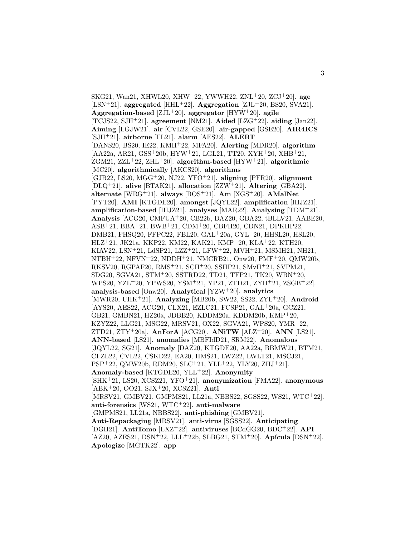SKG21, Wan21, XHWL20, XHW<sup>+</sup>22, YWWH22, ZNL<sup>+</sup>20, ZCJ<sup>+</sup>20]. **age** [LSN<sup>+</sup>21]. **aggregated** [HHL<sup>+</sup>22]. **Aggregation** [ZJL<sup>+</sup>20, BS20, SVA21]. **Aggregation-based** [ZJL<sup>+</sup>20]. **aggregator** [HYW<sup>+</sup>20]. **agile** [TCJS22, SJH<sup>+</sup>21]. **agreement** [NM21]. **Aided** [LZG<sup>+</sup>22]. **aiding** [Jan22]. **Aiming** [LGJW21]. **air** [CVL22, GSE20]. **air-gapped** [GSE20]. **AIR4ICS** [SJH<sup>+</sup>21]. **airborne** [FL21]. **alarm** [AES22]. **ALERT** [DANS20, BS20, IE22, KMH<sup>+</sup>22, MFA20]. **Alerting** [MDR20]. **algorithm** [AA22a, AR21, GSS<sup>+</sup>20b, HYW<sup>+</sup>21, LGL21, TT20, XYH<sup>+</sup>20, XHB<sup>+</sup>21, ZGM21, ZZL<sup>+</sup>22, ZHL<sup>+</sup>20]. **algorithm-based** [HYW<sup>+</sup>21]. **algorithmic** [MC20]. **algorithmically** [AKCS20]. **algorithms** [GJB22, LS20, MGG<sup>+</sup>20, NJ22, YFO<sup>+</sup>21]. **aligning** [PFR20]. **alignment** [DLQ<sup>+</sup>21]. **alive** [BTAK21]. **allocation** [ZZW<sup>+</sup>21]. **Altering** [GBA22]. **alternate** [WRG<sup>+</sup>21]. **always** [BOS<sup>+</sup>21]. **Am** [XGS<sup>+</sup>20]. **AMalNet** [PYT20]. **AMI** [KTGDE20]. **amongst** [JQYL22]. **amplification** [IHJZ21]. **amplification-based** [IHJZ21]. **analyses** [MAR22]. **Analysing** [TDM<sup>+</sup>21]. **Analysis** [ACG20, CMFUA<sup>+</sup>20, CB22b, DAZ20, GBA22, tBLLV21, AABE20, ASB<sup>+</sup>21, BBA<sup>+</sup>21, BWB<sup>+</sup>21, CDM<sup>+</sup>20, CBFH20, CDN21, DPKHP22, DMB21, FHSQ20, FFPC22, FBL20, GAL<sup>+</sup>20a, GYL<sup>+</sup>20, HHSL20, HSL20, HLZ<sup>+</sup>21, JK21a, KKP22, KM22, KAK21, KMP<sup>+</sup>20, KLA<sup>+</sup>22, KTH20, KIAV22, LSN<sup>+</sup>21, LdSP21, LZZ<sup>+</sup>21, LFW<sup>+</sup>22, MVH<sup>+</sup>21, MSMH21, NH21, NTBH<sup>+</sup>22, NFVN<sup>+</sup>22, NDDH<sup>+</sup>21, NMCRB21, Onw20, PMF<sup>+</sup>20, QMW20b, RKSV20, RGPAF20, RMS<sup>+</sup>21, SCH<sup>+</sup>20, SSHP21, SMvH<sup>+</sup>21, SVPM21, SDG20, SGVA21, STM<sup>+</sup>20, SSTRD22, TD21, TFP21, TK20, WBN<sup>+</sup>20, WPS20, YZL<sup>+</sup>20, YPWS20, YSM<sup>+</sup>21, YP21, ZTD21, ZYH<sup>+</sup>21, ZSGB<sup>+</sup>22]. **analysis-based** [Onw20]. **Analytical** [YZW<sup>+</sup>20]. **analytics** [MWR20, UHK<sup>+</sup>21]. **Analyzing** [MB20b, SW22, SS22, ZYL<sup>+</sup>20]. **Android** [AYS20, AES22, ACG20, CLX21, EZLC21, FCSP21, GAL<sup>+</sup>20a, GCZ21, GB21, GMBN21, HZ20a, JDBB20, KDDM20a, KDDM20b, KMP<sup>+</sup>20, KZYZ22, LLG21, MSG22, MRSV21, OX22, SGVA21, WPS20, YMR<sup>+</sup>22, ZTD21, ZTY<sup>+</sup>20a]. **AnForA** [ACG20]. **ANiTW** [ALZ<sup>+</sup>20]. **ANN** [LS21]. **ANN-based** [LS21]. **anomalies** [MBFIdD21, SRM22]. **Anomalous** [JQYL22, SG21]. **Anomaly** [DAZ20, KTGDE20, AA22a, BBMW21, BTM21, CFZL22, CVL22, CSKD22, EA20, HMS21, LWZ22, LWLT21, MSCJ21, PSP<sup>+</sup>22, QMW20b, RDM20, SLC<sup>+</sup>21, YLL<sup>+</sup>22, YLY20, ZHJ<sup>+</sup>21]. **Anomaly-based** [KTGDE20, YLL<sup>+</sup>22]. **Anonymity** [SHK<sup>+</sup>21, LS20, XCSZ21, YFO<sup>+</sup>21]. **anonymization** [FMA22]. **anonymous** [ABK<sup>+</sup>20, OO21, SJX<sup>+</sup>20, XCSZ21]. **Anti** [MRSV21, GMBV21, GMPMS21, LL21a, NBBS22, SGSS22, WS21, WTC<sup>+</sup>22]. **anti-forensics** [WS21, WTC<sup>+</sup>22]. **anti-malware** [GMPMS21, LL21a, NBBS22]. **anti-phishing** [GMBV21]. **Anti-Repackaging** [MRSV21]. **anti-virus** [SGSS22]. **Anticipating** [DGH21]. **AntiTomo** [LXZ<sup>+</sup>22]. **antiviruses** [BCdGG20, BDC<sup>+</sup>22]. **API**  $[AZ20, AZES21, DSN+22, LLL+22b, SLBG21, STM+20]$ . **Apícula**  $[DSN+22]$ . **Apologize** [MGTK22]. **app**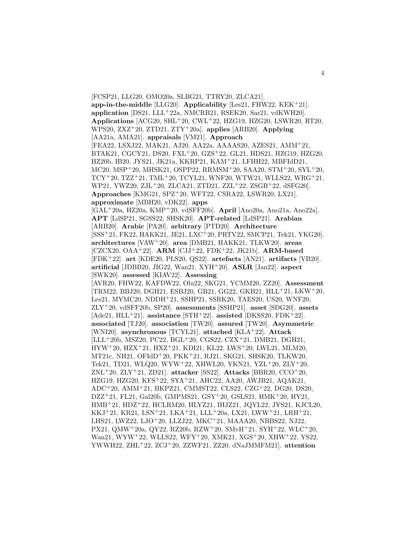[FCSP21, LLG20, OMO20a, SLBG21, TTRY20, ZLCA21]. **app-in-the-middle** [LLG20]. **Applicability** [Les21, FHW22, KEK<sup>+</sup>21]. **application** [DS21, LLL<sup>+</sup>22a, NMCRB21, RSEK20, Sar21, vdKWH20]. **Applications** [ACG20, SHL<sup>+</sup>20, CWL<sup>+</sup>22, HZG19, HZG20, LSWR20, RT20, WPS20, ZXZ<sup>+</sup>20, ZTD21, ZTY<sup>+</sup>20a]. **applies** [ARB20]. **Applying** [AA21a, AMA21]. **appraisals** [VM21]. **Approach** [FEA22, LSXJ22, MAK21, AJ20, AA22a, AAAAS20, AZES21, AMM<sup>+</sup>21, BTAK21, CGCY21, DS20, FXL<sup>+</sup>20, GZS<sup>+</sup>22, GL21, HDS21, HZG19, HZG20, HZ20b, IB20, JYS21, JK21a, KKRP21, KAM<sup>+</sup>21, LFHH22, MBFIdD21, MC20, MSP<sup>+</sup>20, MHSK21, OSPP22, RRMSM<sup>+</sup>20, SAA20, STM<sup>+</sup>20, SYL<sup>+</sup>20, TCY<sup>+</sup>20, TZZ<sup>+</sup>21, TML<sup>+</sup>20, TCYL21, WNF20, WTW21, WLLS22, WRG<sup>+</sup>21, WP21, YWZ20, ZJL<sup>+</sup>20, ZLCA21, ZTD21, ZZL<sup>+</sup>22, ZSGB<sup>+</sup>22, dSFG20]. **Approaches** [KMG21, SPZ<sup>+</sup>20, WFT22, CSRA22, LSWR20, LX21]. **approximate** [MBH20, vDK22]. **apps** [GAL<sup>+</sup>20a, HZ20a, KMP<sup>+</sup>20, vdSFF20b]. **April** [Ano20a, Ano21a, Ano22a]. **APT** [LdSP21, SGSS22, SHSK20]. **APT-related** [LdSP21]. **Arabian** [ARB20]. **Arabic** [PA20]. **arbitrary** [PTD20]. **Architecture** [SSS<sup>+</sup>21, FK22, HAKK21, JE21, LXC<sup>+</sup>20, PRTV22, SMCP21, Tek21, YKG20]. **architectures** [VAW<sup>+</sup>20]. **area** [DMB21, HAKK21, TLKW20]. **areas** [CZCX20, OAA<sup>+</sup>22]. **ARM** [CJJ<sup>+</sup>22, FDK<sup>+</sup>22, JK21b]. **ARM-based** [FDK<sup>+</sup>22]. **art** [KDE20, PLS20, QS22]. **artefacts** [AN21]. **artifacts** [VB20]. **artificial** [JDBB20, JIG22, Wan21, XYH<sup>+</sup>20]. **ASLR** [Jan22]. **aspect** [SWK20]. **assessed** [KIAV22]. **Assessing** [AVR20, FHW22, KAFDW22, Olu22, SKG21, YCMM20, ZZ20]. **Assessment** [TRM22, BBJ20, DGH21, ESBJ20, GB21, GG22, GKB21, HLL<sup>+</sup>21, LKW<sup>+</sup>20, Les21, MYMC20, NDDH<sup>+</sup>21, SSHP21, SSRK20, TAES20, US20, WNF20, ZLY<sup>+</sup>20, vdSFF20b, SP20]. **assessments** [SSHP21]. **asset** [SDG20]. **assets** [Ade21, HLL<sup>+</sup>21]. **assistance** [STH<sup>+</sup>22]. **assisted** [DKSS20, FDK<sup>+</sup>22]. **associated** [TJ20]. **association** [TW20]. **assured** [TW20]. **Asymmetric** [WNI20]. **asynchronous** [TCYL21]. **attached** [KLA<sup>+</sup>22]. **Attack** [LLL<sup>+</sup>20b, MSZ20, PC22, BGL<sup>+</sup>20, CGS22, CZX<sup>+</sup>21, DMB21, DGH21, HYW<sup>+</sup>20, HZX<sup>+</sup>21, HXZ<sup>+</sup>21, KDI21, KL22, LWS<sup>+</sup>20, LWL21, MLM20, MT21c, NH21, OFIdD<sup>+</sup>20, PKK<sup>+</sup>21, RJ21, SKG21, SHSK20, TLKW20, Tek21, TD21, WLQ20, WYW<sup>+</sup>22, XHWL20, YKN21, YZL<sup>+</sup>20, ZLY<sup>+</sup>20, ZNL<sup>+</sup>20, ZLY<sup>+</sup>21, ZD21]. **attacker** [SS22]. **Attacks** [BBR20, CCO<sup>+</sup>20, HZG19, HZG20, KFS<sup>+</sup>22, SYA<sup>+</sup>21, AHC22, AA20, AWJB21, AQAK21, ADC<sup>+</sup>20, AMM<sup>+</sup>21, BKPZ21, CMMST22, CLS22, CZG<sup>+</sup>22, DG20, DS20, DZZ<sup>+</sup>21, FL21, Gal20b, GMPMS21, GSY<sup>+</sup>20, GSLS21, HMK<sup>+</sup>20, HY21, HMB<sup>+</sup>21, HDZ<sup>+</sup>22, HCLRM20, HLYZ21, IHJZ21, JQYL22, JYS21, KJCL20, KKJ<sup>+</sup>21, KR21, LSN<sup>+</sup>21, LKA<sup>+</sup>21, LLL<sup>+</sup>20a, LX21, LWW<sup>+</sup>21, LRH<sup>+</sup>21, LHS21, LWZ22, LJO<sup>+</sup>20, LLZJ22, MKC<sup>+</sup>21, MAAA20, NBBS22, NJ22, PX21, QMW<sup>+</sup>20a, QY22, RZ20b, RZW<sup>+</sup>20, SMvH<sup>+</sup>21, SYH<sup>+</sup>22, WLC<sup>+</sup>20, Wan21, WYW<sup>+</sup>22, WLLS22, WFY<sup>+</sup>20, XMK21, XGS<sup>+</sup>20, XHW<sup>+</sup>22, YS22, YWWH22, ZHL<sup>+</sup>22, ZCJ<sup>+</sup>20, ZZWF21, ZZ20, dNaJMMFM21]. **attention**

4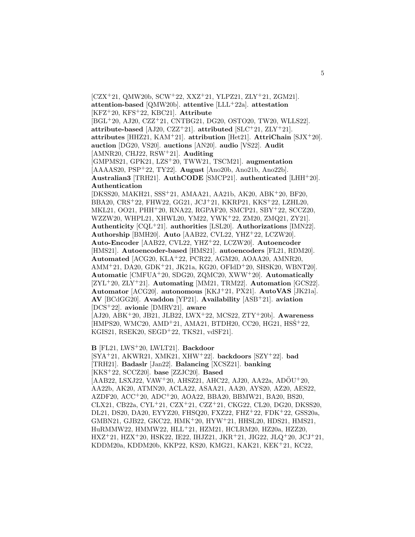$[CZX^+21, QMW20b, SCW^+22, XXZ^+21, YLPZ21, ZLY^+21, ZGM21].$ **attention-based** [QMW20b]. **attentive** [LLL<sup>+</sup>22a]. **attestation** [KFZ<sup>+</sup>20, KFS<sup>+</sup>22, KBC21]. **Attribute** [BGL<sup>+</sup>20, AJ20, CZZ<sup>+</sup>21, CNTBG21, DG20, OSTO20, TW20, WLLS22]. **attribute-based** [AJ20, CZZ<sup>+</sup>21]. **attributed**  $[SLC+21, ZLY+21]$ . **attributes** [HHZ21, KAM<sup>+</sup>21]. **attribution** [Het21]. **AttriChain** [SJX<sup>+</sup>20]. **auction** [DG20, VS20]. **auctions** [AN20]. **audio** [VS22]. **Audit** [AMNR20, CHJ22, RSW<sup>+</sup>21]. **Auditing** [GMPMS21, GPK21, LZS<sup>+</sup>20, TWW21, TSCM21]. **augmentation** [AAAAS20, PSP<sup>+</sup>22, TY22]. **August** [Ano20b, Ano21b, Ano22b]. **Australian3** [TRH21]. **AuthCODE** [SMCP21]. **authenticated** [LHH<sup>+</sup>20]. **Authentication** [DKSS20, MAKH21, SSS<sup>+</sup>21, AMAA21, AA21b, AK20, ABK<sup>+</sup>20, BF20, BBA20, CRS<sup>+</sup>22, FHW22, GG21, JCJ<sup>+</sup>21, KKRP21, KKS<sup>+</sup>22, LZHL20, MKL21, OO21, PHH<sup>+</sup>20, RNA22, RGPAF20, SMCP21, SBY<sup>+</sup>22, SCCZ20, WZZW20, WHPL21, XHWL20, YM22, YWK<sup>+</sup>22, ZM20, ZMQ21, ZY21]. **Authenticity** [CQL<sup>+</sup>21]. **authorities** [LSL20]. **Authorizations** [IMN22]. **Authorship** [BMH20]. **Auto** [AAB22, CVL22, YHZ<sup>+</sup>22, LCZW20]. **Auto-Encoder** [AAB22, CVL22, YHZ<sup>+</sup>22, LCZW20]. **Autoencoder** [HMS21]. **Autoencoder-based** [HMS21]. **autoencoders** [FL21, RDM20]. **Automated** [ACG20, KLA<sup>+</sup>22, PCR22, AGM20, AOAA20, AMNR20, AMM<sup>+</sup>21, DA20, GDK<sup>+</sup>21, JK21a, KG20, OFIdD<sup>+</sup>20, SHSK20, WBNT20]. **Automatic** [CMFUA<sup>+</sup>20, SDG20, ZQMC20, XWW<sup>+</sup>20]. **Automatically** [ZYL<sup>+</sup>20, ZLY<sup>+</sup>21]. **Automating** [MM21, TRM22]. **Automation** [GCS22]. **Automator** [ACG20]. **autonomous** [KKJ<sup>+</sup>21, PX21]. **AutoVAS** [JK21a]. **AV** [BCdGG20]. **Avaddon** [YP21]. **Availability** [ASB<sup>+</sup>21]. **aviation** [DCS<sup>+</sup>22]. **avionic** [DMRV21]. **aware** [AJ20, ABK<sup>+</sup>20, JB21, JLB22, LWX<sup>+</sup>22, MCS22, ZTY<sup>+</sup>20b]. **Awareness** [HMPS20, WMC20, AMD<sup>+</sup>21, AMA21, BTDH20, CC20, HG21, HSŠ<sup>+</sup>22, KGIS21, RSEK20, SEGD<sup>+</sup>22, TKS21, vdSF21].

**B** [FL21, LWS<sup>+</sup>20, LWLT21]. **Backdoor**

[SYA<sup>+</sup>21, AKWR21, XMK21, XHW<sup>+</sup>22]. **backdoors** [SZY<sup>+</sup>22]. **bad**

[TRH21]. **Badaslr** [Jan22]. **Balancing** [XCSZ21]. **banking**

[KKS<sup>+</sup>22, SCCZ20]. **base** [ZZJC20]. **Based**

[AAB22, LSXJ22, VAW<sup>+</sup>20, AHSZ21, AHC22, AJ20, AA22a, ADÖU<sup>+</sup>20, AA22b, AK20, ATMN20, ACLA22, ASAA21, AA20, AYS20, AZ20, AES22, AZDF20, ACC<sup>+</sup>20, ADC<sup>+</sup>20, AOA22, BBA20, BBMW21, BA20, BS20, CLX21, CB22a, CYL<sup>+</sup>21, CZX<sup>+</sup>21, CZZ<sup>+</sup>21, CKG22, CL20, DG20, DKSS20, DL21, DS20, DA20, EYYZ20, FHSQ20, FXZ22, FHZ<sup>+</sup>22, FDK<sup>+</sup>22, GSS20a, GMBN21, GJB22, GKC22, HMK<sup>+</sup>20, HYW<sup>+</sup>21, HHSL20, HDS21, HMS21, HuRMMW22, HMMW22, HLL<sup>+</sup>21, HZM21, HCLRM20, HZ20a, HZZ20, HXZ<sup>+</sup>21, HZX<sup>+</sup>20, HSK22, IE22, IHJZ21, JKR<sup>+</sup>21, JIG22, JLQ<sup>+</sup>20, JCJ<sup>+</sup>21, KDDM20a, KDDM20b, KKP22, KS20, KMG21, KAK21, KEK<sup>+</sup>21, KC22,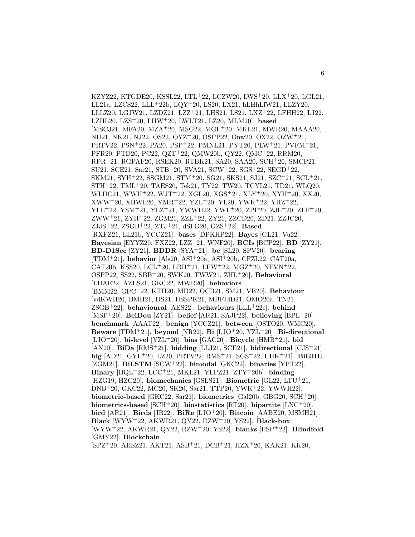KZYZ22, KTGDE20, KSSL22, LTL<sup>+</sup>22, LCZW20, LWS<sup>+</sup>20, LLX<sup>+</sup>20, LGL21, LL21a, LZCS22, LLL<sup>+</sup>22b, LQY<sup>+</sup>20, LS20, LX21, hLHhLfW21, LLZY20, LLLZ20, LGJW21, LZDZ21, LZZ<sup>+</sup>21, LHS21, LS21, LXZ<sup>+</sup>22, LFHH22, LJ22, LZHL20, LZS<sup>+</sup>20, LHW<sup>+</sup>20, LWLT21, LZ20, MLM20]. **based** [MSCJ21, MFA20, MZA<sup>+</sup>20, MSG22, MGL<sup>+</sup>20, MKL21, MWR20, MAAA20, NH21, NK21, NJ22, OS22, OYZ<sup>+</sup>20, OSPP22, Onw20, OX22, OZW<sup>+</sup>21, PRTV22, PSN<sup>+</sup>22, PA20, PSP<sup>+</sup>22, PMNL21, PYT20, PLW<sup>+</sup>21, PVFM<sup>+</sup>21, PFR20, PTD20, PC22, QZT<sup>+</sup>22, QMW20b, QY22, QMC<sup>+</sup>22, RRM20, RPR<sup>+</sup>21, RGPAF20, RSEK20, RTBK21, SA20, SAA20, SCH<sup>+</sup>20, SMCP21, SU21, SCE21, Sar21, STB<sup>+</sup>20, SVA21, SCW<sup>+</sup>22, SGS<sup>+</sup>22, SEGD<sup>+</sup>22, SKM21, SYH<sup>+</sup>22, SSGM21, STM<sup>+</sup>20, SG21, SKS21, SJ21, SZC<sup>+</sup>21, SCL<sup>+</sup>21, STH<sup>+</sup>22, TML<sup>+</sup>20, TAES20, Tek21, TY22, TW20, TCYL21, TD21, WLQ20, WLHC21, WWH<sup>+</sup>22, WJT<sup>+</sup>22, XGL20, XGS<sup>+</sup>21, XLY<sup>+</sup>20, XYH<sup>+</sup>20, XX20, XWW<sup>+</sup>20, XHWL20, YMR<sup>+</sup>22, YZL<sup>+</sup>20, YL20, YWK<sup>+</sup>22, YHZ<sup>+</sup>22, YLL<sup>+</sup>22, YSM<sup>+</sup>21, YLZ<sup>+</sup>21, YWWH22, YWL<sup>+</sup>20, ZPP20, ZJL<sup>+</sup>20, ZLF<sup>+</sup>20, ZWW<sup>+</sup>21, ZYH<sup>+</sup>22, ZGM21, ZZL<sup>+</sup>22, ZY21, ZZCD20, ZD21, ZZJC20, ZJJS<sup>+</sup>22, ZSGB<sup>+</sup>22, ZTJ<sup>+</sup>21, dSFG20, GZS<sup>+</sup>22]. **Based** [RXFZ21, LL21b, YCCZ21]. **bases** [DPKHP22]. **Bayes** [GL21, Vu22]. **Bayesian** [EYYZ20, FXZ22, LZZ<sup>+</sup>21, WNF20]. **BCIs** [BCP22]. **BD** [ZY21]. **BD-D1Sec** [ZY21]. **BDDR** [SYA<sup>+</sup>21]. **be** [SL20, SPV20]. **bearing** [TDM<sup>+</sup>21]. **behavior** [Als20, ASI<sup>+</sup>20a, ASI<sup>+</sup>20b, CFZL22, CAT20a, CAT20b, KSS20, LCL<sup>+</sup>20, LRH<sup>+</sup>21, LFW<sup>+</sup>22, MGZ<sup>+</sup>20, NFVN<sup>+</sup>22, OSPP22, SS22, SBB<sup>+</sup>20, SWK20, TWW21, ZHL<sup>+</sup>20]. **Behavioral** [LHAE22, AZES21, GKC22, MWR20]. **behaviors** [BMM22, GPC<sup>+</sup>22, KTH20, MD22, OCB21, SM21, VB20]. **Behaviour** [vdKWH20, BMH21, DS21, HSSPK21, MBFIdD21, OMO20a, TN21, ZSGB<sup>+</sup>22]. **behavioural** [AES22]. **behaviours** [LLL<sup>+</sup>22c]. **behind** [MSP<sup>+</sup>20]. **BeiDou** [ZY21]. **belief** [AR21, SAJP22]. **believing** [BPL<sup>+</sup>20]. **benchmark** [AAAT22]. **benign** [YCCZ21]. **between** [OSTO20, WMC20]. **Beware** [TDM<sup>+</sup>21]. **beyond** [NR22]. **Bi** [LJO<sup>+</sup>20, YZL<sup>+</sup>20]. **Bi-directional** [LJO<sup>+</sup>20]. **bi-level** [YZL<sup>+</sup>20]. **bias** [GAC20]. **Bicycle** [HMB<sup>+</sup>21]. **bid** [AN20]. **BiDa** [RMS<sup>+</sup>21]. **bidding** [LLJ21, SCE21]. **bidirectional** [CJS<sup>+</sup>21]. **big** [AD21, GYL<sup>+</sup>20, LZ20, PRTV22, RMS<sup>+</sup>21, SGS<sup>+</sup>22, UHK<sup>+</sup>21]. **BiGRU** [ZGM21]. **BiLSTM** [SCW<sup>+</sup>22]. **bimodal** [GKC22]. **binaries** [YPT22]. **Binary** [HQL<sup>+</sup>22, LCC<sup>+</sup>21, MKL21, YLPZ21, ZTY<sup>+</sup>20b]. **binding** [HZG19, HZG20]. **biomechanics** [GSLS21]. **Biometric** [GL22, LTU<sup>+</sup>21, DNB<sup>+</sup>20, GKC22, MC20, SK20, Sar21, TTP20, YWK<sup>+</sup>22, YWWH22]. **biometric-based** [GKC22, Sar21]. **biometrics** [Gal20b, GBG20, SCH<sup>+</sup>20]. **biometrics-based** [SCH<sup>+</sup>20]. **biostatistics** [RT20]. **bipartite** [LXC<sup>+</sup>20]. **bird** [AR21]. **Birds** [JB22]. **BiRe** [LJO<sup>+</sup>20]. **Bitcoin** [AABE20, MSMH21]. **Black** [WYW<sup>+</sup>22, AKWR21, QY22, RZW<sup>+</sup>20, YS22]. **Black-box** [WYW<sup>+</sup>22, AKWR21, QY22, RZW<sup>+</sup>20, YS22]. **blanks** [PSP<sup>+</sup>22]. **Blindfold** [GMY22]. **Blockchain** [SPZ<sup>+</sup>20, AHSZ21, AKT21, ASB<sup>+</sup>21, DCB<sup>+</sup>21, HZX<sup>+</sup>20, KAK21, KK20,

6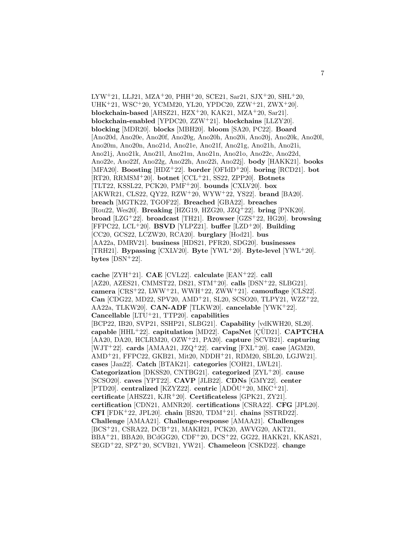LYW<sup>+</sup>21, LLJ21, MZA<sup>+</sup>20, PHH<sup>+</sup>20, SCE21, Sar21, SJX<sup>+</sup>20, SHL<sup>+</sup>20, UHK<sup>+</sup>21, WSC<sup>+</sup>20, YCMM20, YL20, YPDC20, ZZW<sup>+</sup>21, ZWX<sup>+</sup>20]. **blockchain-based** [AHSZ21, HZX<sup>+</sup>20, KAK21, MZA<sup>+</sup>20, Sar21]. **blockchain-enabled** [YPDC20, ZZW<sup>+</sup>21]. **blockchains** [LLZY20]. **blocking** [MDR20]. **blocks** [MBH20]. **bloom** [SA20, PC22]. **Board** [Ano20d, Ano20e, Ano20f, Ano20g, Ano20h, Ano20i, Ano20j, Ano20k, Ano20l, Ano20m, Ano20n, Ano21d, Ano21e, Ano21f, Ano21g, Ano21h, Ano21i, Ano21j, Ano21k, Ano21l, Ano21m, Ano21n, Ano21o, Ano22c, Ano22d, Ano22e, Ano22f, Ano22g, Ano22h, Ano22i, Ano22j]. **body** [HAKK21]. **books** [MFA20]. **Boosting** [HDZ<sup>+</sup>22]. **border** [OFIdD<sup>+</sup>20]. **boring** [RCD21]. **bot** [RT20, RRMSM<sup>+</sup>20]. **botnet** [CCL<sup>+</sup>21, SS22, ZPP20]. **Botnets** [TLT22, KSSL22, PCK20, PMF<sup>+</sup>20]. **bounds** [CXLV20]. **box** [AKWR21, CLS22, QY22, RZW<sup>+</sup>20, WYW<sup>+</sup>22, YS22]. **brand** [BA20]. **breach** [MGTK22, TGOF22]. **Breached** [GBA22]. **breaches** [Rou22, Wes20]. **Breaking** [HZG19, HZG20, JZQ<sup>+</sup>22]. **bring** [PNK20]. **broad** [LZG<sup>+</sup>22]. **broadcast** [TH21]. **Browser** [GZS<sup>+</sup>22, HG20]. **browsing** [FFPC22, LCL<sup>+</sup>20]. **BSVD** [YLPZ21]. **buffer** [LZD<sup>+</sup>20]. **Building** [CC20, GCS22, LCZW20, RCA20]. **burglary** [Hod21]. **bus** [AA22a, DMRV21]. **business** [HDS21, PFR20, SDG20]. **businesses** [TRH21]. **Bypassing** [CXLV20]. **Byte** [YWL<sup>+</sup>20]. **Byte-level** [YWL<sup>+</sup>20]. **bytes** [DSN<sup>+</sup>22].

**cache** [ZYH<sup>+</sup>21]. **CAE** [CVL22]. **calculate** [EAN<sup>+</sup>22]. **call** [AZ20, AZES21, CMMST22, DS21, STM<sup>+</sup>20]. **calls** [DSN<sup>+</sup>22, SLBG21]. **camera** [CRS<sup>+</sup>22, LWW<sup>+</sup>21, WWH<sup>+</sup>22, ZWW<sup>+</sup>21]. **camouflage** [CLS22]. **Can** [CDG22, MD22, SPV20, AMD<sup>+</sup>21, SL20, SCSO20, TLPY21, WZZ<sup>+</sup>22, AA22a, TLKW20]. **CAN-ADF** [TLKW20]. **cancelable** [YWK<sup>+</sup>22]. **Cancellable** [LTU<sup>+</sup>21, TTP20]. **capabilities** [BCP22, IB20, SVP21, SSHP21, SLBG21]. **Capability** [vdKWH20, SL20]. **capable** [HHL<sup>+</sup>22]. **capitulation** [MD22]. **CapsNet** [CUD21]. **CAPTCHA** [AA20, DA20, HCLRM20, OZW<sup>+</sup>21, PA20]. **capture** [SCVB21]. **capturing** [WJT<sup>+</sup>22]. **cards** [AMAA21, JZQ<sup>+</sup>22]. **carving** [FXL<sup>+</sup>20]. **case** [AGM20, AMD<sup>+</sup>21, FFPC22, GKB21, Mit20, NDDH<sup>+</sup>21, RDM20, SBL20, LGJW21]. **cases** [Jan22]. **Catch** [BTAK21]. **categories** [COH21, LWL21]. **Categorization** [DKSS20, CNTBG21]. **categorized** [ZYL<sup>+</sup>20]. **cause** [SCSO20]. **caves** [YPT22]. **CAVP** [JLB22]. **CDNs** [GMY22]. **center** [PTD20]. **centralized** [KZYZ22]. **centric**  $[AD\ddot{O}U^+20, MKC^+21]$ . **certificate** [AHSZ21, KJR<sup>+</sup>20]. **Certificateless** [GPK21, ZY21]. **certification** [CDN21, AMNR20]. **certifications** [CSRA22]. **CFG** [JPL20]. **CFI** [FDK<sup>+</sup>22, JPL20]. **chain** [BS20, TDM<sup>+</sup>21]. **chains** [SSTRD22]. **Challenge** [AMAA21]. **Challenge-response** [AMAA21]. **Challenges** [BCS<sup>+</sup>21, CSRA22, DCB<sup>+</sup>21, MAKH21, PCK20, AWVG20, AKT21, BBA<sup>+</sup>21, BBA20, BCdGG20, CDF<sup>+</sup>20, DCS<sup>+</sup>22, GG22, HAKK21, KKAS21, SEGD<sup>+</sup>22, SPZ<sup>+</sup>20, SCVB21, YW21]. **Chameleon** [CSKD22]. **change**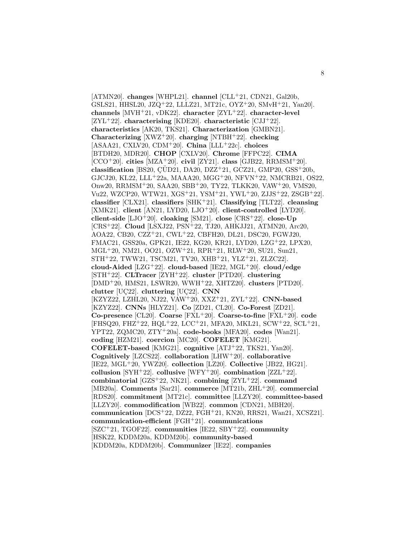[ATMN20]. **changes** [WHPL21]. **channel** [CLL<sup>+</sup>21, CDN21, Gal20b, GSLS21, HHSL20, JZQ<sup>+</sup>22, LLLZ21, MT21c, OYZ<sup>+</sup>20, SMvH<sup>+</sup>21, Yan20]. **channels** [MVH<sup>+</sup>21, vDK22]. **character** [ZYL<sup>+</sup>22]. **character-level** [ZYL<sup>+</sup>22]. **characterising** [KDE20]. **characteristic** [CJJ<sup>+</sup>22]. **characteristics** [AK20, TKS21]. **Characterization** [GMBN21]. **Characterizing** [XWZ<sup>+</sup>20]. **charging** [NTBH<sup>+</sup>22]. **checking** [ASAA21, CXLV20, CDM<sup>+</sup>20]. **China** [LLL<sup>+</sup>22c]. **choices** [BTDH20, MDR20]. **CHOP** [CXLV20]. **Chrome** [FFPC22]. **CIMA** [CCO<sup>+</sup>20]. **cities** [MZA<sup>+</sup>20]. **civil** [ZY21]. **class** [GJB22, RRMSM<sup>+</sup>20]. **classification** [BS20,  $\overline{C}$ UD21, DA20, DZZ<sup>+</sup>21, GCZ21, GMP20, GSS<sup>+</sup>20b, GJCJ20, KL22, LLL<sup>+</sup>22a, MAAA20, MGG<sup>+</sup>20, NFVN<sup>+</sup>22, NMCRB21, OS22, Onw20, RRMSM<sup>+</sup>20, SAA20, SBB<sup>+</sup>20, TY22, TLKK20, VAW<sup>+</sup>20, VMS20, Vu22, WZCP20, WTW21, XGS<sup>+</sup>21, YSM<sup>+</sup>21, YWL<sup>+</sup>20, ZJJS<sup>+</sup>22, ZSGB<sup>+</sup>22]. **classifier** [CLX21]. **classifiers** [SHK<sup>+</sup>21]. **Classifying** [TLT22]. **cleansing** [XMK21]. **client** [AN21, LYD20, LJO<sup>+</sup>20]. **client-controlled** [LYD20]. **client-side** [LJO<sup>+</sup>20]. **cloaking** [SM21]. **close** [CRS<sup>+</sup>22]. **close-Up** [CRS<sup>+</sup>22]. **Cloud** [LSXJ22, PSN<sup>+</sup>22, TJ20, AHKJJ21, ATMN20, Arc20, AOA22, CB20, CZZ<sup>+</sup>21, CWL<sup>+</sup>22, CBFH20, DL21, DSC20, FGWJ20, FMAC21, GSS20a, GPK21, IE22, KG20, KR21, LYD20, LZG<sup>+</sup>22, LPX20, MGL<sup>+</sup>20, NM21, OO21, OZW<sup>+</sup>21, RPR<sup>+</sup>21, RLW<sup>+</sup>20, SU21, Sun21, STH<sup>+</sup>22, TWW21, TSCM21, TV20, XHB<sup>+</sup>21, YLZ<sup>+</sup>21, ZLZC22]. **cloud-Aided** [LZG<sup>+</sup>22]. **cloud-based** [IE22, MGL<sup>+</sup>20]. **cloud/edge** [STH<sup>+</sup>22]. **CLTracer** [ZYH<sup>+</sup>22]. **cluster** [PTD20]. **clustering** [DMD<sup>+</sup>20, HMS21, LSWR20, WWH<sup>+</sup>22, XHTZ20]. **clusters** [PTD20]. clutter [UC22]. **cluttering** [UC22]. **CNN** [KZYZ22, LZHL20, NJ22, VAW<sup>+</sup>20, XXZ<sup>+</sup>21, ZYL<sup>+</sup>22]. **CNN-based** [KZYZ22]. **CNNs** [HLYZ21]. **Co** [ZD21, CL20]. **Co-Forest** [ZD21]. **Co-presence** [CL20]. **Coarse** [FXL<sup>+</sup>20]. **Coarse-to-fine** [FXL<sup>+</sup>20]. **code** [FHSQ20, FHZ<sup>+</sup>22, HQL<sup>+</sup>22, LCC<sup>+</sup>21, MFA20, MKL21, SCW<sup>+</sup>22, SCL<sup>+</sup>21, YPT22, ZQMC20, ZTY<sup>+</sup>20a]. **code-books** [MFA20]. **codes** [Wan21]. **coding** [HZM21]. **coercion** [MC20]. **COFELET** [KMG21]. **COFELET-based** [KMG21]. **cognitive** [ATJ<sup>+</sup>22, TKS21, Yan20]. **Cognitively** [LZCS22]. **collaboration** [LHW<sup>+</sup>20]. **collaborative** [IE22, MGL<sup>+</sup>20, YWZ20]. **collection** [LZ20]. **Collective** [JB22, HG21]. **collusion** [SYH<sup>+</sup>22]. **collusive** [WFY<sup>+</sup>20]. **combination** [ZZL<sup>+</sup>22]. **combinatorial** [GZS<sup>+</sup>22, NK21]. **combining** [ZYL<sup>+</sup>22]. **command** [MB20a]. **Comments** [Sar21]. **commerce** [MT21b, ZHL<sup>+</sup>20]. **commercial** [RDS20]. **commitment** [MT21c]. **committee** [LLZY20]. **committee-based** [LLZY20]. **commodification** [WB22]. **common** [CDN21, MBH20]. **communication** [DCS<sup>+</sup>22, DZ22, FGH<sup>+</sup>21, KN20, RRS21, Wan21, XCSZ21]. **communication-efficient** [FGH<sup>+</sup>21]. **communications** [SZC<sup>+</sup>21, TGOF22]. **communities** [IE22, SBY<sup>+</sup>22]. **community** [HSK22, KDDM20a, KDDM20b]. **community-based** [KDDM20a, KDDM20b]. **Communizer** [IE22]. **companies**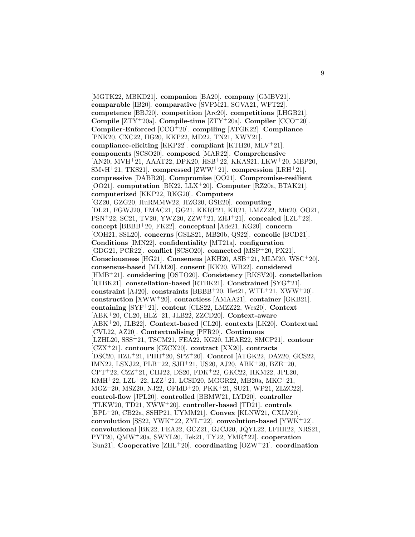[MGTK22, MBKD21]. **companion** [BA20]. **company** [GMBV21]. **comparable** [IB20]. **comparative** [SVPM21, SGVA21, WFT22]. **competence** [BBJ20]. **competition** [Arc20]. **competitions** [LHGB21]. **Compile** [ZTY<sup>+</sup>20a]. **Compile-time** [ZTY<sup>+</sup>20a]. **Compiler** [CCO<sup>+</sup>20]. **Compiler-Enforced** [CCO<sup>+</sup>20]. **compiling** [ATGK22]. **Compliance** [PNK20, CXC22, HG20, KKP22, MD22, TN21, XWY21]. **compliance-eliciting** [KKP22]. **compliant** [KTH20, MLV<sup>+</sup>21]. **components** [SCSO20]. **composed** [MAR22]. **Comprehensive** [AN20, MVH<sup>+</sup>21, AAAT22, DPK20, HSB<sup>+</sup>22, KKAS21, LKW<sup>+</sup>20, MBP20, SMvH<sup>+</sup>21, TKS21]. **compressed** [ZWW<sup>+</sup>21]. **compression** [LRH<sup>+</sup>21]. **compressive** [DABB20]. **Compromise** [OO21]. **Compromise-resilient** [OO21]. **computation** [BK22, LLX<sup>+</sup>20]. **Computer** [RZ20a, BTAK21]. **computerized** [KKP22, RKG20]. **Computers** [GZ20, GZG20, HuRMMW22, HZG20, GSE20]. **computing** [DL21, FGWJ20, FMAC21, GG21, KKRP21, KR21, LMZZ22, Mit20, OO21, PSN<sup>+</sup>22, SC21, TV20, YWZ20, ZZW<sup>+</sup>21, ZHJ<sup>+</sup>21]. **concealed** [LZL<sup>+</sup>22]. **concept** [BBBB<sup>+</sup>20, FK22]. **conceptual** [Ade21, KG20]. **concern** [COH21, SSL20]. **concerns** [GSLS21, MB20b, QS22]. **concolic** [BCD21]. **Conditions** [IMN22]. **confidentiality** [MT21a]. **configuration** [GDG21, PCR22]. **conflict** [SCSO20]. **connected** [MSP<sup>+</sup>20, PX21]. **Consciousness** [HG21]. **Consensus** [AKH20, ASB<sup>+</sup>21, MLM20, WSC<sup>+</sup>20]. **consensus-based** [MLM20]. **consent** [KK20, WB22]. **considered** [HMB<sup>+</sup>21]. **considering** [OSTO20]. **Consistency** [RKSV20]. **constellation** [RTBK21]. **constellation-based** [RTBK21]. **Constrained** [SYG<sup>+</sup>21]. **constraint** [AJ20]. **constraints** [BBBB<sup>+</sup>20, Het21, WTL<sup>+</sup>21, XWW<sup>+</sup>20]. **construction** [XWW<sup>+</sup>20]. **contactless** [AMAA21]. **container** [GKB21]. **containing** [SYF<sup>+</sup>21]. **content** [CLS22, LMZZ22, Wes20]. **Context** [ABK<sup>+</sup>20, CL20, HLZ<sup>+</sup>21, JLB22, ZZCD20]. **Context-aware** [ABK<sup>+</sup>20, JLB22]. **Context-based** [CL20]. **contexts** [LK20]. **Contextual** [CVL22, AZ20]. **Contextualising** [PFR20]. **Continuous** [LZHL20, SSS<sup>+</sup>21, TSCM21, FEA22, KG20, LHAE22, SMCP21]. **contour** [CZX<sup>+</sup>21]. **contours** [CZCX20]. **contract** [XX20]. **contracts** [DSC20, HZL<sup>+</sup>21, PHH<sup>+</sup>20, SPZ<sup>+</sup>20]. **Control** [ATGK22, DAZ20, GCS22, IMN22, LSXJ22, PLB<sup>+</sup>22, SJH<sup>+</sup>21, US20, AJ20, ABK<sup>+</sup>20, BZE<sup>+</sup>20, CPT<sup>+</sup>22, CZZ<sup>+</sup>21, CHJ22, DS20, FDK<sup>+</sup>22, GKC22, HKM22, JPL20, KMH<sup>+</sup>22, LZL<sup>+</sup>22, LZZ<sup>+</sup>21, LCSD20, MGGR22, MB20a, MKC<sup>+</sup>21, MGZ<sup>+</sup>20, MSZ20, NJ22, OFIdD<sup>+</sup>20, PKK<sup>+</sup>21, SU21, WP21, ZLZC22]. **control-flow** [JPL20]. **controlled** [BBMW21, LYD20]. **controller** [TLKW20, TD21, XWW<sup>+</sup>20]. **controller-based** [TD21]. **controls** [BPL<sup>+</sup>20, CB22a, SSHP21, UYMM21]. **Convex** [KLNW21, CXLV20]. **convolution** [SS22, YWK<sup>+</sup>22, ZYL<sup>+</sup>22]. **convolution-based** [YWK<sup>+</sup>22]. **convolutional** [BK22, FEA22, GCZ21, GJCJ20, JQYL22, LFHH22, NRS21, PYT20, QMW<sup>+</sup>20a, SWYL20, Tek21, TY22, YMR<sup>+</sup>22]. **cooperation** [Sun21]. **Cooperative** [ZHL<sup>+</sup>20]. **coordinating** [OZW<sup>+</sup>21]. **coordination**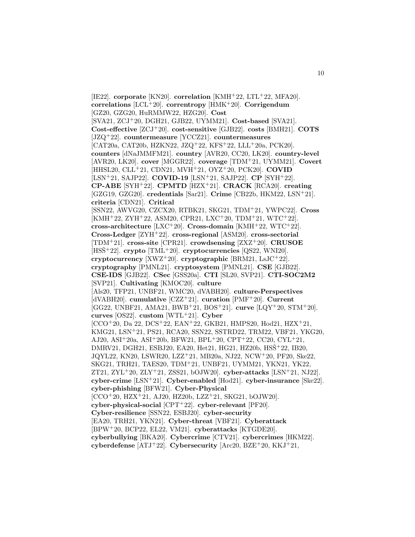[IE22]. **corporate** [KN20]. **correlation** [KMH<sup>+</sup>22, LTL<sup>+</sup>22, MFA20]. **correlations** [LCL<sup>+</sup>20]. **correntropy** [HMK<sup>+</sup>20]. **Corrigendum** [GZ20, GZG20, HuRMMW22, HZG20]. **Cost** [SVA21, ZCJ<sup>+</sup>20, DGH21, GJB22, UYMM21]. **Cost-based** [SVA21]. **Cost-effective** [ZCJ<sup>+</sup>20]. **cost-sensitive** [GJB22]. **costs** [BMH21]. **COTS** [JZQ<sup>+</sup>22]. **countermeasure** [YCCZ21]. **countermeasures** [CAT20a, CAT20b, HZKN22, JZQ<sup>+</sup>22, KFS<sup>+</sup>22, LLL<sup>+</sup>20a, PCK20]. **counters** [dNaJMMFM21]. **country** [AVR20, CC20, LK20]. **country-level** [AVR20, LK20]. **cover** [MGGR22]. **coverage** [TDM<sup>+</sup>21, UYMM21]. **Covert** [HHSL20, CLL<sup>+</sup>21, CDN21, MVH<sup>+</sup>21, OYZ<sup>+</sup>20, PCK20]. **COVID** [LSN<sup>+</sup>21, SAJP22]. **COVID-19** [LSN<sup>+</sup>21, SAJP22]. **CP** [SYH<sup>+</sup>22]. **CP-ABE** [SYH<sup>+</sup>22]. **CPMTD** [HZX<sup>+</sup>21]. **CRACK** [RCA20]. **creating** [GZG19, GZG20]. **credentials** [Sar21]. **Crime** [CB22b, HKM22, LSN<sup>+</sup>21]. **criteria** [CDN21]. **Critical** [SSN22, AWVG20, CZCX20, RTBK21, SKG21, TDM<sup>+</sup>21, YWPC22]. **Cross** [KMH<sup>+</sup>22, ZYH<sup>+</sup>22, ASM20, CPR21, LXC<sup>+</sup>20, TDM<sup>+</sup>21, WTC<sup>+</sup>22]. **cross-architecture** [LXC<sup>+</sup>20]. **Cross-domain** [KMH<sup>+</sup>22, WTC<sup>+</sup>22]. **Cross-Ledger** [ZYH<sup>+</sup>22]. **cross-regional** [ASM20]. **cross-sectorial** [TDM<sup>+</sup>21]. **cross-site** [CPR21]. **crowdsensing** [ZXZ<sup>+</sup>20]. **CRUSOE** [HSS<sup>+</sup>22]. **crypto** [TML<sup>+</sup>20]. **cryptocurrencies** [QS22, WNI20]. **cryptocurrency** [XWZ<sup>+</sup>20]. **cryptographic** [BRM21, LsJC<sup>+</sup>22]. **cryptography** [PMNL21]. **cryptosystem** [PMNL21]. **CSE** [GJB22]. **CSE-IDS** [GJB22]. **CSec** [GSS20a]. **CTI** [SL20, SVP21]. **CTI-SOC2M2** [SVP21]. **Cultivating** [KMOC20]. **culture** [Als20, TFP21, UNBF21, WMC20, dVABH20]. **culture-Perspectives** [dVABH20]. **cumulative** [CZZ<sup>+</sup>21]. **curation** [PMF<sup>+</sup>20]. **Current** [GG22, UNBF21, AMA21, BWB<sup>+</sup>21, BOS<sup>+</sup>21]. **curve** [LQY<sup>+</sup>20, STM<sup>+</sup>20]. **curves** [OS22]. **custom** [WTL<sup>+</sup>21]. **Cyber**  $[CCO+20, Da 22, DCS+22, EAN+22, GKB21, HMPS20, Hod21, HZX+21,$ KMG21, LSN<sup>+</sup>21, PS21, RCA20, SSN22, SSTRD22, TRM22, VBF21, YKG20, AJ20, ASI<sup>+</sup>20a, ASI<sup>+</sup>20b, BFW21, BPL<sup>+</sup>20, CPT<sup>+</sup>22, CC20, CYL<sup>+</sup>21, DMRV21, DGH21, ESBJ20, EA20, Het21, HG21, HZ20b, HSS<sup>+</sup>22, IB20, JQYL22, KN20, LSWR20, LZZ<sup>+</sup>21, MB20a, NJ22, NCW<sup>+</sup>20, PF20, Ske22, SKG21, TRH21, TAES20, TDM<sup>+</sup>21, UNBF21, UYMM21, YKN21, YK22, ZT21, ZYL<sup>+</sup>20, ZLY<sup>+</sup>21, ZSS21, bOJW20]. **cyber-attacks** [LSN<sup>+</sup>21, NJ22]. **cyber-crime** [LSN<sup>+</sup>21]. **Cyber-enabled** [Hod21]. **cyber-insurance** [Ske22]. **cyber-phishing** [BFW21]. **Cyber-Physical**  $[CCO<sup>+</sup>20, HZX<sup>+</sup>21, AJ20, HZ20b, LZZ<sup>+</sup>21, SKG21, bOJW20].$ **cyber-physical-social** [CPT<sup>+</sup>22]. **cyber-relevant** [PF20]. **Cyber-resilience** [SSN22, ESBJ20]. **cyber-security** [EA20, TRH21, YKN21]. **Cyber-threat** [VBF21]. **Cyberattack** [BPW<sup>+</sup>20, BCP22, EL22, VM21]. **cyberattacks** [KTGDE20]. **cyberbullying** [BKA20]. **Cybercrime** [CTV21]. **cybercrimes** [HKM22]. **cyberdefense** [ATJ<sup>+</sup>22]. **Cybersecurity** [Arc20, BZE<sup>+</sup>20, KKJ<sup>+</sup>21,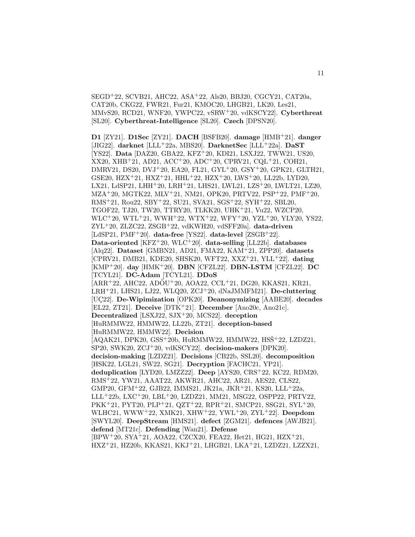SEGD<sup>+</sup>22, SCVB21, AHC22, ASA<sup>+</sup>22, Als20, BBJ20, CGCY21, CAT20a, CAT20b, CKG22, FWR21, Fur21, KMOC20, LHGB21, LK20, Les21, MMvS20, RCD21, WNF20, YWPC22, vSRW<sup>+</sup>20, vdKSCY22]. **Cyberthreat** [SL20]. **Cyberthreat-Intelligence** [SL20]. **Czech** [DPSN20].

**D1** [ZY21]. **D1Sec** [ZY21]. **DACH** [BSFB20]. **damage** [HMB<sup>+</sup>21]. **danger** [JIG22]. **darknet** [LLL<sup>+</sup>22a, MBS20]. **DarknetSec** [LLL<sup>+</sup>22a]. **DaST** [YS22]. **Data** [DAZ20, GBA22, KFZ<sup>+</sup>20, KDI21, LSXJ22, TWW21, US20, XX20, XHB<sup>+</sup>21, AD21, ACC<sup>+</sup>20, ADC<sup>+</sup>20, CPRV21, CQL<sup>+</sup>21, COH21, DMRV21, DS20, DVJ<sup>+</sup>20, EA20, FL21, GYL<sup>+</sup>20, GSY<sup>+</sup>20, GPK21, GLTH21, GSE20, HZX<sup>+</sup>21, HXZ<sup>+</sup>21, HHL<sup>+</sup>22, HZX<sup>+</sup>20, LWS<sup>+</sup>20, LL22b, LYD20, LX21, LdSP21, LHH<sup>+</sup>20, LRH<sup>+</sup>21, LHS21, LWL21, LZS<sup>+</sup>20, LWLT21, LZ20, MZA<sup>+</sup>20, MGTK22, MLV<sup>+</sup>21, NM21, OPK20, PRTV22, PSP<sup>+</sup>22, PMF<sup>+</sup>20, RMS<sup>+</sup>21, Rou22, SBY<sup>+</sup>22, SU21, SVA21, SGS<sup>+</sup>22, SYH<sup>+</sup>22, SBL20, TGOF22, TJ20, TW20, TTRY20, TLKK20, UHK<sup>+</sup>21, Vu22, WZCP20, WLC<sup>+</sup>20, WTL<sup>+</sup>21, WWH<sup>+</sup>22, WTX<sup>+</sup>22, WFY<sup>+</sup>20, YZL<sup>+</sup>20, YLY20, YS22, ZYL<sup>+</sup>20, ZLZC22, ZSGB<sup>+</sup>22, vdKWH20, vdSFF20a]. **data-driven** [LdSP21, PMF<sup>+</sup>20]. **data-free** [YS22]. **data-level** [ZSGB<sup>+</sup>22]. **Data-oriented** [KFZ<sup>+</sup>20, WLC<sup>+</sup>20]. **data-selling** [LL22b]. **databases** [Alq22]. **Dataset** [GMBN21, AD21, FMA22, KAM<sup>+</sup>21, ZPP20]. **datasets** [CPRV21, DMB21, KDE20, SHSK20, WFT22, XXZ<sup>+</sup>21, YLL<sup>+</sup>22]. **dating** [KMP<sup>+</sup>20]. **day** [HMK<sup>+</sup>20]. **DBN** [CFZL22]. **DBN-LSTM** [CFZL22]. **DC** [TCYL21]. **DC-Adam** [TCYL21]. **DDoS**  $[ARR<sup>+</sup>22, AHC22, ADÖU<sup>+</sup>20, AOA22, CCL<sup>+</sup>21, DG20, KKAS21, KR21,$ LRH<sup>+</sup>21, LHS21, LJ22, WLQ20, ZCJ<sup>+</sup>20, dNaJMMFM21]. **De-cluttering** [UC22]. **De-Wipimization** [OPK20]. **Deanonymizing** [AABE20]. decades [EL22, ZT21]. **Deceive** [DTK<sup>+</sup>21]. **December** [Ano20c, Ano21c]. **Decentralized** [LSXJ22, SJX<sup>+</sup>20, MCS22]. **deception** [HuRMMW22, HMMW22, LL22b, ZT21]. **deception-based** [HuRMMW22, HMMW22]. **Decision** [AQAK21, DPK20, GSS<sup>+</sup>20b, HuRMMW22, HMMW22, HSŠ<sup>+</sup>22, LZDZ21, SP20, SWK20, ZCJ<sup>+</sup>20, vdKSCY22]. **decision-makers** [DPK20]. **decision-making** [LZDZ21]. **Decisions** [CB22b, SSL20]. **decomposition** [HSK22, LGL21, SW22, SG21]. **Decryption** [FACHC21, YP21]. **deduplication** [LYD20, LMZZ22]. **Deep** [AYS20, CRS<sup>+</sup>22, KC22, RDM20, RMS<sup>+</sup>22, YW21, AAAT22, AKWR21, AHC22, AR21, AES22, CLS22, GMP20, GFM<sup>+</sup>22, GJB22, IMMS21, JK21a, JKR<sup>+</sup>21, KS20, LLL<sup>+</sup>22a, LLL<sup>+</sup>22b, LXC<sup>+</sup>20, LBL<sup>+</sup>20, LZDZ21, MM21, MSG22, OSPP22, PRTV22, PKK<sup>+</sup>21, PYT20, PLP<sup>+</sup>21, QZT<sup>+</sup>22, RPR<sup>+</sup>21, SMCP21, SSG21, SYL<sup>+</sup>20, WLHC21, WWW<sup>+</sup>22, XMK21, XHW<sup>+</sup>22, YWL<sup>+</sup>20, ZYL<sup>+</sup>22]. **Deepdom** [SWYL20]. **DeepStream** [HMS21]. **defect** [ZGM21]. **defences** [AWJB21]. **defend** [MT21c]. **Defending** [Wan21]. **Defense** [BPW<sup>+</sup>20, SYA<sup>+</sup>21, AOA22, CZCX20, FEA22, Het21, HG21, HZX<sup>+</sup>21, HXZ<sup>+</sup>21, HZ20b, KKAS21, KKJ<sup>+</sup>21, LHGB21, LKA<sup>+</sup>21, LZDZ21, LZZX21,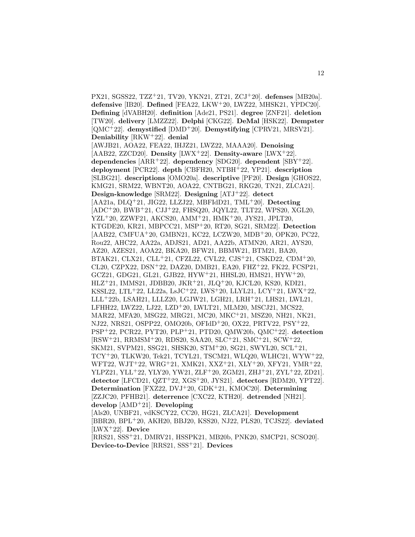PX21, SGSS22, TZZ<sup>+</sup>21, TV20, YKN21, ZT21, ZCJ<sup>+</sup>20]. **defenses** [MB20a]. **defensive** [IB20]. **Defined** [FEA22, LKW<sup>+</sup>20, LWZ22, MHSK21, YPDC20]. **Defining** [dVABH20]. **definition** [Ade21, PS21]. **degree** [ZNF21]. **deletion** [TW20]. **delivery** [LMZZ22]. **Delphi** [CKG22]. **DeMal** [HSK22]. **Dempster** [QMC<sup>+</sup>22]. **demystified** [DMD<sup>+</sup>20]. **Demystifying** [CPRV21, MRSV21]. **Deniability** [RKW<sup>+</sup>22]. **denial** [AWJB21, AOA22, FEA22, IHJZ21, LWZ22, MAAA20]. **Denoising** [AAB22, ZZCD20]. **Density** [LWX<sup>+</sup>22]. **Density-aware** [LWX<sup>+</sup>22]. **dependencies** [ARR<sup>+</sup>22]. **dependency** [SDG20]. **dependent** [SBY<sup>+</sup>22]. **deployment** [PCR22]. **depth** [CBFH20, NTBH<sup>+</sup>22, YP21]. **description** [SLBG21]. **descriptions** [OMO20a]. **descriptive** [PF20]. **Design** [GHOS22, KMG21, SRM22, WBNT20, AOA22, CNTBG21, RKG20, TN21, ZLCA21]. **Design-knowledge** [SRM22]. **Designing** [ATJ<sup>+</sup>22]. **detect** [AA21a, DLQ<sup>+</sup>21, JIG22, LLZJ22, MBFIdD21, TML<sup>+</sup>20]. **Detecting** [ADC<sup>+</sup>20, BWB<sup>+</sup>21, CJJ<sup>+</sup>22, FHSQ20, JQYL22, TLT22, WPS20, XGL20, YZL<sup>+</sup>20, ZZWF21, AKCS20, AMM<sup>+</sup>21, HMK<sup>+</sup>20, JYS21, JPLT20, KTGDE20, KR21, MBPCC21, MSP<sup>+</sup>20, RT20, SG21, SRM22]. **Detection** [AAB22, CMFUA<sup>+</sup>20, GMBN21, KC22, LCZW20, MDB<sup>+</sup>20, OPK20, PC22, Rou22, AHC22, AA22a, ADJS21, AD21, AA22b, ATMN20, AR21, AYS20, AZ20, AZES21, AOA22, BKA20, BFW21, BBMW21, BTM21, BA20, BTAK21, CLX21, CLL<sup>+</sup>21, CFZL22, CVL22, CJS<sup>+</sup>21, CSKD22, CDM<sup>+</sup>20, CL20, CZPX22, DSN<sup>+</sup>22, DAZ20, DMB21, EA20, FHZ<sup>+</sup>22, FK22, FCSP21, GCZ21, GDG21, GL21, GJB22, HYW<sup>+</sup>21, HHSL20, HMS21, HYW<sup>+</sup>20, HLZ<sup>+</sup>21, IMMS21, JDBB20, JKR<sup>+</sup>21, JLQ<sup>+</sup>20, KJCL20, KS20, KDI21, KSSL22, LTL<sup>+</sup>22, LL22a, LsJC<sup>+</sup>22, LWS<sup>+</sup>20, LLYL21, LCY<sup>+</sup>21, LWX<sup>+</sup>22, LLL<sup>+</sup>22b, LSAH21, LLLZ20, LGJW21, LGH21, LRH<sup>+</sup>21, LHS21, LWL21, LFHH22, LWZ22, LJ22, LZD<sup>+</sup>20, LWLT21, MLM20, MSCJ21, MCS22, MAR22, MFA20, MSG22, MRG21, MC20, MKC<sup>+</sup>21, MSZ20, NH21, NK21, NJ22, NRS21, OSPP22, OMO20b, OFIdD<sup>+</sup>20, OX22, PRTV22, PSY<sup>+</sup>22, PSP<sup>+</sup>22, PCR22, PYT20, PLP<sup>+</sup>21, PTD20, QMW20b, QMC<sup>+</sup>22]. **detection** [RSW<sup>+</sup>21, RRMSM<sup>+</sup>20, RDS20, SAA20, SLC<sup>+</sup>21, SMC<sup>+</sup>21, SCW<sup>+</sup>22, SKM21, SVPM21, SSG21, SHSK20, STM<sup>+</sup>20, SG21, SWYL20, SCL<sup>+</sup>21, TCY<sup>+</sup>20, TLKW20, Tek21, TCYL21, TSCM21, WLQ20, WLHC21, WYW<sup>+</sup>22, WFT22, WJT<sup>+</sup>22, WRG<sup>+</sup>21, XMK21, XXZ<sup>+</sup>21, XLY<sup>+</sup>20, XFY21, YMR<sup>+</sup>22, YLPZ21, YLL<sup>+</sup>22, YLY20, YW21, ZLF<sup>+</sup>20, ZGM21, ZHJ<sup>+</sup>21, ZYL<sup>+</sup>22, ZD21]. **detector** [LFCD21, QZT<sup>+</sup>22, XGS<sup>+</sup>20, JYS21]. **detectors** [RDM20, YPT22]. **Determination** [FXZ22, DVJ<sup>+</sup>20, GDK<sup>+</sup>21, KMOC20]. **Determining** [ZZJC20, PFHB21]. **deterrence** [CXC22, KTH20]. **detrended** [NH21]. **develop** [AMD<sup>+</sup>21]. **Developing** [Als20, UNBF21, vdKSCY22, CC20, HG21, ZLCA21]. **Development** [BBR20, BPL<sup>+</sup>20, AKH20, BBJ20, KSS20, NJ22, PLS20, TCJS22]. **deviated** [LWX<sup>+</sup>22]. **Device** [RRS21, SSS<sup>+</sup>21, DMRV21, HSSPK21, MB20b, PNK20, SMCP21, SCSO20].

**Device-to-Device** [RRS21, SSS<sup>+</sup>21]. **Devices**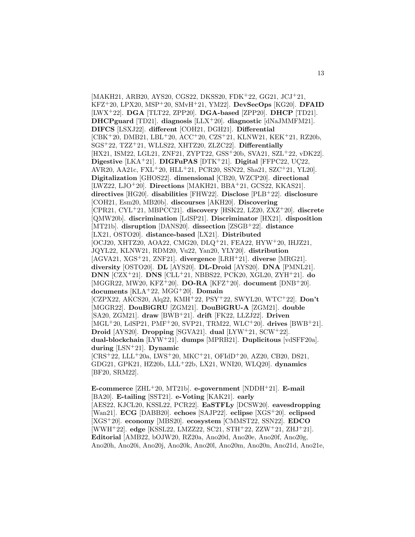[MAKH21, ARB20, AYS20, CGS22, DKSS20, FDK<sup>+</sup>22, GG21, JCJ<sup>+</sup>21, KFZ<sup>+</sup>20, LPX20, MSP<sup>+</sup>20, SMvH<sup>+</sup>21, YM22]. **DevSecOps** [KG20]. **DFAID** [LWX<sup>+</sup>22]. **DGA** [TLT22, ZPP20]. **DGA-based** [ZPP20]. **DHCP** [TD21]. **DHCPguard** [TD21]. **diagnosis** [LLX<sup>+</sup>20]. **diagnostic** [dNaJMMFM21]. **DIFCS** [LSXJ22]. **different** [COH21, DGH21]. **Differential** [CBK<sup>+</sup>20, DMB21, LBL<sup>+</sup>20, ACC<sup>+</sup>20, CZS<sup>+</sup>21, KLNW21, KEK<sup>+</sup>21, RZ20b, SGS<sup>+</sup>22, TZZ<sup>+</sup>21, WLLS22, XHTZ20, ZLZC22]. **Differentially** [HX21, ISM22, LGL21, ZNF21, ZYPT22, GSS<sup>+</sup>20b, SVA21, SZL<sup>+</sup>22, vDK22]. **Digestive** [LKA+21]. **DIGFuPAS** [DTK+21]. **Digital** [FFPC22, UÇ22, AVR20, AA21c, FXL<sup>+</sup>20, HLL<sup>+</sup>21, PCR20, SSN22, Sha21, SZC<sup>+</sup>21, YL20]. **Digitalization** [GHOS22]. **dimensional** [CB20, WZCP20]. **directional** [LWZ22, LJO<sup>+</sup>20]. **Directions** [MAKH21, BBA<sup>+</sup>21, GCS22, KKAS21]. **directives** [HG20]. **disabilities** [FHW22]. **Disclose** [PLB<sup>+</sup>22]. **disclosure** [COH21, Esm20, MB20b]. **discourses** [AKH20]. **Discovering** [CPR21, CYL<sup>+</sup>21, MBPCC21]. **discovery** [HSK22, LZ20, ZXZ<sup>+</sup>20]. **discrete** [QMW20b]. **discrimination** [LdSP21]. **Discriminator** [HX21]. **disposition** [MT21b]. **disruption** [DANS20]. **dissection** [ZSGB<sup>+</sup>22]. **distance** [LX21, OSTO20]. **distance-based** [LX21]. **Distributed** [OCJ20, XHTZ20, AOA22, CMG20, DLQ<sup>+</sup>21, FEA22, HYW<sup>+</sup>20, IHJZ21, JQYL22, KLNW21, RDM20, Vu22, Yan20, YLY20]. **distribution** [AGVA21, XGS<sup>+</sup>21, ZNF21]. **divergence** [LRH<sup>+</sup>21]. **diverse** [MRG21]. **diversity** [OSTO20]. **DL** [AYS20]. **DL-Droid** [AYS20]. **DNA** [PMNL21]. **DNN** [CZX<sup>+</sup>21]. **DNS** [CLL<sup>+</sup>21, NBBS22, PCK20, XGL20, ZYH<sup>+</sup>21]. **do** [MGGR22, MW20, KFZ<sup>+</sup>20]. **DO-RA** [KFZ<sup>+</sup>20]. **document** [DNB<sup>+</sup>20]. **documents** [KLA<sup>+</sup>22, MGG<sup>+</sup>20]. **Domain** [CZPX22, AKCS20, Alq22, KMH<sup>+</sup>22, PSY<sup>+</sup>22, SWYL20, WTC<sup>+</sup>22]. **Don't** [MGGR22]. **DouBiGRU** [ZGM21]. **DouBiGRU-A** [ZGM21]. **double** [SA20, ZGM21]. **draw** [BWB<sup>+</sup>21]. **drift** [FK22, LLZJ22]. **Driven** [MGL<sup>+</sup>20, LdSP21, PMF<sup>+</sup>20, SVP21, TRM22, WLC<sup>+</sup>20]. **drives** [BWB<sup>+</sup>21]. **Droid** [AYS20]. **Dropping** [SGVA21]. **dual** [LYW<sup>+</sup>21, SCW<sup>+</sup>22]. **dual-blockchain** [LYW<sup>+</sup>21]. **dumps** [MPRB21]. **Duplicitous** [vdSFF20a]. **during** [LSN<sup>+</sup>21]. **Dynamic**  $[CRS+22, LLL+20a, LWS+20, MKC+21, OFIdD+20, AZ20, CB20, DS21,$ GDG21, GPK21, HZ20b, LLL<sup>+</sup>22b, LX21, WNI20, WLQ20]. **dynamics** [BF20, SRM22].

**E-commerce** [ZHL<sup>+</sup>20, MT21b]. **e-government** [NDDH<sup>+</sup>21]. **E-mail** [BA20]. **E-tailing** [SST21]. **e-Voting** [KAK21]. **early** [AES22, KJCL20, KSSL22, PCR22]. **EaSTFLy** [DCSW20]. **eavesdropping** [Wan21]. **ECG** [DABB20]. **echoes** [SAJP22]. **eclipse** [XGS<sup>+</sup>20]. **eclipsed** [XGS<sup>+</sup>20]. **economy** [MBS20]. **ecosystem** [CMMST22, SSN22]. **EDCO** [WWH<sup>+</sup>22]. **edge** [KSSL22, LMZZ22, SC21, STH<sup>+</sup>22, ZZW<sup>+</sup>21, ZHJ<sup>+</sup>21]. **Editorial** [AMB22, bOJW20, RZ20a, Ano20d, Ano20e, Ano20f, Ano20g, Ano20h, Ano20i, Ano20j, Ano20k, Ano20l, Ano20m, Ano20n, Ano21d, Ano21e,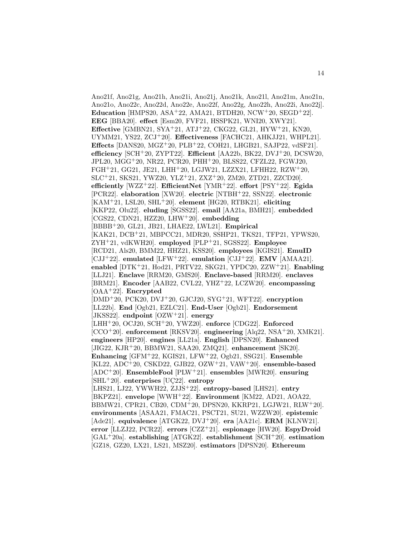Ano21f, Ano21g, Ano21h, Ano21i, Ano21j, Ano21k, Ano21l, Ano21m, Ano21n, Ano21o, Ano22c, Ano22d, Ano22e, Ano22f, Ano22g, Ano22h, Ano22i, Ano22j]. **Education** [HMPS20, ASA<sup>+</sup>22, AMA21, BTDH20, NCW<sup>+</sup>20, SEGD<sup>+</sup>22]. **EEG** [BBA20]. **effect** [Esm20, FVF21, HSSPK21, WNI20, XWY21]. **Effective** [GMBN21, SYA<sup>+</sup>21, ATJ<sup>+</sup>22, CKG22, GL21, HYW<sup>+</sup>21, KN20, UYMM21, YS22, ZCJ<sup>+</sup>20]. **Effectiveness** [FACHC21, AHKJJ21, WHPL21]. **Effects** [DANS20, MGZ<sup>+</sup>20, PLB<sup>+</sup>22, COH21, LHGB21, SAJP22, vdSF21]. **efficiency** [SCH<sup>+</sup>20, ZYPT22]. **Efficient** [AA22b, BK22, DVJ<sup>+</sup>20, DCSW20, JPL20, MGG<sup>+</sup>20, NR22, PCR20, PHH<sup>+</sup>20, BLSS22, CFZL22, FGWJ20, FGH<sup>+</sup>21, GG21, JE21, LHH<sup>+</sup>20, LGJW21, LZZX21, LFHH22, RZW<sup>+</sup>20, SLC<sup>+</sup>21, SKS21, YWZ20, YLZ<sup>+</sup>21, ZXZ<sup>+</sup>20, ZM20, ZTD21, ZZCD20]. **efficiently** [WZZ<sup>+</sup>22]. **EfficientNet** [YMR<sup>+</sup>22]. **effort** [PSY<sup>+</sup>22]. **Egida** [PCR22]. **elaboration** [XW20]. **electric** [NTBH<sup>+</sup>22, SSN22]. **electronic** [KAM<sup>+</sup>21, LSL20, SHL<sup>+</sup>20]. **element** [HG20, RTBK21]. **eliciting** [KKP22, Olu22]. **eluding** [SGSS22]. **email** [AA21a, BMH21]. **embedded** [CGS22, CDN21, HZZ20, LHW<sup>+</sup>20]. **embedding** [BBBB<sup>+</sup>20, GL21, JB21, LHAE22, LWL21]. **Empirical** [KAK21, DCB<sup>+</sup>21, MBPCC21, MDR20, SSHP21, TKS21, TFP21, YPWS20, ZYH<sup>+</sup>21, vdKWH20]. **employed** [PLP<sup>+</sup>21, SGSS22]. **Employee** [RCD21, Als20, BMM22, HHZ21, KSS20]. **employees** [KGIS21]. **EmuID** [CJJ<sup>+</sup>22]. **emulated** [LFW<sup>+</sup>22]. **emulation** [CJJ<sup>+</sup>22]. **EMV** [AMAA21]. **enabled** [DTK<sup>+</sup>21, Hod21, PRTV22, SKG21, YPDC20, ZZW<sup>+</sup>21]. **Enabling** [LLJ21]. **Enclave** [RRM20, GMS20]. **Enclave-based** [RRM20]. **enclaves** [BRM21]. **Encoder** [AAB22, CVL22, YHZ<sup>+</sup>22, LCZW20]. **encompassing** [OAA<sup>+</sup>22]. **Encrypted** [DMD<sup>+</sup>20, PCK20, DVJ<sup>+</sup>20, GJCJ20, SYG<sup>+</sup>21, WFT22]. **encryption** [LL22b]. **End** [Ogb21, EZLC21]. **End-User** [Ogb21]. **Endorsement** [JKSS22]. **endpoint** [OZW<sup>+</sup>21]. **energy** [LHH<sup>+</sup>20, OCJ20, SCH<sup>+</sup>20, YWZ20]. **enforce** [CDG22]. **Enforced** [CCO<sup>+</sup>20]. **enforcement** [RKSV20]. **engineering** [Alq22, NSA<sup>+</sup>20, XMK21]. **engineers** [HP20]. **engines** [LL21a]. **English** [DPSN20]. **Enhanced** [JIG22, KJR<sup>+</sup>20, BBMW21, SAA20, ZMQ21]. **enhancement** [SK20]. **Enhancing** [GFM<sup>+</sup>22, KGIS21, LFW<sup>+</sup>22, Ogb21, SSG21]. **Ensemble** [KL22, ADC<sup>+</sup>20, CSKD22, GJB22, OZW<sup>+</sup>21, VAW<sup>+</sup>20]. **ensemble-based** [ADC<sup>+</sup>20]. **EnsembleFool** [PLW<sup>+</sup>21]. **ensembles** [MWR20]. **ensuring** [SHL<sup>+</sup>20]. **enterprises** [UÇ22]. **entropy** [LHS21, LJ22, YWWH22, ZJJS<sup>+</sup>22]. **entropy-based** [LHS21]. **entry** [BKPZ21]. **envelope** [WWH<sup>+</sup>22]. **Environment** [KM22, AD21, AOA22, BBMW21, CPR21, CB20, CDM<sup>+</sup>20, DPSN20, KKRP21, LGJW21, RLW<sup>+</sup>20]. **environments** [ASAA21, FMAC21, PSCT21, SU21, WZZW20]. **epistemic** [Ade21]. **equivalence** [ATGK22, DVJ<sup>+</sup>20]. **era** [AA21c]. **ERM** [KLNW21]. **error** [LLZJ22, PCR22]. **errors** [CZZ<sup>+</sup>21]. **espionage** [HW20]. **EspyDroid** [GAL<sup>+</sup>20a]. **establishing** [ATGK22]. **establishment** [SCH<sup>+</sup>20]. **estimation** [GZ18, GZ20, LX21, LS21, MSZ20]. **estimators** [DPSN20]. **Ethereum**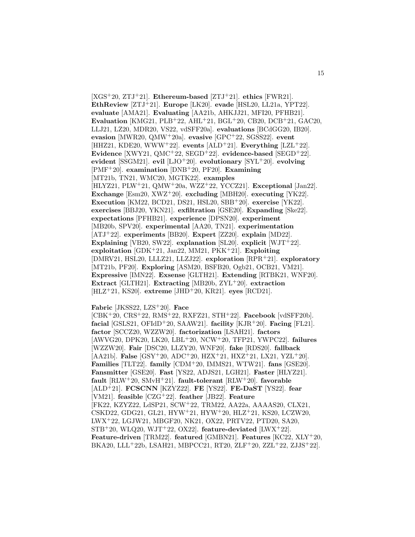[XGS<sup>+</sup>20, ZTJ<sup>+</sup>21]. **Ethereum-based** [ZTJ<sup>+</sup>21]. **ethics** [FWR21]. **EthReview** [ZTJ<sup>+</sup>21]. **Europe** [LK20]. **evade** [HSL20, LL21a, YPT22]. **evaluate** [AMA21]. **Evaluating** [AA21b, AHKJJ21, MFI20, PFHB21]. **Evaluation** [KMG21, PLB<sup>+</sup>22, AHL<sup>+</sup>21, BGL<sup>+</sup>20, CB20, DCB<sup>+</sup>21, GAC20, LLJ21, LZ20, MDR20, VS22, vdSFF20a]. **evaluations** [BCdGG20, IB20]. **evasion** [MWR20, QMW<sup>+</sup>20a]. **evasive** [GPC<sup>+</sup>22, SGSS22]. **event** [HHZ21, KDE20, WWW<sup>+</sup>22]. **events** [ALD<sup>+</sup>21]. **Everything** [LZL<sup>+</sup>22]. **Evidence** [XWY21, QMC<sup>+</sup>22, SEGD<sup>+</sup>22]. **evidence-based** [SEGD<sup>+</sup>22]. **evident** [SSGM21]. **evil** [LJO<sup>+</sup>20]. **evolutionary** [SYL<sup>+</sup>20]. **evolving** [PMF<sup>+</sup>20]. **examination** [DNB<sup>+</sup>20, PF20]. **Examining** [MT21b, TN21, WMC20, MGTK22]. **examples** [HLYZ21, PLW<sup>+</sup>21, QMW<sup>+</sup>20a, WZZ<sup>+</sup>22, YCCZ21]. **Exceptional** [Jan22]. **Exchange** [Esm20, XWZ<sup>+</sup>20]. **excluding** [MBH20]. **executing** [YK22]. **Execution** [KM22, BCD21, DS21, HSL20, SBB<sup>+</sup>20]. **exercise** [YK22]. **exercises** [BBJ20, YKN21]. **exfiltration** [GSE20]. **Expanding** [Ske22]. **expectations** [PFHB21]. **experience** [DPSN20]. **experiment** [MB20b, SPV20]. **experimental** [AA20, TN21]. **experimentation** [ATJ<sup>+</sup>22]. **experiments** [BB20]. **Expert** [ZZ20]. **explain** [MD22]. **Explaining** [VB20, SW22]. **explanation** [SL20]. **explicit** [WJT<sup>+</sup>22]. **exploitation** [GDK<sup>+</sup>21, Jan22, MM21, PKK<sup>+</sup>21]. **Exploiting** [DMRV21, HSL20, LLLZ21, LLZJ22]. **exploration** [RPR<sup>+</sup>21]. **exploratory** [MT21b, PF20]. **Exploring** [ASM20, BSFB20, Ogb21, OCB21, VM21]. **Expressive** [IMN22]. **Exsense** [GLTH21]. **Extending** [RTBK21, WNF20]. **Extract** [GLTH21]. **Extracting** [MB20b, ZYL<sup>+</sup>20]. **extraction** [HLZ<sup>+</sup>21, KS20]. **extreme** [JHD<sup>+</sup>20, KR21]. **eyes** [RCD21].

**Fabric** [JKSS22, LZS<sup>+</sup>20]. **Face**

[CBK<sup>+</sup>20, CRS<sup>+</sup>22, RMS<sup>+</sup>22, RXFZ21, STH<sup>+</sup>22]. **Facebook** [vdSFF20b]. **facial** [GSLS21, OFIdD<sup>+</sup>20, SAAW21]. **facility** [KJR<sup>+</sup>20]. **Facing** [FL21]. **factor** [SCCZ20, WZZW20]. **factorization** [LSAH21]. **factors** [AWVG20, DPK20, LK20, LBL<sup>+</sup>20, NCW<sup>+</sup>20, TFP21, YWPC22]. **failures** [WZZW20]. **Fair** [DSC20, LLZY20, WNF20]. **fake** [RDS20]. **fallback** [AA21b]. **False** [GSY<sup>+</sup>20, ADC<sup>+</sup>20, HZX<sup>+</sup>21, HXZ<sup>+</sup>21, LX21, YZL<sup>+</sup>20]. **Families** [TLT22]. **family** [CDM<sup>+</sup>20, IMMS21, WTW21]. **fans** [GSE20]. **Fansmitter** [GSE20]. **Fast** [YS22, ADJS21, LGH21]. **Faster** [HLYZ21]. **fault** [RLW<sup>+</sup>20, SMvH<sup>+</sup>21]. **fault-tolerant** [RLW<sup>+</sup>20]. **favorable** [ALD<sup>+</sup>21]. **FCSCNN** [KZYZ22]. **FE** [YS22]. **FE-DaST** [YS22]. **fear** [VM21]. **feasible** [CZG<sup>+</sup>22]. **feather** [JB22]. **Feature** [FK22, KZYZ22, LdSP21, SCW<sup>+</sup>22, TRM22, AA22a, AAAAS20, CLX21, CSKD22, GDG21, GL21, HYW<sup>+</sup>21, HYW<sup>+</sup>20, HLZ<sup>+</sup>21, KS20, LCZW20, LWX<sup>+</sup>22, LGJW21, MBGF20, NK21, OX22, PRTV22, PTD20, SA20, STB<sup>+</sup>20, WLQ20, WJT<sup>+</sup>22, OX22]. **feature-deviated** [LWX<sup>+</sup>22]. **Feature-driven** [TRM22]. **featured** [GMBN21]. **Features** [KC22, XLY<sup>+</sup>20, BKA20, LLL<sup>+</sup>22b, LSAH21, MBPCC21, RT20, ZLF<sup>+</sup>20, ZZL<sup>+</sup>22, ZJJS<sup>+</sup>22].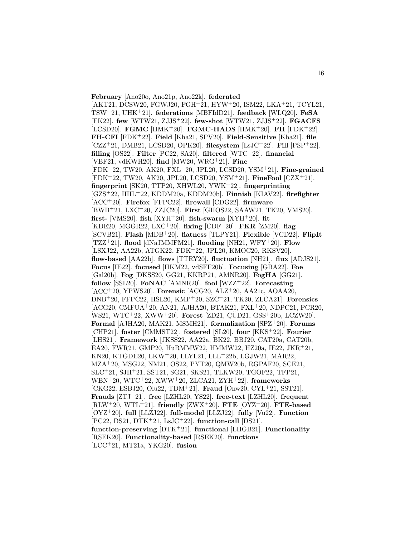**February** [Ano20o, Ano21p, Ano22k]. **federated** [AKT21, DCSW20, FGWJ20, FGH<sup>+</sup>21, HYW<sup>+</sup>20, ISM22, LKA<sup>+</sup>21, TCYL21, TSW<sup>+</sup>21, UHK<sup>+</sup>21]. **federations** [MBFIdD21]. **feedback** [WLQ20]. **FeSA** [FK22]. **few** [WTW21, ZJJS<sup>+</sup>22]. **few-shot** [WTW21, ZJJS<sup>+</sup>22]. **FGACFS** [LCSD20]. **FGMC** [HMK<sup>+</sup>20]. **FGMC-HADS** [HMK<sup>+</sup>20]. **FH** [FDK<sup>+</sup>22]. **FH-CFI** [FDK<sup>+</sup>22]. **Field** [Kha21, SPV20]. **Field-Sensitive** [Kha21]. **file** [CZZ<sup>+</sup>21, DMB21, LCSD20, OPK20]. **filesystem** [LsJC<sup>+</sup>22]. **Fill** [PSP<sup>+</sup>22]. **filling** [OS22]. **Filter** [PC22, SA20]. **filtered** [WTC<sup>+</sup>22]. **financial** [VBF21, vdKWH20]. **find** [MW20, WRG<sup>+</sup>21]. **Fine** [FDK<sup>+</sup>22, TW20, AK20, FXL<sup>+</sup>20, JPL20, LCSD20, YSM<sup>+</sup>21]. **Fine-grained** [FDK<sup>+</sup>22, TW20, AK20, JPL20, LCSD20, YSM<sup>+</sup>21]. **FineFool** [CZX<sup>+</sup>21]. **fingerprint** [SK20, TTP20, XHWL20, YWK<sup>+</sup>22]. **fingerprinting** [GZS<sup>+</sup>22, HHL<sup>+</sup>22, KDDM20a, KDDM20b]. **Finnish** [KIAV22]. **firefighter** [ACC<sup>+</sup>20]. **Firefox** [FFPC22]. **firewall** [CDG22]. **firmware** [BWB<sup>+</sup>21, LXC<sup>+</sup>20, ZZJC20]. **First** [GHOS22, SAAW21, TK20, VMS20]. **first-** [VMS20]. **fish** [XYH<sup>+</sup>20]. **fish-swarm** [XYH<sup>+</sup>20]. **fit** [KDE20, MGGR22, LXC<sup>+</sup>20]. **fixing** [CDF<sup>+</sup>20]. **FKR** [ZM20]. **flag** [SCVB21]. **Flash** [MDB<sup>+</sup>20]. **flatness** [TLPY21]. **Flexible** [VCD22]. **FlipIt** [TZZ<sup>+</sup>21]. **flood** [dNaJMMFM21]. **flooding** [NH21, WFY<sup>+</sup>20]. **Flow** [LSXJ22, AA22b, ATGK22, FDK<sup>+</sup>22, JPL20, KMOC20, RKSV20]. **flow-based** [AA22b]. **flows** [TTRY20]. **fluctuation** [NH21]. **flux** [ADJS21]. **Focus** [IE22]. **focused** [HKM22, vdSFF20b]. **Focusing** [GBA22]. **Foe** [Gal20b]. **Fog** [DKSS20, GG21, KKRP21, AMNR20]. **FogHA** [GG21]. **follow** [SSL20]. **FoNAC** [AMNR20]. **fool** [WZZ<sup>+</sup>22]. **Forecasting** [ACC<sup>+</sup>20, YPWS20]. **Forensic** [ACG20, ALZ<sup>+</sup>20, AA21c, AOAA20, DNB<sup>+</sup>20, FFPC22, HSL20, KMP<sup>+</sup>20, SZC<sup>+</sup>21, TK20, ZLCA21]. **Forensics** [ACG20, CMFUA<sup>+</sup>20, AN21, AJHA20, BTAK21, FXL<sup>+</sup>20, NDPC21, PCR20, WS21, WTC<sup>+</sup>22, XWW<sup>+</sup>20]. **Forest** [ZD21, CUD21, GSS<sup>+</sup>20b, LCZW20]. **Formal** [AJHA20, MAK21, MSMH21]. **formalization** [SPZ<sup>+</sup>20]. **Forums** [CHP21]. **foster** [CMMST22]. **fostered** [SL20]. **four** [KKS<sup>+</sup>22]. **Fourier** [LHS21]. **Framework** [JKSS22, AA22a, BK22, BBJ20, CAT20a, CAT20b, EA20, FWR21, GMP20, HuRMMW22, HMMW22, HZ20a, IE22, JKR<sup>+</sup>21, KN20, KTGDE20, LKW<sup>+</sup>20, LLYL21, LLL<sup>+</sup>22b, LGJW21, MAR22, MZA<sup>+</sup>20, MSG22, NM21, OS22, PYT20, QMW20b, RGPAF20, SCE21, SLC<sup>+</sup>21, SJH<sup>+</sup>21, SST21, SG21, SKS21, TLKW20, TGOF22, TFP21, WBN<sup>+</sup>20, WTC<sup>+</sup>22, XWW<sup>+</sup>20, ZLCA21, ZYH<sup>+</sup>22]. **frameworks** [CKG22, ESBJ20, Olu22, TDM<sup>+</sup>21]. **Fraud** [Onw20, CYL<sup>+</sup>21, SST21]. **Frauds** [ZTJ<sup>+</sup>21]. **free** [LZHL20, YS22]. **free-text** [LZHL20]. **frequent** [RLW<sup>+</sup>20, WTL<sup>+</sup>21]. **friendly** [ZWX<sup>+</sup>20]. **FTE** [OYZ<sup>+</sup>20]. **FTE-based** [OYZ<sup>+</sup>20]. **full** [LLZJ22]. **full-model** [LLZJ22]. **fully** [Vu22]. **Function** [PC22, DS21, DTK<sup>+</sup>21, LsJC<sup>+</sup>22]. **function-call** [DS21]. **function-preserving** [DTK<sup>+</sup>21]. **functional** [LHGB21]. **Functionality** [RSEK20]. **Functionality-based** [RSEK20]. **functions** [LCC<sup>+</sup>21, MT21a, YKG20]. **fusion**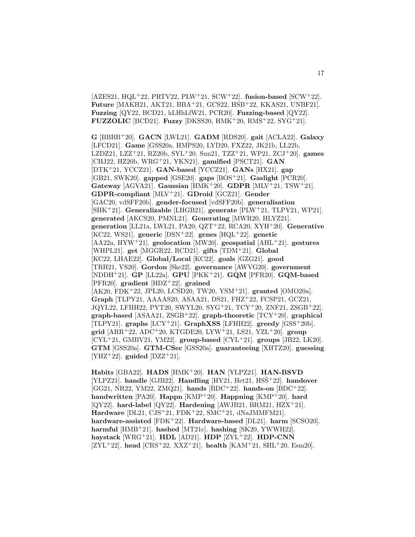[AZES21, HQL<sup>+</sup>22, PRTV22, PLW<sup>+</sup>21, SCW<sup>+</sup>22]. **fusion-based** [SCW<sup>+</sup>22]. **Future** [MAKH21, AKT21, BBA<sup>+</sup>21, GCS22, HSB<sup>+</sup>22, KKAS21, UNBF21]. **Fuzzing** [QY22, BCD21, hLHhLfW21, PCR20]. **Fuzzing-based** [QY22]. **FUZZOLIC** [BCD21]. **Fuzzy** [DKSS20, HMK<sup>+</sup>20, RMS<sup>+</sup>22, SYG<sup>+</sup>21].

**G** [BBBB<sup>+</sup>20]. **GACN** [LWL21]. **GADM** [RDS20]. **gait** [ACLA22]. **Galaxy** [LFCD21]. **Game** [GSS20a, HMPS20, LYD20, FXZ22, JK21b, LL22b, LZDZ21, LZZ<sup>+</sup>21, RZ20b, SYL<sup>+</sup>20, Sun21, TZZ<sup>+</sup>21, WP21, ZCJ<sup>+</sup>20]. **games** [CHJ22, HZ20b, WRG<sup>+</sup>21, YKN21]. **gamified** [PSCT21]. **GAN** [DTK<sup>+</sup>21, YCCZ21]. **GAN-based** [YCCZ21]. **GANs** [HX21]. **gap** [GB21, SWK20]. **gapped** [GSE20]. **gaps** [BOS<sup>+</sup>21]. **Gaslight** [PCR20]. **Gateway** [AGVA21]. **Gaussian** [HMK<sup>+</sup>20]. **GDPR** [MLV<sup>+</sup>21, TSW<sup>+</sup>21]. **GDPR-compliant** [MLV<sup>+</sup>21]. **GDroid** [GCZ21]. **Gender** [GAC20, vdSFF20b]. **gender-focused** [vdSFF20b]. **generalisation** [SHK<sup>+</sup>21]. **Generalizable** [LHGB21]. **generate** [PLW<sup>+</sup>21, TLPY21, WP21]. **generated** [AKCS20, PMNL21]. **Generating** [MWR20, HLYZ21]. **generation** [LL21a, LWL21, PA20, QZT<sup>+</sup>22, RCA20, XYH<sup>+</sup>20]. **Generative** [KC22, WS21]. **generic** [DSN<sup>+</sup>22]. **genes** [HQL<sup>+</sup>22]. **genetic** [AA22a, HYW<sup>+</sup>21]. **geolocation** [MW20]. **geospatial** [AHL<sup>+</sup>21]. **gestures** [WHPL21]. **get** [MGGR22, RCD21]. **gifts** [TDM<sup>+</sup>21]. **Global** [KC22, LHAE22]. **Global/Local** [KC22]. **goals** [GZG21]. **good** [TRH21, VS20]. **Gordon** [Ske22]. **governance** [AWVG20]. **government** [NDDH<sup>+</sup>21]. **GP** [LL22a]. **GPU** [PKK<sup>+</sup>21]. **GQM** [PFR20]. **GQM-based** [PFR20]. **gradient** [HDZ<sup>+</sup>22]. **grained** [AK20, FDK<sup>+</sup>22, JPL20, LCSD20, TW20, YSM<sup>+</sup>21]. **granted** [OMO20a]. **Graph** [TLPY21, AAAAS20, ASAA21, DS21, FHZ<sup>+</sup>22, FCSP21, GCZ21, JQYL22, LFHH22, PYT20, SWYL20, SYG<sup>+</sup>21, TCY<sup>+</sup>20, ZNF21, ZSGB<sup>+</sup>22]. **graph-based** [ASAA21, ZSGB<sup>+</sup>22]. **graph-theoretic** [TCY<sup>+</sup>20]. **graphical** [TLPY21]. **graphs** [LCY<sup>+</sup>21]. **GraphXSS** [LFHH22]. **greedy** [GSS<sup>+</sup>20b]. **grid** [ARR<sup>+</sup>22, ADC<sup>+</sup>20, KTGDE20, LYW<sup>+</sup>21, LS21, YZL<sup>+</sup>20]. **group** [CYL<sup>+</sup>21, GMBV21, YM22]. **group-based** [CYL<sup>+</sup>21]. **groups** [JB22, LK20]. **GTM** [GSS20a]. **GTM-CSec** [GSS20a]. **guaranteeing** [XHTZ20]. **guessing**  $[YHZ+22]$ . guided  $[DZZ+21]$ .

**Habits** [GBA22]. **HADS** [HMK<sup>+</sup>20]. **HAN** [YLPZ21]. **HAN-BSVD** [YLPZ21]. handle<sup>[GJB22]</sup>. Handling<sup>[HY21</sup>, Het21, HSS<sup>\*+</sup>22]. handover [GG21, NR22, YM22, ZMQ21]. **hands** [BDC<sup>+</sup>22]. **hands-on** [BDC<sup>+</sup>22]. **handwritten** [PA20]. **Happn** [KMP<sup>+</sup>20]. **Happning** [KMP<sup>+</sup>20]. **hard** [QY22]. **hard-label** [QY22]. **Hardening** [AWJB21, BRM21, HZX<sup>+</sup>21]. **Hardware** [DL21, CJS<sup>+</sup>21, FDK<sup>+</sup>22, SMC<sup>+</sup>21, dNaJMMFM21]. **hardware-assisted** [FDK<sup>+</sup>22]. **Hardware-based** [DL21]. **harm** [SCSO20]. **harmful** [HMB<sup>+</sup>21]. **hashed** [MT21c]. **hashing** [SK20, YWWH22]. **haystack** [WRG<sup>+</sup>21]. **HDL** [AD21]. **HDP** [ZYL<sup>+</sup>22]. **HDP-CNN** [ZYL<sup>+</sup>22]. **head** [CRS<sup>+</sup>22, XXZ<sup>+</sup>21]. **health** [KAM<sup>+</sup>21, SHL<sup>+</sup>20, Esm20].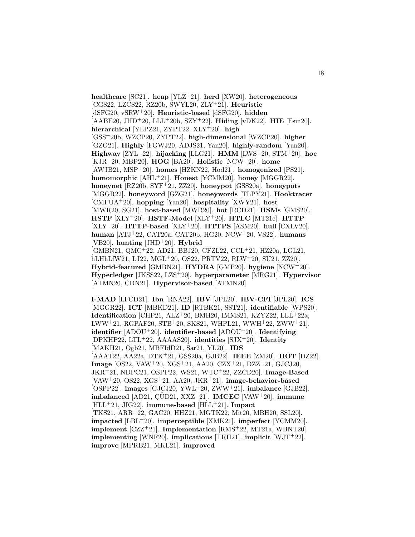**healthcare** [SC21]. **heap** [YLZ<sup>+</sup>21]. **herd** [XW20]. **heterogeneous** [CGS22, LZCS22, RZ20b, SWYL20, ZLY<sup>+</sup>21]. **Heuristic** [dSFG20, vSRW<sup>+</sup>20]. **Heuristic-based** [dSFG20]. **hidden** [AABE20, JHD<sup>+</sup>20, LLL<sup>+</sup>20b, SZY<sup>+</sup>22]. **Hiding** [vDK22]. **HIE** [Esm20]. **hierarchical** [YLPZ21, ZYPT22, XLY<sup>+</sup>20]. **high** [GSS<sup>+</sup>20b, WZCP20, ZYPT22]. **high-dimensional** [WZCP20]. **higher** [GZG21]. **Highly** [FGWJ20, ADJS21, Yan20]. **highly-random** [Yan20]. **Highway** [ZYL<sup>+</sup>22]. **hijacking** [LLG21]. **HMM** [LWS<sup>+</sup>20, STM<sup>+</sup>20]. **hoc** [KJR<sup>+</sup>20, MBP20]. **HOG** [BA20]. **Holistic** [NCW<sup>+</sup>20]. **home** [AWJB21, MSP<sup>+</sup>20]. **homes** [HZKN22, Hod21]. **homogenized** [PS21]. **homomorphic** [AHL<sup>+</sup>21]. **Honest** [YCMM20]. **honey** [MGGR22]. **honeynet** [RZ20b, SYF<sup>+</sup>21, ZZ20]. **honeypot** [GSS20a]. **honeypots** [MGGR22]. **honeyword** [GZG21]. **honeywords** [TLPY21]. **Hooktracer** [CMFUA<sup>+</sup>20]. **hopping** [Yan20]. **hospitality** [XWY21]. **host** [MWR20, SG21]. **host-based** [MWR20]. **hot** [RCD21]. **HSMs** [GMS20]. **HSTF** [XLY<sup>+</sup>20]. **HSTF-Model** [XLY<sup>+</sup>20]. **HTLC** [MT21c]. **HTTP** [XLY<sup>+</sup>20]. **HTTP-based** [XLY<sup>+</sup>20]. **HTTPS** [ASM20]. **hull** [CXLV20]. **human** [ATJ<sup>+</sup>22, CAT20a, CAT20b, HG20, NCW<sup>+</sup>20, VS22]. **humans** [VB20]. **hunting** [JHD<sup>+</sup>20]. **Hybrid** [GMBN21, QMC<sup>+</sup>22, AD21, BBJ20, CFZL22, CCL<sup>+</sup>21, HZ20a, LGL21, hLHhLfW21, LJ22, MGL<sup>+</sup>20, OS22, PRTV22, RLW<sup>+</sup>20, SU21, ZZ20]. **Hybrid-featured** [GMBN21]. **HYDRA** [GMP20]. **hygiene** [NCW<sup>+</sup>20]. **Hyperledger** [JKSS22, LZS<sup>+</sup>20]. **hyperparameter** [MRG21]. **Hypervisor** [ATMN20, CDN21]. **Hypervisor-based** [ATMN20].

**I-MAD** [LFCD21]. **Ibn** [RNA22]. **IBV** [JPL20]. **IBV-CFI** [JPL20]. **ICS** [MGGR22]. **ICT** [MBKD21]. **ID** [RTBK21, SST21]. **identifiable** [WPS20]. **Identification** [CHP21, ALZ+20, BMH20, IMMS21, KZYZ22, LLL+22a, LWW<sup>+</sup>21, RGPAF20, STB<sup>+</sup>20, SKS21, WHPL21, WWH<sup>+</sup>22, ZWW<sup>+</sup>21]. **identifier** [ADÖU<sup>+</sup>20]. **identifier-based** [ADÖU<sup>+</sup>20]. **Identifying** [DPKHP22, LTL<sup>+</sup>22, AAAAS20]. **identities** [SJX<sup>+</sup>20]. **Identity** [MAKH21, Ogb21, MBFIdD21, Sar21, YL20]. **IDS** [AAAT22, AA22a, DTK<sup>+</sup>21, GSS20a, GJB22]. **IEEE** [ZM20]. **IIOT** [DZ22]. **Image** [OS22, VAW<sup>+</sup>20, XGS<sup>+</sup>21, AA20, CZX<sup>+</sup>21, DZZ<sup>+</sup>21, GJCJ20, JKR<sup>+</sup>21, NDPC21, OSPP22, WS21, WTC<sup>+</sup>22, ZZCD20]. **Image-Based** [VAW<sup>+</sup>20, OS22, XGS<sup>+</sup>21, AA20, JKR<sup>+</sup>21]. **image-behavior-based** [OSPP22]. **images** [GJCJ20, YWL<sup>+</sup>20, ZWW<sup>+</sup>21]. **imbalance** [GJB22]. **imbalanced** [AD21, ÇÜD21, XXZ<sup>+</sup>21]. **IMCEC** [VAW<sup>+</sup>20]. **immune** [HLL<sup>+</sup>21, JIG22]. **immune-based** [HLL<sup>+</sup>21]. **Impact** [TKS21, ARR<sup>+</sup>22, GAC20, HHZ21, MGTK22, Mit20, MBH20, SSL20]. **impacted** [LBL<sup>+</sup>20]. **imperceptible** [XMK21]. **imperfect** [YCMM20]. **implement** [CZZ<sup>+</sup>21]. **Implementation** [RMS<sup>+</sup>22, MT21a, WBNT20]. **implementing** [WNF20]. **implications** [TRH21]. **implicit** [WJT<sup>+</sup>22]. **improve** [MPRB21, MKL21]. **improved**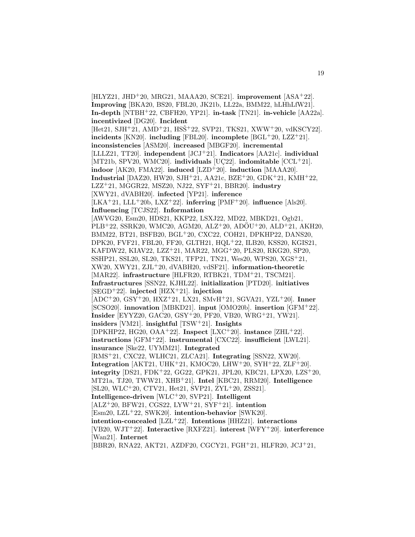[HLYZ21, JHD<sup>+</sup>20, MRG21, MAAA20, SCE21]. **improvement** [ASA<sup>+</sup>22]. **Improving** [BKA20, BS20, FBL20, JK21b, LL22a, BMM22, hLHhLfW21]. **In-depth** [NTBH<sup>+</sup>22, CBFH20, YP21]. **in-task** [TN21]. **in-vehicle** [AA22a]. **incentivized** [DG20]. **Incident** [Het21, SJH<sup>+</sup>21, AMD<sup>+</sup>21, HSŠ<sup>+</sup>22, SVP21, TKS21, XWW<sup>+</sup>20, vdKSCY22]. **incidents** [KN20]. **including** [FBL20]. **incomplete** [BGL<sup>+</sup>20, LZZ<sup>+</sup>21]. **inconsistencies** [ASM20]. **increased** [MBGF20]. **incremental** [LLLZ21, TT20]. **independent** [JCJ<sup>+</sup>21]. **Indicators** [AA21c]. **individual** [MT21b, SPV20, WMC20]. **individuals** [UC22]. **indomitable** [CCL+21]. **indoor** [AK20, FMA22]. **induced** [LZD<sup>+</sup>20]. **induction** [MAAA20]. **Industrial** [DAZ20, HW20, SJH<sup>+</sup>21, AA21c, BZE<sup>+</sup>20, GDK<sup>+</sup>21, KMH<sup>+</sup>22, LZZ<sup>+</sup>21, MGGR22, MSZ20, NJ22, SYF<sup>+</sup>21, BBR20]. **industry** [XWY21, dVABH20]. **infected** [YP21]. **inference** [LKA<sup>+</sup>21, LLL<sup>+</sup>20b, LXZ<sup>+</sup>22]. **inferring** [PMF<sup>+</sup>20]. **influence** [Als20]. **Influencing** [TCJS22]. **Information** [AWVG20, Esm20, HDS21, KKP22, LSXJ22, MD22, MBKD21, Ogb21, PLB<sup>+</sup>22, SSRK20, WMC20, AGM20, ALZ<sup>+</sup>20, ADOU<sup>+</sup>20, ALD<sup>+</sup>21, AKH20, BMM22, BT21, BSFB20, BGL<sup>+</sup>20, CXC22, COH21, DPKHP22, DANS20, DPK20, FVF21, FBL20, FF20, GLTH21, HQL<sup>+</sup>22, ILB20, KSS20, KGIS21, KAFDW22, KIAV22, LZZ<sup>+</sup>21, MAR22, MGG<sup>+</sup>20, PLS20, RKG20, SP20, SSHP21, SSL20, SL20, TKS21, TFP21, TN21, Wes20, WPS20, XGS<sup>+</sup>21, XW20, XWY21, ZJL<sup>+</sup>20, dVABH20, vdSF21]. **information-theoretic** [MAR22]. **infrastructure** [HLFR20, RTBK21, TDM<sup>+</sup>21, TSCM21]. **Infrastructures** [SSN22, KJHL22]. **initialization** [PTD20]. **initiatives** [SEGD<sup>+</sup>22]. **injected** [HZX<sup>+</sup>21]. **injection** [ADC<sup>+</sup>20, GSY<sup>+</sup>20, HXZ<sup>+</sup>21, LX21, SMvH<sup>+</sup>21, SGVA21, YZL<sup>+</sup>20]. **Inner** [SCSO20]. **innovation** [MBKD21]. **input** [OMO20b]. **insertion** [GFM<sup>+</sup>22]. **Insider** [EYYZ20, GAC20, GSY<sup>+</sup>20, PF20, VB20, WRG<sup>+</sup>21, YW21]. **insiders** [VM21]. **insightful** [TSW<sup>+</sup>21]. **Insights** [DPKHP22, HG20, OAA<sup>+</sup>22]. **Inspect** [LXC<sup>+</sup>20]. **instance** [ZHL<sup>+</sup>22]. **instructions** [GFM<sup>+</sup>22]. **instrumental** [CXC22]. **insufficient** [LWL21]. **insurance** [Ske22, UYMM21]. **Integrated** [RMS<sup>+</sup>21, CXC22, WLHC21, ZLCA21]. **Integrating** [SSN22, XW20]. **Integration** [AKT21, UHK<sup>+</sup>21, KMOC20, LHW<sup>+</sup>20, SYH<sup>+</sup>22, ZLF<sup>+</sup>20]. **integrity** [DS21, FDK<sup>+</sup>22, GG22, GPK21, JPL20, KBC21, LPX20, LZS<sup>+</sup>20, MT21a, TJ20, TWW21, XHB<sup>+</sup>21]. **Intel** [KBC21, RRM20]. **Intelligence** [SL20, WLC<sup>+</sup>20, CTV21, Het21, SVP21, ZYL<sup>+</sup>20, ZSS21]. **Intelligence-driven** [WLC<sup>+</sup>20, SVP21]. **Intelligent** [ALZ<sup>+</sup>20, BFW21, CGS22, LYW<sup>+</sup>21, SYF<sup>+</sup>21]. **intention** [Esm20, LZL<sup>+</sup>22, SWK20]. **intention-behavior** [SWK20]. **intention-concealed** [LZL<sup>+</sup>22]. **Intentions** [HHZ21]. **interactions** [VB20, WJT<sup>+</sup>22]. **Interactive** [RXFZ21]. **interest** [WFY<sup>+</sup>20]. **interference** [Wan21]. **Internet** [BBR20, RNA22, AKT21, AZDF20, CGCY21, FGH<sup>+</sup>21, HLFR20, JCJ<sup>+</sup>21,

19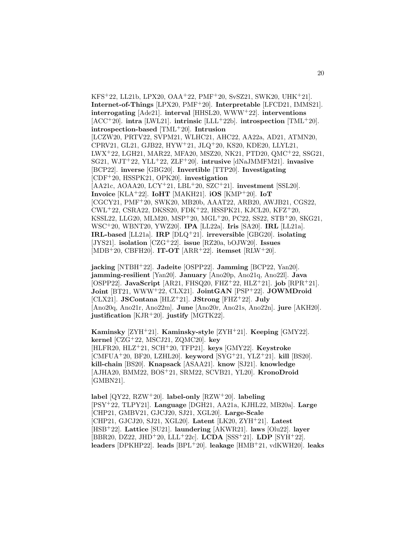KFS<sup>+</sup>22, LL21b, LPX20, OAA<sup>+</sup>22, PMF<sup>+</sup>20, SvSZ21, SWK20, UHK<sup>+</sup>21]. **Internet-of-Things** [LPX20, PMF<sup>+</sup>20]. **Interpretable** [LFCD21, IMMS21]. **interrogating** [Ade21]. **interval** [HHSL20, WWW<sup>+</sup>22]. **interventions**  $[ACC^+20]$ . **intra**  $[LWL21]$ . **intrinsic**  $[LLL^+22b]$ . **introspection**  $[TML^+20]$ . **introspection-based** [TML<sup>+</sup>20]. **Intrusion** [LCZW20, PRTV22, SVPM21, WLHC21, AHC22, AA22a, AD21, ATMN20, CPRV21, GL21, GJB22, HYW<sup>+</sup>21, JLQ<sup>+</sup>20, KS20, KDE20, LLYL21, LWX<sup>+</sup>22, LGH21, MAR22, MFA20, MSZ20, NK21, PTD20, QMC<sup>+</sup>22, SSG21, SG21, WJT<sup>+</sup>22, YLL<sup>+</sup>22, ZLF<sup>+</sup>20]. **intrusive** [dNaJMMFM21]. **invasive** [BCP22]. **inverse** [GBG20]. **Invertible** [TTP20]. **Investigating** [CDF<sup>+</sup>20, HSSPK21, OPK20]. **investigation** [AA21c, AOAA20, LCY<sup>+</sup>21, LBL<sup>+</sup>20, SZC<sup>+</sup>21]. **investment** [SSL20]. **Invoice** [KLA<sup>+</sup>22]. **IoHT** [MAKH21]. **iOS** [KMP<sup>+</sup>20]. **IoT** [CGCY21, PMF<sup>+</sup>20, SWK20, MB20b, AAAT22, ARB20, AWJB21, CGS22, CWL<sup>+</sup>22, CSRA22, DKSS20, FDK<sup>+</sup>22, HSSPK21, KJCL20, KFZ<sup>+</sup>20, KSSL22, LLG20, MLM20, MSP<sup>+</sup>20, MGL<sup>+</sup>20, PC22, SS22, STB<sup>+</sup>20, SKG21, WSC<sup>+</sup>20, WBNT20, YWZ20]. **IPA** [LL22a]. **Iris** [SA20]. **IRL** [LL21a]. **IRL-based** [LL21a]. **IRP** [DLQ<sup>+</sup>21]. **irreversible** [GBG20]. **isolating** [JYS21]. **isolation** [CZG<sup>+</sup>22]. **issue** [RZ20a, bOJW20]. **Issues** [MDB<sup>+</sup>20, CBFH20]. **IT-OT** [ARR<sup>+</sup>22]. **itemset** [RLW<sup>+</sup>20].

**jacking** [NTBH<sup>+</sup>22]. **Jadeite** [OSPP22]. **Jamming** [BCP22, Yan20]. **jamming-resilient** [Yan20]. **January** [Ano20p, Ano21q, Ano22l]. **Java** [OSPP22]. **JavaScript** [AR21, FHSQ20, FHZ<sup>+</sup>22, HLZ<sup>+</sup>21]. **job** [RPR<sup>+</sup>21]. **Joint** [BT21, WWW<sup>+</sup>22, CLX21]. **JointGAN** [PSP<sup>+</sup>22]. **JOWMDroid** [CLX21]. **JSContana** [HLZ<sup>+</sup>21]. **JStrong** [FHZ<sup>+</sup>22]. **July** [Ano20q, Ano21r, Ano22m]. **June** [Ano20r, Ano21s, Ano22n]. **jure** [AKH20]. **justification** [KJR<sup>+</sup>20]. **justify** [MGTK22].

**Kaminsky** [ZYH<sup>+</sup>21]. **Kaminsky-style** [ZYH<sup>+</sup>21]. **Keeping** [GMY22]. **kernel** [CZG<sup>+</sup>22, MSCJ21, ZQMC20]. **key** [HLFR20, HLZ<sup>+</sup>21, SCH<sup>+</sup>20, TFP21]. **keys** [GMY22]. **Keystroke** [CMFUA<sup>+</sup>20, BF20, LZHL20]. **keyword** [SYG<sup>+</sup>21, YLZ<sup>+</sup>21]. **kill** [BS20]. **kill-chain** [BS20]. **Knapsack** [ASAA21]. **know** [SJ21]. **knowledge** [AJHA20, BMM22, BOS<sup>+</sup>21, SRM22, SCVB21, YL20]. **KronoDroid** [GMBN21].

**label** [QY22, RZW<sup>+</sup>20]. **label-only** [RZW<sup>+</sup>20]. **labeling** [PSY<sup>+</sup>22, TLPY21]. **Language** [DGH21, AA21a, KJHL22, MB20a]. **Large** [CHP21, GMBV21, GJCJ20, SJ21, XGL20]. **Large-Scale** [CHP21, GJCJ20, SJ21, XGL20]. **Latent** [LK20, ZYH<sup>+</sup>21]. **Latest** [HSB<sup>+</sup>22]. **Lattice** [SU21]. **laundering** [AKWR21]. **laws** [Olu22]. **layer** [BBR20, DZ22, JHD<sup>+</sup>20, LLL<sup>+</sup>22c]. **LCDA** [SSS<sup>+</sup>21]. **LDP** [SYH<sup>+</sup>22]. **leaders** [DPKHP22]. **leads** [BPL<sup>+</sup>20]. **leakage** [HMB<sup>+</sup>21, vdKWH20]. **leaks**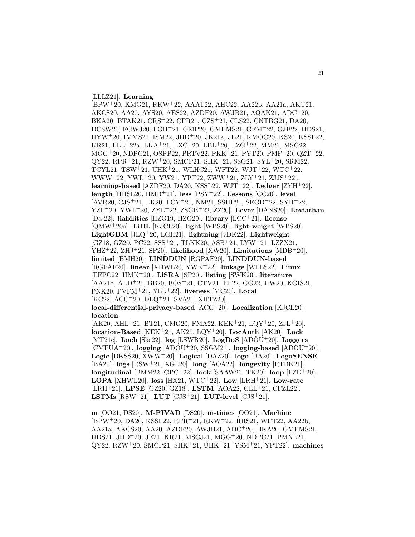[LLLZ21]. **Learning**

[BPW<sup>+</sup>20, KMG21, RKW<sup>+</sup>22, AAAT22, AHC22, AA22b, AA21a, AKT21, AKCS20, AA20, AYS20, AES22, AZDF20, AWJB21, AQAK21, ADC<sup>+</sup>20, BKA20, BTAK21, CRS<sup>+</sup>22, CPR21, CZS<sup>+</sup>21, CLS22, CNTBG21, DA20, DCSW20, FGWJ20, FGH<sup>+</sup>21, GMP20, GMPMS21, GFM<sup>+</sup>22, GJB22, HDS21, HYW<sup>+</sup>20, IMMS21, ISM22, JHD<sup>+</sup>20, JK21a, JE21, KMOC20, KS20, KSSL22, KR21, LLL<sup>+</sup>22a, LKA<sup>+</sup>21, LXC<sup>+</sup>20, LBL<sup>+</sup>20, LZG<sup>+</sup>22, MM21, MSG22, MGG<sup>+</sup>20, NDPC21, OSPP22, PRTV22, PKK<sup>+</sup>21, PYT20, PMF<sup>+</sup>20, QZT<sup>+</sup>22, QY22, RPR<sup>+</sup>21, RZW<sup>+</sup>20, SMCP21, SHK<sup>+</sup>21, SSG21, SYL<sup>+</sup>20, SRM22, TCYL21, TSW<sup>+</sup>21, UHK<sup>+</sup>21, WLHC21, WFT22, WJT<sup>+</sup>22, WTC<sup>+</sup>22, WWW<sup>+</sup>22, YWL<sup>+</sup>20, YW21, YPT22, ZWW<sup>+</sup>21, ZLY<sup>+</sup>21, ZJJS<sup>+</sup>22]. **learning-based** [AZDF20, DA20, KSSL22, WJT<sup>+</sup>22]. **Ledger** [ZYH<sup>+</sup>22]. **length** [HHSL20, HMB<sup>+</sup>21]. **less** [PSY<sup>+</sup>22]. **Lessons** [CC20]. **level** [AVR20, CJS<sup>+</sup>21, LK20, LCY<sup>+</sup>21, NM21, SSHP21, SEGD<sup>+</sup>22, SYH<sup>+</sup>22, YZL<sup>+</sup>20, YWL<sup>+</sup>20, ZYL<sup>+</sup>22, ZSGB<sup>+</sup>22, ZZ20]. **Lever** [DANS20]. **Leviathan** [Da 22]. **liabilities** [HZG19, HZG20]. **library** [LCC<sup>+</sup>21]. **license** [QMW<sup>+</sup>20a]. **LiDL** [KJCL20]. **light** [WPS20]. **light-weight** [WPS20]. **LightGBM** [JLQ<sup>+</sup>20, LGH21]. **lightning** [vDK22]. **Lightweight** [GZ18, GZ20, PC22, SSS<sup>+</sup>21, TLKK20, ASB<sup>+</sup>21, LYW<sup>+</sup>21, LZZX21, YHZ<sup>+</sup>22, ZHJ<sup>+</sup>21, SP20]. **likelihood** [XW20]. **Limitations** [MDB<sup>+</sup>20]. **limited** [BMH20]. **LINDDUN** [RGPAF20]. **LINDDUN-based** [RGPAF20]. **linear** [XHWL20, YWK<sup>+</sup>22]. **linkage** [WLLS22]. **Linux** [FFPC22, HMK<sup>+</sup>20]. **LiSRA** [SP20]. **listing** [SWK20]. **literature** [AA21b, ALD<sup>+</sup>21, BB20, BOS<sup>+</sup>21, CTV21, EL22, GG22, HW20, KGIS21, PNK20, PVFM<sup>+</sup>21, YLL<sup>+</sup>22]. **liveness** [MC20]. **Local** [KC22, ACC<sup>+</sup>20, DLQ<sup>+</sup>21, SVA21, XHTZ20]. **local-differential-privacy-based** [ACC<sup>+</sup>20]. **Localization** [KJCL20]. **location** [AK20, AHL<sup>+</sup>21, BT21, CMG20, FMA22, KEK<sup>+</sup>21, LQY<sup>+</sup>20, ZJL<sup>+</sup>20].

**location-Based** [KEK<sup>+</sup>21, AK20, LQY<sup>+</sup>20]. **LocAuth** [AK20]. **Lock**  $[MT21c]$ . **Loeb**  $[Ske22]$ .  $log$   $[LSWR20]$ . **LogDoS**  $[AD\ddot{O}U^+20]$ . **Loggers**  $[CMFUA+20]$ . **logging**  $[AD\ddot{O}U+20, SSGM21]$ . **logging-based**  $[AD\ddot{O}U+20]$ . **Logic** [DKSS20, XWW<sup>+</sup>20]. **Logical** [DAZ20]. **logo** [BA20]. **LogoSENSE** [BA20]. **logs** [RSW<sup>+</sup>21, XGL20]. **long** [AOA22]. **longevity** [RTBK21]. **longitudinal** [BMM22, GPC<sup>+</sup>22]. **look** [SAAW21, TK20]. **loop** [LZD<sup>+</sup>20]. **LOPA** [XHWL20]. **loss** [HX21, WTC<sup>+</sup>22]. **Low** [LRH<sup>+</sup>21]. **Low-rate** [LRH<sup>+</sup>21]. **LPSE** [GZ20, GZ18]. **LSTM** [AOA22, CLL<sup>+</sup>21, CFZL22]. **LSTMs**  $[RSW^+21]$ . **LUT**  $[CJS^+21]$ . **LUT-level**  $[CJS^+21]$ .

**m** [OO21, DS20]. **M-PIVAD** [DS20]. **m-times** [OO21]. **Machine** [BPW<sup>+</sup>20, DA20, KSSL22, RPR<sup>+</sup>21, RKW<sup>+</sup>22, RRS21, WFT22, AA22b, AA21a, AKCS20, AA20, AZDF20, AWJB21, ADC<sup>+</sup>20, BKA20, GMPMS21, HDS21, JHD<sup>+</sup>20, JE21, KR21, MSCJ21, MGG<sup>+</sup>20, NDPC21, PMNL21, QY22, RZW<sup>+</sup>20, SMCP21, SHK<sup>+</sup>21, UHK<sup>+</sup>21, YSM<sup>+</sup>21, YPT22]. **machines**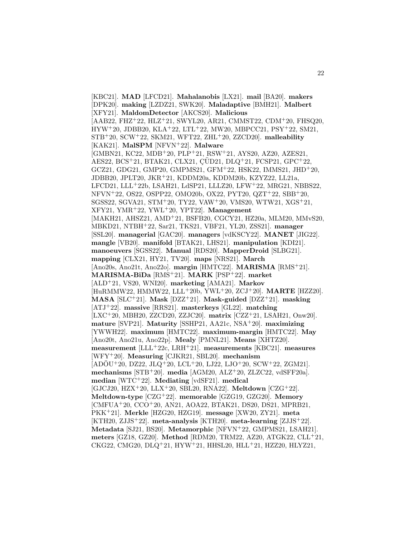[KBC21]. **MAD** [LFCD21]. **Mahalanobis** [LX21]. **mail** [BA20]. **makers** [DPK20]. **making** [LZDZ21, SWK20]. **Maladaptive** [BMH21]. **Malbert** [XFY21]. **MaldomDetector** [AKCS20]. **Malicious** [AAB22, FHZ<sup>+</sup>22, HLZ<sup>+</sup>21, SWYL20, AR21, CMMST22, CDM<sup>+</sup>20, FHSQ20,  $HYW<sup>+</sup>20, JDBB<sub>20</sub>, KLA<sup>+</sup>22, LTL<sup>+</sup>22, MW20, MBPCC<sub>21</sub>, PSY<sup>+</sup>22, SM<sub>21</sub>,$ STB<sup>+</sup>20, SCW<sup>+</sup>22, SKM21, WFT22, ZHL<sup>+</sup>20, ZZCD20]. **malleability** [KAK21]. **MalSPM** [NFVN<sup>+</sup>22]. **Malware** [GMBN21, KC22, MDB<sup>+</sup>20, PLP<sup>+</sup>21, RSW<sup>+</sup>21, AYS20, AZ20, AZES21, AES22, BCS<sup>+</sup>21, BTAK21, CLX21, QUD21, DLQ<sup>+</sup>21, FCSP21, GPC<sup>+</sup>22, GCZ21, GDG21, GMP20, GMPMS21, GFM<sup>+</sup>22, HSK22, IMMS21, JHD<sup>+</sup>20, JDBB20, JPLT20, JKR<sup>+</sup>21, KDDM20a, KDDM20b, KZYZ22, LL21a, LFCD21, LLL<sup>+</sup>22b, LSAH21, LdSP21, LLLZ20, LFW<sup>+</sup>22, MRG21, NBBS22, NFVN<sup>+</sup>22, OS22, OSPP22, OMO20b, OX22, PYT20, QZT<sup>+</sup>22, SBB<sup>+</sup>20, SGSS22, SGVA21, STM<sup>+</sup>20, TY22, VAW<sup>+</sup>20, VMS20, WTW21, XGS<sup>+</sup>21, XFY21, YMR<sup>+</sup>22, YWL<sup>+</sup>20, YPT22]. **Management** [MAKH21, AHSZ21, AMD<sup>+</sup>21, BSFB20, CGCY21, HZ20a, MLM20, MMvS20, MBKD21, NTBH<sup>+</sup>22, Sar21, TKS21, VBF21, YL20, ZSS21]. **manager** [SSL20]. **managerial** [GAC20]. **managers** [vdKSCY22]. **MANET** [JIG22]. **mangle** [VB20]. **manifold** [BTAK21, LHS21]. **manipulation** [KDI21]. **manoeuvers** [SGSS22]. **Manual** [RDS20]. **MapperDroid** [SLBG21]. **mapping** [CLX21, HY21, TV20]. **maps** [NRS21]. **March** [Ano20s, Ano21t, Ano22o]. **margin** [HMTC22]. **MARISMA** [RMS<sup>+</sup>21]. **MARISMA-BiDa** [RMS<sup>+</sup>21]. **MARK** [PSP<sup>+</sup>22]. **market** [ALD<sup>+</sup>21, VS20, WNI20]. **marketing** [AMA21]. **Markov** [HuRMMW22, HMMW22, LLL<sup>+</sup>20b, YWL<sup>+</sup>20, ZCJ<sup>+</sup>20]. **MARTE** [HZZ20]. **MASA** [SLC<sup>+</sup>21]. **Mask** [DZZ<sup>+</sup>21]. **Mask-guided** [DZZ<sup>+</sup>21]. **masking** [ATJ<sup>+</sup>22]. **massive** [RRS21]. **masterkeys** [GL22]. **matching** [LXC<sup>+</sup>20, MBH20, ZZCD20, ZZJC20]. **matrix** [CZZ<sup>+</sup>21, LSAH21, Onw20]. **mature** [SVP21]. **Maturity** [SSHP21, AA21c, NSA<sup>+</sup>20]. **maximizing** [YWWH22]. **maximum** [HMTC22]. **maximum-margin** [HMTC22]. **May** [Ano20t, Ano21u, Ano22p]. **Mealy** [PMNL21]. **Means** [XHTZ20]. **measurement** [LLL<sup>+</sup>22c, LRH<sup>+</sup>21]. **measurements** [KBC21]. **measures** [WFY<sup>+</sup>20]. **Measuring** [CJKR21, SBL20]. **mechanism**  $[AD\ddot{O}U^+20, DZ22, JLQ^+20, LCL^+20, LJ22, LJO^+20, SCW^+22, ZGM21].$ **mechanisms** [STB<sup>+</sup>20]. **media** [AGM20, ALZ<sup>+</sup>20, ZLZC22, vdSFF20a]. **median** [WTC<sup>+</sup>22]. **Mediating** [vdSF21]. **medical** [GJCJ20, HZX<sup>+</sup>20, LLX<sup>+</sup>20, SBL20, RNA22]. **Meltdown** [CZG<sup>+</sup>22]. **Meltdown-type** [CZG<sup>+</sup>22]. **memorable** [GZG19, GZG20]. **Memory** [CMFUA<sup>+</sup>20, CCO<sup>+</sup>20, AN21, AOA22, BTAK21, DS20, DS21, MPRB21, PKK<sup>+</sup>21]. **Merkle** [HZG20, HZG19]. **message** [XW20, ZY21]. **meta** [KTH20, ZJJS<sup>+</sup>22]. **meta-analysis** [KTH20]. **meta-learning** [ZJJS<sup>+</sup>22]. **Metadata** [SJ21, BS20]. **Metamorphic** [NFVN<sup>+</sup>22, GMPMS21, LSAH21]. **meters** [GZ18, GZ20]. **Method** [RDM20, TRM22, AZ20, ATGK22, CLL<sup>+</sup>21, CKG22, CMG20, DLQ<sup>+</sup>21, HYW<sup>+</sup>21, HHSL20, HLL<sup>+</sup>21, HZZ20, HLYZ21,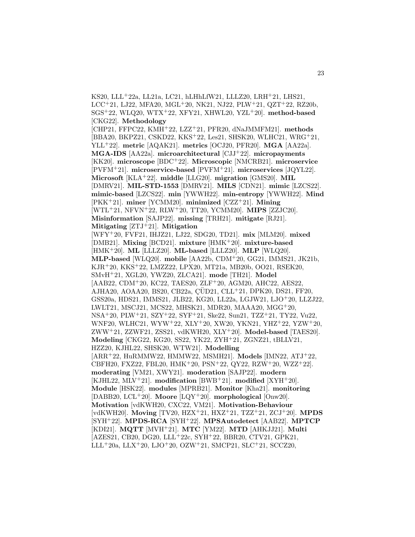KS20, LLL<sup>+</sup>22a, LL21a, LC21, hLHhLfW21, LLLZ20, LRH<sup>+</sup>21, LHS21, LCC<sup>+</sup>21, LJ22, MFA20, MGL<sup>+</sup>20, NK21, NJ22, PLW<sup>+</sup>21, QZT<sup>+</sup>22, RZ20b, SGS<sup>+</sup>22, WLQ20, WTX<sup>+</sup>22, XFY21, XHWL20, YZL<sup>+</sup>20]. **method-based** [CKG22]. **Methodology** [CHP21, FFPC22, KMH<sup>+</sup>22, LZZ<sup>+</sup>21, PFR20, dNaJMMFM21]. **methods** [BBA20, BKPZ21, CSKD22, KKS<sup>+</sup>22, Les21, SHSK20, WLHC21, WRG<sup>+</sup>21, YLL<sup>+</sup>22]. **metric** [AQAK21]. **metrics** [OCJ20, PFR20]. **MGA** [AA22a]. **MGA-IDS** [AA22a]. **microarchitectural** [CJJ<sup>+</sup>22]. **micropayments** [KK20]. **microscope** [BDC<sup>+</sup>22]. **Microscopic** [NMCRB21]. **microservice** [PVFM<sup>+</sup>21]. **microservice-based** [PVFM<sup>+</sup>21]. **microservices** [JQYL22]. **Microsoft** [KLA<sup>+</sup>22]. **middle** [LLG20]. **migration** [GMS20]. **MIL** [DMRV21]. **MIL-STD-1553** [DMRV21]. **MILS** [CDN21]. **mimic** [LZCS22]. **mimic-based** [LZCS22]. **min** [YWWH22]. **min-entropy** [YWWH22]. **Mind** [PKK<sup>+</sup>21]. **miner** [YCMM20]. **minimized** [CZZ<sup>+</sup>21]. **Mining** [WTL<sup>+</sup>21, NFVN<sup>+</sup>22, RLW<sup>+</sup>20, TT20, YCMM20]. **MIPS** [ZZJC20]. **Misinformation** [SAJP22]. **missing** [TRH21]. **mitigate** [RJ21]. **Mitigating** [ZTJ<sup>+</sup>21]. **Mitigation** [WFY<sup>+</sup>20, FVF21, IHJZ21, LJ22, SDG20, TD21]. **mix** [MLM20]. **mixed** [DMB21]. **Mixing** [BCD21]. **mixture** [HMK<sup>+</sup>20]. **mixture-based** [HMK<sup>+</sup>20]. **ML** [LLLZ20]. **ML-based** [LLLZ20]. **MLP** [WLQ20]. **MLP-based** [WLQ20]. **mobile** [AA22b, CDM<sup>+</sup>20, GG21, IMMS21, JK21b, KJR<sup>+</sup>20, KKS<sup>+</sup>22, LMZZ22, LPX20, MT21a, MB20b, OO21, RSEK20, SMvH<sup>+</sup>21, XGL20, YWZ20, ZLCA21]. **mode** [TH21]. **Model** [AAB22, CDM<sup>+</sup>20, KC22, TAES20, ZLF<sup>+</sup>20, AGM20, AHC22, AES22, AJHA20, AOAA20, BS20, CB22a, ÇÜD21, CLL<sup>+</sup>21, DPK20, DS21, FF20, GSS20a, HDS21, IMMS21, JLB22, KG20, LL22a, LGJW21, LJO<sup>+</sup>20, LLZJ22, LWLT21, MSCJ21, MCS22, MHSK21, MDR20, MAAA20, MGG<sup>+</sup>20, NSA<sup>+</sup>20, PLW<sup>+</sup>21, SZY<sup>+</sup>22, SYF<sup>+</sup>21, Ske22, Sun21, TZZ<sup>+</sup>21, TY22, Vu22, WNF20, WLHC21, WYW<sup>+</sup>22, XLY<sup>+</sup>20, XW20, YKN21, YHZ<sup>+</sup>22, YZW<sup>+</sup>20, ZWW<sup>+</sup>21, ZZWF21, ZSS21, vdKWH20, XLY<sup>+</sup>20]. **Model-based** [TAES20]. **Modeling** [CKG22, KG20, SS22, YK22, ZYH<sup>+</sup>21, ZGNZ21, tBLLV21, HZZ20, KJHL22, SHSK20, WTW21]. **Modelling** [ARR<sup>+</sup>22, HuRMMW22, HMMW22, MSMH21]. **Models** [IMN22, ATJ<sup>+</sup>22, CBFH20, FXZ22, FBL20, HMK<sup>+</sup>20, PSN<sup>+</sup>22, QY22, RZW<sup>+</sup>20, WZZ<sup>+</sup>22]. **moderating** [VM21, XWY21]. **moderation** [SAJP22]. **modern** [KJHL22, MLV<sup>+</sup>21]. **modification** [BWB<sup>+</sup>21]. **modified** [XYH<sup>+</sup>20]. **Module** [HSK22]. **modules** [MPRB21]. **Monitor** [Kha21]. **monitoring** [DABB20, LCL<sup>+</sup>20]. **Moore** [LQY<sup>+</sup>20]. **morphological** [Onw20]. **Motivation** [vdKWH20, CXC22, VM21]. **Motivation-Behaviour** [vdKWH20]. **Moving** [TV20, HZX<sup>+</sup>21, HXZ<sup>+</sup>21, TZZ<sup>+</sup>21, ZCJ<sup>+</sup>20]. **MPDS** [SYH<sup>+</sup>22]. **MPDS-RCA** [SYH<sup>+</sup>22]. **MPSAutodetect** [AAB22]. **MPTCP** [KDI21]. **MQTT** [MVH<sup>+</sup>21]. **MTC** [YM22]. **MTD** [AHKJJ21]. **Multi** [AZES21, CB20, DG20, LLL<sup>+</sup>22c, SYH<sup>+</sup>22, BBR20, CTV21, GPK21, LLL<sup>+</sup>20a, LLX<sup>+</sup>20, LJO<sup>+</sup>20, OZW<sup>+</sup>21, SMCP21, SLC<sup>+</sup>21, SCCZ20,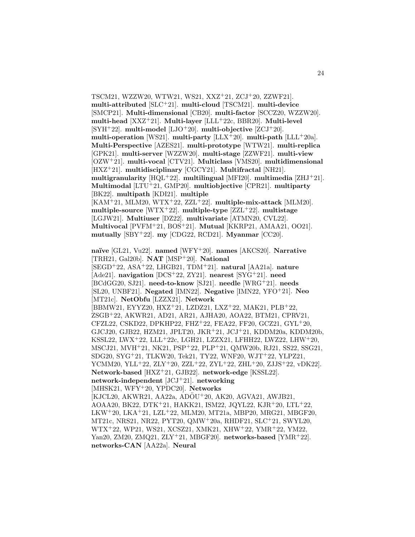TSCM21, WZZW20, WTW21, WS21, XXZ<sup>+</sup>21, ZCJ<sup>+</sup>20, ZZWF21]. **multi-attributed** [SLC<sup>+</sup>21]. **multi-cloud** [TSCM21]. **multi-device** [SMCP21]. **Multi-dimensional** [CB20]. **multi-factor** [SCCZ20, WZZW20]. **multi-head** [XXZ<sup>+</sup>21]. **Multi-layer** [LLL<sup>+</sup>22c, BBR20]. **Multi-level** [SYH<sup>+</sup>22]. **multi-model** [LJO<sup>+</sup>20]. **multi-objective** [ZCJ<sup>+</sup>20]. multi-operation [WS21]. multi-party  $[LLX^+20]$ . multi-path  $[LLL^+20a]$ . **Multi-Perspective** [AZES21]. **multi-prototype** [WTW21]. **multi-replica** [GPK21]. **multi-server** [WZZW20]. **multi-stage** [ZZWF21]. **multi-view** [OZW<sup>+</sup>21]. **multi-vocal** [CTV21]. **Multiclass** [VMS20]. **multidimensional** [HXZ<sup>+</sup>21]. **multidisciplinary** [CGCY21]. **Multifractal** [NH21]. **multigranularity** [HQL<sup>+</sup>22]. **multilingual** [MFI20]. **multimedia** [ZHJ<sup>+</sup>21]. **Multimodal** [LTU<sup>+</sup>21, GMP20]. **multiobjective** [CPR21]. **multiparty** [BK22]. **multipath** [KDI21]. **multiple** [KAM<sup>+</sup>21, MLM20, WTX<sup>+</sup>22, ZZL<sup>+</sup>22]. **multiple-mix-attack** [MLM20].  $\mu$  multiple-source [WTX<sup>+</sup>22].  $\mu$  multiple-type [ZZL<sup>+</sup>22].  $\mu$ ultistage [LGJW21]. **Multiuser** [DZ22]. **multivariate** [ATMN20, CVL22]. **Multivocal** [PVFM<sup>+</sup>21, BOS<sup>+</sup>21]. **Mutual** [KKRP21, AMAA21, OO21]. **mutually** [SBY<sup>+</sup>22]. **my** [CDG22, RCD21]. **Myanmar** [CC20]. **na¨ıve** [GL21, Vu22]. **named** [WFY<sup>+</sup>20]. **names** [AKCS20]. **Narrative** [TRH21, Gal20b]. **NAT** [MSP<sup>+</sup>20]. **National** [SEGD<sup>+</sup>22, ASA<sup>+</sup>22, LHGB21, TDM<sup>+</sup>21]. **natural** [AA21a]. **nature** [Ade21]. **navigation** [DCS<sup>+</sup>22, ZY21]. **nearest** [SYG<sup>+</sup>21]. **need** [BCdGG20, SJ21]. **need-to-know** [SJ21]. **needle** [WRG<sup>+</sup>21]. **needs** [SL20, UNBF21]. **Negated** [IMN22]. **Negative** [IMN22, YFO<sup>+</sup>21]. **Neo** [MT21c]. **NetObfu** [LZZX21]. **Network** [BBMW21, EYYZ20, HXZ<sup>+</sup>21, LZDZ21, LXZ<sup>+</sup>22, MAK21, PLB<sup>+</sup>22, ZSGB<sup>+</sup>22, AKWR21, AD21, AR21, AJHA20, AOA22, BTM21, CPRV21,

CFZL22, CSKD22, DPKHP22, FHZ<sup>+</sup>22, FEA22, FF20, GCZ21, GYL<sup>+</sup>20, GJCJ20, GJB22, HZM21, JPLT20, JKR<sup>+</sup>21, JCJ<sup>+</sup>21, KDDM20a, KDDM20b, KSSL22, LWX<sup>+</sup>22, LLL<sup>+</sup>22c, LGH21, LZZX21, LFHH22, LWZ22, LHW<sup>+</sup>20, MSCJ21, MVH<sup>+</sup>21, NK21, PSP<sup>+</sup>22, PLP<sup>+</sup>21, QMW20b, RJ21, SS22, SSG21, SDG20, SYG<sup>+</sup>21, TLKW20, Tek21, TY22, WNF20, WJT<sup>+</sup>22, YLPZ21, YCMM20, YLL<sup>+</sup>22, ZLY<sup>+</sup>20, ZZL<sup>+</sup>22, ZYL<sup>+</sup>22, ZHL<sup>+</sup>20, ZJJS<sup>+</sup>22, vDK22]. **Network-based** [HXZ<sup>+</sup>21, GJB22]. **network-edge** [KSSL22]. **network-independent** [JCJ<sup>+</sup>21]. **networking** [MHSK21, WFY<sup>+</sup>20, YPDC20]. **Networks** [KJCL20, AKWR21, AA22a, ADÖU<sup>+</sup>20, AK20, AGVA21, AWJB21, AOAA20, BK22, DTK<sup>+</sup>21, HAKK21, ISM22, JQYL22, KJR<sup>+</sup>20, LTL<sup>+</sup>22, LKW<sup>+</sup>20, LKA<sup>+</sup>21, LZL<sup>+</sup>22, MLM20, MT21a, MBP20, MRG21, MBGF20, MT21c, NRS21, NR22, PYT20, QMW<sup>+</sup>20a, RHDF21, SLC<sup>+</sup>21, SWYL20, WTX<sup>+</sup>22, WP21, WS21, XCSZ21, XMK21, XHW<sup>+</sup>22, YMR<sup>+</sup>22, YM22, Yan20, ZM20, ZMQ21, ZLY<sup>+</sup>21, MBGF20]. **networks-based** [YMR<sup>+</sup>22].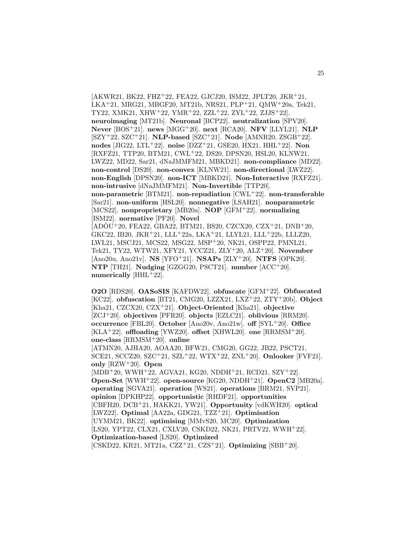$AKWR21, BK22, FHZ<sup>+</sup>22, FEA22, GJCJ20, ISM22, JPLT20, JKR<sup>+</sup>21,$ LKA<sup>+</sup>21, MRG21, MBGF20, MT21b, NRS21, PLP<sup>+</sup>21, QMW<sup>+</sup>20a, Tek21, TY22, XMK21, XHW<sup>+</sup>22, YMR<sup>+</sup>22, ZZL<sup>+</sup>22, ZYL<sup>+</sup>22, ZJJS<sup>+</sup>22]. **neuroimaging** [MT21b]. **Neuronal** [BCP22]. **neutralization** [SPV20]. **Never** [BOS<sup>+</sup>21]. **news** [MGG<sup>+</sup>20]. **next** [RCA20]. **NFV** [LLYL21]. **NLP** [SZY<sup>+</sup>22, SZC<sup>+</sup>21]. **NLP-based** [SZC<sup>+</sup>21]. **Node** [AMNR20, ZSGB<sup>+</sup>22]. **nodes** [JIG22, LTL<sup>+</sup>22]. **noise** [DZZ<sup>+</sup>21, GSE20, HX21, HHL<sup>+</sup>22]. **Non** [RXFZ21, TTP20, BTM21, CWL<sup>+</sup>22, DS20, DPSN20, HSL20, KLNW21, LWZ22, MD22, Sar21, dNaJMMFM21, MBKD21]. **non-compliance** [MD22]. **non-control** [DS20]. **non-convex** [KLNW21]. **non-directional** [LWZ22]. **non-English** [DPSN20]. **non-ICT** [MBKD21]. **Non-Interactive** [RXFZ21]. **non-intrusive** [dNaJMMFM21]. **Non-Invertible** [TTP20]. **non-parametric** [BTM21]. **non-repudiation** [CWL<sup>+</sup>22]. **non-transferable** [Sar21]. **non-uniform** [HSL20]. **nonnegative** [LSAH21]. **nonparametric** [MCS22]. **nonproprietary** [MB20a]. **NOP** [GFM<sup>+</sup>22]. **normalizing** [ISM22]. **normative** [PF20]. **Novel**  $[ADOU<sup>+</sup>20, FEA22, GBA22, BTM21, BS20, CZCX20, CZX<sup>+</sup>21, DNB<sup>+</sup>20,$ GKC22, IB20, JKR<sup>+</sup>21, LLL<sup>+</sup>22a, LKA<sup>+</sup>21, LLYL21, LLL<sup>+</sup>22b, LLLZ20, LWL21, MSCJ21, MCS22, MSG22, MSP<sup>+</sup>20, NK21, OSPP22, PMNL21, Tek21, TY22, WTW21, XFY21, YCCZ21, ZLY<sup>+</sup>20, ALZ<sup>+</sup>20]. **November** [Ano20u, Ano21v]. **NS** [YFO<sup>+</sup>21]. **NSAPs** [ZLY<sup>+</sup>20]. **NTFS** [OPK20]. **NTP** [TH21]. **Nudging** [GZGG20, PSCT21]. **number** [ACC<sup>+</sup>20]. **numerically** [HHL<sup>+</sup>22].

25

**O2O** [RDS20]. **OASoSIS** [KAFDW22]. **obfuscate** [GFM<sup>+</sup>22]. **Obfuscated** [KC22]. **obfuscation** [BT21, CMG20, LZZX21, LXZ<sup>+</sup>22, ZTY<sup>+</sup>20b]. **Object** [Kha21, CZCX20, CZX<sup>+</sup>21]. **Object-Oriented** [Kha21]. **objective** [ZCJ<sup>+</sup>20]. **objectives** [PFR20]. **objects** [EZLC21]. **oblivious** [RRM20]. **occurrence** [FBL20]. **October** [Ano20v, Ano21w]. **off** [SYL<sup>+</sup>20]. **Office** [KLA<sup>+</sup>22]. **offloading** [YWZ20]. **offset** [XHWL20]. **one** [RRMSM<sup>+</sup>20]. **one-class** [RRMSM<sup>+</sup>20]. **online** [ATMN20, AJHA20, AOAA20, BFW21, CMG20, GG22, JB22, PSCT21, SCE21, SCCZ20, SZC<sup>+</sup>21, SZL<sup>+</sup>22, WTX<sup>+</sup>22, ZNL<sup>+</sup>20]. **Onlooker** [FVF21]. **only** [RZW<sup>+</sup>20]. **Open** [MDB<sup>+</sup>20, WWH<sup>+</sup>22, AGVA21, KG20, NDDH<sup>+</sup>21, RCD21, SZY<sup>+</sup>22]. **Open-Set** [WWH<sup>+</sup>22]. **open-source** [KG20, NDDH<sup>+</sup>21]. **OpenC2** [MB20a]. **operating** [SGVA21]. **operation** [WS21]. **operations** [BRM21, SVP21]. **opinion** [DPKHP22]. **opportunistic** [RHDF21]. **opportunities** [CBFH20, DCB<sup>+</sup>21, HAKK21, YW21]. **Opportunity** [vdKWH20]. **optical** [LWZ22]. **Optimal** [AA22a, GDG21, TZZ<sup>+</sup>21]. **Optimisation** [UYMM21, BK22]. **optimising** [MMvS20, MC20]. **Optimization** [LS20, YPT22, CLX21, CXLV20, CSKD22, NK21, PRTV22, WWH<sup>+</sup>22]. **Optimization-based** [LS20]. **Optimized** [CSKD22, KR21, MT21a, CZZ<sup>+</sup>21, CZS<sup>+</sup>21]. **Optimizing** [SBB<sup>+</sup>20].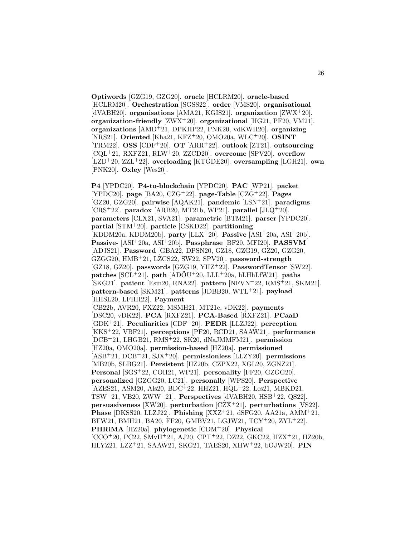**Optiwords** [GZG19, GZG20]. **oracle** [HCLRM20]. **oracle-based** [HCLRM20]. **Orchestration** [SGSS22]. **order** [VMS20]. **organisational** [dVABH20]. **organisations** [AMA21, KGIS21]. **organization** [ZWX<sup>+</sup>20]. **organization-friendly** [ZWX<sup>+</sup>20]. **organizational** [HG21, PF20, VM21]. **organizations** [AMD<sup>+</sup>21, DPKHP22, PNK20, vdKWH20]. **organizing** [NRS21]. **Oriented** [Kha21, KFZ<sup>+</sup>20, OMO20a, WLC<sup>+</sup>20]. **OSINT** [TRM22]. **OSS** [CDF<sup>+</sup>20]. **OT** [ARR<sup>+</sup>22]. **outlook** [ZT21]. **outsourcing** [CQL<sup>+</sup>21, RXFZ21, RLW<sup>+</sup>20, ZZCD20]. **overcome** [SPV20]. **overflow** [LZD<sup>+</sup>20, ZZL<sup>+</sup>22]. **overloading** [KTGDE20]. **oversampling** [LGH21]. **own** [PNK20]. **Oxley** [Wes20].

**P4** [YPDC20]. **P4-to-blockchain** [YPDC20]. **PAC** [WP21]. **packet** [YPDC20]. **page** [BA20, CZG<sup>+</sup>22]. **page-Table** [CZG<sup>+</sup>22]. **Pages** [GZ20, GZG20]. **pairwise** [AQAK21]. **pandemic** [LSN<sup>+</sup>21]. **paradigms** [CRS<sup>+</sup>22]. **paradox** [ARB20, MT21b, WP21]. **parallel** [JLQ<sup>+</sup>20]. **parameters** [CLX21, SVA21]. **parametric** [BTM21]. **parser** [YPDC20]. **partial** [STM<sup>+</sup>20]. **particle** [CSKD22]. **partitioning** [KDDM20a, KDDM20b]. **party** [LLX<sup>+</sup>20]. **Passive** [ASI<sup>+</sup>20a, ASI<sup>+</sup>20b]. **Passive-** [ASI<sup>+</sup>20a, ASI<sup>+</sup>20b]. **Passphrase** [BF20, MFI20]. **PASSVM** [ADJS21]. **Password** [GBA22, DPSN20, GZ18, GZG19, GZ20, GZG20, GZGG20, HMB<sup>+</sup>21, LZCS22, SW22, SPV20]. **password-strength** [GZ18, GZ20]. **passwords** [GZG19, YHZ<sup>+</sup>22]. **PasswordTensor** [SW22]. **patches**  $[SCL+21]$ . **path**  $[AD\ddot{O}U+20$ ,  $LLL+20a$ ,  $hLHhLfW21]$ . **paths** [SKG21]. **patient** [Esm20, RNA22]. **pattern** [NFVN<sup>+</sup>22, RMS<sup>+</sup>21, SKM21]. **pattern-based** [SKM21]. **patterns** [JDBB20, WTL<sup>+</sup>21]. **payload** [HHSL20, LFHH22]. **Payment** [CB22b, AVR20, FXZ22, MSMH21, MT21c, vDK22]. **payments** [DSC20, vDK22]. **PCA** [RXFZ21]. **PCA-Based** [RXFZ21]. **PCaaD** [GDK<sup>+</sup>21]. **Peculiarities** [CDF<sup>+</sup>20]. **PEDR** [LLZJ22]. **perception** [KKS<sup>+</sup>22, VBF21]. **perceptions** [PF20, RCD21, SAAW21]. **performance** [DCB<sup>+</sup>21, LHGB21, RMS<sup>+</sup>22, SK20, dNaJMMFM21]. **permission** [HZ20a, OMO20a]. **permission-based** [HZ20a]. **permissioned** [ASB<sup>+</sup>21, DCB<sup>+</sup>21, SJX<sup>+</sup>20]. **permissionless** [LLZY20]. **permissions** [MB20b, SLBG21]. **Persistent** [HZ20b, CZPX22, XGL20, ZGNZ21]. **Personal** [SGS<sup>+</sup>22, COH21, WP21]. **personality** [FF20, GZGG20]. **personalized** [GZGG20, LC21]. **personally** [WPS20]. **Perspective** [AZES21, ASM20, Als20, BDC<sup>+</sup>22, HHZ21, HQL<sup>+</sup>22, Les21, MBKD21, TSW<sup>+</sup>21, VB20, ZWW<sup>+</sup>21]. **Perspectives** [dVABH20, HSB<sup>+</sup>22, QS22]. **persuasiveness** [XW20]. **perturbation** [CZX<sup>+</sup>21]. **perturbations** [VS22]. **Phase** [DKSS20, LLZJ22]. **Phishing** [XXZ<sup>+</sup>21, dSFG20, AA21a, AMM<sup>+</sup>21, BFW21, BMH21, BA20, FF20, GMBV21, LGJW21, TCY<sup>+</sup>20, ZYL<sup>+</sup>22]. **PHRiMA** [HZ20a]. **phylogenetic** [CDM<sup>+</sup>20]. **Physical**  $[CCO<sup>+</sup>20, PC22, SMvH<sup>+</sup>21, AJ20, CPT<sup>+</sup>22, DZ22, GKC22, HZX<sup>+</sup>21, HZ20b,$ HLYZ21, LZZ<sup>+</sup>21, SAAW21, SKG21, TAES20, XHW<sup>+</sup>22, bOJW20]. **PIN**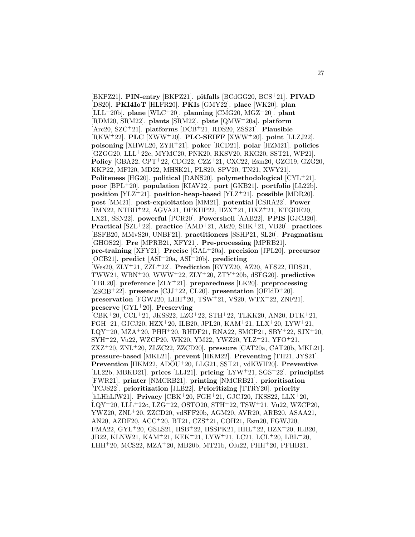[BKPZ21]. **PIN-entry** [BKPZ21]. **pitfalls** [BCdGG20, BCS<sup>+</sup>21]. **PIVAD** [DS20]. **PKI4IoT** [HLFR20]. **PKIs** [GMY22]. **place** [WK20]. **plan** [LLL<sup>+</sup>20b]. **plane** [WLC<sup>+</sup>20]. **planning** [CMG20, MGZ<sup>+</sup>20]. **plant** [RDM20, SRM22]. **plants** [SRM22]. **plate** [QMW<sup>+</sup>20a]. **platform** [Arc20, SZC<sup>+</sup>21]. **platforms** [DCB<sup>+</sup>21, RDS20, ZSS21]. **Plausible** [RKW<sup>+</sup>22]. **PLC** [XWW<sup>+</sup>20]. **PLC-SEIFF** [XWW<sup>+</sup>20]. **point** [LLZJ22]. **poisoning** [XHWL20, ZYH<sup>+</sup>21]. **poker** [RCD21]. **polar** [HZM21]. **policies** [GZGG20, LLL<sup>+</sup>22c, MYMC20, PNK20, RKSV20, RKG20, SST21, WP21]. **Policy** [GBA22, CPT<sup>+</sup>22, CDG22, CZZ<sup>+</sup>21, CXC22, Esm20, GZG19, GZG20, KKP22, MFI20, MD22, MHSK21, PLS20, SPV20, TN21, XWY21]. **Politeness** [HG20]. **political** [DANS20]. **polymethodological** [CYL<sup>+</sup>21]. **poor** [BPL<sup>+</sup>20]. **population** [KIAV22]. **port** [GKB21]. **portfolio** [LL22b]. **position** [YLZ<sup>+</sup>21]. **position-heap-based** [YLZ<sup>+</sup>21]. **possible** [MDR20]. **post** [MM21]. **post-exploitation** [MM21]. **potential** [CSRA22]. **Power** [IMN22, NTBH<sup>+</sup>22, AGVA21, DPKHP22, HZX<sup>+</sup>21, HXZ<sup>+</sup>21, KTGDE20, LX21, SSN22]. **powerful** [PCR20]. **Powershell** [AAB22]. **PPIS** [GJCJ20]. **Practical** [SZL<sup>+</sup>22]. **practice** [AMD<sup>+</sup>21, Als20, SHK<sup>+</sup>21, VB20]. **practices** [BSFB20, MMvS20, UNBF21]. **practitioners** [SSHP21, SL20]. **Pragmatism** [GHOS22]. **Pre** [MPRB21, XFY21]. **Pre-processing** [MPRB21]. **pre-training** [XFY21]. **Precise** [GAL<sup>+</sup>20a]. **precision** [JPL20]. **precursor** [OCB21]. **predict** [ASI<sup>+</sup>20a, ASI<sup>+</sup>20b]. **predicting** [Wes20, ZLY<sup>+</sup>21, ZZL<sup>+</sup>22]. **Prediction** [EYYZ20, AZ20, AES22, HDS21, TWW21, WBN<sup>+</sup>20, WWW<sup>+</sup>22, ZLY<sup>+</sup>20, ZTY<sup>+</sup>20b, dSFG20]. **predictive** [FBL20]. **preference** [ZLY<sup>+</sup>21]. **preparedness** [LK20]. **preprocessing** [ZSGB<sup>+</sup>22]. **presence** [CJJ<sup>+</sup>22, CL20]. **presentation** [OFIdD<sup>+</sup>20]. **preservation** [FGWJ20, LHH<sup>+</sup>20, TSW<sup>+</sup>21, VS20, WTX<sup>+</sup>22, ZNF21]. **preserve** [GYL<sup>+</sup>20]. **Preserving** [CBK<sup>+</sup>20, CCL<sup>+</sup>21, JKSS22, LZG<sup>+</sup>22, STH<sup>+</sup>22, TLKK20, AN20, DTK<sup>+</sup>21, FGH<sup>+</sup>21, GJCJ20, HZX<sup>+</sup>20, ILB20, JPL20, KAM<sup>+</sup>21, LLX<sup>+</sup>20, LYW<sup>+</sup>21,  $LQY+20$ , MZA+20, PHH+20, RHDF21, RNA22, SMCP21, SBY+22, SJX+20, SYH<sup>+</sup>22, Vu22, WZCP20, WK20, YM22, YWZ20, YLZ<sup>+</sup>21, YFO<sup>+</sup>21, ZXZ<sup>+</sup>20, ZNL<sup>+</sup>20, ZLZC22, ZZCD20]. **pressure** [CAT20a, CAT20b, MKL21]. **pressure-based** [MKL21]. **prevent** [HKM22]. **Preventing** [TH21, JYS21]. **Prevention** [HKM22, ADOU<sup>+</sup>20, LLG21, SST21, vdKWH20]. **Preventive** [LL22b, MBKD21]. **prices** [LLJ21]. **pricing** [LYW<sup>+</sup>21, SGS<sup>+</sup>22]. **principlist** [FWR21]. **printer** [NMCRB21]. **printing** [NMCRB21]. **prioritisation** [TCJS22]. **prioritization** [JLB22]. **Prioritizing** [TTRY20]. **priority** [hLHhLfW21]. **Privacy** [CBK<sup>+</sup>20, FGH<sup>+</sup>21, GJCJ20, JKSS22, LLX<sup>+</sup>20, LQY<sup>+</sup>20, LLL<sup>+</sup>22c, LZG<sup>+</sup>22, OSTO20, STH<sup>+</sup>22, TSW<sup>+</sup>21, Vu22, WZCP20, YWZ20, ZNL<sup>+</sup>20, ZZCD20, vdSFF20b, AGM20, AVR20, ARB20, ASAA21, AN20, AZDF20, ACC<sup>+</sup>20, BT21, CZS<sup>+</sup>21, COH21, Esm20, FGWJ20, FMA22, GYL<sup>+</sup>20, GSLS21, HSB<sup>+</sup>22, HSSPK21, HHL<sup>+</sup>22, HZX<sup>+</sup>20, ILB20, JB22, KLNW21, KAM<sup>+</sup>21, KEK<sup>+</sup>21, LYW<sup>+</sup>21, LC21, LCL<sup>+</sup>20, LBL<sup>+</sup>20, LHH<sup>+</sup>20, MCS22, MZA<sup>+</sup>20, MB20b, MT21b, Olu22, PHH<sup>+</sup>20, PFHB21,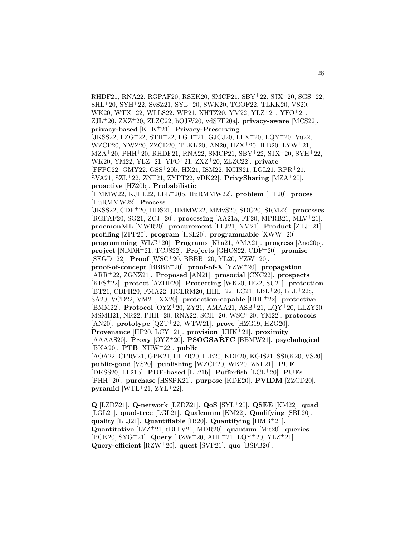RHDF21, RNA22, RGPAF20, RSEK20, SMCP21, SBY<sup>+</sup>22, SJX<sup>+</sup>20, SGS<sup>+</sup>22, SHL<sup>+</sup>20, SYH<sup>+</sup>22, SvSZ21, SYL<sup>+</sup>20, SWK20, TGOF22, TLKK20, VS20, WK20, WTX<sup>+</sup>22, WLLS22, WP21, XHTZ20, YM22, YLZ<sup>+</sup>21, YFO<sup>+</sup>21, ZJL<sup>+</sup>20, ZXZ<sup>+</sup>20, ZLZC22, bOJW20, vdSFF20a]. **privacy-aware** [MCS22]. **privacy-based** [KEK<sup>+</sup>21]. **Privacy-Preserving**  $[JKSS22, LZG<sup>+</sup>22, STH<sup>+</sup>22, FGH<sup>+</sup>21, GJCJ20, LLX<sup>+</sup>20, LQY<sup>+</sup>20, Vu22,$ WZCP20, YWZ20, ZZCD20, TLKK20, AN20, HZX<sup>+</sup>20, ILB20, LYW<sup>+</sup>21, MZA<sup>+</sup>20, PHH<sup>+</sup>20, RHDF21, RNA22, SMCP21, SBY<sup>+</sup>22, SJX<sup>+</sup>20, SYH<sup>+</sup>22, WK20, YM22, YLZ<sup>+</sup>21, YFO<sup>+</sup>21, ZXZ<sup>+</sup>20, ZLZC22]. **private** [FFPC22, GMY22, GSS<sup>+</sup>20b, HX21, ISM22, KGIS21, LGL21, RPR<sup>+</sup>21, SVA21, SZL<sup>+</sup>22, ZNF21, ZYPT22, vDK22]. **PrivySharing** [MZA<sup>+</sup>20]. **proactive** [HZ20b]. **Probabilistic** [HMMW22, KJHL22, LLL<sup>+</sup>20b, HuRMMW22]. **problem** [TT20]. **proces** [HuRMMW22]. **Process** [JKSS22, CDF<sup>+</sup>20, HDS21, HMMW22, MMvS20, SDG20, SRM22]. **processes** [RGPAF20, SG21, ZCJ<sup>+</sup>20]. **processing** [AA21a, FF20, MPRB21, MLV<sup>+</sup>21]. **procmonML** [MWR20]. **procurement** [LLJ21, NM21]. **Product** [ZTJ<sup>+</sup>21]. **profiling** [ZPP20]. **program** [HSL20]. **programmable** [XWW<sup>+</sup>20]. **programming** [WLC<sup>+</sup>20]. **Programs** [Kha21, AMA21]. **progress** [Ano20p]. **project** [NDDH<sup>+</sup>21, TCJS22]. **Projects** [GHOS22, CDF<sup>+</sup>20]. **promise** [SEGD<sup>+</sup>22]. **Proof** [WSC<sup>+</sup>20, BBBB<sup>+</sup>20, YL20, YZW<sup>+</sup>20]. **proof-of-concept** [BBBB<sup>+</sup>20]. **proof-of-X** [YZW<sup>+</sup>20]. **propagation** [ARR<sup>+</sup>22, ZGNZ21]. **Proposed** [AN21]. **prosocial** [CXC22]. **prospects** [KFS<sup>+</sup>22]. **protect** [AZDF20]. **Protecting** [WK20, IE22, SU21]. **protection** [BT21, CBFH20, FMA22, HCLRM20, HHL<sup>+</sup>22, LC21, LBL<sup>+</sup>20, LLL<sup>+</sup>22c, SA20, VCD22, VM21, XX20]. **protection-capable** [HHL<sup>+</sup>22]. **protective** [BMM22]. **Protocol** [OYZ<sup>+</sup>20, ZY21, AMAA21, ASB<sup>+</sup>21, LQY<sup>+</sup>20, LLZY20, MSMH21, NR22, PHH<sup>+</sup>20, RNA22, SCH<sup>+</sup>20, WSC<sup>+</sup>20, YM22]. **protocols** [AN20]. **prototype** [QZT<sup>+</sup>22, WTW21]. **prove** [HZG19, HZG20]. **Provenance** [HP20, LCY<sup>+</sup>21]. **provision** [UHK<sup>+</sup>21]. **proximity** [AAAAS20]. **Proxy** [OYZ<sup>+</sup>20]. **PSOGSARFC** [BBMW21]. **psychological** [BKA20]. **PTB** [XHW<sup>+</sup>22]. **public** [AOA22, CPRV21, GPK21, HLFR20, ILB20, KDE20, KGIS21, SSRK20, VS20]. **public-good** [VS20]. **publishing** [WZCP20, WK20, ZNF21]. **PUF** [DKSS20, LL21b]. **PUF-based** [LL21b]. **Pufferfish** [LCL<sup>+</sup>20]. **PUFs** [PHH<sup>+</sup>20]. **purchase** [HSSPK21]. **purpose** [KDE20]. **PVIDM** [ZZCD20]. **pyramid** [WTL<sup>+</sup>21, ZYL<sup>+</sup>22].

**Q** [LZDZ21]. **Q-network** [LZDZ21]. **QoS** [SYL<sup>+</sup>20]. **QSEE** [KM22]. **quad** [LGL21]. **quad-tree** [LGL21]. **Qualcomm** [KM22]. **Qualifying** [SBL20]. **quality** [LLJ21]. **Quantifiable** [IB20]. **Quantifying** [HMB<sup>+</sup>21]. **Quantitative** [LZZ<sup>+</sup>21, tBLLV21, MDR20]. **quantum** [Mit20]. **queries** [PCK20, SYG<sup>+</sup>21]. **Query** [RZW<sup>+</sup>20, AHL<sup>+</sup>21, LQY<sup>+</sup>20, YLZ<sup>+</sup>21]. **Query-efficient** [RZW<sup>+</sup>20]. **quest** [SVP21]. **quo** [BSFB20].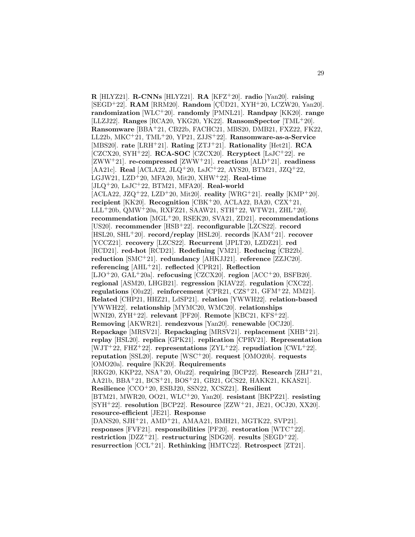**R** [HLYZ21]. **R-CNNs** [HLYZ21]. **RA** [KFZ<sup>+</sup>20]. **radio** [Yan20]. **raising** [SEGD<sup>+</sup>22]. **RAM** [RRM20]. **Random** [CUD21, XYH<sup>+</sup>20, LCZW20, Yan20]. **randomization** [WLC<sup>+</sup>20]. **randomly** [PMNL21]. **Randpay** [KK20]. **range** [LLZJ22]. **Ranges** [RCA20, YKG20, YK22]. **RansomSpector** [TML<sup>+</sup>20]. **Ransomware** [BBA<sup>+</sup>21, CB22b, FACHC21, MBS20, DMB21, FXZ22, FK22, LL22b, MKC<sup>+</sup>21, TML<sup>+</sup>20, YP21, ZJJS<sup>+</sup>22]. **Ransomware-as-a-Service** [MBS20]. **rate** [LRH<sup>+</sup>21]. **Rating** [ZTJ<sup>+</sup>21]. **Rationality** [Het21]. **RCA** [CZCX20, SYH<sup>+</sup>22]. **RCA-SOC** [CZCX20]. **Rcryptect** [LsJC<sup>+</sup>22]. **re** [ZWW<sup>+</sup>21]. **re-compressed** [ZWW<sup>+</sup>21]. **reactions** [ALD<sup>+</sup>21]. **readiness** [AA21c]. **Real** [ACLA22, JLQ<sup>+</sup>20, LsJC<sup>+</sup>22, AYS20, BTM21, JZQ<sup>+</sup>22, LGJW21, LZD<sup>+</sup>20, MFA20, Mit20, XHW<sup>+</sup>22]. **Real-time** [JLQ<sup>+</sup>20, LsJC<sup>+</sup>22, BTM21, MFA20]. **Real-world** [ACLA22, JZQ<sup>+</sup>22, LZD<sup>+</sup>20, Mit20]. **reality** [WRG<sup>+</sup>21]. **really** [KMP<sup>+</sup>20]. **recipient** [KK20]. **Recognition** [CBK<sup>+</sup>20, ACLA22, BA20, CZX<sup>+</sup>21, LLL<sup>+</sup>20b, QMW<sup>+</sup>20a, RXFZ21, SAAW21, STH<sup>+</sup>22, WTW21, ZHL<sup>+</sup>20]. **recommendation** [MGL<sup>+</sup>20, RSEK20, SVA21, ZD21]. **recommendations** [US20]. **recommender** [HSB<sup>+</sup>22]. **reconfigurable** [LZCS22]. **record** [HSL20, SHL<sup>+</sup>20]. **record/replay** [HSL20]. **records** [KAM<sup>+</sup>21]. **recover** [YCCZ21]. **recovery** [LZCS22]. **Recurrent** [JPLT20, LZDZ21]. **red** [RCD21]. **red-hot** [RCD21]. **Redefining** [VM21]. **Reducing** [CB22b]. **reduction** [SMC<sup>+</sup>21]. **redundancy** [AHKJJ21]. **reference** [ZZJC20]. **referencing** [AHL<sup>+</sup>21]. **reflected** [CPR21]. **Reflection** [LJO<sup>+</sup>20, GAL<sup>+</sup>20a]. **refocusing** [CZCX20]. **region** [ACC<sup>+</sup>20, BSFB20]. **regional** [ASM20, LHGB21]. **regression** [KIAV22]. **regulation** [CXC22]. **regulations** [Olu22]. **reinforcement** [CPR21, CZS<sup>+</sup>21, GFM<sup>+</sup>22, MM21]. **Related** [CHP21, HHZ21, LdSP21]. **relation** [YWWH22]. **relation-based** [YWWH22]. **relationship** [MYMC20, WMC20]. **relationships** [WNI20, ZYH<sup>+</sup>22]. **relevant** [PF20]. **Remote** [KBC21, KFS<sup>+</sup>22]. **Removing** [AKWR21]. **rendezvous** [Yan20]. **renewable** [OCJ20]. **Repackage** [MRSV21]. **Repackaging** [MRSV21]. **replacement** [XHB<sup>+</sup>21]. **replay** [HSL20]. **replica** [GPK21]. **replication** [CPRV21]. **Representation** [WJT<sup>+</sup>22, FHZ<sup>+</sup>22]. **representations** [ZYL<sup>+</sup>22]. **repudiation** [CWL<sup>+</sup>22]. **reputation** [SSL20]. **repute** [WSC<sup>+</sup>20]. **request** [OMO20b]. **requests** [OMO20a]. **require** [KK20]. **Requirements** [RKG20, KKP22, NSA<sup>+</sup>20, Olu22]. **requiring** [BCP22]. **Research** [ZHJ<sup>+</sup>21, AA21b, BBA<sup>+</sup>21, BCS<sup>+</sup>21, BOS<sup>+</sup>21, GB21, GCS22, HAKK21, KKAS21]. **Resilience** [CCO<sup>+</sup>20, ESBJ20, SSN22, XCSZ21]. **Resilient** [BTM21, MWR20, OO21, WLC<sup>+</sup>20, Yan20]. **resistant** [BKPZ21]. **resisting** [SYH<sup>+</sup>22]. **resolution** [BCP22]. **Resource** [ZZW<sup>+</sup>21, JE21, OCJ20, XX20]. **resource-efficient** [JE21]. **Response** [DANS20, SJH<sup>+</sup>21, AMD<sup>+</sup>21, AMAA21, BMH21, MGTK22, SVP21]. **responses** [FVF21]. **responsibilities** [PF20]. **restoration** [WTC<sup>+</sup>22]. **restriction** [DZZ<sup>+</sup>21]. **restructuring** [SDG20]. **results** [SEGD<sup>+</sup>22]. **resurrection** [CCL<sup>+</sup>21]. **Rethinking** [HMTC22]. **Retrospect** [ZT21].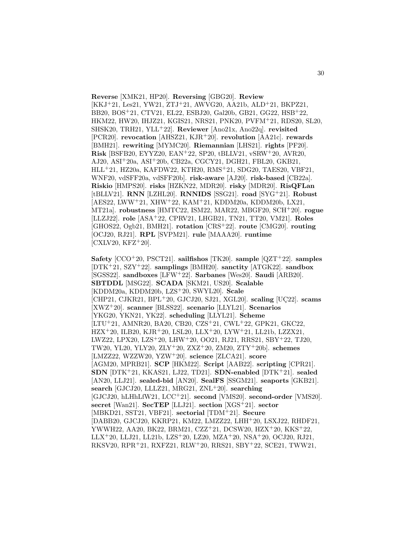**Reverse** [XMK21, HP20]. **Reversing** [GBG20]. **Review** [KKJ<sup>+</sup>21, Les21, YW21, ZTJ<sup>+</sup>21, AWVG20, AA21b, ALD<sup>+</sup>21, BKPZ21, BB20, BOS<sup>+</sup>21, CTV21, EL22, ESBJ20, Gal20b, GB21, GG22, HSB<sup>+</sup>22, HKM22, HW20, IHJZ21, KGIS21, NRS21, PNK20, PVFM<sup>+</sup>21, RDS20, SL20, SHSK20, TRH21, YLL<sup>+</sup>22]. **Reviewer** [Ano21x, Ano22q]. **revisited** [PCR20]. **revocation** [AHSZ21, KJR<sup>+</sup>20]. **revolution** [AA21c]. **rewards** [BMH21]. **rewriting** [MYMC20]. **Riemannian** [LHS21]. **rights** [PF20]. **Risk** [BSFB20, EYYZ20, EAN<sup>+</sup>22, SP20, tBLLV21, vSRW<sup>+</sup>20, AVR20, AJ20, ASI<sup>+</sup>20a, ASI<sup>+</sup>20b, CB22a, CGCY21, DGH21, FBL20, GKB21, HLL<sup>+</sup>21, HZ20a, KAFDW22, KTH20, RMS<sup>+</sup>21, SDG20, TAES20, VBF21, WNF20, vdSFF20a, vdSFF20b]. **risk-aware** [AJ20]. **risk-based** [CB22a]. **Riskio** [HMPS20]. **risks** [HZKN22, MDR20]. **risky** [MDR20]. **RisQFLan** [tBLLV21]. **RNN** [LZHL20]. **RNNIDS** [SSG21]. **road** [SYG<sup>+</sup>21]. **Robust** [AES22, LWW<sup>+</sup>21, XHW<sup>+</sup>22, KAM<sup>+</sup>21, KDDM20a, KDDM20b, LX21, MT21a]. **robustness** [HMTC22, ISM22, MAR22, MBGF20, SCH<sup>+</sup>20]. **rogue** [LLZJ22]. **role** [ASA<sup>+</sup>22, CPRV21, LHGB21, TN21, TT20, VM21]. **Roles** [GHOS22, Ogb21, BMH21]. **rotation** [CRS<sup>+</sup>22]. **route** [CMG20]. **routing** [OCJ20, RJ21]. **RPL** [SVPM21]. **rule** [MAAA20]. **runtime**  $[CXLV20, KFZ^+20].$ 

**Safety** [CCO<sup>+</sup>20, PSCT21]. **sailfishos** [TK20]. **sample** [QZT<sup>+</sup>22]. **samples** [DTK<sup>+</sup>21, SZY<sup>+</sup>22]. **samplings** [BMH20]. **sanctity** [ATGK22]. **sandbox** [SGSS22]. **sandboxes** [LFW<sup>+</sup>22]. **Sarbanes** [Wes20]. **Saudi** [ARB20]. **SBTDDL** [MSG22]. **SCADA** [SKM21, US20]. **Scalable** [KDDM20a, KDDM20b, LZS<sup>+</sup>20, SWYL20]. **Scale**  $[CHP21, CJKR21, BPL+20, GJCJ20, SJ21, XGL20]$ . scaling  $[UC22]$ . scams [XWZ<sup>+</sup>20]. **scanner** [BLSS22]. **scenario** [LLYL21]. **Scenarios** [YKG20, YKN21, YK22]. **scheduling** [LLYL21]. **Scheme** [LTU<sup>+</sup>21, AMNR20, BA20, CB20, CZS<sup>+</sup>21, CWL<sup>+</sup>22, GPK21, GKC22, HZX<sup>+</sup>20, ILB20, KJR<sup>+</sup>20, LSL20, LLX<sup>+</sup>20, LYW<sup>+</sup>21, LL21b, LZZX21, LWZ22, LPX20, LZS<sup>+</sup>20, LHW<sup>+</sup>20, OO21, RJ21, RRS21, SBY<sup>+</sup>22, TJ20, TW20, YL20, YLY20, ZLY<sup>+</sup>20, ZXZ<sup>+</sup>20, ZM20, ZTY<sup>+</sup>20b]. **schemes** [LMZZ22, WZZW20, YZW<sup>+</sup>20]. **science** [ZLCA21]. **score** [AGM20, MPRB21]. **SCP** [HKM22]. **Script** [AAB22]. **scripting** [CPR21]. **SDN** [DTK<sup>+</sup>21, KKAS21, LJ22, TD21]. **SDN-enabled** [DTK<sup>+</sup>21]. **sealed** [AN20, LLJ21]. **sealed-bid** [AN20]. **SealFS** [SSGM21]. **seaports** [GKB21]. **search** [GJCJ20, LLLZ21, MRG21, ZNL<sup>+</sup>20]. **searching** [GJCJ20, hLHhLfW21, LCC<sup>+</sup>21]. **second** [VMS20]. **second-order** [VMS20]. **secret** [Wan21]. **SecTEP** [LLJ21]. **section** [XGS<sup>+</sup>21]. **sector** [MBKD21, SST21, VBF21]. **sectorial** [TDM<sup>+</sup>21]. **Secure** [DABB20, GJCJ20, KKRP21, KM22, LMZZ22, LHH<sup>+</sup>20, LSXJ22, RHDF21, YWWH22, AA20, BK22, BRM21, CZZ<sup>+</sup>21, DCSW20, HZX<sup>+</sup>20, KKS<sup>+</sup>22, LLX<sup>+</sup>20, LLJ21, LL21b, LZS<sup>+</sup>20, LZ20, MZA<sup>+</sup>20, NSA<sup>+</sup>20, OCJ20, RJ21, RKSV20, RPR<sup>+</sup>21, RXFZ21, RLW<sup>+</sup>20, RRS21, SBY<sup>+</sup>22, SCE21, TWW21,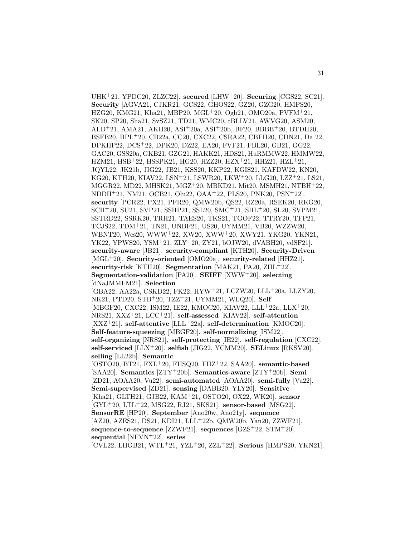UHK<sup>+</sup>21, YPDC20, ZLZC22]. **secured** [LHW<sup>+</sup>20]. **Securing** [CGS22, SC21]. **Security** [AGVA21, CJKR21, GCS22, GHOS22, GZ20, GZG20, HMPS20, HZG20, KMG21, Kha21, MBP20, MGL<sup>+</sup>20, Ogb21, OMO20a, PVFM<sup>+</sup>21, SK20, SP20, Sha21, SvSZ21, TD21, WMC20, tBLLV21, AWVG20, ASM20, ALD<sup>+</sup>21, AMA21, AKH20, ASI<sup>+</sup>20a, ASI<sup>+</sup>20b, BF20, BBBB<sup>+</sup>20, BTDH20, BSFB20, BPL<sup>+</sup>20, CB22a, CC20, CXC22, CSRA22, CBFH20, CDN21, Da 22, DPKHP22, DCS<sup>+</sup>22, DPK20, DZ22, EA20, FVF21, FBL20, GB21, GG22, GAC20, GSS20a, GKB21, GZG21, HAKK21, HDS21, HuRMMW22, HMMW22, HZM21, HSB<sup>+</sup>22, HSSPK21, HG20, HZZ20, HZX<sup>+</sup>21, HHZ21, HZL<sup>+</sup>21, JQYL22, JK21b, JIG22, JB21, KSS20, KKP22, KGIS21, KAFDW22, KN20, KG20, KTH20, KIAV22, LSN<sup>+</sup>21, LSWR20, LKW<sup>+</sup>20, LLG20, LZZ<sup>+</sup>21, LS21, MGGR22, MD22, MHSK21, MGZ<sup>+</sup>20, MBKD21, Mit20, MSMH21, NTBH<sup>+</sup>22, NDDH<sup>+</sup>21, NM21, OCB21, Olu22, OAA<sup>+</sup>22, PLS20, PNK20, PSN<sup>+</sup>22]. **security** [PCR22, PX21, PFR20, QMW20b, QS22, RZ20a, RSEK20, RKG20, SCH<sup>+</sup>20, SU21, SVP21, SSHP21, SSL20, SMC<sup>+</sup>21, SHL<sup>+</sup>20, SL20, SVPM21, SSTRD22, SSRK20, TRH21, TAES20, TKS21, TGOF22, TTRY20, TFP21, TCJS22, TDM<sup>+</sup>21, TN21, UNBF21, US20, UYMM21, VB20, WZZW20, WBNT20, Wes20, WWW<sup>+</sup>22, XW20, XWW<sup>+</sup>20, XWY21, YKG20, YKN21, YK22, YPWS20, YSM<sup>+</sup>21, ZLY<sup>+</sup>20, ZY21, bOJW20, dVABH20, vdSF21]. **security-aware** [JB21]. **security-compliant** [KTH20]. **Security-Driven** [MGL<sup>+</sup>20]. **Security-oriented** [OMO20a]. **security-related** [HHZ21]. **security-risk** [KTH20]. **Segmentation** [MAK21, PA20, ZHL<sup>+</sup>22]. **Segmentation-validation** [PA20]. **SEIFF** [XWW<sup>+</sup>20]. **selecting** [dNaJMMFM21]. **Selection** [GBA22, AA22a, CSKD22, FK22, HYW<sup>+</sup>21, LCZW20, LLL<sup>+</sup>20a, LLZY20, NK21, PTD20, STB<sup>+</sup>20, TZZ<sup>+</sup>21, UYMM21, WLQ20]. **Self** [MBGF20, CXC22, ISM22, IE22, KMOC20, KIAV22, LLL<sup>+</sup>22a, LLX<sup>+</sup>20, NRS21, XXZ<sup>+</sup>21, LCC<sup>+</sup>21]. **self-assessed** [KIAV22]. **self-attention** [XXZ<sup>+</sup>21]. **self-attentive** [LLL<sup>+</sup>22a]. **self-determination** [KMOC20]. **Self-feature-squeezing** [MBGF20]. **self-normalizing** [ISM22]. **self-organizing** [NRS21]. **self-protecting** [IE22]. **self-regulation** [CXC22]. **self-serviced** [LLX<sup>+</sup>20]. **selfish** [JIG22, YCMM20]. **SELinux** [RKSV20]. **selling** [LL22b]. **Semantic** [OSTO20, BT21, FXL<sup>+</sup>20, FHSQ20, FHZ<sup>+</sup>22, SAA20]. **semantic-based** [SAA20]. **Semantics** [ZTY<sup>+</sup>20b]. **Semantics-aware** [ZTY<sup>+</sup>20b]. **Semi** [ZD21, AOAA20, Vu22]. **semi-automated** [AOAA20]. **semi-fully** [Vu22]. **Semi-supervised** [ZD21]. **sensing** [DABB20, YLY20]. **Sensitive** [Kha21, GLTH21, GJB22, KAM<sup>+</sup>21, OSTO20, OX22, WK20]. **sensor** [GYL<sup>+</sup>20, LTL<sup>+</sup>22, MSG22, RJ21, SKS21]. **sensor-based** [MSG22]. **SensorRE** [HP20]. **September** [Ano20w, Ano21y]. **sequence** [AZ20, AZES21, DS21, KDI21, LLL<sup>+</sup>22b, QMW20b, Yan20, ZZWF21]. **sequence-to-sequence** [ZZWF21]. **sequences** [GZS<sup>+</sup>22, STM<sup>+</sup>20]. **sequential** [NFVN<sup>+</sup>22]. **series** [CVL22, LHGB21, WTL<sup>+</sup>21, YZL<sup>+</sup>20, ZZL<sup>+</sup>22]. **Serious** [HMPS20, YKN21].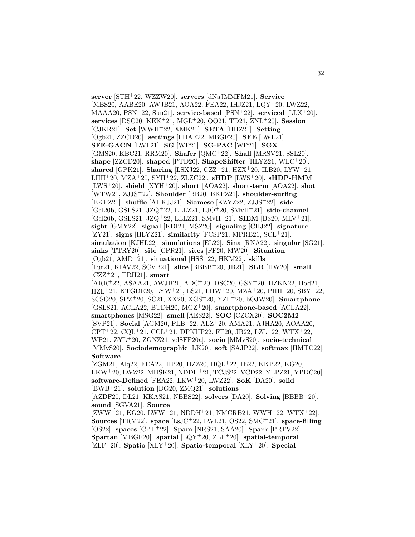**server** [STH<sup>+</sup>22, WZZW20]. **servers** [dNaJMMFM21]. **Service** [MBS20, AABE20, AWJB21, AOA22, FEA22, IHJZ21, LQY<sup>+</sup>20, LWZ22, MAAA20, PSN<sup>+</sup>22, Sun21]. **service-based** [PSN<sup>+</sup>22]. **serviced** [LLX<sup>+</sup>20]. **services** [DSC20, KEK<sup>+</sup>21, MGL<sup>+</sup>20, OO21, TD21, ZNL<sup>+</sup>20]. **Session** [CJKR21]. **Set** [WWH<sup>+</sup>22, XMK21]. **SETA** [HHZ21]. **Setting** [Ogb21, ZZCD20]. **settings** [LHAE22, MBGF20]. **SFE** [LWL21]. **SFE-GACN** [LWL21]. **SG** [WP21]. **SG-PAC** [WP21]. **SGX** [GMS20, KBC21, RRM20]. **Shafer** [QMC<sup>+</sup>22]. **Shall** [MRSV21, SSL20]. **shape** [ZZCD20]. **shaped** [PTD20]. **ShapeShifter** [HLYZ21, WLC<sup>+</sup>20]. **shared** [GPK21]. **Sharing** [LSXJ22, CZZ<sup>+</sup>21, HZX<sup>+</sup>20, ILB20, LYW<sup>+</sup>21, LHH<sup>+</sup>20, MZA<sup>+</sup>20, SYH<sup>+</sup>22, ZLZC22]. **sHDP** [LWS<sup>+</sup>20]. **sHDP-HMM** [LWS<sup>+</sup>20]. **shield** [XYH<sup>+</sup>20]. **short** [AOA22]. **short-term** [AOA22]. **shot** [WTW21, ZJJS<sup>+</sup>22]. **Shoulder** [BB20, BKPZ21]. **shoulder-surfing** [BKPZ21]. **shuffle** [AHKJJ21]. **Siamese** [KZYZ22, ZJJS<sup>+</sup>22]. **side** [Gal20b, GSLS21, JZQ<sup>+</sup>22, LLLZ21, LJO<sup>+</sup>20, SMvH<sup>+</sup>21]. **side-channel** [Gal20b, GSLS21, JZQ<sup>+</sup>22, LLLZ21, SMvH<sup>+</sup>21]. **SIEM** [BS20, MLV<sup>+</sup>21]. **sight** [GMY22]. **signal** [KDI21, MSZ20]. **signaling** [CHJ22]. **signature** [ZY21]. **signs** [HLYZ21]. **similarity** [FCSP21, MPRB21, SCL<sup>+</sup>21]. **simulation** [KJHL22]. **simulations** [EL22]. **Sina** [RNA22]. **singular** [SG21]. **sinks** [TTRY20]. **site** [CPR21]. **sites** [FF20, MW20]. **Situation** [Ogb21, AMD<sup>+</sup>21]. **situational** [HSSˇ<sup>+</sup>22, HKM22]. **skills** [Fur21, KIAV22, SCVB21]. **slice** [BBBB<sup>+</sup>20, JB21]. **SLR** [HW20]. **small** [CZZ<sup>+</sup>21, TRH21]. **smart** [ARR<sup>+</sup>22, ASAA21, AWJB21, ADC<sup>+</sup>20, DSC20, GSY<sup>+</sup>20, HZKN22, Hod21,  $HZL+21, KTGDE20, LYW+21, LS21, LHW+20, MZA+20, PHH+20, SBY+22,$ SCSO20, SPZ<sup>+</sup>20, SC21, XX20, XGS<sup>+</sup>20, YZL<sup>+</sup>20, bOJW20]. **Smartphone** [GSLS21, ACLA22, BTDH20, MGZ<sup>+</sup>20]. **smartphone-based** [ACLA22]. **smartphones** [MSG22]. **smell** [AES22]. **SOC** [CZCX20]. **SOC2M2** [SVP21]. **Social** [AGM20, PLB<sup>+</sup>22, ALZ<sup>+</sup>20, AMA21, AJHA20, AOAA20,  $CPT+22$ ,  $CQL+21$ ,  $CCL+21$ ,  $DPKHP22$ ,  $FF20$ ,  $JB22$ ,  $LZL+22$ ,  $WTX+22$ , WP21, ZYL<sup>+</sup>20, ZGNZ21, vdSFF20a]. **socio** [MMvS20]. **socio-technical** [MMvS20]. **Sociodemographic** [LK20]. **soft** [SAJP22]. **softmax** [HMTC22]. **Software** [ZGM21, Alq22, FEA22, HP20, HZZ20, HQL<sup>+</sup>22, IE22, KKP22, KG20, LKW<sup>+</sup>20, LWZ22, MHSK21, NDDH<sup>+</sup>21, TCJS22, VCD22, YLPZ21, YPDC20]. **software-Defined** [FEA22, LKW<sup>+</sup>20, LWZ22]. **SoK** [DA20]. **solid** [BWB<sup>+</sup>21]. **solution** [DG20, ZMQ21]. **solutions** [AZDF20, DL21, KKAS21, NBBS22]. **solvers** [DA20]. **Solving** [BBBB<sup>+</sup>20]. **sound** [SGVA21]. **Source**  $[ZWW^+21, KG20, LWW^+21, NDDH^+21, NMCRB21, WWH^+22, WTX^+22].$ **Sources** [TRM22]. **space** [LsJC<sup>+</sup>22, LWL21, OS22, SMC<sup>+</sup>21]. **space-filling** [OS22]. **spaces** [CPT<sup>+</sup>22]. **Spam** [NRS21, SAA20]. **Spark** [PRTV22].

**Spartan** [MBGF20]. **spatial** [LQY<sup>+</sup>20, ZLF<sup>+</sup>20]. **spatial-temporal** [ZLF<sup>+</sup>20]. **Spatio** [XLY<sup>+</sup>20]. **Spatio-temporal** [XLY<sup>+</sup>20]. **Special**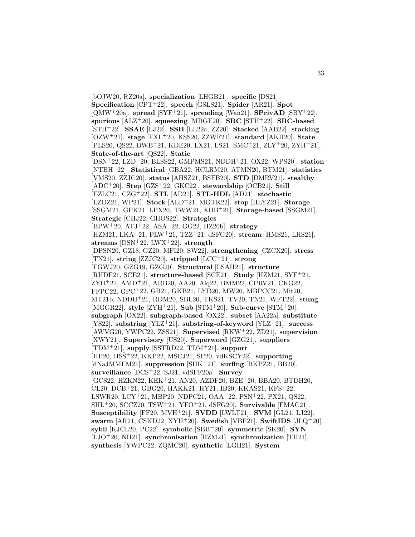[bOJW20, RZ20a]. **specialization** [LHGB21]. **specific** [DS21]. **Specification** [CPT<sup>+</sup>22]. **speech** [GSLS21]. **Spider** [AR21]. **Spot** [QMW<sup>+</sup>20a]. **spread** [SYF<sup>+</sup>21]. **spreading** [Wan21]. **SPrivAD** [SBY<sup>+</sup>22]. **spurious** [ALZ<sup>+</sup>20]. **squeezing** [MBGF20]. **SRC** [STH<sup>+</sup>22]. **SRC-based** [STH<sup>+</sup>22]. **SSAE** [LJ22]. **SSH** [LL22a, ZZ20]. **Stacked** [AAB22]. **stacking** [OZW<sup>+</sup>21]. **stage** [FXL<sup>+</sup>20, KSS20, ZZWF21]. **standard** [AKH20]. **State** [PLS20, QS22, BWB<sup>+</sup>21, KDE20, LX21, LS21, SMC<sup>+</sup>21, ZLY<sup>+</sup>20, ZYH<sup>+</sup>21]. **State-of-the-art** [QS22]. **Static** [DSN<sup>+</sup>22, LZD<sup>+</sup>20, BLSS22, GMPMS21, NDDH<sup>+</sup>21, OX22, WPS20]. **station** [NTBH<sup>+</sup>22]. **Statistical** [GBA22, HCLRM20, ATMN20, BTM21]. **statistics** [VMS20, ZZJC20]. **status** [AHSZ21, BSFB20]. **STD** [DMRV21]. **stealthy** [ADC<sup>+</sup>20]. **Step** [GZS<sup>+</sup>22, GKC22]. **stewardship** [OCB21]. **Still** [EZLC21, CZG<sup>+</sup>22]. **STL** [AD21]. **STL-HDL** [AD21]. **stochastic** [LZDZ21, WP21]. **Stock** [ALD<sup>+</sup>21, MGTK22]. **stop** [HLYZ21]. **Storage** [SSGM21, GPK21, LPX20, TWW21, XHB<sup>+</sup>21]. **Storage-based** [SSGM21]. **Strategic** [CHJ22, GHOS22]. **Strategies** [BPW<sup>+</sup>20, ATJ<sup>+</sup>22, ASA<sup>+</sup>22, GG22, HZ20b]. **strategy** [HZM21, LKA<sup>+</sup>21, PLW<sup>+</sup>21, TZZ<sup>+</sup>21, dSFG20]. **stream** [HMS21, LHS21]. **streams** [DSN<sup>+</sup>22, LWX<sup>+</sup>22]. **strength** [DPSN20, GZ18, GZ20, MFI20, SW22]. **strengthening** [CZCX20]. **stress** [TN21]. **string** [ZZJC20]. **stripped** [LCC<sup>+</sup>21]. **strong** [FGWJ20, GZG19, GZG20]. **Structural** [LSAH21]. **structure** [RHDF21, SCE21]. **structure-based** [SCE21]. **Study** [HZM21, SYF<sup>+</sup>21, ZYH<sup>+</sup>21, AMD<sup>+</sup>21, ARB20, AA20, Alq22, BMM22, CPRV21, CKG22, FFPC22, GPC<sup>+</sup>22, GB21, GKB21, LYD20, MW20, MBPCC21, Mit20, MT21b, NDDH<sup>+</sup>21, RDM20, SBL20, TKS21, TV20, TN21, WFT22]. **stung** [MGGR22]. **style** [ZYH<sup>+</sup>21]. **Sub** [STM<sup>+</sup>20]. **Sub-curve** [STM<sup>+</sup>20]. **subgraph** [OX22]. **subgraph-based** [OX22]. **subset** [AA22a]. **substitute** [YS22]. **substring** [YLZ<sup>+</sup>21]. **substring-of-keyword** [YLZ<sup>+</sup>21]. **success** [AWVG20, YWPC22, ZSS21]. **Supervised** [RKW<sup>+</sup>22, ZD21]. **supervision** [XWY21]. **Supervisory** [US20]. **Superword** [GZG21]. **suppliers** [TDM<sup>+</sup>21]. **supply** [SSTRD22, TDM<sup>+</sup>21]. **support** [HP20, HSSˇ<sup>+</sup>22, KKP22, MSCJ21, SP20, vdKSCY22]. **supporting** [dNaJMMFM21]. **suppression** [SHK<sup>+</sup>21]. **surfing** [BKPZ21, BB20]. **surveillance** [DCS<sup>+</sup>22, SJ21, vdSFF20a]. **Survey** [GCS22, HZKN22, KEK<sup>+</sup>21, AN20, AZDF20, BZE<sup>+</sup>20, BBA20, BTDH20, CL20, DCB<sup>+</sup>21, GBG20, HAKK21, HY21, IB20, KKAS21, KFS<sup>+</sup>22, LSWR20, LCY<sup>+</sup>21, MBP20, NDPC21, OAA<sup>+</sup>22, PSN<sup>+</sup>22, PX21, QS22, SHL<sup>+</sup>20, SCCZ20, TSW<sup>+</sup>21, YFO<sup>+</sup>21, dSFG20]. **Survivable** [FMAC21]. **Susceptibility** [FF20, MVH<sup>+</sup>21]. **SVDD** [LWLT21]. **SVM** [GL21, LJ22]. **swarm** [AR21, CSKD22, XYH<sup>+</sup>20]. **Swedish** [VBF21]. **SwiftIDS** [JLQ<sup>+</sup>20]. **sybil** [KJCL20, PC22]. **symbolic** [SBB<sup>+</sup>20]. **symmetric** [SK20]. **SYN** [LJO<sup>+</sup>20, NH21]. **synchronisation** [HZM21]. **synchronization** [TH21]. **synthesis** [YWPC22, ZQMC20]. **synthetic** [LGH21]. **System**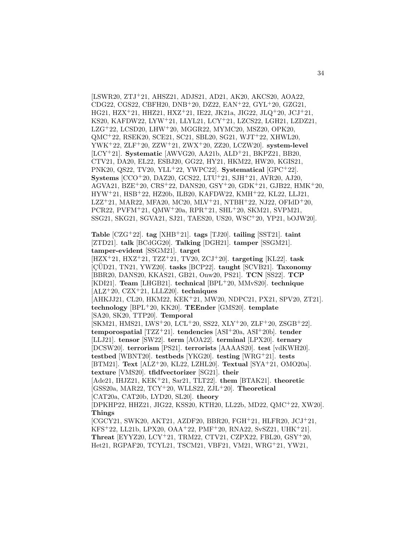[LSWR20, ZTJ<sup>+</sup>21, AHSZ21, ADJS21, AD21, AK20, AKCS20, AOA22, CDG22, CGS22, CBFH20, DNB<sup>+</sup>20, DZ22, EAN<sup>+</sup>22, GYL<sup>+</sup>20, GZG21, HG21, HZX<sup>+</sup>21, HHZ21, HXZ<sup>+</sup>21, IE22, JK21a, JIG22, JLQ<sup>+</sup>20, JCJ<sup>+</sup>21, KS20, KAFDW22, LYW<sup>+</sup>21, LLYL21, LCY<sup>+</sup>21, LZCS22, LGH21, LZDZ21, LZG<sup>+</sup>22, LCSD20, LHW<sup>+</sup>20, MGGR22, MYMC20, MSZ20, OPK20, QMC<sup>+</sup>22, RSEK20, SCE21, SC21, SBL20, SG21, WJT<sup>+</sup>22, XHWL20, YWK<sup>+</sup>22, ZLF<sup>+</sup>20, ZZW<sup>+</sup>21, ZWX<sup>+</sup>20, ZZ20, LCZW20]. **system-level** [LCY<sup>+</sup>21]. **Systematic** [AWVG20, AA21b, ALD<sup>+</sup>21, BKPZ21, BB20, CTV21, DA20, EL22, ESBJ20, GG22, HY21, HKM22, HW20, KGIS21, PNK20, QS22, TV20, YLL<sup>+</sup>22, YWPC22]. **Systematical** [GPC<sup>+</sup>22]. **Systems** [CCO<sup>+</sup>20, DAZ20, GCS22, LTU<sup>+</sup>21, SJH<sup>+</sup>21, AVR20, AJ20, AGVA21, BZE<sup>+</sup>20, CRS<sup>+</sup>22, DANS20, GSY<sup>+</sup>20, GDK<sup>+</sup>21, GJB22, HMK<sup>+</sup>20, HYW<sup>+</sup>21, HSB<sup>+</sup>22, HZ20b, ILB20, KAFDW22, KMH<sup>+</sup>22, KL22, LLJ21, LZZ<sup>+</sup>21, MAR22, MFA20, MC20, MLV<sup>+</sup>21, NTBH<sup>+</sup>22, NJ22, OFIdD<sup>+</sup>20, PCR22, PVFM<sup>+</sup>21, QMW<sup>+</sup>20a, RPR<sup>+</sup>21, SHL<sup>+</sup>20, SKM21, SVPM21, SSG21, SKG21, SGVA21, SJ21, TAES20, US20, WSC<sup>+</sup>20, YP21, bOJW20].

**Table** [CZG<sup>+</sup>22]. **tag** [XHB<sup>+</sup>21]. **tags** [TJ20]. **tailing** [SST21]. **taint** [ZTD21]. **talk** [BCdGG20]. **Talking** [DGH21]. **tamper** [SSGM21]. **tamper-evident** [SSGM21]. **target**

[HZX<sup>+</sup>21, HXZ<sup>+</sup>21, TZZ<sup>+</sup>21, TV20, ZCJ<sup>+</sup>20]. **targeting** [KL22]. **task** [ ¸CUD21, TN21, YWZ20]. ¨ **tasks** [BCP22]. **taught** [SCVB21]. **Taxonomy** [BBR20, DANS20, KKAS21, GB21, Onw20, PS21]. **TCN** [SS22]. **TCP** [KDI21]. **Team** [LHGB21]. **technical** [BPL<sup>+</sup>20, MMvS20]. **technique** [ALZ<sup>+</sup>20, CZX<sup>+</sup>21, LLLZ20]. **techniques**

[AHKJJ21, CL20, HKM22, KEK<sup>+</sup>21, MW20, NDPC21, PX21, SPV20, ZT21]. **technology** [BPL<sup>+</sup>20, KK20]. **TEEnder** [GMS20]. **template** [SA20, SK20, TTP20]. **Temporal**

[SKM21, HMS21, LWS<sup>+</sup>20, LCL<sup>+</sup>20, SS22, XLY<sup>+</sup>20, ZLF<sup>+</sup>20, ZSGB<sup>+</sup>22]. **temporospatial** [TZZ<sup>+</sup>21]. **tendencies** [ASI<sup>+</sup>20a, ASI<sup>+</sup>20b]. **tender** [LLJ21]. **tensor** [SW22]. **term** [AOA22]. **terminal** [LPX20]. **ternary** [DCSW20]. **terrorism** [PS21]. **terrorists** [AAAAS20]. **test** [vdKWH20]. **testbed** [WBNT20]. **testbeds** [YKG20]. **testing** [WRG<sup>+</sup>21]. **tests** [BTM21]. **Text** [ALZ<sup>+</sup>20, KL22, LZHL20]. **Textual** [SYA<sup>+</sup>21, OMO20a]. **texture** [VMS20]. **tfidfvectorizer** [SG21]. **their** [Ade21, IHJZ21, KEK<sup>+</sup>21, Sar21, TLT22]. **them** [BTAK21]. **theoretic** [GSS20a, MAR22, TCY<sup>+</sup>20, WLLS22, ZJL<sup>+</sup>20]. **Theoretical**

[CAT20a, CAT20b, LYD20, SL20]. **theory**

[DPKHP22, HHZ21, JIG22, KSS20, KTH20, LL22b, MD22, QMC<sup>+</sup>22, XW20]. **Things**

[CGCY21, SWK20, AKT21, AZDF20, BBR20, FGH<sup>+</sup>21, HLFR20, JCJ<sup>+</sup>21, KFS<sup>+</sup>22, LL21b, LPX20, OAA<sup>+</sup>22, PMF<sup>+</sup>20, RNA22, SvSZ21, UHK<sup>+</sup>21]. **Threat** [EYYZ20, LCY<sup>+</sup>21, TRM22, CTV21, CZPX22, FBL20, GSY<sup>+</sup>20, Het21, RGPAF20, TCYL21, TSCM21, VBF21, VM21, WRG<sup>+</sup>21, YW21,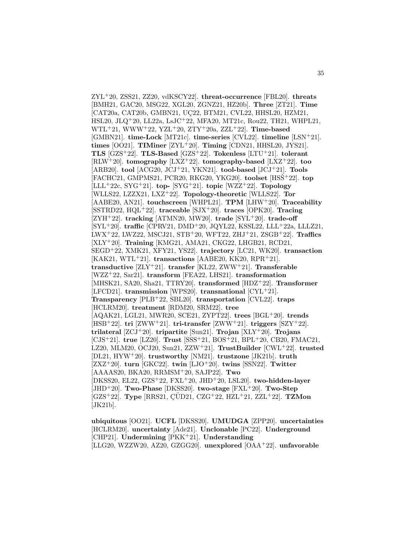ZYL<sup>+</sup>20, ZSS21, ZZ20, vdKSCY22]. **threat-occurrence** [FBL20]. **threats** [BMH21, GAC20, MSG22, XGL20, ZGNZ21, HZ20b]. **Three** [ZT21]. **Time** [CAT20a, CAT20b, GMBN21, UC22, BTM21, CVL22, HHSL20, HZM21, HSL20, JLQ<sup>+</sup>20, LL22a, LsJC<sup>+</sup>22, MFA20, MT21c, Rou22, TH21, WHPL21, WTL<sup>+</sup>21, WWW<sup>+</sup>22, YZL<sup>+</sup>20, ZTY<sup>+</sup>20a, ZZL<sup>+</sup>22]. **Time-based** [GMBN21]. **time-Lock** [MT21c]. **time-series** [CVL22]. **timeline** [LSN<sup>+</sup>21]. **times** [OO21]. **TIMiner** [ZYL<sup>+</sup>20]. **Timing** [CDN21, HHSL20, JYS21]. **TLS** [GZS<sup>+</sup>22]. **TLS-Based** [GZS<sup>+</sup>22]. **Tokenless** [LTU<sup>+</sup>21]. **tolerant** [RLW<sup>+</sup>20]. **tomography** [LXZ<sup>+</sup>22]. **tomography-based** [LXZ<sup>+</sup>22]. **too** [ARB20]. **tool** [ACG20, JCJ<sup>+</sup>21, YKN21]. **tool-based** [JCJ<sup>+</sup>21]. **Tools** [FACHC21, GMPMS21, PCR20, RKG20, YKG20]. **toolset** [HSSˇ<sup>+</sup>22]. **top** [LLL<sup>+</sup>22c, SYG<sup>+</sup>21]. **top-** [SYG<sup>+</sup>21]. **topic** [WZZ<sup>+</sup>22]. **Topology** [WLLS22, LZZX21, LXZ<sup>+</sup>22]. **Topology-theoretic** [WLLS22]. **Tor** [AABE20, AN21]. **touchscreen** [WHPL21]. **TPM** [LHW<sup>+</sup>20]. **Traceability** [SSTRD22, HQL<sup>+</sup>22]. **traceable** [SJX<sup>+</sup>20]. **traces** [OPK20]. **Tracing** [ZYH<sup>+</sup>22]. **tracking** [ATMN20, MW20]. **trade** [SYL<sup>+</sup>20]. **trade-off** [SYL<sup>+</sup>20]. **traffic** [CPRV21, DMD<sup>+</sup>20, JQYL22, KSSL22, LLL<sup>+</sup>22a, LLLZ21, LWX<sup>+</sup>22, LWZ22, MSCJ21, STB<sup>+</sup>20, WFT22, ZHJ<sup>+</sup>21, ZSGB<sup>+</sup>22]. **Traffics** [XLY<sup>+</sup>20]. **Training** [KMG21, AMA21, CKG22, LHGB21, RCD21, SEGD<sup>+</sup>22, XMK21, XFY21, YS22]. **trajectory** [LC21, WK20]. **transaction**  $[KAK21, WTL+21]$ . **transactions**  $[AABE20, KK20, RPR+21]$ . **transductive** [ZLY<sup>+</sup>21]. **transfer** [KL22, ZWW<sup>+</sup>21]. **Transferable** [WZZ<sup>+</sup>22, Sar21]. **transform** [FEA22, LHS21]. **transformation** [MHSK21, SA20, Sha21, TTRY20]. **transformed** [HDZ<sup>+</sup>22]. **Transformer** [LFCD21]. **transmission** [WPS20]. **transnational** [CYL<sup>+</sup>21]. **Transparency** [PLB<sup>+</sup>22, SBL20]. **transportation** [CVL22]. **traps** [HCLRM20]. **treatment** [RDM20, SRM22]. **tree** [AQAK21, LGL21, MWR20, SCE21, ZYPT22]. **trees** [BGL<sup>+</sup>20]. **trends** [HSB<sup>+</sup>22]. **tri** [ZWW<sup>+</sup>21]. **tri-transfer** [ZWW<sup>+</sup>21]. **triggers** [SZY<sup>+</sup>22]. **trilateral** [ZCJ<sup>+</sup>20]. **tripartite** [Sun21]. **Trojan** [XLY<sup>+</sup>20]. **Trojans** [CJS<sup>+</sup>21]. **true** [LZ20]. **Trust** [SSS<sup>+</sup>21, BOS<sup>+</sup>21, BPL<sup>+</sup>20, CB20, FMAC21, LZ20, MLM20, OCJ20, Sun21, ZZW<sup>+</sup>21]. **TrustBuilder** [CWL<sup>+</sup>22]. **trusted** [DL21, HYW<sup>+</sup>20]. **trustworthy** [NM21]. **trustzone** [JK21b]. **truth** [ZXZ<sup>+</sup>20]. **turn** [GKC22]. **twin** [LJO<sup>+</sup>20]. **twins** [SSN22]. **Twitter** [AAAAS20, BKA20, RRMSM<sup>+</sup>20, SAJP22]. **Two** [DKSS20, EL22, GZS<sup>+</sup>22, FXL<sup>+</sup>20, JHD<sup>+</sup>20, LSL20]. **two-hidden-layer** [JHD<sup>+</sup>20]. **Two-Phase** [DKSS20]. **two-stage** [FXL<sup>+</sup>20]. **Two-Step** [GZS<sup>+</sup>22]. **Type** [RRS21, ¸CUD21, CZG ¨ <sup>+</sup>22, HZL<sup>+</sup>21, ZZL<sup>+</sup>22]. **TZMon** [JK21b].

**ubiquitous** [OO21]. **UCFL** [DKSS20]. **UMUDGA** [ZPP20]. **uncertainties** [HCLRM20]. **uncertainty** [Ade21]. **Unclonable** [PC22]. **Underground** [CHP21]. **Undermining** [PKK<sup>+</sup>21]. **Understanding** [LLG20, WZZW20, AZ20, GZGG20]. **unexplored** [OAA<sup>+</sup>22]. **unfavorable**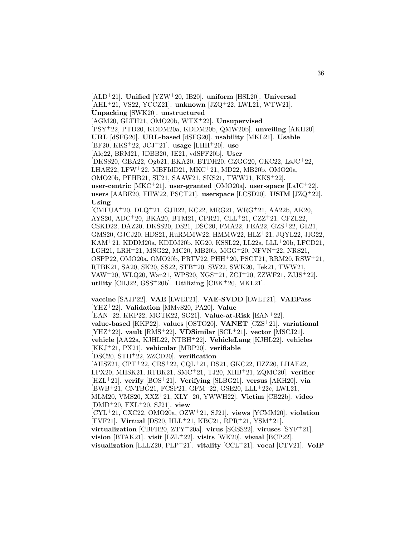[ALD<sup>+</sup>21]. **Unified** [YZW<sup>+</sup>20, IB20]. **uniform** [HSL20]. **Universal** [AHL<sup>+</sup>21, VS22, YCCZ21]. **unknown** [JZQ<sup>+</sup>22, LWL21, WTW21]. **Unpacking** [SWK20]. **unstructured** [AGM20, GLTH21, OMO20b, WTX<sup>+</sup>22]. **Unsupervised** [PSY<sup>+</sup>22, PTD20, KDDM20a, KDDM20b, QMW20b]. **unveiling** [AKH20]. **URL** [dSFG20]. **URL-based** [dSFG20]. **usability** [MKL21]. **Usable** [BF20, KKS<sup>+</sup>22, JCJ<sup>+</sup>21]. **usage** [LHH<sup>+</sup>20]. **use** [Alq22, BRM21, JDBB20, JE21, vdSFF20b]. **User** [DKSS20, GBA22, Ogb21, BKA20, BTDH20, GZGG20, GKC22, LsJC<sup>+</sup>22, LHAE22, LFW<sup>+</sup>22, MBFIdD21, MKC<sup>+</sup>21, MD22, MB20b, OMO20a, OMO20b, PFHB21, SU21, SAAW21, SKS21, TWW21, KKS<sup>+</sup>22]. **user-centric** [MKC<sup>+</sup>21]. **user-granted** [OMO20a]. **user-space** [LsJC<sup>+</sup>22]. **users** [AABE20, FHW22, PSCT21]. **userspace** [LCSD20]. **USIM** [JZQ<sup>+</sup>22]. **Using** [CMFUA<sup>+</sup>20, DLQ<sup>+</sup>21, GJB22, KC22, MRG21, WRG<sup>+</sup>21, AA22b, AK20, AYS20, ADC<sup>+</sup>20, BKA20, BTM21, CPR21, CLL<sup>+</sup>21, CZZ<sup>+</sup>21, CFZL22, CSKD22, DAZ20, DKSS20, DS21, DSC20, FMA22, FEA22, GZS<sup>+</sup>22, GL21, GMS20, GJCJ20, HDS21, HuRMMW22, HMMW22, HLZ<sup>+</sup>21, JQYL22, JIG22, KAM<sup>+</sup>21, KDDM20a, KDDM20b, KG20, KSSL22, LL22a, LLL<sup>+</sup>20b, LFCD21, LGH21, LRH<sup>+</sup>21, MSG22, MC20, MB20b, MGG<sup>+</sup>20, NFVN<sup>+</sup>22, NRS21, OSPP22, OMO20a, OMO20b, PRTV22, PHH<sup>+</sup>20, PSCT21, RRM20, RSW<sup>+</sup>21, RTBK21, SA20, SK20, SS22, STB<sup>+</sup>20, SW22, SWK20, Tek21, TWW21, VAW<sup>+</sup>20, WLQ20, Wan21, WPS20, XGS<sup>+</sup>21, ZCJ<sup>+</sup>20, ZZWF21, ZJJS<sup>+</sup>22]. **utility** [CHJ22, GSS<sup>+</sup>20b]. **Utilizing** [CBK<sup>+</sup>20, MKL21].

**vaccine** [SAJP22]. **VAE** [LWLT21]. **VAE-SVDD** [LWLT21]. **VAEPass** [YHZ<sup>+</sup>22]. **Validation** [MMvS20, PA20]. **Value** [EAN<sup>+</sup>22, KKP22, MGTK22, SG21]. **Value-at-Risk** [EAN<sup>+</sup>22]. **value-based** [KKP22]. **values** [OSTO20]. **VANET** [CZS<sup>+</sup>21]. **variational** [YHZ<sup>+</sup>22]. **vault** [RMS<sup>+</sup>22]. **VDSimilar** [SCL<sup>+</sup>21]. **vector** [MSCJ21]. **vehicle** [AA22a, KJHL22, NTBH<sup>+</sup>22]. **VehicleLang** [KJHL22]. **vehicles** [KKJ<sup>+</sup>21, PX21]. **vehicular** [MBP20]. **verifiable** [DSC20, STH<sup>+</sup>22, ZZCD20]. **verification** [AHSZ21, CPT<sup>+</sup>22, CRS<sup>+</sup>22, CQL<sup>+</sup>21, DS21, GKC22, HZZ20, LHAE22, LPX20, MHSK21, RTBK21, SMC<sup>+</sup>21, TJ20, XHB<sup>+</sup>21, ZQMC20]. **verifier** [HZL<sup>+</sup>21]. **verify** [BOS<sup>+</sup>21]. **Verifying** [SLBG21]. **versus** [AKH20]. **via** [BWB<sup>+</sup>21, CNTBG21, FCSP21, GFM<sup>+</sup>22, GSE20, LLL<sup>+</sup>22c, LWL21, MLM20, VMS20, XXZ<sup>+</sup>21, XLY<sup>+</sup>20, YWWH22]. **Victim** [CB22b]. **video** [DMD<sup>+</sup>20, FXL<sup>+</sup>20, SJ21]. **view** [CYL<sup>+</sup>21, CXC22, OMO20a, OZW<sup>+</sup>21, SJ21]. **views** [YCMM20]. **violation** [FVF21]. **Virtual** [DS20, HLL<sup>+</sup>21, KBC21, RPR<sup>+</sup>21, YSM<sup>+</sup>21]. **virtualization** [CBFH20, ZTY<sup>+</sup>20a]. **virus** [SGSS22]. **viruses** [SYF<sup>+</sup>21]. **vision** [BTAK21]. **visit** [LZL<sup>+</sup>22]. **visits** [WK20]. **visual** [BCP22]. **visualization** [LLLZ20, PLP<sup>+</sup>21]. **vitality** [CCL<sup>+</sup>21]. **vocal** [CTV21]. **VoIP**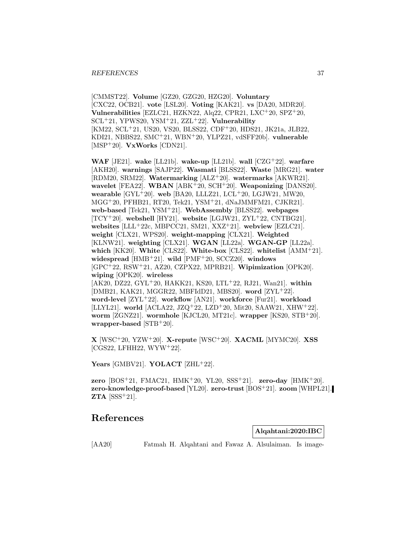[CMMST22]. **Volume** [GZ20, GZG20, HZG20]. **Voluntary** [CXC22, OCB21]. **vote** [LSL20]. **Voting** [KAK21]. **vs** [DA20, MDR20]. **Vulnerabilities** [EZLC21, HZKN22, Alq22, CPR21, LXC<sup>+</sup>20, SPZ<sup>+</sup>20, SCL<sup>+</sup>21, YPWS20, YSM<sup>+</sup>21, ZZL<sup>+</sup>22]. **Vulnerability** [KM22, SCL<sup>+</sup>21, US20, VS20, BLSS22, CDF<sup>+</sup>20, HDS21, JK21a, JLB22, KDI21, NBBS22, SMC<sup>+</sup>21, WBN<sup>+</sup>20, YLPZ21, vdSFF20b]. **vulnerable** [MSP<sup>+</sup>20]. **VxWorks** [CDN21].

**WAF** [JE21]. **wake** [LL21b]. **wake-up** [LL21b]. **wall** [CZG<sup>+</sup>22]. **warfare** [AKH20]. **warnings** [SAJP22]. **Wasmati** [BLSS22]. **Waste** [MRG21]. **water** [RDM20, SRM22]. **Watermarking** [ALZ<sup>+</sup>20]. **watermarks** [AKWR21]. **wavelet** [FEA22]. **WBAN** [ABK<sup>+</sup>20, SCH<sup>+</sup>20]. **Weaponizing** [DANS20]. **wearable** [GYL<sup>+</sup>20]. **web** [BA20, LLLZ21, LCL<sup>+</sup>20, LGJW21, MW20, MGG<sup>+</sup>20, PFHB21, RT20, Tek21, YSM<sup>+</sup>21, dNaJMMFM21, CJKR21]. **web-based** [Tek21, YSM<sup>+</sup>21]. **WebAssembly** [BLSS22]. **webpages** [TCY<sup>+</sup>20]. **webshell** [HY21]. **website** [LGJW21, ZYL<sup>+</sup>22, CNTBG21]. **websites** [LLL<sup>+</sup>22c, MBPCC21, SM21, XXZ<sup>+</sup>21]. **webview** [EZLC21]. **weight** [CLX21, WPS20]. **weight-mapping** [CLX21]. **Weighted** [KLNW21]. **weighting** [CLX21]. **WGAN** [LL22a]. **WGAN-GP** [LL22a]. **which** [KK20]. **White** [CLS22]. **White-box** [CLS22]. **whitelist** [AMM<sup>+</sup>21]. **widespread** [HMB<sup>+</sup>21]. **wild** [PMF<sup>+</sup>20, SCCZ20]. **windows** [GPC<sup>+</sup>22, RSW<sup>+</sup>21, AZ20, CZPX22, MPRB21]. **Wipimization** [OPK20]. **wiping** [OPK20]. **wireless** [AK20, DZ22, GYL<sup>+</sup>20, HAKK21, KS20, LTL<sup>+</sup>22, RJ21, Wan21]. **within** [DMB21, KAK21, MGGR22, MBFIdD21, MBS20]. **word** [ZYL<sup>+</sup>22]. **word-level** [ZYL<sup>+</sup>22]. **workflow** [AN21]. **workforce** [Fur21]. **workload** [LLYL21]. world [ACLA22, JZQ<sup>+</sup>22, LZD<sup>+</sup>20, Mit20, SAAW21, XHW<sup>+</sup>22]. **worm** [ZGNZ21]. **wormhole** [KJCL20, MT21c]. **wrapper** [KS20, STB<sup>+</sup>20]. **wrapper-based** [STB<sup>+</sup>20].

**X** [WSC<sup>+</sup>20, YZW<sup>+</sup>20]. **X-repute** [WSC<sup>+</sup>20]. **XACML** [MYMC20]. **XSS**  $[CGS22, LFHH22, WYW+22].$ 

**Years** [GMBV21]. **YOLACT** [ZHL<sup>+</sup>22].

**zero** [BOS<sup>+</sup>21, FMAC21, HMK<sup>+</sup>20, YL20, SSS<sup>+</sup>21]. **zero-day** [HMK<sup>+</sup>20]. **zero-knowledge-proof-based** [YL20]. **zero-trust** [BOS<sup>+</sup>21]. **zoom** [WHPL21]. **ZTA** [SSS<sup>+</sup>21].

# **References**

**Alqahtani:2020:IBC**

[AA20] Fatmah H. Alqahtani and Fawaz A. Alsulaiman. Is image-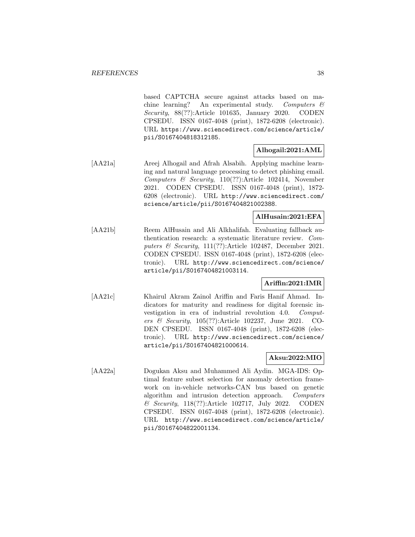based CAPTCHA secure against attacks based on machine learning? An experimental study. Computers  $\mathcal{C}$ Security, 88(??):Article 101635, January 2020. CODEN CPSEDU. ISSN 0167-4048 (print), 1872-6208 (electronic). URL https://www.sciencedirect.com/science/article/ pii/S0167404818312185.

## **Alhogail:2021:AML**

[AA21a] Areej Alhogail and Afrah Alsabih. Applying machine learning and natural language processing to detect phishing email. Computers & Security,  $110(??)$ :Article 102414, November 2021. CODEN CPSEDU. ISSN 0167-4048 (print), 1872- 6208 (electronic). URL http://www.sciencedirect.com/ science/article/pii/S0167404821002388.

## **AlHusain:2021:EFA**

[AA21b] Reem AlHusain and Ali Alkhalifah. Evaluating fallback authentication research: a systematic literature review. Computers & Security, 111(??):Article 102487, December 2021. CODEN CPSEDU. ISSN 0167-4048 (print), 1872-6208 (electronic). URL http://www.sciencedirect.com/science/ article/pii/S0167404821003114.

## **Ariffin:2021:IMR**

[AA21c] Khairul Akram Zainol Ariffin and Faris Hanif Ahmad. Indicators for maturity and readiness for digital forensic investigation in era of industrial revolution 4.0. Computers & Security, 105(??):Article 102237, June 2021. CO-DEN CPSEDU. ISSN 0167-4048 (print), 1872-6208 (electronic). URL http://www.sciencedirect.com/science/ article/pii/S0167404821000614.

# **Aksu:2022:MIO**

[AA22a] Dogukan Aksu and Muhammed Ali Aydin. MGA-IDS: Optimal feature subset selection for anomaly detection framework on in-vehicle networks-CAN bus based on genetic algorithm and intrusion detection approach. Computers & Security, 118(??):Article 102717, July 2022. CODEN CPSEDU. ISSN 0167-4048 (print), 1872-6208 (electronic). URL http://www.sciencedirect.com/science/article/ pii/S0167404822001134.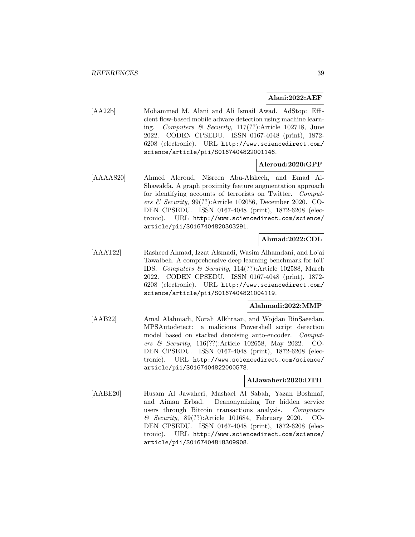## **Alani:2022:AEF**

[AA22b] Mohammed M. Alani and Ali Ismail Awad. AdStop: Efficient flow-based mobile adware detection using machine learning. Computers & Security, 117(??):Article 102718, June 2022. CODEN CPSEDU. ISSN 0167-4048 (print), 1872- 6208 (electronic). URL http://www.sciencedirect.com/ science/article/pii/S0167404822001146.

## **Aleroud:2020:GPF**

[AAAAS20] Ahmed Aleroud, Nisreen Abu-Alsheeh, and Emad Al-Shawakfa. A graph proximity feature augmentation approach for identifying accounts of terrorists on Twitter. Computers  $\mathcal B$  Security, 99(??):Article 102056, December 2020. CO-DEN CPSEDU. ISSN 0167-4048 (print), 1872-6208 (electronic). URL http://www.sciencedirect.com/science/ article/pii/S0167404820303291.

## **Ahmad:2022:CDL**

[AAAT22] Rasheed Ahmad, Izzat Alsmadi, Wasim Alhamdani, and Lo'ai Tawalbeh. A comprehensive deep learning benchmark for IoT IDS. Computers & Security, 114(??):Article 102588, March 2022. CODEN CPSEDU. ISSN 0167-4048 (print), 1872- 6208 (electronic). URL http://www.sciencedirect.com/ science/article/pii/S0167404821004119.

## **Alahmadi:2022:MMP**

[AAB22] Amal Alahmadi, Norah Alkhraan, and Wojdan BinSaeedan. MPSAutodetect: a malicious Powershell script detection model based on stacked denoising auto-encoder. Computers & Security, 116(??):Article 102658, May 2022. CO-DEN CPSEDU. ISSN 0167-4048 (print), 1872-6208 (electronic). URL http://www.sciencedirect.com/science/ article/pii/S0167404822000578.

## **AlJawaheri:2020:DTH**

[AABE20] Husam Al Jawaheri, Mashael Al Sabah, Yazan Boshmaf, and Aiman Erbad. Deanonymizing Tor hidden service users through Bitcoin transactions analysis. Computers & Security, 89(??):Article 101684, February 2020. CO-DEN CPSEDU. ISSN 0167-4048 (print), 1872-6208 (electronic). URL http://www.sciencedirect.com/science/ article/pii/S0167404818309908.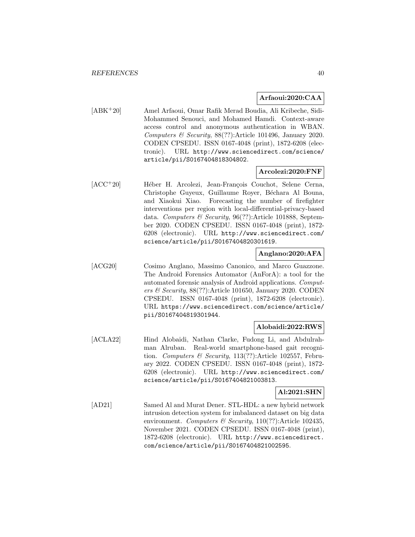### **Arfaoui:2020:CAA**

[ABK<sup>+</sup>20] Amel Arfaoui, Omar Rafik Merad Boudia, Ali Kribeche, Sidi-Mohammed Senouci, and Mohamed Hamdi. Context-aware access control and anonymous authentication in WBAN. Computers & Security, 88(??):Article 101496, January 2020. CODEN CPSEDU. ISSN 0167-4048 (print), 1872-6208 (electronic). URL http://www.sciencedirect.com/science/ article/pii/S0167404818304802.

## **Arcolezi:2020:FNF**

 $[ACC^+20]$  Héber H. Arcolezi, Jean-François Couchot, Selene Cerna, Christophe Guyeux, Guillaume Royer, Béchara Al Bouna, and Xiaokui Xiao. Forecasting the number of firefighter interventions per region with local-differential-privacy-based data. Computers & Security, 96(??):Article 101888, September 2020. CODEN CPSEDU. ISSN 0167-4048 (print), 1872- 6208 (electronic). URL http://www.sciencedirect.com/ science/article/pii/S0167404820301619.

## **Anglano:2020:AFA**

[ACG20] Cosimo Anglano, Massimo Canonico, and Marco Guazzone. The Android Forensics Automator (AnForA): a tool for the automated forensic analysis of Android applications. Computers & Security, 88(??):Article 101650, January 2020. CODEN CPSEDU. ISSN 0167-4048 (print), 1872-6208 (electronic). URL https://www.sciencedirect.com/science/article/ pii/S0167404819301944.

## **Alobaidi:2022:RWS**

[ACLA22] Hind Alobaidi, Nathan Clarke, Fudong Li, and Abdulrahman Alruban. Real-world smartphone-based gait recognition. Computers & Security, 113(??):Article 102557, February 2022. CODEN CPSEDU. ISSN 0167-4048 (print), 1872- 6208 (electronic). URL http://www.sciencedirect.com/ science/article/pii/S0167404821003813.

## **Al:2021:SHN**

[AD21] Samed Al and Murat Dener. STL-HDL: a new hybrid network intrusion detection system for imbalanced dataset on big data environment. Computers & Security,  $110(??)$ :Article 102435, November 2021. CODEN CPSEDU. ISSN 0167-4048 (print), 1872-6208 (electronic). URL http://www.sciencedirect. com/science/article/pii/S0167404821002595.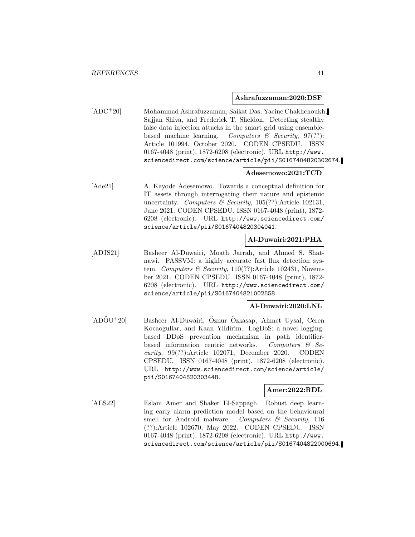#### **Ashrafuzzaman:2020:DSF**

[ADC<sup>+</sup>20] Mohammad Ashrafuzzaman, Saikat Das, Yacine Chakhchoukh, Sajjan Shiva, and Frederick T. Sheldon. Detecting stealthy false data injection attacks in the smart grid using ensemblebased machine learning. Computers  $\mathcal{C}$  Security, 97(??): Article 101994, October 2020. CODEN CPSEDU. ISSN 0167-4048 (print), 1872-6208 (electronic). URL http://www. sciencedirect.com/science/article/pii/S0167404820302674.

## **Adesemowo:2021:TCD**

[Ade21] A. Kayode Adesemowo. Towards a conceptual definition for IT assets through interrogating their nature and epistemic uncertainty. Computers  $\mathcal B$  Security, 105(??):Article 102131, June 2021. CODEN CPSEDU. ISSN 0167-4048 (print), 1872- 6208 (electronic). URL http://www.sciencedirect.com/ science/article/pii/S0167404820304041.

## **Al-Duwairi:2021:PHA**

[ADJS21] Basheer Al-Duwairi, Moath Jarrah, and Ahmed S. Shatnawi. PASSVM: a highly accurate fast flux detection system. Computers & Security,  $110(??)$ : Article 102431, November 2021. CODEN CPSEDU. ISSN 0167-4048 (print), 1872- 6208 (electronic). URL http://www.sciencedirect.com/ science/article/pii/S0167404821002558.

### **Al-Duwairi:2020:LNL**

 $[AD\ddot{O}U^+20]$  Basheer Al-Duwairi, Öznur Özkasap, Ahmet Uysal, Ceren Kocaogullar, and Kaan Yildirim. LogDoS: a novel loggingbased DDoS prevention mechanism in path identifierbased information centric networks. Computers  $\mathcal{B}$  Security, 99(??):Article 102071, December 2020. CODEN CPSEDU. ISSN 0167-4048 (print), 1872-6208 (electronic). URL http://www.sciencedirect.com/science/article/ pii/S0167404820303448.

## **Amer:2022:RDL**

[AES22] Eslam Amer and Shaker El-Sappagh. Robust deep learning early alarm prediction model based on the behavioural smell for Android malware. Computers  $\mathcal C$  Security, 116 (??):Article 102670, May 2022. CODEN CPSEDU. ISSN 0167-4048 (print), 1872-6208 (electronic). URL http://www. sciencedirect.com/science/article/pii/S0167404822000694.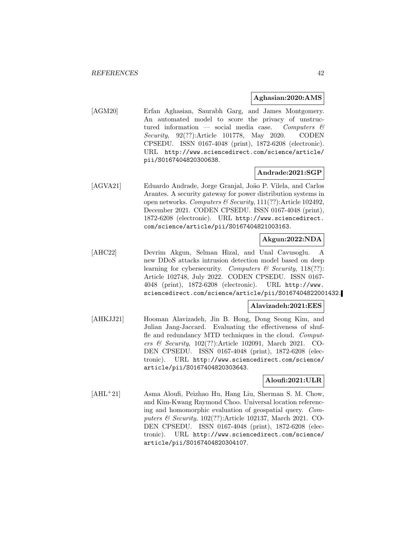### **Aghasian:2020:AMS**

[AGM20] Erfan Aghasian, Saurabh Garg, and James Montgomery. An automated model to score the privacy of unstructured information — social media case. Computers  $\mathcal{C}$ Security, 92(??):Article 101778, May 2020. CODEN CPSEDU. ISSN 0167-4048 (print), 1872-6208 (electronic). URL http://www.sciencedirect.com/science/article/ pii/S0167404820300638.

### **Andrade:2021:SGP**

[AGVA21] Eduardo Andrade, Jorge Granjal, João P. Vilela, and Carlos Arantes. A security gateway for power distribution systems in open networks. Computers & Security, 111(??):Article 102492, December 2021. CODEN CPSEDU. ISSN 0167-4048 (print), 1872-6208 (electronic). URL http://www.sciencedirect. com/science/article/pii/S0167404821003163.

## **Akgun:2022:NDA**

[AHC22] Devrim Akgun, Selman Hizal, and Unal Cavusoglu. A new DDoS attacks intrusion detection model based on deep learning for cybersecurity. Computers & Security, 118(??): Article 102748, July 2022. CODEN CPSEDU. ISSN 0167- 4048 (print), 1872-6208 (electronic). URL http://www. sciencedirect.com/science/article/pii/S0167404822001432.

### **Alavizadeh:2021:EES**

[AHKJJ21] Hooman Alavizadeh, Jin B. Hong, Dong Seong Kim, and Julian Jang-Jaccard. Evaluating the effectiveness of shuffle and redundancy MTD techniques in the cloud. Computers & Security, 102(??):Article 102091, March 2021. CO-DEN CPSEDU. ISSN 0167-4048 (print), 1872-6208 (electronic). URL http://www.sciencedirect.com/science/ article/pii/S0167404820303643.

## **Aloufi:2021:ULR**

[AHL<sup>+</sup>21] Asma Aloufi, Peizhao Hu, Hang Liu, Sherman S. M. Chow, and Kim-Kwang Raymond Choo. Universal location referencing and homomorphic evaluation of geospatial query. Computers & Security, 102(??):Article 102137, March 2021. CO-DEN CPSEDU. ISSN 0167-4048 (print), 1872-6208 (electronic). URL http://www.sciencedirect.com/science/ article/pii/S0167404820304107.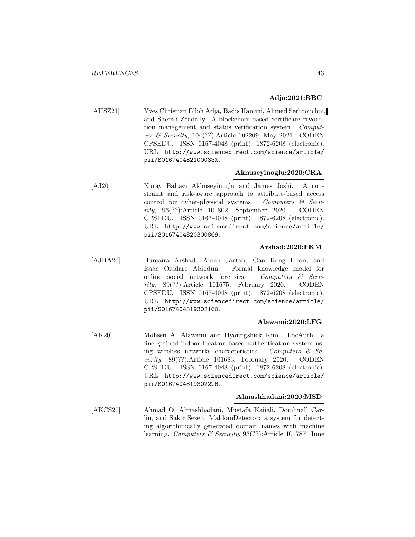## **Adja:2021:BBC**

[AHSZ21] Yves Christian Elloh Adja, Badis Hammi, Ahmed Serhrouchni, and Sherali Zeadally. A blockchain-based certificate revocation management and status verification system. Computers & Security, 104(??):Article 102209, May 2021. CODEN CPSEDU. ISSN 0167-4048 (print), 1872-6208 (electronic). URL http://www.sciencedirect.com/science/article/ pii/S016740482100033X.

## **Akhuseyinoglu:2020:CRA**

[AJ20] Nuray Baltaci Akhuseyinoglu and James Joshi. A constraint and risk-aware approach to attribute-based access control for cyber-physical systems. Computers  $\mathcal{C}$  Security, 96(??):Article 101802, September 2020. CODEN CPSEDU. ISSN 0167-4048 (print), 1872-6208 (electronic). URL http://www.sciencedirect.com/science/article/ pii/S0167404820300869.

## **Arshad:2020:FKM**

[AJHA20] Humaira Arshad, Aman Jantan, Gan Keng Hoon, and Isaac Oludare Abiodun. Formal knowledge model for online social network forensics. Computers  $\mathcal{C}$  Security, 89(??):Article 101675, February 2020. CODEN CPSEDU. ISSN 0167-4048 (print), 1872-6208 (electronic). URL http://www.sciencedirect.com/science/article/ pii/S0167404819302160.

## **Alawami:2020:LFG**

[AK20] Mohsen A. Alawami and Hyoungshick Kim. LocAuth: a fine-grained indoor location-based authentication system using wireless networks characteristics. Computers  $\mathcal{C}$  Security, 89(??):Article 101683, February 2020. CODEN CPSEDU. ISSN 0167-4048 (print), 1872-6208 (electronic). URL http://www.sciencedirect.com/science/article/ pii/S0167404819302226.

#### **Almashhadani:2020:MSD**

[AKCS20] Ahmad O. Almashhadani, Mustafa Kaiiali, Domhnall Carlin, and Sakir Sezer. MaldomDetector: a system for detecting algorithmically generated domain names with machine learning. Computers & Security, 93(??):Article 101787, June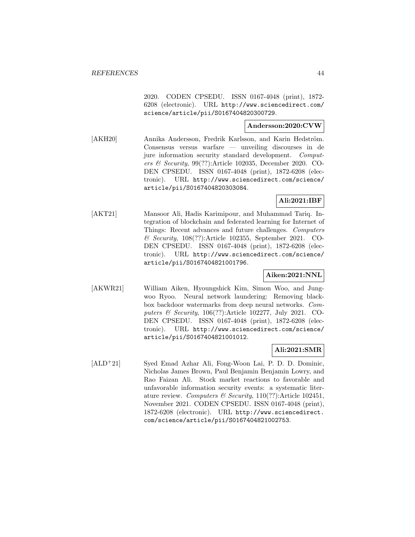2020. CODEN CPSEDU. ISSN 0167-4048 (print), 1872- 6208 (electronic). URL http://www.sciencedirect.com/ science/article/pii/S0167404820300729.

## **Andersson:2020:CVW**

[AKH20] Annika Andersson, Fredrik Karlsson, and Karin Hedström. Consensus versus warfare — unveiling discourses in de jure information security standard development. Computers & Security, 99(??):Article 102035, December 2020. CO-DEN CPSEDU. ISSN 0167-4048 (print), 1872-6208 (electronic). URL http://www.sciencedirect.com/science/ article/pii/S0167404820303084.

## **Ali:2021:IBF**

[AKT21] Mansoor Ali, Hadis Karimipour, and Muhammad Tariq. Integration of blockchain and federated learning for Internet of Things: Recent advances and future challenges. Computers & Security, 108(??):Article 102355, September 2021. CO-DEN CPSEDU. ISSN 0167-4048 (print), 1872-6208 (electronic). URL http://www.sciencedirect.com/science/ article/pii/S0167404821001796.

## **Aiken:2021:NNL**

[AKWR21] William Aiken, Hyoungshick Kim, Simon Woo, and Jungwoo Ryoo. Neural network laundering: Removing blackbox backdoor watermarks from deep neural networks. Computers & Security, 106(??):Article 102277, July 2021. CO-DEN CPSEDU. ISSN 0167-4048 (print), 1872-6208 (electronic). URL http://www.sciencedirect.com/science/ article/pii/S0167404821001012.

## **Ali:2021:SMR**

[ALD<sup>+</sup>21] Syed Emad Azhar Ali, Fong-Woon Lai, P. D. D. Dominic, Nicholas James Brown, Paul Benjamin Benjamin Lowry, and Rao Faizan Ali. Stock market reactions to favorable and unfavorable information security events: a systematic literature review. Computers & Security,  $110(??)$ : Article 102451, November 2021. CODEN CPSEDU. ISSN 0167-4048 (print), 1872-6208 (electronic). URL http://www.sciencedirect. com/science/article/pii/S0167404821002753.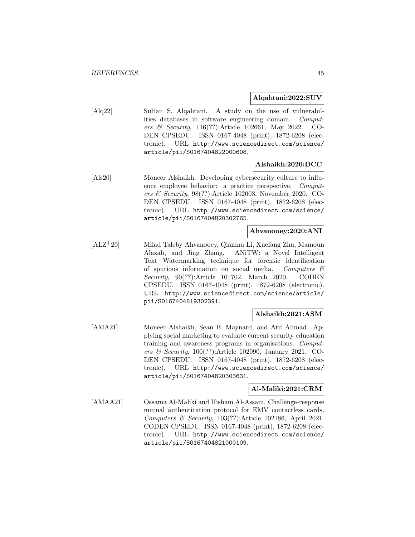### **Alqahtani:2022:SUV**

[Alq22] Sultan S. Alqahtani. A study on the use of vulnerabilities databases in software engineering domain. Computers & Security, 116(??):Article 102661, May 2022. CO-DEN CPSEDU. ISSN 0167-4048 (print), 1872-6208 (electronic). URL http://www.sciencedirect.com/science/ article/pii/S0167404822000608.

## **Alshaikh:2020:DCC**

[Als20] Moneer Alshaikh. Developing cybersecurity culture to influence employee behavior: a practice perspective. Computers & Security, 98(??):Article 102003, November 2020. CO-DEN CPSEDU. ISSN 0167-4048 (print), 1872-6208 (electronic). URL http://www.sciencedirect.com/science/ article/pii/S0167404820302765.

## **Ahvanooey:2020:ANI**

[ALZ<sup>+</sup>20] Milad Taleby Ahvanooey, Qianmu Li, Xuefang Zhu, Mamoun Alazab, and Jing Zhang. ANiTW: a Novel Intelligent Text Watermarking technique for forensic identification of spurious information on social media. Computers  $\mathcal C$ Security, 90(??):Article 101702, March 2020. CODEN CPSEDU. ISSN 0167-4048 (print), 1872-6208 (electronic). URL http://www.sciencedirect.com/science/article/ pii/S0167404819302391.

## **Alshaikh:2021:ASM**

[AMA21] Moneer Alshaikh, Sean B. Maynard, and Atif Ahmad. Applying social marketing to evaluate current security education training and awareness programs in organisations. Computers & Security,  $100(??)$ : Article 102090, January 2021. CO-DEN CPSEDU. ISSN 0167-4048 (print), 1872-6208 (electronic). URL http://www.sciencedirect.com/science/ article/pii/S0167404820303631.

## **Al-Maliki:2021:CRM**

[AMAA21] Ossama Al-Maliki and Hisham Al-Assam. Challenge-response mutual authentication protocol for EMV contactless cards. Computers & Security,  $103(??)$ :Article 102186, April 2021. CODEN CPSEDU. ISSN 0167-4048 (print), 1872-6208 (electronic). URL http://www.sciencedirect.com/science/ article/pii/S0167404821000109.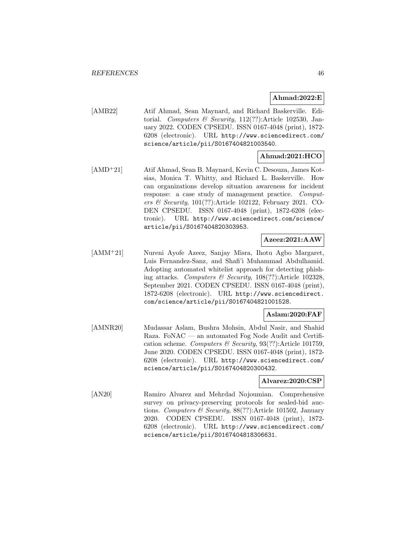## **Ahmad:2022:E**

[AMB22] Atif Ahmad, Sean Maynard, and Richard Baskerville. Editorial. Computers & Security,  $112(??)$ :Article 102530, January 2022. CODEN CPSEDU. ISSN 0167-4048 (print), 1872- 6208 (electronic). URL http://www.sciencedirect.com/ science/article/pii/S0167404821003540.

## **Ahmad:2021:HCO**

[AMD<sup>+</sup>21] Atif Ahmad, Sean B. Maynard, Kevin C. Desouza, James Kotsias, Monica T. Whitty, and Richard L. Baskerville. How can organizations develop situation awareness for incident response: a case study of management practice. Computers & Security, 101(??):Article 102122, February 2021. CO-DEN CPSEDU. ISSN 0167-4048 (print), 1872-6208 (electronic). URL http://www.sciencedirect.com/science/ article/pii/S0167404820303953.

## **Azeez:2021:AAW**

[AMM<sup>+</sup>21] Nureni Ayofe Azeez, Sanjay Misra, Ihotu Agbo Margaret, Luis Fernandez-Sanz, and Shafi'i Muhammad Abdulhamid. Adopting automated whitelist approach for detecting phishing attacks. Computers & Security, 108(??):Article 102328, September 2021. CODEN CPSEDU. ISSN 0167-4048 (print), 1872-6208 (electronic). URL http://www.sciencedirect. com/science/article/pii/S0167404821001528.

## **Aslam:2020:FAF**

[AMNR20] Mudassar Aslam, Bushra Mohsin, Abdul Nasir, and Shahid Raza. FoNAC — an automated Fog Node Audit and Certification scheme. Computers & Security, 93(??):Article 101759, June 2020. CODEN CPSEDU. ISSN 0167-4048 (print), 1872- 6208 (electronic). URL http://www.sciencedirect.com/ science/article/pii/S0167404820300432.

### **Alvarez:2020:CSP**

[AN20] Ramiro Alvarez and Mehrdad Nojoumian. Comprehensive survey on privacy-preserving protocols for sealed-bid auctions. Computers & Security, 88(??):Article 101502, January 2020. CODEN CPSEDU. ISSN 0167-4048 (print), 1872- 6208 (electronic). URL http://www.sciencedirect.com/ science/article/pii/S0167404818306631.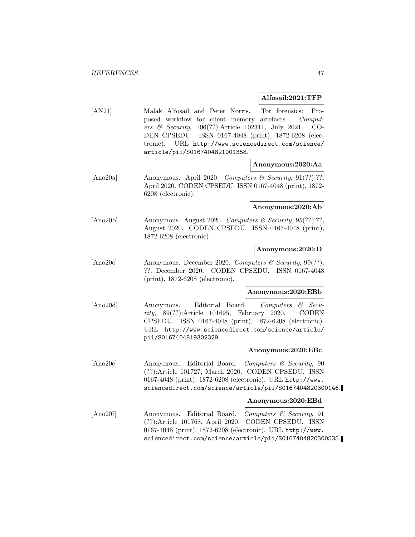### **Alfosail:2021:TFP**

[AN21] Malak Alfosail and Peter Norris. Tor forensics: Proposed workflow for client memory artefacts. Computers & Security, 106(??):Article 102311, July 2021. CO-DEN CPSEDU. ISSN 0167-4048 (print), 1872-6208 (electronic). URL http://www.sciencedirect.com/science/ article/pii/S0167404821001358.

## **Anonymous:2020:Aa**

[Ano20a] Anonymous. April 2020. Computers & Security, 91(??):??, April 2020. CODEN CPSEDU. ISSN 0167-4048 (print), 1872- 6208 (electronic).

#### **Anonymous:2020:Ab**

[Ano20b] Anonymous. August 2020. Computers & Security, 95(??):??, August 2020. CODEN CPSEDU. ISSN 0167-4048 (print), 1872-6208 (electronic).

### **Anonymous:2020:D**

[Ano20c] Anonymous. December 2020. Computers & Security, 99(??): ??, December 2020. CODEN CPSEDU. ISSN 0167-4048 (print), 1872-6208 (electronic).

## **Anonymous:2020:EBb**

[Ano20d] Anonymous. Editorial Board. Computers & Security, 89(??):Article 101695, February 2020. CODEN CPSEDU. ISSN 0167-4048 (print), 1872-6208 (electronic). URL http://www.sciencedirect.com/science/article/ pii/S0167404819302329.

### **Anonymous:2020:EBc**

[Ano20e] Anonymous. Editorial Board. Computers & Security, 90 (??):Article 101727, March 2020. CODEN CPSEDU. ISSN 0167-4048 (print), 1872-6208 (electronic). URL http://www. sciencedirect.com/science/article/pii/S0167404820300146.

#### **Anonymous:2020:EBd**

[Ano20f] Anonymous. Editorial Board. Computers & Security, 91 (??):Article 101768, April 2020. CODEN CPSEDU. ISSN 0167-4048 (print), 1872-6208 (electronic). URL http://www. sciencedirect.com/science/article/pii/S0167404820300535.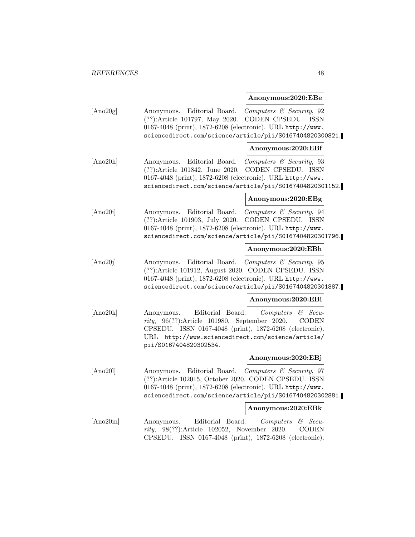#### **Anonymous:2020:EBe**

| [Ano20g] | Anonymous. Editorial Board. Computers & Security, 92       |
|----------|------------------------------------------------------------|
|          | $(??)$ : Article 101797, May 2020. CODEN CPSEDU. ISSN      |
|          | 0167-4048 (print), 1872-6208 (electronic). URL http://www. |
|          | sciencedirect.com/science/article/pii/S0167404820300821.   |

### **Anonymous:2020:EBf**

[Ano20h] Anonymous. Editorial Board. Computers & Security, 93 (??):Article 101842, June 2020. CODEN CPSEDU. ISSN 0167-4048 (print), 1872-6208 (electronic). URL http://www. sciencedirect.com/science/article/pii/S0167404820301152.

### **Anonymous:2020:EBg**

[Ano20i] Anonymous. Editorial Board. Computers & Security, 94 (??):Article 101903, July 2020. CODEN CPSEDU. ISSN 0167-4048 (print), 1872-6208 (electronic). URL http://www. sciencedirect.com/science/article/pii/S0167404820301796.

### **Anonymous:2020:EBh**

[Ano20j] Anonymous. Editorial Board. Computers & Security, 95 (??):Article 101912, August 2020. CODEN CPSEDU. ISSN 0167-4048 (print), 1872-6208 (electronic). URL http://www. sciencedirect.com/science/article/pii/S0167404820301887.

## **Anonymous:2020:EBi**

[Ano20k] Anonymous. Editorial Board. Computers & Security, 96(??):Article 101980, September 2020. CODEN CPSEDU. ISSN 0167-4048 (print), 1872-6208 (electronic). URL http://www.sciencedirect.com/science/article/ pii/S0167404820302534.

## **Anonymous:2020:EBj**

[Ano201] Anonymous. Editorial Board. Computers & Security, 97 (??):Article 102015, October 2020. CODEN CPSEDU. ISSN 0167-4048 (print), 1872-6208 (electronic). URL http://www. sciencedirect.com/science/article/pii/S0167404820302881.

#### **Anonymous:2020:EBk**

[Ano20m] Anonymous. Editorial Board. Computers & Security, 98(??):Article 102052, November 2020. CODEN CPSEDU. ISSN 0167-4048 (print), 1872-6208 (electronic).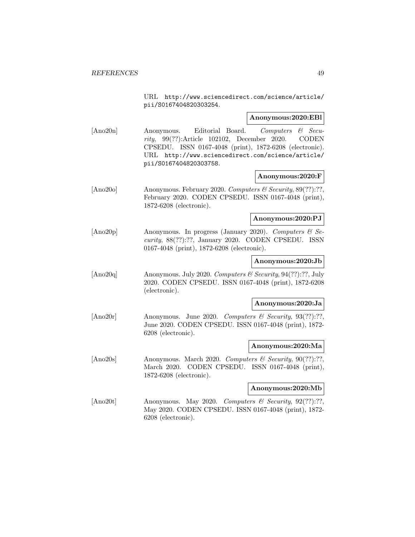URL http://www.sciencedirect.com/science/article/ pii/S0167404820303254.

### **Anonymous:2020:EBl**

[Ano20n] Anonymous. Editorial Board. Computers & Security, 99(??):Article 102102, December 2020. CODEN CPSEDU. ISSN 0167-4048 (print), 1872-6208 (electronic). URL http://www.sciencedirect.com/science/article/ pii/S0167404820303758.

### **Anonymous:2020:F**

[Ano20o] Anonymous. February 2020. Computers & Security, 89(??):??, February 2020. CODEN CPSEDU. ISSN 0167-4048 (print), 1872-6208 (electronic).

### **Anonymous:2020:PJ**

[Ano20p] Anonymous. In progress (January 2020). Computers  $\mathcal{B}$  Security, 88(??):??, January 2020. CODEN CPSEDU. ISSN 0167-4048 (print), 1872-6208 (electronic).

### **Anonymous:2020:Jb**

[Ano20q] Anonymous. July 2020. Computers & Security, 94(??):??, July 2020. CODEN CPSEDU. ISSN 0167-4048 (print), 1872-6208 (electronic).

### **Anonymous:2020:Ja**

[Ano20r] Anonymous. June 2020. Computers & Security, 93(??):??, June 2020. CODEN CPSEDU. ISSN 0167-4048 (print), 1872- 6208 (electronic).

## **Anonymous:2020:Ma**

 $[\text{Ano20s}]$  Anonymous. March 2020. Computers & Security, 90(??):??, March 2020. CODEN CPSEDU. ISSN 0167-4048 (print), 1872-6208 (electronic).

### **Anonymous:2020:Mb**

[Ano20t] Anonymous. May 2020. Computers & Security, 92(??):??, May 2020. CODEN CPSEDU. ISSN 0167-4048 (print), 1872- 6208 (electronic).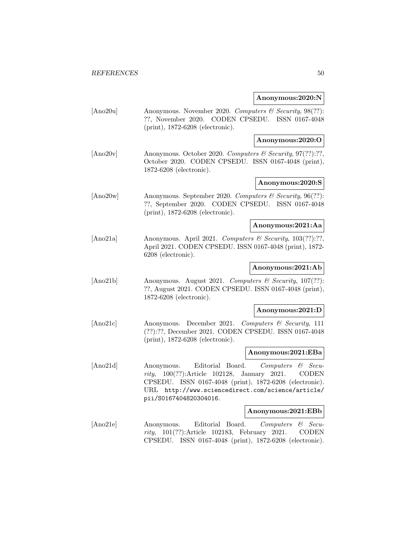### **Anonymous:2020:N**

|          | Anonymous:2020:N                                                                                                                                                                                                                                                                           |
|----------|--------------------------------------------------------------------------------------------------------------------------------------------------------------------------------------------------------------------------------------------------------------------------------------------|
| [Ano20u] | Anonymous. November 2020. Computers & Security, 98(??):<br>??, November 2020. CODEN CPSEDU. ISSN 0167-4048<br>(print), 1872-6208 (electronic).                                                                                                                                             |
|          | Anonymous:2020:O                                                                                                                                                                                                                                                                           |
| [Ano20v] | Anonymous. October 2020. Computers & Security, 97(??):??,<br>October 2020. CODEN CPSEDU. ISSN 0167-4048 (print),<br>1872-6208 (electronic).                                                                                                                                                |
|          | Anonymous:2020:S                                                                                                                                                                                                                                                                           |
| [Ano20w] | Anonymous. September 2020. Computers & Security, 96(??):<br>??, September 2020. CODEN CPSEDU. ISSN 0167-4048<br>$(print), 1872-6208$ (electronic).                                                                                                                                         |
|          | Anonymous:2021:Aa                                                                                                                                                                                                                                                                          |
| [Ano21a] | Anonymous. April 2021. Computers & Security, 103(??):??,<br>April 2021. CODEN CPSEDU. ISSN 0167-4048 (print), 1872-<br>6208 (electronic).                                                                                                                                                  |
|          | Anonymous:2021:Ab                                                                                                                                                                                                                                                                          |
| [Ano21b] | Anonymous. August 2021. Computers & Security, 107(??):<br>??, August 2021. CODEN CPSEDU. ISSN 0167-4048 (print),<br>1872-6208 (electronic).                                                                                                                                                |
|          | Anonymous:2021:D                                                                                                                                                                                                                                                                           |
| [Ano21c] | Anonymous. December 2021.<br>Computers $\&$ Security, 111<br>(??):??, December 2021. CODEN CPSEDU. ISSN 0167-4048<br>$(print), 1872-6208$ (electronic).                                                                                                                                    |
|          | Anonymous:2021:EBa                                                                                                                                                                                                                                                                         |
| [Ano21d] | Editorial Board.<br>Computers<br>Anonymous.<br>$\mathcal C$ Secu-<br>$100(??)$ : Article $102128$ ,<br>January 2021.<br><b>CODEN</b><br>rity,<br>ISSN 0167-4048 (print), 1872-6208 (electronic).<br>CPSEDU.<br>URL http://www.sciencedirect.com/science/article/<br>pii/S0167404820304016. |
|          | Anonymous:2021:EBb                                                                                                                                                                                                                                                                         |
| [Ano21e] | Editorial Board.<br>Anonymous.<br>Computers<br>$\mathcal C$ Secu-<br><i>rity</i> , $101(??)$ : Article $102183$ ,<br>February<br>2021.<br>CODEN                                                                                                                                            |

CPSEDU. ISSN 0167-4048 (print), 1872-6208 (electronic).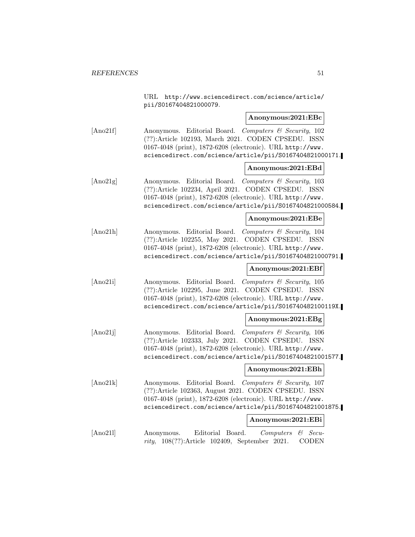|          | URL http://www.sciencedirect.com/science/article/<br>pii/S0167404821000079.                                                                                                                                                             |
|----------|-----------------------------------------------------------------------------------------------------------------------------------------------------------------------------------------------------------------------------------------|
|          | Anonymous:2021:EBc                                                                                                                                                                                                                      |
| [Ano21f] | Anonymous. Editorial Board. Computers & Security, 102<br>(??):Article 102193, March 2021. CODEN CPSEDU. ISSN<br>0167-4048 (print), 1872-6208 (electronic). URL http://www.<br>sciencedirect.com/science/article/pii/S0167404821000171.  |
|          | Anonymous:2021:EBd                                                                                                                                                                                                                      |
| [Ano21g] | Anonymous. Editorial Board. Computers & Security, 103<br>(??):Article 102234, April 2021. CODEN CPSEDU. ISSN<br>0167-4048 (print), 1872-6208 (electronic). URL http://www.<br>sciencedirect.com/science/article/pii/S0167404821000584.  |
|          | Anonymous:2021:EBe                                                                                                                                                                                                                      |
| [Ano21h] | Anonymous. Editorial Board. Computers & Security, 104<br>(??):Article 102255, May 2021. CODEN CPSEDU. ISSN<br>0167-4048 (print), 1872-6208 (electronic). URL http://www.<br>sciencedirect.com/science/article/pii/S0167404821000791.    |
|          | Anonymous:2021:EBf                                                                                                                                                                                                                      |
| [Ano21i] | Anonymous. Editorial Board. Computers & Security, 105<br>(??):Article 102295, June 2021. CODEN CPSEDU. ISSN<br>0167-4048 (print), 1872-6208 (electronic). URL http://www.<br>sciencedirect.com/science/article/pii/S016740482100119X.   |
|          | Anonymous:2021:EBg                                                                                                                                                                                                                      |
| [Ano21j] | Anonymous. Editorial Board. Computers & Security, 106<br>(??):Article 102333, July 2021. CODEN CPSEDU. ISSN<br>0167-4048 (print), 1872-6208 (electronic). URL http://www.<br>sciencedirect.com/science/article/pii/S0167404821001577.   |
|          | Anonymous:2021:EBh                                                                                                                                                                                                                      |
| [Ano21k] | Anonymous. Editorial Board. Computers & Security, 107<br>(??):Article 102363, August 2021. CODEN CPSEDU. ISSN<br>0167-4048 (print), 1872-6208 (electronic). URL http://www.<br>sciencedirect.com/science/article/pii/S0167404821001875. |
|          | Anonymous:2021:EBi                                                                                                                                                                                                                      |
| [Ano211] | Anonymous.<br>Editorial<br>Board.<br>Computers<br>$Secu$ -<br>63<br>$108(??)$ : Article $102409$ ,<br>September 2021.<br><b>CODEN</b><br>rity,                                                                                          |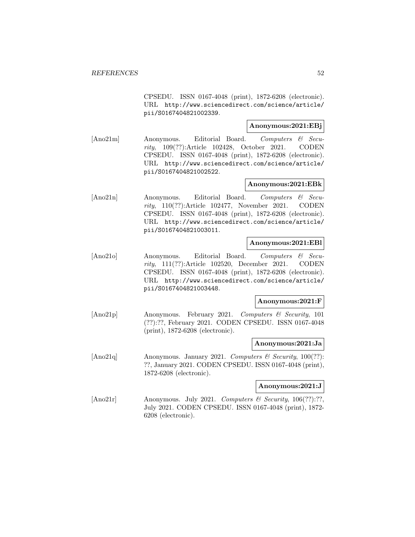CPSEDU. ISSN 0167-4048 (print), 1872-6208 (electronic). URL http://www.sciencedirect.com/science/article/ pii/S0167404821002339.

## **Anonymous:2021:EBj**

[Ano21m] Anonymous. Editorial Board. Computers & Security, 109(??):Article 102428, October 2021. CODEN CPSEDU. ISSN 0167-4048 (print), 1872-6208 (electronic). URL http://www.sciencedirect.com/science/article/ pii/S0167404821002522.

## **Anonymous:2021:EBk**

[Ano21n] Anonymous. Editorial Board. Computers & Security, 110(??):Article 102477, November 2021. CODEN CPSEDU. ISSN 0167-4048 (print), 1872-6208 (electronic). URL http://www.sciencedirect.com/science/article/ pii/S0167404821003011.

### **Anonymous:2021:EBl**

[Ano21o] Anonymous. Editorial Board. Computers & Security, 111(??):Article 102520, December 2021. CODEN CPSEDU. ISSN 0167-4048 (print), 1872-6208 (electronic). URL http://www.sciencedirect.com/science/article/ pii/S0167404821003448.

## **Anonymous:2021:F**

[Ano21p] Anonymous. February 2021. Computers & Security, 101 (??):??, February 2021. CODEN CPSEDU. ISSN 0167-4048 (print), 1872-6208 (electronic).

### **Anonymous:2021:Ja**

[Ano21q] Anonymous. January 2021. Computers  $\mathcal B$  Security, 100(??): ??, January 2021. CODEN CPSEDU. ISSN 0167-4048 (print), 1872-6208 (electronic).

#### **Anonymous:2021:J**

[Ano21r] Anonymous. July 2021. Computers & Security, 106(??):??, July 2021. CODEN CPSEDU. ISSN 0167-4048 (print), 1872- 6208 (electronic).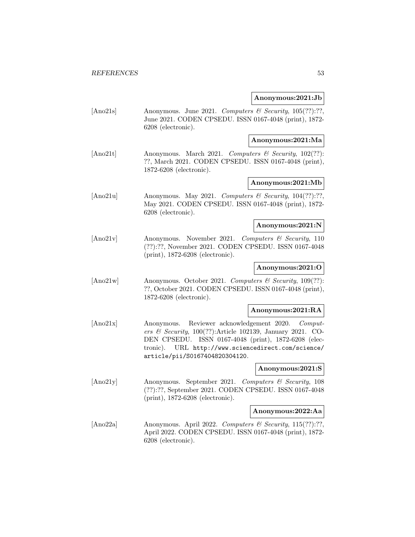### **Anonymous:2021:Jb**

[Ano21s] Anonymous. June 2021. Computers & Security, 105(??):??, June 2021. CODEN CPSEDU. ISSN 0167-4048 (print), 1872- 6208 (electronic).

### **Anonymous:2021:Ma**

[Ano21t] Anonymous. March 2021. Computers & Security, 102(??): ??, March 2021. CODEN CPSEDU. ISSN 0167-4048 (print), 1872-6208 (electronic).

## **Anonymous:2021:Mb**

[Ano21u] Anonymous. May 2021. Computers & Security,  $104(??):?$ May 2021. CODEN CPSEDU. ISSN 0167-4048 (print), 1872- 6208 (electronic).

### **Anonymous:2021:N**

[Ano21v] Anonymous. November 2021. Computers & Security, 110 (??):??, November 2021. CODEN CPSEDU. ISSN 0167-4048 (print), 1872-6208 (electronic).

## **Anonymous:2021:O**

[Ano21w] Anonymous. October 2021. Computers & Security, 109(??): ??, October 2021. CODEN CPSEDU. ISSN 0167-4048 (print), 1872-6208 (electronic).

### **Anonymous:2021:RA**

[Ano21x] Anonymous. Reviewer acknowledgement 2020. Computers & Security, 100(??):Article 102139, January 2021. CO-DEN CPSEDU. ISSN 0167-4048 (print), 1872-6208 (electronic). URL http://www.sciencedirect.com/science/ article/pii/S0167404820304120.

### **Anonymous:2021:S**

[Ano21y] Anonymous. September 2021. Computers & Security, 108 (??):??, September 2021. CODEN CPSEDU. ISSN 0167-4048 (print), 1872-6208 (electronic).

## **Anonymous:2022:Aa**

[Ano22a] Anonymous. April 2022. Computers & Security, 115(??):??, April 2022. CODEN CPSEDU. ISSN 0167-4048 (print), 1872- 6208 (electronic).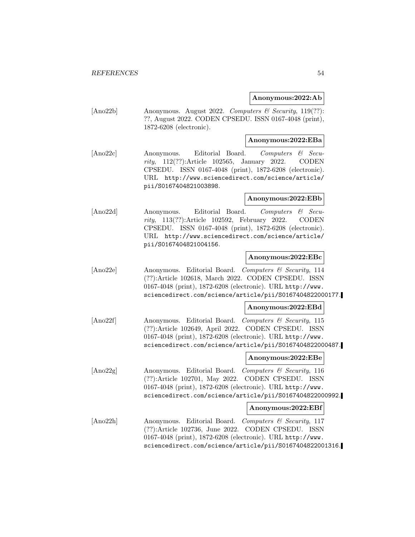### **Anonymous:2022:Ab**

[Ano22b] Anonymous. August 2022. Computers & Security, 119(??): ??, August 2022. CODEN CPSEDU. ISSN 0167-4048 (print), 1872-6208 (electronic).

## **Anonymous:2022:EBa**

[Ano22c] Anonymous. Editorial Board. Computers & Security, 112(??):Article 102565, January 2022. CODEN CPSEDU. ISSN 0167-4048 (print), 1872-6208 (electronic). URL http://www.sciencedirect.com/science/article/ pii/S0167404821003898.

### **Anonymous:2022:EBb**

[Ano22d] Anonymous. Editorial Board. Computers & Security, 113(??):Article 102592, February 2022. CODEN CPSEDU. ISSN 0167-4048 (print), 1872-6208 (electronic). URL http://www.sciencedirect.com/science/article/ pii/S0167404821004156.

### **Anonymous:2022:EBc**

[Ano22e] Anonymous. Editorial Board. Computers & Security, 114 (??):Article 102618, March 2022. CODEN CPSEDU. ISSN 0167-4048 (print), 1872-6208 (electronic). URL http://www. sciencedirect.com/science/article/pii/S0167404822000177.

#### **Anonymous:2022:EBd**

[Ano22f] Anonymous. Editorial Board. Computers & Security, 115 (??):Article 102649, April 2022. CODEN CPSEDU. ISSN 0167-4048 (print), 1872-6208 (electronic). URL http://www. sciencedirect.com/science/article/pii/S0167404822000487.

## **Anonymous:2022:EBe**

[Ano22g] Anonymous. Editorial Board. Computers & Security, 116 (??):Article 102701, May 2022. CODEN CPSEDU. ISSN 0167-4048 (print), 1872-6208 (electronic). URL http://www. sciencedirect.com/science/article/pii/S0167404822000992.

#### **Anonymous:2022:EBf**

[Ano22h] Anonymous. Editorial Board. Computers & Security, 117 (??):Article 102736, June 2022. CODEN CPSEDU. ISSN 0167-4048 (print), 1872-6208 (electronic). URL http://www. sciencedirect.com/science/article/pii/S0167404822001316.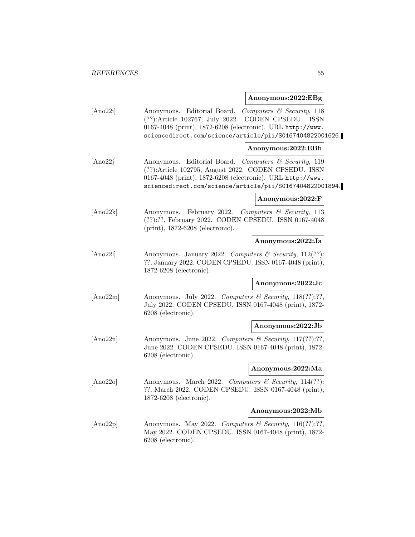### **Anonymous:2022:EBg**

| Anonymous. Editorial Board. Computers & Security, 118      |
|------------------------------------------------------------|
| $(??)$ :Article 102767, July 2022. CODEN CPSEDU. ISSN      |
| 0167-4048 (print), 1872-6208 (electronic). URL http://www. |
| sciencedirect.com/science/article/pii/S0167404822001626.   |
|                                                            |

### **Anonymous:2022:EBh**

[Ano22] Anonymous. Editorial Board. Computers & Security, 119 (??):Article 102795, August 2022. CODEN CPSEDU. ISSN 0167-4048 (print), 1872-6208 (electronic). URL http://www. sciencedirect.com/science/article/pii/S0167404822001894.

## **Anonymous:2022:F**

[Ano22k] Anonymous. February 2022. Computers & Security, 113 (??):??, February 2022. CODEN CPSEDU. ISSN 0167-4048 (print), 1872-6208 (electronic).

#### **Anonymous:2022:Ja**

[Ano221] Anonymous. January 2022. Computers  $\mathcal{B}$  Security, 112(??): ??, January 2022. CODEN CPSEDU. ISSN 0167-4048 (print), 1872-6208 (electronic).

## **Anonymous:2022:Jc**

[Ano22m] Anonymous. July 2022. Computers & Security, 118(??):??, July 2022. CODEN CPSEDU. ISSN 0167-4048 (print), 1872- 6208 (electronic).

### **Anonymous:2022:Jb**

[Ano22n] Anonymous. June 2022. Computers & Security, 117(??):??, June 2022. CODEN CPSEDU. ISSN 0167-4048 (print), 1872- 6208 (electronic).

## **Anonymous:2022:Ma**

[Ano22o] Anonymous. March 2022. Computers & Security, 114(??): ??, March 2022. CODEN CPSEDU. ISSN 0167-4048 (print), 1872-6208 (electronic).

### **Anonymous:2022:Mb**

[Ano22p] Anonymous. May 2022. Computers & Security, 116(??):??, May 2022. CODEN CPSEDU. ISSN 0167-4048 (print), 1872- 6208 (electronic).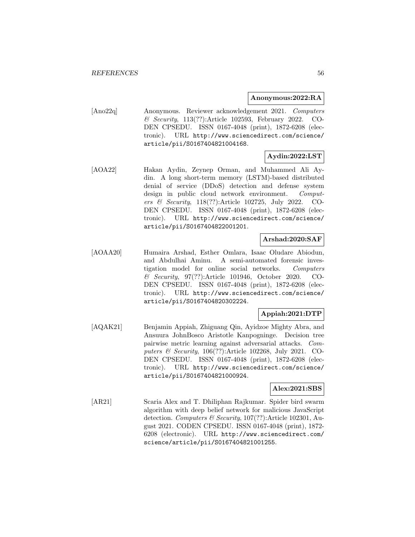#### **Anonymous:2022:RA**

[Ano22q] Anonymous. Reviewer acknowledgement 2021. Computers & Security, 113(??):Article 102593, February 2022. CO-DEN CPSEDU. ISSN 0167-4048 (print), 1872-6208 (electronic). URL http://www.sciencedirect.com/science/ article/pii/S0167404821004168.

# **Aydin:2022:LST**

[AOA22] Hakan Aydin, Zeynep Orman, and Muhammed Ali Aydin. A long short-term memory (LSTM)-based distributed denial of service (DDoS) detection and defense system design in public cloud network environment. Computers & Security, 118(??):Article 102725, July 2022. CO-DEN CPSEDU. ISSN 0167-4048 (print), 1872-6208 (electronic). URL http://www.sciencedirect.com/science/ article/pii/S0167404822001201.

## **Arshad:2020:SAF**

[AOAA20] Humaira Arshad, Esther Omlara, Isaac Oludare Abiodun, and Abdulhai Aminu. A semi-automated forensic investigation model for online social networks. Computers & Security, 97(??):Article 101946, October 2020. CO-DEN CPSEDU. ISSN 0167-4048 (print), 1872-6208 (electronic). URL http://www.sciencedirect.com/science/ article/pii/S0167404820302224.

## **Appiah:2021:DTP**

[AQAK21] Benjamin Appiah, Zhiguang Qin, Ayidzoe Mighty Abra, and Ansuura JohnBosco Aristotle Kanpogninge. Decision tree pairwise metric learning against adversarial attacks. Computers & Security, 106(??):Article 102268, July 2021. CO-DEN CPSEDU. ISSN 0167-4048 (print), 1872-6208 (electronic). URL http://www.sciencedirect.com/science/ article/pii/S0167404821000924.

## **Alex:2021:SBS**

[AR21] Scaria Alex and T. Dhiliphan Rajkumar. Spider bird swarm algorithm with deep belief network for malicious JavaScript detection. Computers & Security, 107(??):Article 102301, August 2021. CODEN CPSEDU. ISSN 0167-4048 (print), 1872- 6208 (electronic). URL http://www.sciencedirect.com/ science/article/pii/S0167404821001255.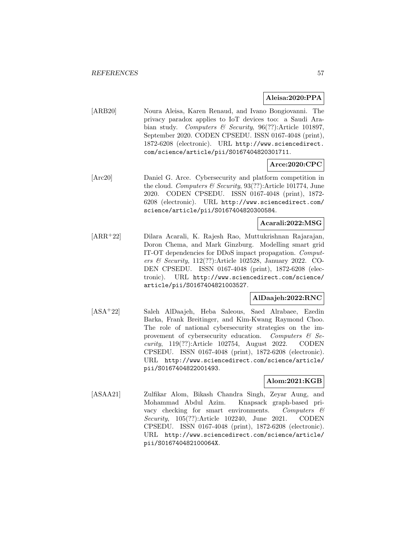## **Aleisa:2020:PPA**

[ARB20] Noura Aleisa, Karen Renaud, and Ivano Bongiovanni. The privacy paradox applies to IoT devices too: a Saudi Arabian study. Computers & Security, 96(??):Article 101897, September 2020. CODEN CPSEDU. ISSN 0167-4048 (print), 1872-6208 (electronic). URL http://www.sciencedirect. com/science/article/pii/S0167404820301711.

## **Arce:2020:CPC**

[Arc20] Daniel G. Arce. Cybersecurity and platform competition in the cloud. Computers  $\mathcal C$  Security, 93(??):Article 101774, June 2020. CODEN CPSEDU. ISSN 0167-4048 (print), 1872- 6208 (electronic). URL http://www.sciencedirect.com/ science/article/pii/S0167404820300584.

## **Acarali:2022:MSG**

[ARR<sup>+</sup>22] Dilara Acarali, K. Rajesh Rao, Muttukrishnan Rajarajan, Doron Chema, and Mark Ginzburg. Modelling smart grid IT-OT dependencies for DDoS impact propagation. Computers & Security, 112(??):Article 102528, January 2022. CO-DEN CPSEDU. ISSN 0167-4048 (print), 1872-6208 (electronic). URL http://www.sciencedirect.com/science/ article/pii/S0167404821003527.

## **AlDaajeh:2022:RNC**

[ASA<sup>+</sup>22] Saleh AlDaajeh, Heba Saleous, Saed Alrabaee, Ezedin Barka, Frank Breitinger, and Kim-Kwang Raymond Choo. The role of national cybersecurity strategies on the improvement of cybersecurity education. Computers  $\mathcal{C}$  Security, 119(??):Article 102754, August 2022. CODEN CPSEDU. ISSN 0167-4048 (print), 1872-6208 (electronic). URL http://www.sciencedirect.com/science/article/ pii/S0167404822001493.

## **Alom:2021:KGB**

[ASAA21] Zulfikar Alom, Bikash Chandra Singh, Zeyar Aung, and Mohammad Abdul Azim. Knapsack graph-based privacy checking for smart environments. Computers & Security, 105(??):Article 102240, June 2021. CODEN CPSEDU. ISSN 0167-4048 (print), 1872-6208 (electronic). URL http://www.sciencedirect.com/science/article/ pii/S016740482100064X.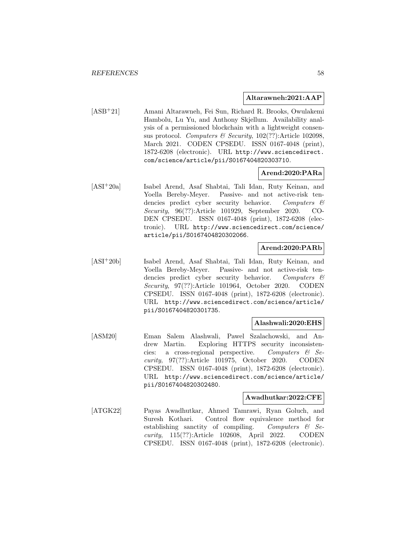### **Altarawneh:2021:AAP**

[ASB<sup>+</sup>21] Amani Altarawneh, Fei Sun, Richard R. Brooks, Owulakemi Hambolu, Lu Yu, and Anthony Skjellum. Availability analysis of a permissioned blockchain with a lightweight consensus protocol. Computers & Security,  $102(??)$ : Article 102098, March 2021. CODEN CPSEDU. ISSN 0167-4048 (print), 1872-6208 (electronic). URL http://www.sciencedirect. com/science/article/pii/S0167404820303710.

## **Arend:2020:PARa**

[ASI<sup>+</sup>20a] Isabel Arend, Asaf Shabtai, Tali Idan, Ruty Keinan, and Yoella Bereby-Meyer. Passive- and not active-risk tendencies predict cyber security behavior. Computers & Security, 96(??):Article 101929, September 2020. CO-DEN CPSEDU. ISSN 0167-4048 (print), 1872-6208 (electronic). URL http://www.sciencedirect.com/science/ article/pii/S0167404820302066.

### **Arend:2020:PARb**

[ASI<sup>+</sup>20b] Isabel Arend, Asaf Shabtai, Tali Idan, Ruty Keinan, and Yoella Bereby-Meyer. Passive- and not active-risk tendencies predict cyber security behavior. Computers  $\mathcal{C}$ Security, 97(??):Article 101964, October 2020. CODEN CPSEDU. ISSN 0167-4048 (print), 1872-6208 (electronic). URL http://www.sciencedirect.com/science/article/ pii/S0167404820301735.

### **Alashwali:2020:EHS**

[ASM20] Eman Salem Alashwali, Pawel Szalachowski, and Andrew Martin. Exploring HTTPS security inconsistencies: a cross-regional perspective. Computers  $\mathcal{C}$  Security, 97(??):Article 101975, October 2020. CODEN CPSEDU. ISSN 0167-4048 (print), 1872-6208 (electronic). URL http://www.sciencedirect.com/science/article/ pii/S0167404820302480.

### **Awadhutkar:2022:CFE**

[ATGK22] Payas Awadhutkar, Ahmed Tamrawi, Ryan Goluch, and Suresh Kothari. Control flow equivalence method for establishing sanctity of compiling. Computers  $\mathcal{B}$  Security, 115(??):Article 102608, April 2022. CODEN CPSEDU. ISSN 0167-4048 (print), 1872-6208 (electronic).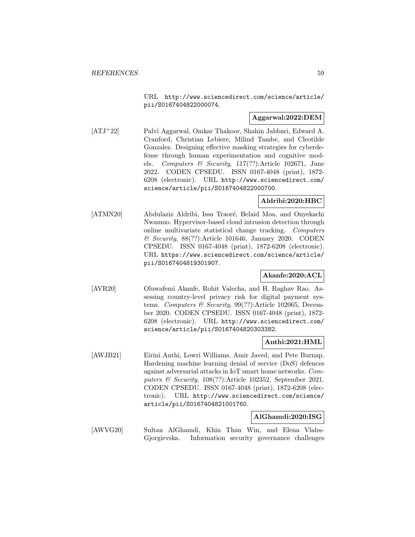URL http://www.sciencedirect.com/science/article/ pii/S0167404822000074.

## **Aggarwal:2022:DEM**

[ATJ<sup>+</sup>22] Palvi Aggarwal, Omkar Thakoor, Shahin Jabbari, Edward A. Cranford, Christian Lebiere, Milind Tambe, and Cleotilde Gonzalez. Designing effective masking strategies for cyberdefense through human experimentation and cognitive models. Computers & Security, 117(??):Article 102671, June 2022. CODEN CPSEDU. ISSN 0167-4048 (print), 1872- 6208 (electronic). URL http://www.sciencedirect.com/ science/article/pii/S0167404822000700.

## **Aldribi:2020:HBC**

[ATMN20] Abdulaziz Aldribi, Issa Traoré, Belaid Moa, and Onyekachi Nwamuo. Hypervisor-based cloud intrusion detection through online multivariate statistical change tracking. Computers & Security, 88(??):Article 101646, January 2020. CODEN CPSEDU. ISSN 0167-4048 (print), 1872-6208 (electronic). URL https://www.sciencedirect.com/science/article/ pii/S0167404819301907.

## **Akanfe:2020:ACL**

[AVR20] Oluwafemi Akanfe, Rohit Valecha, and H. Raghav Rao. Assessing country-level privacy risk for digital payment systems. Computers & Security, 99(??):Article 102065, December 2020. CODEN CPSEDU. ISSN 0167-4048 (print), 1872- 6208 (electronic). URL http://www.sciencedirect.com/ science/article/pii/S0167404820303382.

## **Anthi:2021:HML**

[AWJB21] Eirini Anthi, Lowri Williams, Amir Javed, and Pete Burnap. Hardening machine learning denial of service (DoS) defences against adversarial attacks in IoT smart home networks. Computers & Security, 108(??):Article 102352, September 2021. CODEN CPSEDU. ISSN 0167-4048 (print), 1872-6208 (electronic). URL http://www.sciencedirect.com/science/ article/pii/S0167404821001760.

## **AlGhamdi:2020:ISG**

[AWVG20] Sultan AlGhamdi, Khin Than Win, and Elena Vlahu-Gjorgievska. Information security governance challenges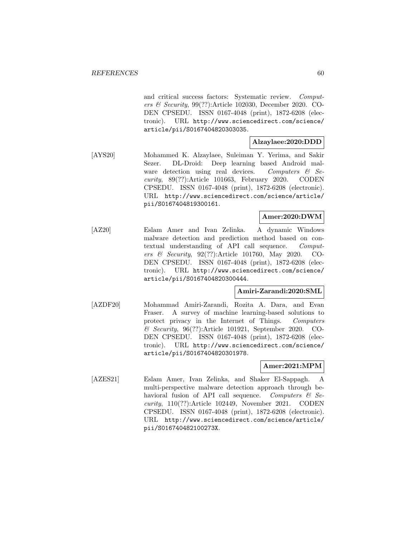and critical success factors: Systematic review. Computers & Security, 99(??):Article 102030, December 2020. CO-DEN CPSEDU. ISSN 0167-4048 (print), 1872-6208 (electronic). URL http://www.sciencedirect.com/science/ article/pii/S0167404820303035.

## **Alzaylaee:2020:DDD**

[AYS20] Mohammed K. Alzaylaee, Suleiman Y. Yerima, and Sakir Sezer. DL-Droid: Deep learning based Android malware detection using real devices. Computers  $\mathcal{C}$  Security, 89(??):Article 101663, February 2020. CODEN CPSEDU. ISSN 0167-4048 (print), 1872-6208 (electronic). URL http://www.sciencedirect.com/science/article/ pii/S0167404819300161.

## **Amer:2020:DWM**

[AZ20] Eslam Amer and Ivan Zelinka. A dynamic Windows malware detection and prediction method based on contextual understanding of API call sequence. Computers & Security, 92(??):Article 101760, May 2020. CO-DEN CPSEDU. ISSN 0167-4048 (print), 1872-6208 (electronic). URL http://www.sciencedirect.com/science/ article/pii/S0167404820300444.

## **Amiri-Zarandi:2020:SML**

[AZDF20] Mohammad Amiri-Zarandi, Rozita A. Dara, and Evan Fraser. A survey of machine learning-based solutions to protect privacy in the Internet of Things. Computers & Security, 96(??):Article 101921, September 2020. CO-DEN CPSEDU. ISSN 0167-4048 (print), 1872-6208 (electronic). URL http://www.sciencedirect.com/science/ article/pii/S0167404820301978.

## **Amer:2021:MPM**

[AZES21] Eslam Amer, Ivan Zelinka, and Shaker El-Sappagh. A multi-perspective malware detection approach through behavioral fusion of API call sequence. Computers  $\mathcal{C}$  Security, 110(??):Article 102449, November 2021. CODEN CPSEDU. ISSN 0167-4048 (print), 1872-6208 (electronic). URL http://www.sciencedirect.com/science/article/ pii/S016740482100273X.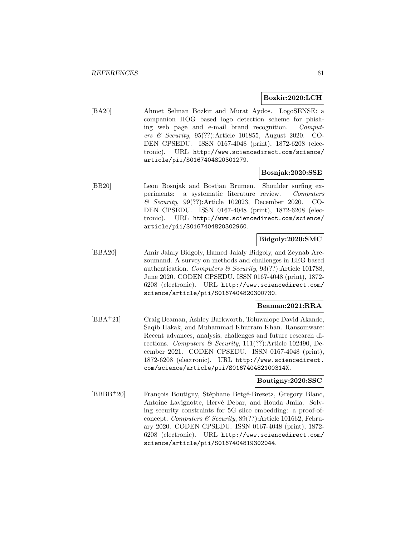### **Bozkir:2020:LCH**

[BA20] Ahmet Selman Bozkir and Murat Aydos. LogoSENSE: a companion HOG based logo detection scheme for phishing web page and e-mail brand recognition. Computers & Security, 95(??):Article 101855, August 2020. CO-DEN CPSEDU. ISSN 0167-4048 (print), 1872-6208 (electronic). URL http://www.sciencedirect.com/science/ article/pii/S0167404820301279.

## **Bosnjak:2020:SSE**

[BB20] Leon Bosnjak and Bostjan Brumen. Shoulder surfing experiments: a systematic literature review. Computers & Security, 99(??):Article 102023, December 2020. CO-DEN CPSEDU. ISSN 0167-4048 (print), 1872-6208 (electronic). URL http://www.sciencedirect.com/science/ article/pii/S0167404820302960.

### **Bidgoly:2020:SMC**

[BBA20] Amir Jalaly Bidgoly, Hamed Jalaly Bidgoly, and Zeynab Arezoumand. A survey on methods and challenges in EEG based authentication. Computers & Security,  $93(?)$ :Article 101788, June 2020. CODEN CPSEDU. ISSN 0167-4048 (print), 1872- 6208 (electronic). URL http://www.sciencedirect.com/ science/article/pii/S0167404820300730.

## **Beaman:2021:RRA**

[BBA<sup>+</sup>21] Craig Beaman, Ashley Barkworth, Toluwalope David Akande, Saqib Hakak, and Muhammad Khurram Khan. Ransomware: Recent advances, analysis, challenges and future research directions. Computers & Security,  $111(??)$ :Article 102490, December 2021. CODEN CPSEDU. ISSN 0167-4048 (print), 1872-6208 (electronic). URL http://www.sciencedirect. com/science/article/pii/S016740482100314X.

## **Boutigny:2020:SSC**

[BBBB<sup>+</sup>20] François Boutigny, Stéphane Betgé-Brezetz, Gregory Blanc, Antoine Lavignotte, Hervé Debar, and Houda Jmila. Solving security constraints for 5G slice embedding: a proof-ofconcept. Computers & Security,  $89(??)$ :Article 101662, February 2020. CODEN CPSEDU. ISSN 0167-4048 (print), 1872- 6208 (electronic). URL http://www.sciencedirect.com/ science/article/pii/S0167404819302044.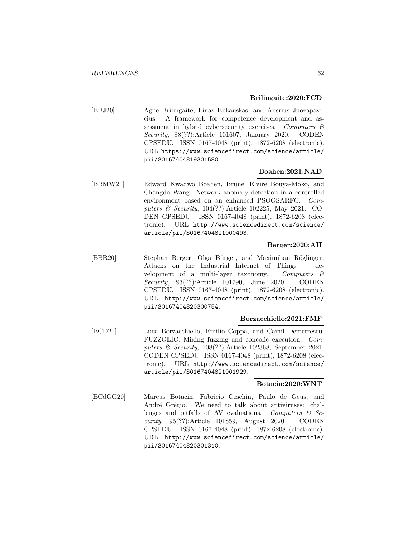## **Brilingaite:2020:FCD**

[BBJ20] Agne Brilingaite, Linas Bukauskas, and Ausrius Juozapavicius. A framework for competence development and assessment in hybrid cybersecurity exercises. Computers & Security, 88(??):Article 101607, January 2020. CODEN CPSEDU. ISSN 0167-4048 (print), 1872-6208 (electronic). URL https://www.sciencedirect.com/science/article/ pii/S0167404819301580.

## **Boahen:2021:NAD**

[BBMW21] Edward Kwadwo Boahen, Brunel Elvire Bouya-Moko, and Changda Wang. Network anomaly detection in a controlled environment based on an enhanced PSOGSARFC. Computers & Security, 104(??):Article 102225, May 2021. CO-DEN CPSEDU. ISSN 0167-4048 (print), 1872-6208 (electronic). URL http://www.sciencedirect.com/science/ article/pii/S0167404821000493.

## **Berger:2020:AII**

[BBR20] Stephan Berger, Olga Bürger, and Maximilian Röglinger. Attacks on the Industrial Internet of Things — development of a multi-layer taxonomy. Computers  $\mathcal{C}$ Security, 93(??):Article 101790, June 2020. CODEN CPSEDU. ISSN 0167-4048 (print), 1872-6208 (electronic). URL http://www.sciencedirect.com/science/article/ pii/S0167404820300754.

## **Borzacchiello:2021:FMF**

[BCD21] Luca Borzacchiello, Emilio Coppa, and Camil Demetrescu. FUZZOLIC: Mixing fuzzing and concolic execution. Computers & Security, 108(??):Article 102368, September 2021. CODEN CPSEDU. ISSN 0167-4048 (print), 1872-6208 (electronic). URL http://www.sciencedirect.com/science/ article/pii/S0167404821001929.

## **Botacin:2020:WNT**

[BCdGG20] Marcus Botacin, Fabricio Ceschin, Paulo de Geus, and André Grégio. We need to talk about antiviruses: challenges and pitfalls of AV evaluations. Computers  $\mathcal{C}$  Security, 95(??):Article 101859, August 2020. CODEN CPSEDU. ISSN 0167-4048 (print), 1872-6208 (electronic). URL http://www.sciencedirect.com/science/article/ pii/S0167404820301310.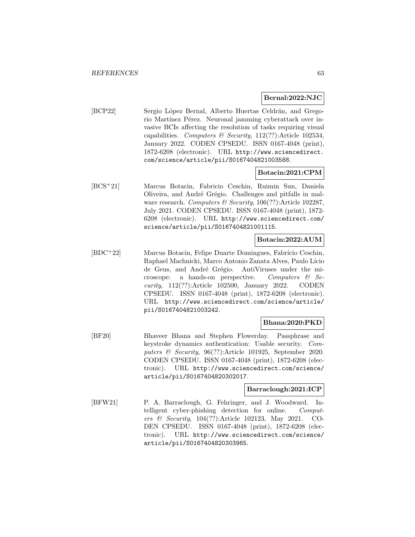### **Bernal:2022:NJC**

[BCP22] Sergio López Bernal, Alberto Huertas Celdrán, and Gregorio Martínez Pérez. Neuronal jamming cyberattack over invasive BCIs affecting the resolution of tasks requiring visual capabilities. Computers & Security,  $112(??)$ :Article 102534, January 2022. CODEN CPSEDU. ISSN 0167-4048 (print), 1872-6208 (electronic). URL http://www.sciencedirect. com/science/article/pii/S0167404821003588.

## **Botacin:2021:CPM**

[BCS<sup>+</sup>21] Marcus Botacin, Fabricio Ceschin, Ruimin Sun, Daniela Oliveira, and André Grégio. Challenges and pitfalls in malware research. Computers  $\mathcal B$  Security, 106(??):Article 102287, July 2021. CODEN CPSEDU. ISSN 0167-4048 (print), 1872- 6208 (electronic). URL http://www.sciencedirect.com/ science/article/pii/S0167404821001115.

## **Botacin:2022:AUM**

[BDC<sup>+</sup>22] Marcus Botacin, Felipe Duarte Domingues, Fabrício Ceschin, Raphael Machnicki, Marco Antonio Zanata Alves, Paulo Lício de Geus, and André Grégio. AntiViruses under the microscope: a hands-on perspective. Computers  $\mathcal{C}$  Security, 112(??):Article 102500, January 2022. CODEN CPSEDU. ISSN 0167-4048 (print), 1872-6208 (electronic). URL http://www.sciencedirect.com/science/article/ pii/S0167404821003242.

## **Bhana:2020:PKD**

[BF20] Bhaveer Bhana and Stephen Flowerday. Passphrase and keystroke dynamics authentication: Usable security. Computers & Security, 96(??):Article 101925, September 2020. CODEN CPSEDU. ISSN 0167-4048 (print), 1872-6208 (electronic). URL http://www.sciencedirect.com/science/ article/pii/S0167404820302017.

## **Barraclough:2021:ICP**

[BFW21] P. A. Barraclough, G. Fehringer, and J. Woodward. Intelligent cyber-phishing detection for online. Computers & Security, 104(??):Article 102123, May 2021. CO-DEN CPSEDU. ISSN 0167-4048 (print), 1872-6208 (electronic). URL http://www.sciencedirect.com/science/ article/pii/S0167404820303965.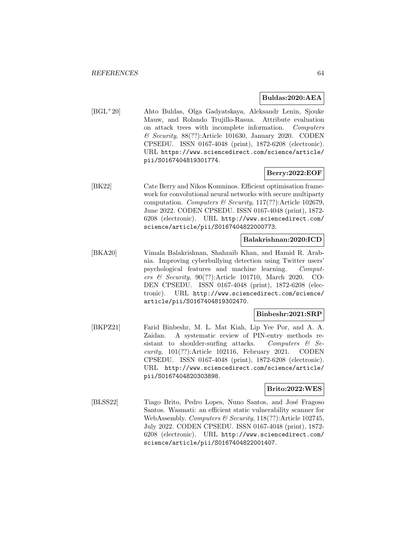### **Buldas:2020:AEA**

[BGL<sup>+</sup>20] Ahto Buldas, Olga Gadyatskaya, Aleksandr Lenin, Sjouke Mauw, and Rolando Trujillo-Rasua. Attribute evaluation on attack trees with incomplete information. Computers & Security, 88(??):Article 101630, January 2020. CODEN CPSEDU. ISSN 0167-4048 (print), 1872-6208 (electronic). URL https://www.sciencedirect.com/science/article/ pii/S0167404819301774.

## **Berry:2022:EOF**

[BK22] Cate Berry and Nikos Komninos. Efficient optimisation framework for convolutional neural networks with secure multiparty computation. Computers & Security, 117(??):Article 102679, June 2022. CODEN CPSEDU. ISSN 0167-4048 (print), 1872- 6208 (electronic). URL http://www.sciencedirect.com/ science/article/pii/S0167404822000773.

## **Balakrishnan:2020:ICD**

[BKA20] Vimala Balakrishnan, Shahzaib Khan, and Hamid R. Arabnia. Improving cyberbullying detection using Twitter users' psychological features and machine learning. Computers & Security, 90(??):Article 101710, March 2020. CO-DEN CPSEDU. ISSN 0167-4048 (print), 1872-6208 (electronic). URL http://www.sciencedirect.com/science/ article/pii/S0167404819302470.

## **Binbeshr:2021:SRP**

[BKPZ21] Farid Binbeshr, M. L. Mat Kiah, Lip Yee Por, and A. A. Zaidan. A systematic review of PIN-entry methods resistant to shoulder-surfing attacks. Computers  $\mathcal{C}$  Security, 101(??):Article 102116, February 2021. CODEN CPSEDU. ISSN 0167-4048 (print), 1872-6208 (electronic). URL http://www.sciencedirect.com/science/article/ pii/S0167404820303898.

### **Brito:2022:WES**

[BLSS22] Tiago Brito, Pedro Lopes, Nuno Santos, and José Fragoso Santos. Wasmati: an efficient static vulnerability scanner for WebAssembly. Computers  $\mathcal B$  Security, 118(??):Article 102745, July 2022. CODEN CPSEDU. ISSN 0167-4048 (print), 1872- 6208 (electronic). URL http://www.sciencedirect.com/ science/article/pii/S0167404822001407.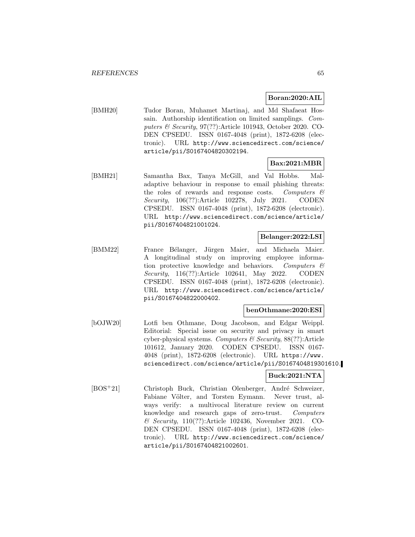### **Boran:2020:AIL**

[BMH20] Tudor Boran, Muhamet Martinaj, and Md Shafaeat Hossain. Authorship identification on limited samplings. Computers & Security, 97(??):Article 101943, October 2020. CO-DEN CPSEDU. ISSN 0167-4048 (print), 1872-6208 (electronic). URL http://www.sciencedirect.com/science/ article/pii/S0167404820302194.

### **Bax:2021:MBR**

[BMH21] Samantha Bax, Tanya McGill, and Val Hobbs. Maladaptive behaviour in response to email phishing threats: the roles of rewards and response costs. Computers  $\mathcal{C}$ Security, 106(??):Article 102278, July 2021. CODEN CPSEDU. ISSN 0167-4048 (print), 1872-6208 (electronic). URL http://www.sciencedirect.com/science/article/ pii/S0167404821001024.

## **Belanger:2022:LSI**

[BMM22] France Bélanger, Jürgen Maier, and Michaela Maier. A longitudinal study on improving employee information protective knowledge and behaviors. Computers  $\mathcal{C}$ Security, 116(??):Article 102641, May 2022. CODEN CPSEDU. ISSN 0167-4048 (print), 1872-6208 (electronic). URL http://www.sciencedirect.com/science/article/ pii/S0167404822000402.

### **benOthmane:2020:ESI**

[bOJW20] Lotfi ben Othmane, Doug Jacobson, and Edgar Weippl. Editorial: Special issue on security and privacy in smart cyber-physical systems. Computers  $\mathcal C$  Security, 88(??): Article 101612, January 2020. CODEN CPSEDU. ISSN 0167- 4048 (print), 1872-6208 (electronic). URL https://www. sciencedirect.com/science/article/pii/S0167404819301610.

## **Buck:2021:NTA**

[BOS<sup>+</sup>21] Christoph Buck, Christian Olenberger, André Schweizer, Fabiane Völter, and Torsten Eymann. Never trust, always verify: a multivocal literature review on current knowledge and research gaps of zero-trust. Computers & Security, 110(??):Article 102436, November 2021. CO-DEN CPSEDU. ISSN 0167-4048 (print), 1872-6208 (electronic). URL http://www.sciencedirect.com/science/ article/pii/S0167404821002601.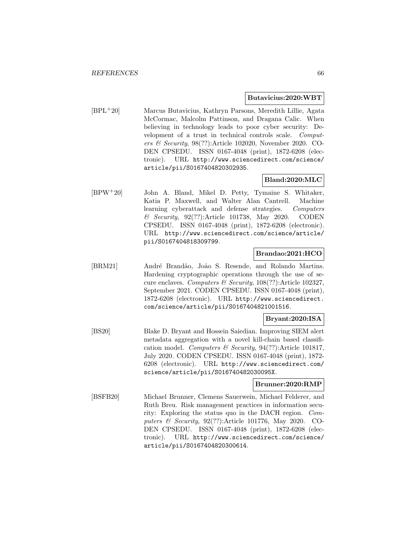### **Butavicius:2020:WBT**

[BPL<sup>+</sup>20] Marcus Butavicius, Kathryn Parsons, Meredith Lillie, Agata McCormac, Malcolm Pattinson, and Dragana Calic. When believing in technology leads to poor cyber security: Development of a trust in technical controls scale. Computers & Security, 98(??):Article 102020, November 2020. CO-DEN CPSEDU. ISSN 0167-4048 (print), 1872-6208 (electronic). URL http://www.sciencedirect.com/science/ article/pii/S0167404820302935.

# **Bland:2020:MLC**

[BPW<sup>+</sup>20] John A. Bland, Mikel D. Petty, Tymaine S. Whitaker, Katia P. Maxwell, and Walter Alan Cantrell. Machine learning cyberattack and defense strategies. Computers & Security, 92(??):Article 101738, May 2020. CODEN CPSEDU. ISSN 0167-4048 (print), 1872-6208 (electronic). URL http://www.sciencedirect.com/science/article/ pii/S0167404818309799.

## **Brandao:2021:HCO**

[BRM21] Andr´e Brand˜ao, Jo˜ao S. Resende, and Rolando Martins. Hardening cryptographic operations through the use of secure enclaves. Computers & Security,  $108(??)$ :Article 102327, September 2021. CODEN CPSEDU. ISSN 0167-4048 (print), 1872-6208 (electronic). URL http://www.sciencedirect. com/science/article/pii/S0167404821001516.

## **Bryant:2020:ISA**

[BS20] Blake D. Bryant and Hossein Saiedian. Improving SIEM alert metadata aggregation with a novel kill-chain based classification model. Computers & Security, 94(??):Article 101817, July 2020. CODEN CPSEDU. ISSN 0167-4048 (print), 1872- 6208 (electronic). URL http://www.sciencedirect.com/ science/article/pii/S016740482030095X.

## **Brunner:2020:RMP**

[BSFB20] Michael Brunner, Clemens Sauerwein, Michael Felderer, and Ruth Breu. Risk management practices in information security: Exploring the status quo in the DACH region. Computers & Security, 92(??):Article 101776, May 2020. CO-DEN CPSEDU. ISSN 0167-4048 (print), 1872-6208 (electronic). URL http://www.sciencedirect.com/science/ article/pii/S0167404820300614.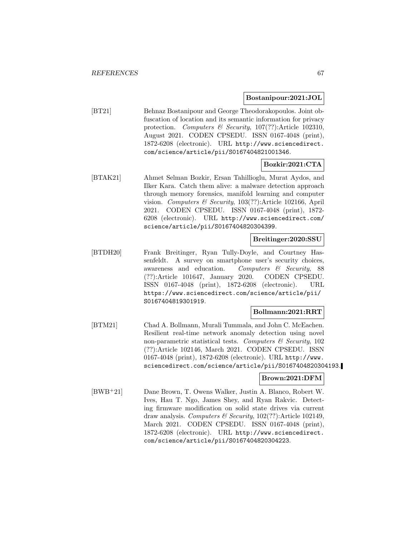### **Bostanipour:2021:JOL**

[BT21] Behnaz Bostanipour and George Theodorakopoulos. Joint obfuscation of location and its semantic information for privacy protection. Computers & Security, 107(??):Article 102310, August 2021. CODEN CPSEDU. ISSN 0167-4048 (print), 1872-6208 (electronic). URL http://www.sciencedirect. com/science/article/pii/S0167404821001346.

## **Bozkir:2021:CTA**

[BTAK21] Ahmet Selman Bozkir, Ersan Tahillioglu, Murat Aydos, and Ilker Kara. Catch them alive: a malware detection approach through memory forensics, manifold learning and computer vision. Computers & Security, 103(??):Article 102166, April 2021. CODEN CPSEDU. ISSN 0167-4048 (print), 1872- 6208 (electronic). URL http://www.sciencedirect.com/ science/article/pii/S0167404820304399.

## **Breitinger:2020:SSU**

[BTDH20] Frank Breitinger, Ryan Tully-Doyle, and Courtney Hassenfeldt. A survey on smartphone user's security choices, awareness and education. Computers & Security, 88 (??):Article 101647, January 2020. CODEN CPSEDU. ISSN 0167-4048 (print), 1872-6208 (electronic). URL https://www.sciencedirect.com/science/article/pii/ S0167404819301919.

## **Bollmann:2021:RRT**

[BTM21] Chad A. Bollmann, Murali Tummala, and John C. McEachen. Resilient real-time network anomaly detection using novel non-parametric statistical tests. Computers  $\mathcal{C}$  Security, 102 (??):Article 102146, March 2021. CODEN CPSEDU. ISSN 0167-4048 (print), 1872-6208 (electronic). URL http://www. sciencedirect.com/science/article/pii/S0167404820304193.

## **Brown:2021:DFM**

[BWB<sup>+</sup>21] Dane Brown, T. Owens Walker, Justin A. Blanco, Robert W. Ives, Hau T. Ngo, James Shey, and Ryan Rakvic. Detecting firmware modification on solid state drives via current draw analysis. Computers  $\mathcal B$  Security, 102(??): Article 102149, March 2021. CODEN CPSEDU. ISSN 0167-4048 (print), 1872-6208 (electronic). URL http://www.sciencedirect. com/science/article/pii/S0167404820304223.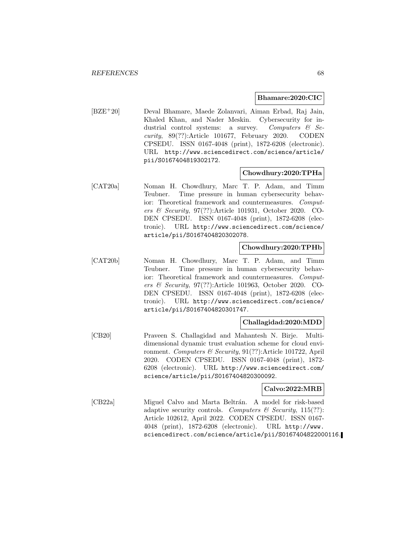### **Bhamare:2020:CIC**

[BZE<sup>+</sup>20] Deval Bhamare, Maede Zolanvari, Aiman Erbad, Raj Jain, Khaled Khan, and Nader Meskin. Cybersecurity for industrial control systems: a survey. Computers  $\mathcal{C}$  Security, 89(??):Article 101677, February 2020. CODEN CPSEDU. ISSN 0167-4048 (print), 1872-6208 (electronic). URL http://www.sciencedirect.com/science/article/ pii/S0167404819302172.

### **Chowdhury:2020:TPHa**

[CAT20a] Noman H. Chowdhury, Marc T. P. Adam, and Timm Teubner. Time pressure in human cybersecurity behavior: Theoretical framework and countermeasures. Computers & Security, 97(??):Article 101931, October 2020. CO-DEN CPSEDU. ISSN 0167-4048 (print), 1872-6208 (electronic). URL http://www.sciencedirect.com/science/ article/pii/S0167404820302078.

## **Chowdhury:2020:TPHb**

[CAT20b] Noman H. Chowdhury, Marc T. P. Adam, and Timm Teubner. Time pressure in human cybersecurity behavior: Theoretical framework and countermeasures. Computers & Security, 97(??):Article 101963, October 2020. CO-DEN CPSEDU. ISSN 0167-4048 (print), 1872-6208 (electronic). URL http://www.sciencedirect.com/science/ article/pii/S0167404820301747.

## **Challagidad:2020:MDD**

[CB20] Praveen S. Challagidad and Mahantesh N. Birje. Multidimensional dynamic trust evaluation scheme for cloud environment. Computers & Security, 91(??):Article 101722, April 2020. CODEN CPSEDU. ISSN 0167-4048 (print), 1872- 6208 (electronic). URL http://www.sciencedirect.com/ science/article/pii/S0167404820300092.

## **Calvo:2022:MRB**

[CB22a] Miguel Calvo and Marta Beltrán. A model for risk-based adaptive security controls. Computers & Security,  $115(??)$ : Article 102612, April 2022. CODEN CPSEDU. ISSN 0167- 4048 (print), 1872-6208 (electronic). URL http://www. sciencedirect.com/science/article/pii/S0167404822000116.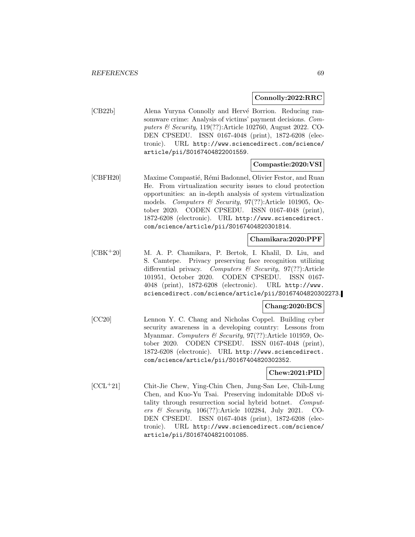### **Connolly:2022:RRC**

[CB22b] Alena Yuryna Connolly and Hervé Borrion. Reducing ransomware crime: Analysis of victims' payment decisions. Computers & Security, 119(??):Article 102760, August 2022. CO-DEN CPSEDU. ISSN 0167-4048 (print), 1872-6208 (electronic). URL http://www.sciencedirect.com/science/ article/pii/S0167404822001559.

## **Compastie:2020:VSI**

[CBFH20] Maxime Compastié, Rémi Badonnel, Olivier Festor, and Ruan He. From virtualization security issues to cloud protection opportunities: an in-depth analysis of system virtualization models. Computers & Security,  $97(??)$ :Article 101905, October 2020. CODEN CPSEDU. ISSN 0167-4048 (print), 1872-6208 (electronic). URL http://www.sciencedirect. com/science/article/pii/S0167404820301814.

#### **Chamikara:2020:PPF**

[CBK<sup>+</sup>20] M. A. P. Chamikara, P. Bertok, I. Khalil, D. Liu, and S. Camtepe. Privacy preserving face recognition utilizing differential privacy. Computers & Security, 97(??):Article 101951, October 2020. CODEN CPSEDU. ISSN 0167- 4048 (print), 1872-6208 (electronic). URL http://www. sciencedirect.com/science/article/pii/S0167404820302273.

## **Chang:2020:BCS**

[CC20] Lennon Y. C. Chang and Nicholas Coppel. Building cyber security awareness in a developing country: Lessons from Myanmar. Computers & Security, 97(??):Article 101959, October 2020. CODEN CPSEDU. ISSN 0167-4048 (print), 1872-6208 (electronic). URL http://www.sciencedirect. com/science/article/pii/S0167404820302352.

## **Chew:2021:PID**

[CCL<sup>+</sup>21] Chit-Jie Chew, Ying-Chin Chen, Jung-San Lee, Chih-Lung Chen, and Kuo-Yu Tsai. Preserving indomitable DDoS vitality through resurrection social hybrid botnet. Computers & Security, 106(??):Article 102284, July 2021. CO-DEN CPSEDU. ISSN 0167-4048 (print), 1872-6208 (electronic). URL http://www.sciencedirect.com/science/ article/pii/S0167404821001085.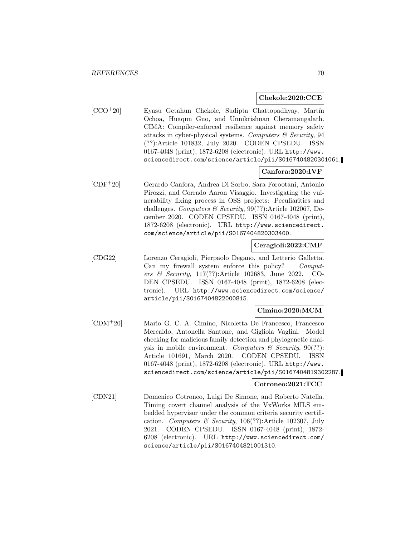### **Chekole:2020:CCE**

 $[CCO+20]$  Eyasu Getahun Chekole, Sudipta Chattopadhyay, Martín Ochoa, Huaqun Guo, and Unnikrishnan Cheramangalath. CIMA: Compiler-enforced resilience against memory safety attacks in cyber-physical systems. Computers  $\mathcal B$  Security, 94 (??):Article 101832, July 2020. CODEN CPSEDU. ISSN 0167-4048 (print), 1872-6208 (electronic). URL http://www. sciencedirect.com/science/article/pii/S0167404820301061.

## **Canfora:2020:IVF**

[CDF<sup>+</sup>20] Gerardo Canfora, Andrea Di Sorbo, Sara Forootani, Antonio Pirozzi, and Corrado Aaron Visaggio. Investigating the vulnerability fixing process in OSS projects: Peculiarities and challenges. Computers & Security,  $99(??)$ :Article 102067, December 2020. CODEN CPSEDU. ISSN 0167-4048 (print), 1872-6208 (electronic). URL http://www.sciencedirect. com/science/article/pii/S0167404820303400.

## **Ceragioli:2022:CMF**

[CDG22] Lorenzo Ceragioli, Pierpaolo Degano, and Letterio Galletta. Can my firewall system enforce this policy? Computers & Security, 117(??):Article 102683, June 2022. CO-DEN CPSEDU. ISSN 0167-4048 (print), 1872-6208 (electronic). URL http://www.sciencedirect.com/science/ article/pii/S0167404822000815.

## **Cimino:2020:MCM**

[CDM<sup>+</sup>20] Mario G. C. A. Cimino, Nicoletta De Francesco, Francesco Mercaldo, Antonella Santone, and Gigliola Vaglini. Model checking for malicious family detection and phylogenetic analysis in mobile environment. Computers  $\mathcal C$  Security, 90(??): Article 101691, March 2020. CODEN CPSEDU. ISSN 0167-4048 (print), 1872-6208 (electronic). URL http://www. sciencedirect.com/science/article/pii/S0167404819302287.

## **Cotroneo:2021:TCC**

[CDN21] Domenico Cotroneo, Luigi De Simone, and Roberto Natella. Timing covert channel analysis of the VxWorks MILS embedded hypervisor under the common criteria security certification. Computers & Security, 106(??):Article 102307, July 2021. CODEN CPSEDU. ISSN 0167-4048 (print), 1872- 6208 (electronic). URL http://www.sciencedirect.com/ science/article/pii/S0167404821001310.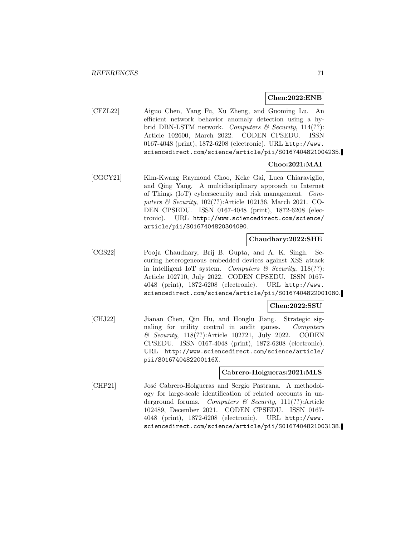### **Chen:2022:ENB**

[CFZL22] Aiguo Chen, Yang Fu, Xu Zheng, and Guoming Lu. An efficient network behavior anomaly detection using a hybrid DBN-LSTM network. Computers & Security,  $114(??)$ : Article 102600, March 2022. CODEN CPSEDU. ISSN 0167-4048 (print), 1872-6208 (electronic). URL http://www. sciencedirect.com/science/article/pii/S0167404821004235.

## **Choo:2021:MAI**

[CGCY21] Kim-Kwang Raymond Choo, Keke Gai, Luca Chiaraviglio, and Qing Yang. A multidisciplinary approach to Internet of Things (IoT) cybersecurity and risk management. Computers & Security, 102(??):Article 102136, March 2021. CO-DEN CPSEDU. ISSN 0167-4048 (print), 1872-6208 (electronic). URL http://www.sciencedirect.com/science/ article/pii/S0167404820304090.

### **Chaudhary:2022:SHE**

[CGS22] Pooja Chaudhary, Brij B. Gupta, and A. K. Singh. Securing heterogeneous embedded devices against XSS attack in intelligent IoT system. Computers  $\mathcal C$  Security, 118(??): Article 102710, July 2022. CODEN CPSEDU. ISSN 0167- 4048 (print), 1872-6208 (electronic). URL http://www. sciencedirect.com/science/article/pii/S0167404822001080.

#### **Chen:2022:SSU**

[CHJ22] Jianan Chen, Qin Hu, and Honglu Jiang. Strategic signaling for utility control in audit games. Computers & Security, 118(??):Article 102721, July 2022. CODEN CPSEDU. ISSN 0167-4048 (print), 1872-6208 (electronic). URL http://www.sciencedirect.com/science/article/ pii/S016740482200116X.

## **Cabrero-Holgueras:2021:MLS**

[CHP21] José Cabrero-Holgueras and Sergio Pastrana. A methodology for large-scale identification of related accounts in underground forums. Computers  $\mathcal{B}$  Security, 111(??): Article 102489, December 2021. CODEN CPSEDU. ISSN 0167- 4048 (print), 1872-6208 (electronic). URL http://www. sciencedirect.com/science/article/pii/S0167404821003138.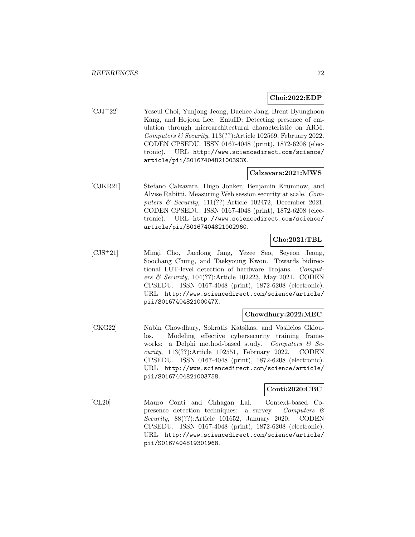### **Choi:2022:EDP**

[CJJ<sup>+</sup>22] Yeseul Choi, Yunjong Jeong, Daehee Jang, Brent Byunghoon Kang, and Hojoon Lee. EmuID: Detecting presence of emulation through microarchitectural characteristic on ARM. Computers  $\mathcal B$  Security, 113(??): Article 102569, February 2022. CODEN CPSEDU. ISSN 0167-4048 (print), 1872-6208 (electronic). URL http://www.sciencedirect.com/science/ article/pii/S016740482100393X.

## **Calzavara:2021:MWS**

[CJKR21] Stefano Calzavara, Hugo Jonker, Benjamin Krumnow, and Alvise Rabitti. Measuring Web session security at scale. Computers  $\mathcal B$  Security, 111(??): Article 102472, December 2021. CODEN CPSEDU. ISSN 0167-4048 (print), 1872-6208 (electronic). URL http://www.sciencedirect.com/science/ article/pii/S0167404821002960.

## **Cho:2021:TBL**

[CJS<sup>+</sup>21] Mingi Cho, Jaedong Jang, Yezee Seo, Seyeon Jeong, Soochang Chung, and Taekyoung Kwon. Towards bidirectional LUT-level detection of hardware Trojans. Computers  $\mathcal B$  Security, 104(??):Article 102223, May 2021. CODEN CPSEDU. ISSN 0167-4048 (print), 1872-6208 (electronic). URL http://www.sciencedirect.com/science/article/ pii/S016740482100047X.

## **Chowdhury:2022:MEC**

[CKG22] Nabin Chowdhury, Sokratis Katsikas, and Vasileios Gkioulos. Modeling effective cybersecurity training frameworks: a Delphi method-based study. Computers  $\mathcal{C}$  Security, 113(??):Article 102551, February 2022. CODEN CPSEDU. ISSN 0167-4048 (print), 1872-6208 (electronic). URL http://www.sciencedirect.com/science/article/ pii/S0167404821003758.

### **Conti:2020:CBC**

[CL20] Mauro Conti and Chhagan Lal. Context-based Copresence detection techniques: a survey. Computers & Security, 88(??):Article 101652, January 2020. CODEN CPSEDU. ISSN 0167-4048 (print), 1872-6208 (electronic). URL http://www.sciencedirect.com/science/article/ pii/S0167404819301968.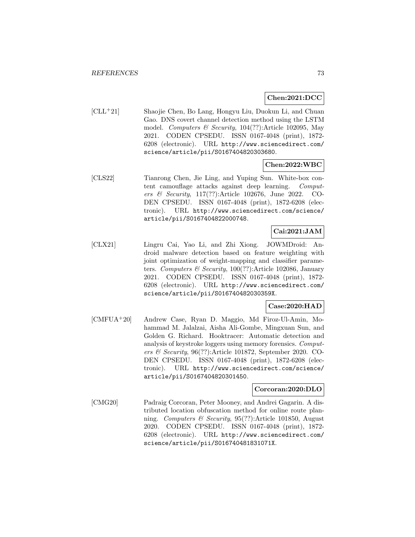## **Chen:2021:DCC**

[CLL<sup>+</sup>21] Shaojie Chen, Bo Lang, Hongyu Liu, Duokun Li, and Chuan Gao. DNS covert channel detection method using the LSTM model. Computers & Security, 104(??):Article 102095, May 2021. CODEN CPSEDU. ISSN 0167-4048 (print), 1872- 6208 (electronic). URL http://www.sciencedirect.com/ science/article/pii/S0167404820303680.

### **Chen:2022:WBC**

[CLS22] Tianrong Chen, Jie Ling, and Yuping Sun. White-box content camouflage attacks against deep learning. Computers & Security, 117(??):Article 102676, June 2022. CO-DEN CPSEDU. ISSN 0167-4048 (print), 1872-6208 (electronic). URL http://www.sciencedirect.com/science/ article/pii/S0167404822000748.

# **Cai:2021:JAM**

[CLX21] Lingru Cai, Yao Li, and Zhi Xiong. JOWMDroid: Android malware detection based on feature weighting with joint optimization of weight-mapping and classifier parameters. Computers & Security, 100(??):Article 102086, January 2021. CODEN CPSEDU. ISSN 0167-4048 (print), 1872- 6208 (electronic). URL http://www.sciencedirect.com/ science/article/pii/S016740482030359X.

#### **Case:2020:HAD**

[CMFUA<sup>+</sup>20] Andrew Case, Ryan D. Maggio, Md Firoz-Ul-Amin, Mohammad M. Jalalzai, Aisha Ali-Gombe, Mingxuan Sun, and Golden G. Richard. Hooktracer: Automatic detection and analysis of keystroke loggers using memory forensics. Computers & Security, 96(??):Article 101872, September 2020. CO-DEN CPSEDU. ISSN 0167-4048 (print), 1872-6208 (electronic). URL http://www.sciencedirect.com/science/ article/pii/S0167404820301450.

#### **Corcoran:2020:DLO**

[CMG20] Padraig Corcoran, Peter Mooney, and Andrei Gagarin. A distributed location obfuscation method for online route planning. Computers & Security, 95(??):Article 101850, August 2020. CODEN CPSEDU. ISSN 0167-4048 (print), 1872- 6208 (electronic). URL http://www.sciencedirect.com/ science/article/pii/S016740481831071X.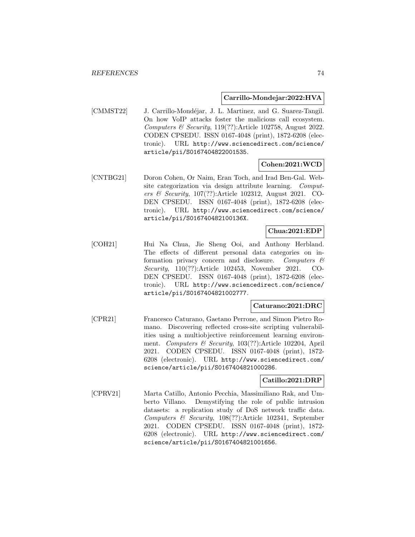#### **Carrillo-Mondejar:2022:HVA**

[CMMST22] J. Carrillo-Mondéjar, J. L. Martinez, and G. Suarez-Tangil. On how VoIP attacks foster the malicious call ecosystem. Computers & Security, 119(??):Article 102758, August 2022. CODEN CPSEDU. ISSN 0167-4048 (print), 1872-6208 (electronic). URL http://www.sciencedirect.com/science/ article/pii/S0167404822001535.

### **Cohen:2021:WCD**

[CNTBG21] Doron Cohen, Or Naim, Eran Toch, and Irad Ben-Gal. Website categorization via design attribute learning. Computers & Security, 107(??):Article 102312, August 2021. CO-DEN CPSEDU. ISSN 0167-4048 (print), 1872-6208 (electronic). URL http://www.sciencedirect.com/science/ article/pii/S016740482100136X.

## **Chua:2021:EDP**

[COH21] Hui Na Chua, Jie Sheng Ooi, and Anthony Herbland. The effects of different personal data categories on information privacy concern and disclosure. Computers  $\mathcal{C}$ Security, 110(??):Article 102453, November 2021. CO-DEN CPSEDU. ISSN 0167-4048 (print), 1872-6208 (electronic). URL http://www.sciencedirect.com/science/ article/pii/S0167404821002777.

#### **Caturano:2021:DRC**

[CPR21] Francesco Caturano, Gaetano Perrone, and Simon Pietro Romano. Discovering reflected cross-site scripting vulnerabilities using a multiobjective reinforcement learning environment. Computers & Security, 103(??):Article 102204, April 2021. CODEN CPSEDU. ISSN 0167-4048 (print), 1872- 6208 (electronic). URL http://www.sciencedirect.com/ science/article/pii/S0167404821000286.

### **Catillo:2021:DRP**

[CPRV21] Marta Catillo, Antonio Pecchia, Massimiliano Rak, and Umberto Villano. Demystifying the role of public intrusion datasets: a replication study of DoS network traffic data. Computers & Security, 108(??):Article 102341, September 2021. CODEN CPSEDU. ISSN 0167-4048 (print), 1872- 6208 (electronic). URL http://www.sciencedirect.com/ science/article/pii/S0167404821001656.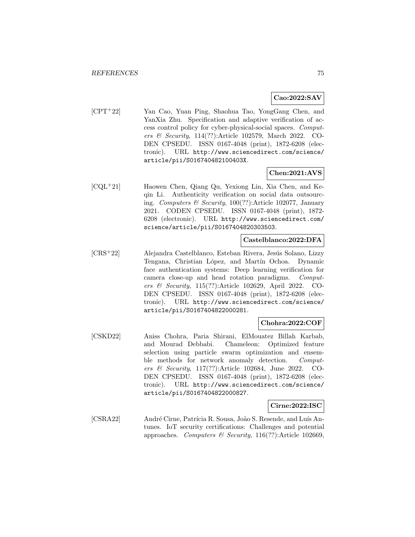## **Cao:2022:SAV**

[CPT<sup>+</sup>22] Yan Cao, Yuan Ping, Shaohua Tao, YongGang Chen, and YanXia Zhu. Specification and adaptive verification of access control policy for cyber-physical-social spaces. Computers & Security, 114(??):Article 102579, March 2022. CO-DEN CPSEDU. ISSN 0167-4048 (print), 1872-6208 (electronic). URL http://www.sciencedirect.com/science/ article/pii/S016740482100403X.

## **Chen:2021:AVS**

[CQL<sup>+</sup>21] Haowen Chen, Qiang Qu, Yexiong Lin, Xia Chen, and Keqin Li. Authenticity verification on social data outsourcing. Computers & Security, 100(??):Article 102077, January 2021. CODEN CPSEDU. ISSN 0167-4048 (print), 1872- 6208 (electronic). URL http://www.sciencedirect.com/ science/article/pii/S0167404820303503.

#### **Castelblanco:2022:DFA**

[CRS<sup>+</sup>22] Alejandra Castelblanco, Esteban Rivera, Jesús Solano, Lizzy Tengana, Christian López, and Martín Ochoa. Dynamic face authentication systems: Deep learning verification for camera close-up and head rotation paradigms. Computers & Security, 115(??):Article 102629, April 2022. CO-DEN CPSEDU. ISSN 0167-4048 (print), 1872-6208 (electronic). URL http://www.sciencedirect.com/science/ article/pii/S0167404822000281.

### **Chohra:2022:COF**

[CSKD22] Aniss Chohra, Paria Shirani, ElMouatez Billah Karbab, and Mourad Debbabi. Chameleon: Optimized feature selection using particle swarm optimization and ensemble methods for network anomaly detection. Computers & Security, 117(??):Article 102684, June 2022. CO-DEN CPSEDU. ISSN 0167-4048 (print), 1872-6208 (electronic). URL http://www.sciencedirect.com/science/ article/pii/S0167404822000827.

### **Cirne:2022:ISC**

[CSRA22] André Cirne, Patrícia R. Sousa, João S. Resende, and Luís Antunes. IoT security certifications: Challenges and potential approaches. Computers & Security, 116(??):Article 102669,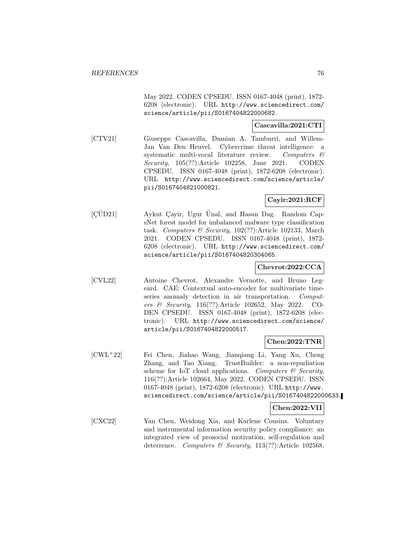May 2022. CODEN CPSEDU. ISSN 0167-4048 (print), 1872- 6208 (electronic). URL http://www.sciencedirect.com/ science/article/pii/S0167404822000682.

## **Cascavilla:2021:CTI**

[CTV21] Giuseppe Cascavilla, Damian A. Tamburri, and Willem-Jan Van Den Heuvel. Cybercrime threat intelligence: a systematic multi-vocal literature review. Computers & Security, 105(??):Article 102258, June 2021. CODEN CPSEDU. ISSN 0167-4048 (print), 1872-6208 (electronic). URL http://www.sciencedirect.com/science/article/ pii/S0167404821000821.

# **Cayir:2021:RCF**

 $[Q\ddot{U}D21]$  Aykut Çayir, Ugur Ünal, and Hasan Dag. Random CapsNet forest model for imbalanced malware type classification task. Computers & Security, 102(??):Article 102133, March 2021. CODEN CPSEDU. ISSN 0167-4048 (print), 1872- 6208 (electronic). URL http://www.sciencedirect.com/ science/article/pii/S0167404820304065.

# **Chevrot:2022:CCA**

[CVL22] Antoine Chevrot, Alexandre Vernotte, and Bruno Legeard. CAE: Contextual auto-encoder for multivariate timeseries anomaly detection in air transportation. Computers & Security, 116(??):Article 102652, May 2022. CO-DEN CPSEDU. ISSN 0167-4048 (print), 1872-6208 (electronic). URL http://www.sciencedirect.com/science/ article/pii/S0167404822000517.

## **Chen:2022:TNR**

[CWL<sup>+</sup>22] Fei Chen, Jiahao Wang, Jianqiang Li, Yang Xu, Cheng Zhang, and Tao Xiang. TrustBuilder: a non-repudiation scheme for IoT cloud applications. Computers  $\mathcal C$  Security, 116(??):Article 102664, May 2022. CODEN CPSEDU. ISSN 0167-4048 (print), 1872-6208 (electronic). URL http://www. sciencedirect.com/science/article/pii/S0167404822000633.

## **Chen:2022:VII**

[CXC22] Yan Chen, Weidong Xia, and Karlene Cousins. Voluntary and instrumental information security policy compliance: an integrated view of prosocial motivation, self-regulation and deterrence. Computers & Security, 113(??):Article 102568,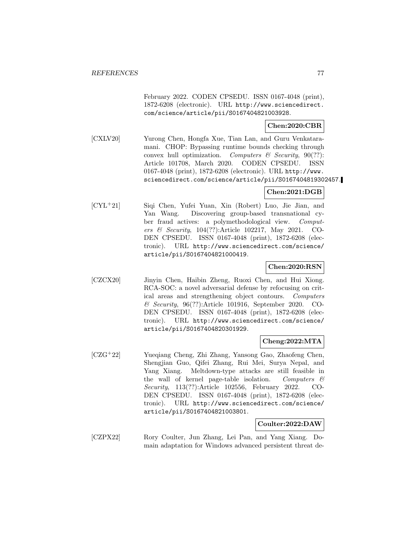February 2022. CODEN CPSEDU. ISSN 0167-4048 (print), 1872-6208 (electronic). URL http://www.sciencedirect. com/science/article/pii/S0167404821003928.

## **Chen:2020:CBR**

[CXLV20] Yurong Chen, Hongfa Xue, Tian Lan, and Guru Venkataramani. CHOP: Bypassing runtime bounds checking through convex hull optimization. Computers  $\mathcal C$  Security, 90(??): Article 101708, March 2020. CODEN CPSEDU. ISSN 0167-4048 (print), 1872-6208 (electronic). URL http://www. sciencedirect.com/science/article/pii/S0167404819302457.

## **Chen:2021:DGB**

[CYL<sup>+</sup>21] Siqi Chen, Yufei Yuan, Xin (Robert) Luo, Jie Jian, and Yan Wang. Discovering group-based transnational cyber fraud actives: a polymethodological view. Computers & Security, 104(??):Article 102217, May 2021. CO-DEN CPSEDU. ISSN 0167-4048 (print), 1872-6208 (electronic). URL http://www.sciencedirect.com/science/ article/pii/S0167404821000419.

## **Chen:2020:RSN**

[CZCX20] Jinyin Chen, Haibin Zheng, Ruoxi Chen, and Hui Xiong. RCA-SOC: a novel adversarial defense by refocusing on critical areas and strengthening object contours. Computers & Security, 96(??):Article 101916, September 2020. CO-DEN CPSEDU. ISSN 0167-4048 (print), 1872-6208 (electronic). URL http://www.sciencedirect.com/science/ article/pii/S0167404820301929.

### **Cheng:2022:MTA**

[CZG<sup>+</sup>22] Yueqiang Cheng, Zhi Zhang, Yansong Gao, Zhaofeng Chen, Shengjian Guo, Qifei Zhang, Rui Mei, Surya Nepal, and Yang Xiang. Meltdown-type attacks are still feasible in the wall of kernel page-table isolation. Computers  $\mathcal{C}$ Security, 113(??):Article 102556, February 2022. CO-DEN CPSEDU. ISSN 0167-4048 (print), 1872-6208 (electronic). URL http://www.sciencedirect.com/science/ article/pii/S0167404821003801.

### **Coulter:2022:DAW**

[CZPX22] Rory Coulter, Jun Zhang, Lei Pan, and Yang Xiang. Domain adaptation for Windows advanced persistent threat de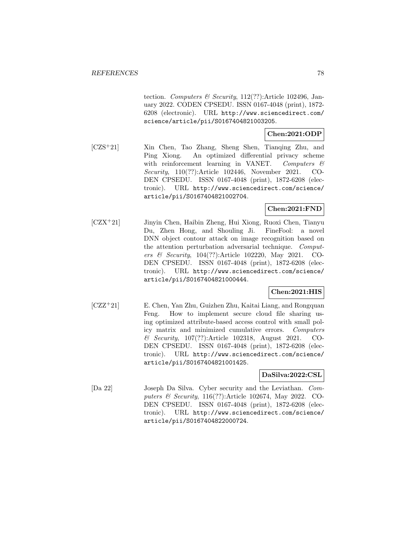tection. Computers & Security,  $112(??)$ : Article 102496, January 2022. CODEN CPSEDU. ISSN 0167-4048 (print), 1872- 6208 (electronic). URL http://www.sciencedirect.com/ science/article/pii/S0167404821003205.

# **Chen:2021:ODP**

[CZS<sup>+</sup>21] Xin Chen, Tao Zhang, Sheng Shen, Tianqing Zhu, and Ping Xiong. An optimized differential privacy scheme with reinforcement learning in VANET. Computers  $\mathcal{C}$ Security, 110(??):Article 102446, November 2021. CO-DEN CPSEDU. ISSN 0167-4048 (print), 1872-6208 (electronic). URL http://www.sciencedirect.com/science/ article/pii/S0167404821002704.

# **Chen:2021:FND**

[CZX<sup>+</sup>21] Jinyin Chen, Haibin Zheng, Hui Xiong, Ruoxi Chen, Tianyu Du, Zhen Hong, and Shouling Ji. FineFool: a novel DNN object contour attack on image recognition based on the attention perturbation adversarial technique. Computers & Security, 104(??):Article 102220, May 2021. CO-DEN CPSEDU. ISSN 0167-4048 (print), 1872-6208 (electronic). URL http://www.sciencedirect.com/science/ article/pii/S0167404821000444.

## **Chen:2021:HIS**

[CZZ<sup>+</sup>21] E. Chen, Yan Zhu, Guizhen Zhu, Kaitai Liang, and Rongquan Feng. How to implement secure cloud file sharing using optimized attribute-based access control with small policy matrix and minimized cumulative errors. Computers & Security, 107(??):Article 102318, August 2021. CO-DEN CPSEDU. ISSN 0167-4048 (print), 1872-6208 (electronic). URL http://www.sciencedirect.com/science/ article/pii/S0167404821001425.

## **DaSilva:2022:CSL**

[Da 22] Joseph Da Silva. Cyber security and the Leviathan. Computers & Security, 116(??):Article 102674, May 2022. CO-DEN CPSEDU. ISSN 0167-4048 (print), 1872-6208 (electronic). URL http://www.sciencedirect.com/science/ article/pii/S0167404822000724.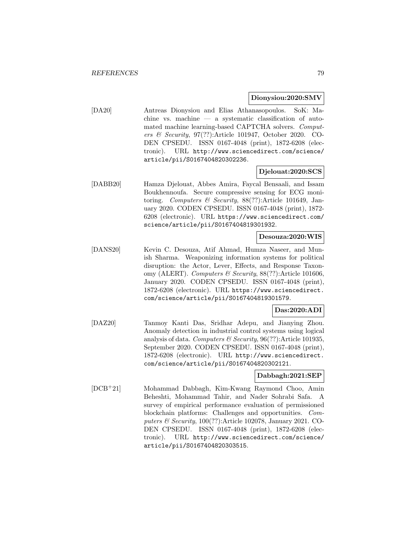#### **Dionysiou:2020:SMV**

[DA20] Antreas Dionysiou and Elias Athanasopoulos. SoK: Machine vs. machine — a systematic classification of automated machine learning-based CAPTCHA solvers. Computers & Security, 97(??):Article 101947, October 2020. CO-DEN CPSEDU. ISSN 0167-4048 (print), 1872-6208 (electronic). URL http://www.sciencedirect.com/science/ article/pii/S0167404820302236.

#### **Djelouat:2020:SCS**

[DABB20] Hamza Djelouat, Abbes Amira, Faycal Bensaali, and Issam Boukhennoufa. Secure compressive sensing for ECG monitoring. Computers & Security,  $88(??)$ :Article 101649, January 2020. CODEN CPSEDU. ISSN 0167-4048 (print), 1872- 6208 (electronic). URL https://www.sciencedirect.com/ science/article/pii/S0167404819301932.

## **Desouza:2020:WIS**

[DANS20] Kevin C. Desouza, Atif Ahmad, Humza Naseer, and Munish Sharma. Weaponizing information systems for political disruption: the Actor, Lever, Effects, and Response Taxonomy (ALERT). Computers & Security,  $88(??)$ : Article 101606, January 2020. CODEN CPSEDU. ISSN 0167-4048 (print), 1872-6208 (electronic). URL https://www.sciencedirect. com/science/article/pii/S0167404819301579.

#### **Das:2020:ADI**

[DAZ20] Tanmoy Kanti Das, Sridhar Adepu, and Jianying Zhou. Anomaly detection in industrial control systems using logical analysis of data. Computers & Security,  $96(??)$ : Article 101935, September 2020. CODEN CPSEDU. ISSN 0167-4048 (print), 1872-6208 (electronic). URL http://www.sciencedirect. com/science/article/pii/S0167404820302121.

#### **Dabbagh:2021:SEP**

[DCB<sup>+</sup>21] Mohammad Dabbagh, Kim-Kwang Raymond Choo, Amin Beheshti, Mohammad Tahir, and Nader Sohrabi Safa. A survey of empirical performance evaluation of permissioned blockchain platforms: Challenges and opportunities. Computers & Security, 100(??):Article 102078, January 2021. CO-DEN CPSEDU. ISSN 0167-4048 (print), 1872-6208 (electronic). URL http://www.sciencedirect.com/science/ article/pii/S0167404820303515.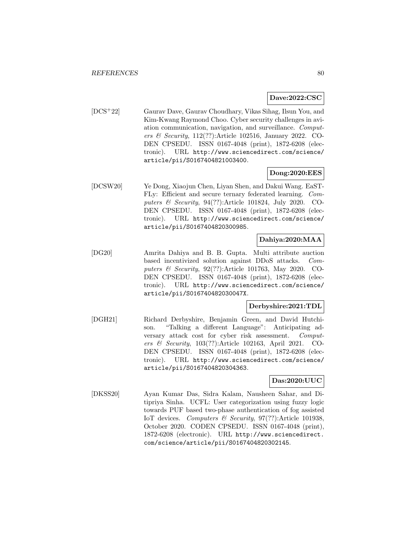#### **Dave:2022:CSC**

[DCS<sup>+</sup>22] Gaurav Dave, Gaurav Choudhary, Vikas Sihag, Ilsun You, and Kim-Kwang Raymond Choo. Cyber security challenges in aviation communication, navigation, and surveillance. Computers & Security, 112(??):Article 102516, January 2022. CO-DEN CPSEDU. ISSN 0167-4048 (print), 1872-6208 (electronic). URL http://www.sciencedirect.com/science/ article/pii/S0167404821003400.

## **Dong:2020:EES**

[DCSW20] Ye Dong, Xiaojun Chen, Liyan Shen, and Dakui Wang. EaST-FLy: Efficient and secure ternary federated learning. Computers & Security, 94(??):Article 101824, July 2020. CO-DEN CPSEDU. ISSN 0167-4048 (print), 1872-6208 (electronic). URL http://www.sciencedirect.com/science/ article/pii/S0167404820300985.

## **Dahiya:2020:MAA**

[DG20] Amrita Dahiya and B. B. Gupta. Multi attribute auction based incentivized solution against DDoS attacks. Computers & Security, 92(??):Article 101763, May 2020. CO-DEN CPSEDU. ISSN 0167-4048 (print), 1872-6208 (electronic). URL http://www.sciencedirect.com/science/ article/pii/S016740482030047X.

## **Derbyshire:2021:TDL**

[DGH21] Richard Derbyshire, Benjamin Green, and David Hutchison. "Talking a different Language": Anticipating adversary attack cost for cyber risk assessment. Computers & Security, 103(??):Article 102163, April 2021. CO-DEN CPSEDU. ISSN 0167-4048 (print), 1872-6208 (electronic). URL http://www.sciencedirect.com/science/ article/pii/S0167404820304363.

### **Das:2020:UUC**

[DKSS20] Ayan Kumar Das, Sidra Kalam, Nausheen Sahar, and Ditipriya Sinha. UCFL: User categorization using fuzzy logic towards PUF based two-phase authentication of fog assisted IoT devices. Computers  $\mathcal B$  Security, 97(??):Article 101938, October 2020. CODEN CPSEDU. ISSN 0167-4048 (print), 1872-6208 (electronic). URL http://www.sciencedirect. com/science/article/pii/S0167404820302145.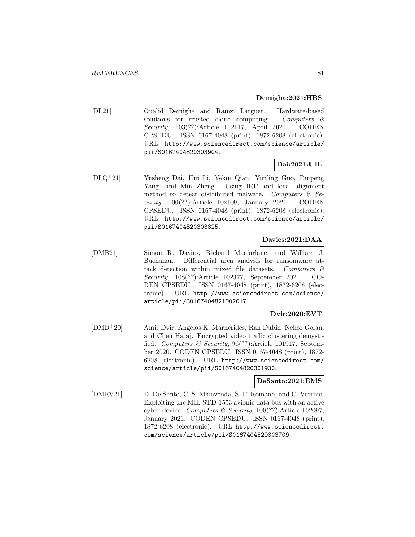#### **Demigha:2021:HBS**

[DL21] Oualid Demigha and Ramzi Larguet. Hardware-based solutions for trusted cloud computing. Computers  $\mathcal{C}$ Security, 103(??):Article 102117, April 2021. CODEN CPSEDU. ISSN 0167-4048 (print), 1872-6208 (electronic). URL http://www.sciencedirect.com/science/article/ pii/S0167404820303904.

## **Dai:2021:UIL**

[DLQ<sup>+</sup>21] Yusheng Dai, Hui Li, Yekui Qian, Yunling Guo, Ruipeng Yang, and Min Zheng. Using IRP and local alignment method to detect distributed malware. Computers  $\mathcal{C}$  Security, 100(??):Article 102109, January 2021. CODEN CPSEDU. ISSN 0167-4048 (print), 1872-6208 (electronic). URL http://www.sciencedirect.com/science/article/ pii/S0167404820303825.

## **Davies:2021:DAA**

[DMB21] Simon R. Davies, Richard Macfarlane, and William J. Buchanan. Differential area analysis for ransomware attack detection within mixed file datasets. Computers  $\mathcal{C}$ Security, 108(??):Article 102377, September 2021. CO-DEN CPSEDU. ISSN 0167-4048 (print), 1872-6208 (electronic). URL http://www.sciencedirect.com/science/ article/pii/S0167404821002017.

## **Dvir:2020:EVT**

[DMD<sup>+</sup>20] Amit Dvir, Angelos K. Marnerides, Ran Dubin, Nehor Golan, and Chen Hajaj. Encrypted video traffic clustering demystified. Computers & Security, 96(??):Article 101917, September 2020. CODEN CPSEDU. ISSN 0167-4048 (print), 1872- 6208 (electronic). URL http://www.sciencedirect.com/ science/article/pii/S0167404820301930.

### **DeSanto:2021:EMS**

[DMRV21] D. De Santo, C. S. Malavenda, S. P. Romano, and C. Vecchio. Exploiting the MIL-STD-1553 avionic data bus with an active cyber device. Computers & Security,  $100(??)$ :Article 102097, January 2021. CODEN CPSEDU. ISSN 0167-4048 (print), 1872-6208 (electronic). URL http://www.sciencedirect. com/science/article/pii/S0167404820303709.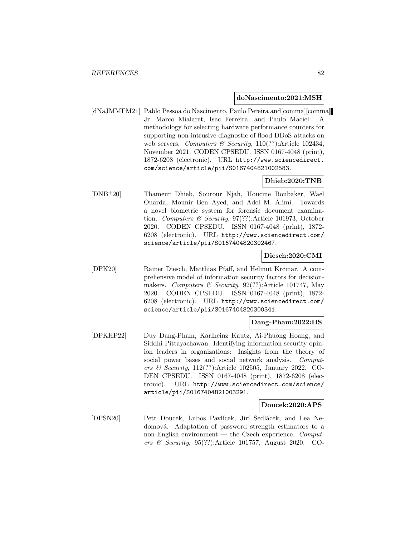#### **doNascimento:2021:MSH**

[dNaJMMFM21] Pablo Pessoa do Nascimento, Paulo Pereira and[comma][comma] Jr. Marco Mialaret, Isac Ferreira, and Paulo Maciel. A methodology for selecting hardware performance counters for supporting non-intrusive diagnostic of flood DDoS attacks on web servers. Computers & Security,  $110(??)$ : Article 102434, November 2021. CODEN CPSEDU. ISSN 0167-4048 (print), 1872-6208 (electronic). URL http://www.sciencedirect. com/science/article/pii/S0167404821002583.

## **Dhieb:2020:TNB**

[DNB<sup>+</sup>20] Thameur Dhieb, Sourour Njah, Houcine Boubaker, Wael Ouarda, Mounir Ben Ayed, and Adel M. Alimi. Towards a novel biometric system for forensic document examination. Computers & Security, 97(??):Article 101973, October 2020. CODEN CPSEDU. ISSN 0167-4048 (print), 1872- 6208 (electronic). URL http://www.sciencedirect.com/ science/article/pii/S0167404820302467.

### **Diesch:2020:CMI**

[DPK20] Rainer Diesch, Matthias Pfaff, and Helmut Krcmar. A comprehensive model of information security factors for decisionmakers. Computers & Security,  $92(??)$ :Article 101747, May 2020. CODEN CPSEDU. ISSN 0167-4048 (print), 1872- 6208 (electronic). URL http://www.sciencedirect.com/ science/article/pii/S0167404820300341.

### **Dang-Pham:2022:IIS**

[DPKHP22] Duy Dang-Pham, Karlheinz Kautz, Ai-Phuong Hoang, and Siddhi Pittayachawan. Identifying information security opinion leaders in organizations: Insights from the theory of social power bases and social network analysis. Computers & Security, 112(??):Article 102505, January 2022. CO-DEN CPSEDU. ISSN 0167-4048 (print), 1872-6208 (electronic). URL http://www.sciencedirect.com/science/ article/pii/S0167404821003291.

### **Doucek:2020:APS**

[DPSN20] Petr Doucek, Lubos Pavlícek, Jirí Sedlácek, and Lea Nedomová. Adaptation of password strength estimators to a non-English environment — the Czech experience.  $Comput$ ers & Security, 95(??):Article 101757, August 2020. CO-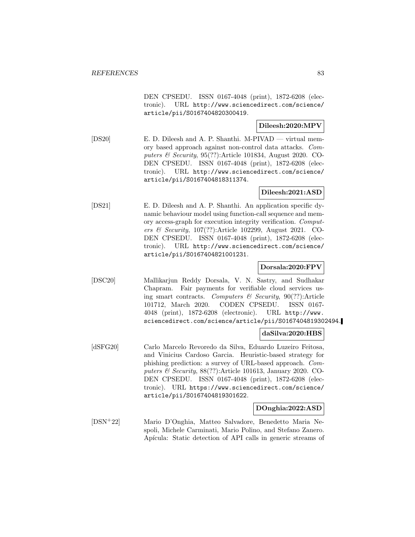DEN CPSEDU. ISSN 0167-4048 (print), 1872-6208 (electronic). URL http://www.sciencedirect.com/science/ article/pii/S0167404820300419.

## **Dileesh:2020:MPV**

[DS20] E. D. Dileesh and A. P. Shanthi. M-PIVAD — virtual memory based approach against non-control data attacks. Computers & Security, 95(??):Article 101834, August 2020. CO-DEN CPSEDU. ISSN 0167-4048 (print), 1872-6208 (electronic). URL http://www.sciencedirect.com/science/ article/pii/S0167404818311374.

## **Dileesh:2021:ASD**

[DS21] E. D. Dileesh and A. P. Shanthi. An application specific dynamic behaviour model using function-call sequence and memory access-graph for execution integrity verification. Computers & Security, 107(??):Article 102299, August 2021. CO-DEN CPSEDU. ISSN 0167-4048 (print), 1872-6208 (electronic). URL http://www.sciencedirect.com/science/ article/pii/S0167404821001231.

### **Dorsala:2020:FPV**

[DSC20] Mallikarjun Reddy Dorsala, V. N. Sastry, and Sudhakar Chapram. Fair payments for verifiable cloud services using smart contracts. Computers  $\mathcal B$  Security, 90(??):Article 101712, March 2020. CODEN CPSEDU. ISSN 0167- 4048 (print), 1872-6208 (electronic). URL http://www. sciencedirect.com/science/article/pii/S0167404819302494.

#### **daSilva:2020:HBS**

[dSFG20] Carlo Marcelo Revoredo da Silva, Eduardo Luzeiro Feitosa, and Vinicius Cardoso Garcia. Heuristic-based strategy for phishing prediction: a survey of URL-based approach. Computers & Security, 88(??):Article 101613, January 2020. CO-DEN CPSEDU. ISSN 0167-4048 (print), 1872-6208 (electronic). URL https://www.sciencedirect.com/science/ article/pii/S0167404819301622.

#### **DOnghia:2022:ASD**

[DSN<sup>+</sup>22] Mario D'Onghia, Matteo Salvadore, Benedetto Maria Nespoli, Michele Carminati, Mario Polino, and Stefano Zanero. Apícula: Static detection of API calls in generic streams of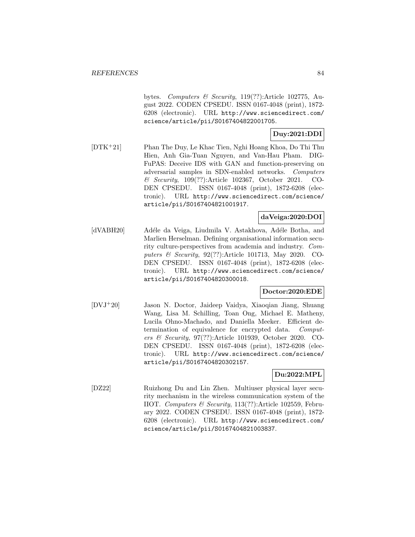bytes. Computers & Security, 119(??):Article 102775, August 2022. CODEN CPSEDU. ISSN 0167-4048 (print), 1872- 6208 (electronic). URL http://www.sciencedirect.com/ science/article/pii/S0167404822001705.

# **Duy:2021:DDI**

[DTK<sup>+</sup>21] Phan The Duy, Le Khac Tien, Nghi Hoang Khoa, Do Thi Thu Hien, Anh Gia-Tuan Nguyen, and Van-Hau Pham. DIG-FuPAS: Deceive IDS with GAN and function-preserving on adversarial samples in SDN-enabled networks. Computers & Security, 109(??):Article 102367, October 2021. CO-DEN CPSEDU. ISSN 0167-4048 (print), 1872-6208 (electronic). URL http://www.sciencedirect.com/science/ article/pii/S0167404821001917.

## **daVeiga:2020:DOI**

[dVABH20] Adéle da Veiga, Liudmila V. Astakhova, Adéle Botha, and Marlien Herselman. Defining organisational information security culture-perspectives from academia and industry. Computers & Security, 92(??):Article 101713, May 2020. CO-DEN CPSEDU. ISSN 0167-4048 (print), 1872-6208 (electronic). URL http://www.sciencedirect.com/science/ article/pii/S0167404820300018.

### **Doctor:2020:EDE**

[DVJ<sup>+</sup>20] Jason N. Doctor, Jaideep Vaidya, Xiaoqian Jiang, Shuang Wang, Lisa M. Schilling, Toan Ong, Michael E. Matheny, Lucila Ohno-Machado, and Daniella Meeker. Efficient determination of equivalence for encrypted data. Computers & Security, 97(??):Article 101939, October 2020. CO-DEN CPSEDU. ISSN 0167-4048 (print), 1872-6208 (electronic). URL http://www.sciencedirect.com/science/ article/pii/S0167404820302157.

## **Du:2022:MPL**

[DZ22] Ruizhong Du and Lin Zhen. Multiuser physical layer security mechanism in the wireless communication system of the IIOT. Computers & Security, 113(??):Article 102559, February 2022. CODEN CPSEDU. ISSN 0167-4048 (print), 1872- 6208 (electronic). URL http://www.sciencedirect.com/ science/article/pii/S0167404821003837.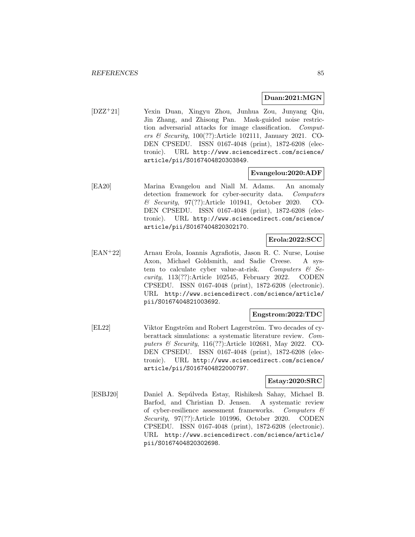#### **Duan:2021:MGN**

[DZZ<sup>+</sup>21] Yexin Duan, Xingyu Zhou, Junhua Zou, Junyang Qiu, Jin Zhang, and Zhisong Pan. Mask-guided noise restriction adversarial attacks for image classification. Computers  $\mathcal B$  Security, 100(??): Article 102111, January 2021. CO-DEN CPSEDU. ISSN 0167-4048 (print), 1872-6208 (electronic). URL http://www.sciencedirect.com/science/ article/pii/S0167404820303849.

## **Evangelou:2020:ADF**

[EA20] Marina Evangelou and Niall M. Adams. An anomaly detection framework for cyber-security data. Computers & Security, 97(??):Article 101941, October 2020. CO-DEN CPSEDU. ISSN 0167-4048 (print), 1872-6208 (electronic). URL http://www.sciencedirect.com/science/ article/pii/S0167404820302170.

## **Erola:2022:SCC**

[EAN<sup>+</sup>22] Arnau Erola, Ioannis Agrafiotis, Jason R. C. Nurse, Louise Axon, Michael Goldsmith, and Sadie Creese. A system to calculate cyber value-at-risk. Computers  $\mathcal{C}$  Security, 113(??):Article 102545, February 2022. CODEN CPSEDU. ISSN 0167-4048 (print), 1872-6208 (electronic). URL http://www.sciencedirect.com/science/article/ pii/S0167404821003692.

### **Engstrom:2022:TDC**

[EL22] Viktor Engström and Robert Lagerström. Two decades of cyberattack simulations: a systematic literature review. Computers & Security, 116(??):Article 102681, May 2022. CO-DEN CPSEDU. ISSN 0167-4048 (print), 1872-6208 (electronic). URL http://www.sciencedirect.com/science/ article/pii/S0167404822000797.

#### **Estay:2020:SRC**

[ESBJ20] Daniel A. Sepúlveda Estay, Rishikesh Sahay, Michael B. Barfod, and Christian D. Jensen. A systematic review of cyber-resilience assessment frameworks. Computers  $\mathcal C$ Security, 97(??):Article 101996, October 2020. CODEN CPSEDU. ISSN 0167-4048 (print), 1872-6208 (electronic). URL http://www.sciencedirect.com/science/article/ pii/S0167404820302698.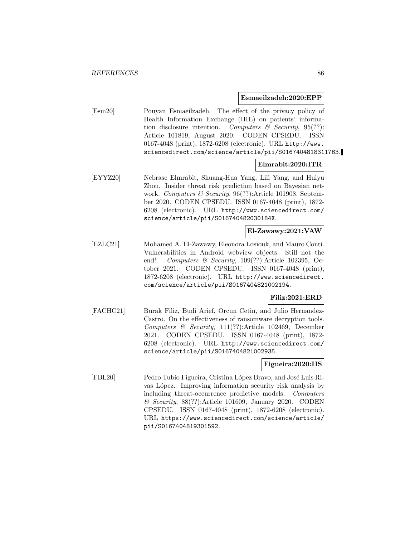#### **Esmaeilzadeh:2020:EPP**

[Esm20] Pouyan Esmaeilzadeh. The effect of the privacy policy of Health Information Exchange (HIE) on patients' information disclosure intention. Computers  $\mathcal{B}$  Security, 95(??): Article 101819, August 2020. CODEN CPSEDU. ISSN 0167-4048 (print), 1872-6208 (electronic). URL http://www. sciencedirect.com/science/article/pii/S0167404818311763.

## **Elmrabit:2020:ITR**

[EYYZ20] Nebrase Elmrabit, Shuang-Hua Yang, Lili Yang, and Huiyu Zhou. Insider threat risk prediction based on Bayesian network. Computers & Security, 96(??):Article 101908, September 2020. CODEN CPSEDU. ISSN 0167-4048 (print), 1872- 6208 (electronic). URL http://www.sciencedirect.com/ science/article/pii/S016740482030184X.

### **El-Zawawy:2021:VAW**

[EZLC21] Mohamed A. El-Zawawy, Eleonora Losiouk, and Mauro Conti. Vulnerabilities in Android webview objects: Still not the end! Computers & Security, 109(??):Article 102395, October 2021. CODEN CPSEDU. ISSN 0167-4048 (print), 1872-6208 (electronic). URL http://www.sciencedirect. com/science/article/pii/S0167404821002194.

### **Filiz:2021:ERD**

[FACHC21] Burak Filiz, Budi Arief, Orcun Cetin, and Julio Hernandez-Castro. On the effectiveness of ransomware decryption tools. Computers & Security, 111(??):Article 102469, December 2021. CODEN CPSEDU. ISSN 0167-4048 (print), 1872- 6208 (electronic). URL http://www.sciencedirect.com/ science/article/pii/S0167404821002935.

### **Figueira:2020:IIS**

[FBL20] Pedro Tubío Figueira, Cristina López Bravo, and José Luis Rivas López. Improving information security risk analysis by including threat-occurrence predictive models. Computers & Security, 88(??):Article 101609, January 2020. CODEN CPSEDU. ISSN 0167-4048 (print), 1872-6208 (electronic). URL https://www.sciencedirect.com/science/article/ pii/S0167404819301592.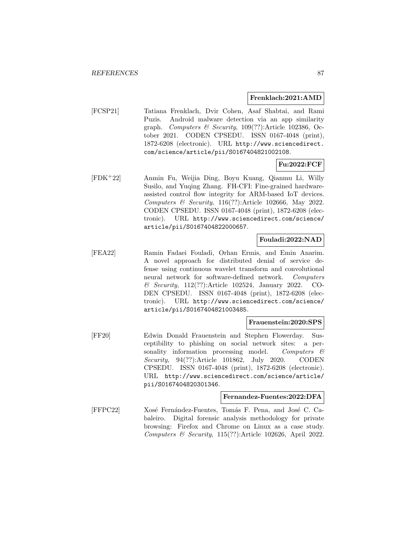#### **Frenklach:2021:AMD**

[FCSP21] Tatiana Frenklach, Dvir Cohen, Asaf Shabtai, and Rami Puzis. Android malware detection via an app similarity graph. Computers & Security,  $109(??)$ : Article 102386, October 2021. CODEN CPSEDU. ISSN 0167-4048 (print), 1872-6208 (electronic). URL http://www.sciencedirect. com/science/article/pii/S0167404821002108.

### **Fu:2022:FCF**

[FDK<sup>+</sup>22] Anmin Fu, Weijia Ding, Boyu Kuang, Qianmu Li, Willy Susilo, and Yuqing Zhang. FH-CFI: Fine-grained hardwareassisted control flow integrity for ARM-based IoT devices. Computers & Security, 116(??):Article 102666, May 2022. CODEN CPSEDU. ISSN 0167-4048 (print), 1872-6208 (electronic). URL http://www.sciencedirect.com/science/ article/pii/S0167404822000657.

#### **Fouladi:2022:NAD**

[FEA22] Ramin Fadaei Fouladi, Orhan Ermis, and Emin Anarim. A novel approach for distributed denial of service defense using continuous wavelet transform and convolutional neural network for software-defined network. Computers & Security, 112(??):Article 102524, January 2022. CO-DEN CPSEDU. ISSN 0167-4048 (print), 1872-6208 (electronic). URL http://www.sciencedirect.com/science/ article/pii/S0167404821003485.

#### **Frauenstein:2020:SPS**

[FF20] Edwin Donald Frauenstein and Stephen Flowerday. Susceptibility to phishing on social network sites: a personality information processing model. Computers  $\mathcal{C}$ Security, 94(??):Article 101862, July 2020. CODEN CPSEDU. ISSN 0167-4048 (print), 1872-6208 (electronic). URL http://www.sciencedirect.com/science/article/ pii/S0167404820301346.

#### **Fernandez-Fuentes:2022:DFA**

[FFPC22] Xosé Fernández-Fuentes, Tomás F. Pena, and José C. Cabaleiro. Digital forensic analysis methodology for private browsing: Firefox and Chrome on Linux as a case study. Computers & Security,  $115(??)$ :Article 102626, April 2022.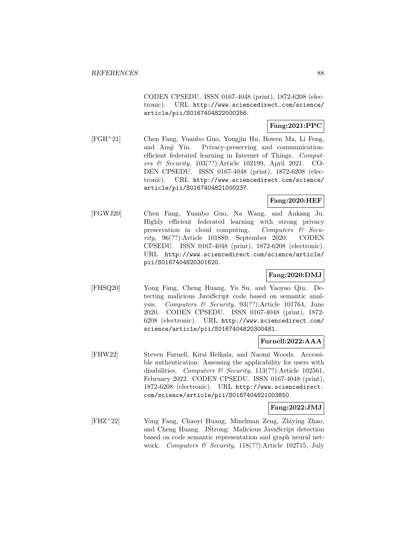CODEN CPSEDU. ISSN 0167-4048 (print), 1872-6208 (electronic). URL http://www.sciencedirect.com/science/ article/pii/S0167404822000256.

## **Fang:2021:PPC**

[FGH<sup>+</sup>21] Chen Fang, Yuanbo Guo, Yongjin Hu, Bowen Ma, Li Feng, and Anqi Yin. Privacy-preserving and communicationefficient federated learning in Internet of Things. Computers & Security, 103(??):Article 102199, April 2021. CO-DEN CPSEDU. ISSN 0167-4048 (print), 1872-6208 (electronic). URL http://www.sciencedirect.com/science/ article/pii/S0167404821000237.

# **Fang:2020:HEF**

[FGWJ20] Chen Fang, Yuanbo Guo, Na Wang, and Ankang Ju. Highly efficient federated learning with strong privacy preservation in cloud computing. Computers & Security, 96(??):Article 101889, September 2020. CODEN CPSEDU. ISSN 0167-4048 (print), 1872-6208 (electronic). URL http://www.sciencedirect.com/science/article/ pii/S0167404820301620.

## **Fang:2020:DMJ**

[FHSQ20] Yong Fang, Cheng Huang, Yu Su, and Yaoyao Qiu. Detecting malicious JavaScript code based on semantic analysis. Computers & Security, 93(??):Article 101764, June 2020. CODEN CPSEDU. ISSN 0167-4048 (print), 1872- 6208 (electronic). URL http://www.sciencedirect.com/ science/article/pii/S0167404820300481.

### **Furnell:2022:AAA**

[FHW22] Steven Furnell, Kirsi Helkala, and Naomi Woods. Accessible authentication: Assessing the applicability for users with disabilities. Computers & Security, 113(??):Article 102561, February 2022. CODEN CPSEDU. ISSN 0167-4048 (print), 1872-6208 (electronic). URL http://www.sciencedirect. com/science/article/pii/S0167404821003850.

### **Fang:2022:JMJ**

[FHZ<sup>+</sup>22] Yong Fang, Chaoyi Huang, Minchuan Zeng, Zhiying Zhao, and Cheng Huang. JStrong: Malicious JavaScript detection based on code semantic representation and graph neural network. Computers & Security, 118(??):Article 102715, July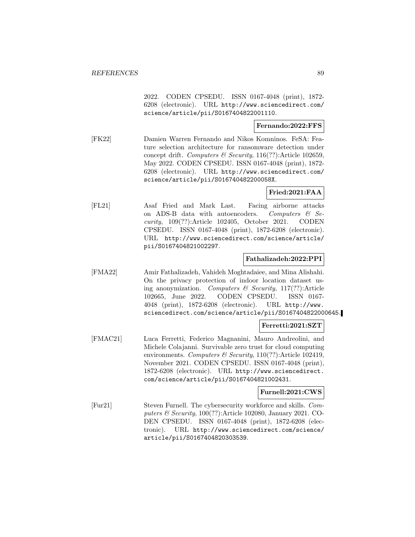2022. CODEN CPSEDU. ISSN 0167-4048 (print), 1872- 6208 (electronic). URL http://www.sciencedirect.com/ science/article/pii/S0167404822001110.

## **Fernando:2022:FFS**

[FK22] Damien Warren Fernando and Nikos Komninos. FeSA: Feature selection architecture for ransomware detection under concept drift. Computers & Security,  $116(??)$ : Article 102659, May 2022. CODEN CPSEDU. ISSN 0167-4048 (print), 1872- 6208 (electronic). URL http://www.sciencedirect.com/ science/article/pii/S016740482200058X.

### **Fried:2021:FAA**

[FL21] Asaf Fried and Mark Last. Facing airborne attacks on ADS-B data with autoencoders. Computers  $\&$  Security, 109(??):Article 102405, October 2021. CODEN CPSEDU. ISSN 0167-4048 (print), 1872-6208 (electronic). URL http://www.sciencedirect.com/science/article/ pii/S0167404821002297.

#### **Fathalizadeh:2022:PPI**

[FMA22] Amir Fathalizadeh, Vahideh Moghtadaiee, and Mina Alishahi. On the privacy protection of indoor location dataset using anonymization. Computers  $\mathcal C$  Security, 117(??):Article 102665, June 2022. CODEN CPSEDU. ISSN 0167- 4048 (print), 1872-6208 (electronic). URL http://www. sciencedirect.com/science/article/pii/S0167404822000645.

#### **Ferretti:2021:SZT**

[FMAC21] Luca Ferretti, Federico Magnanini, Mauro Andreolini, and Michele Colajanni. Survivable zero trust for cloud computing environments. Computers & Security,  $110(??)$ : Article 102419, November 2021. CODEN CPSEDU. ISSN 0167-4048 (print), 1872-6208 (electronic). URL http://www.sciencedirect. com/science/article/pii/S0167404821002431.

#### **Furnell:2021:CWS**

[Fur21] Steven Furnell. The cybersecurity workforce and skills. Computers & Security, 100(??):Article 102080, January 2021. CO-DEN CPSEDU. ISSN 0167-4048 (print), 1872-6208 (electronic). URL http://www.sciencedirect.com/science/ article/pii/S0167404820303539.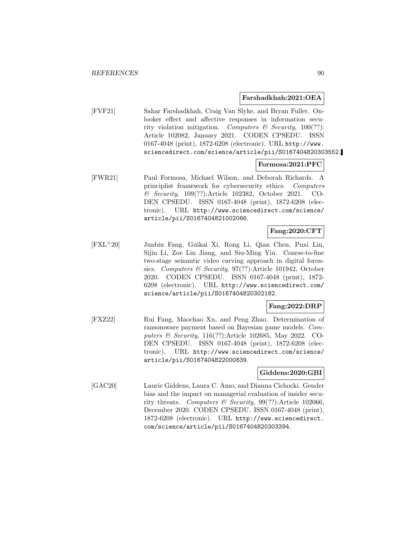#### **Farshadkhah:2021:OEA**

[FVF21] Sahar Farshadkhah, Craig Van Slyke, and Bryan Fuller. Onlooker effect and affective responses in information security violation mitigation. Computers & Security,  $100(??)$ : Article 102082, January 2021. CODEN CPSEDU. ISSN 0167-4048 (print), 1872-6208 (electronic). URL http://www. sciencedirect.com/science/article/pii/S0167404820303552.

## **Formosa:2021:PFC**

[FWR21] Paul Formosa, Michael Wilson, and Deborah Richards. A principlist framework for cybersecurity ethics. Computers & Security, 109(??):Article 102382, October 2021. CO-DEN CPSEDU. ISSN 0167-4048 (print), 1872-6208 (electronic). URL http://www.sciencedirect.com/science/ article/pii/S0167404821002066.

# **Fang:2020:CFT**

[FXL<sup>+</sup>20] Junbin Fang, Guikai Xi, Rong Li, Qian Chen, Puxi Lin, Sijin Li, Zoe Lin Jiang, and Siu-Ming Yiu. Coarse-to-fine two-stage semantic video carving approach in digital forensics. Computers & Security, 97(??):Article 101942, October 2020. CODEN CPSEDU. ISSN 0167-4048 (print), 1872- 6208 (electronic). URL http://www.sciencedirect.com/ science/article/pii/S0167404820302182.

### **Fang:2022:DRP**

[FXZ22] Rui Fang, Maochao Xu, and Peng Zhao. Determination of ransomware payment based on Bayesian game models. Computers & Security, 116(??):Article 102685, May 2022. CO-DEN CPSEDU. ISSN 0167-4048 (print), 1872-6208 (electronic). URL http://www.sciencedirect.com/science/ article/pii/S0167404822000839.

#### **Giddens:2020:GBI**

[GAC20] Laurie Giddens, Laura C. Amo, and Dianna Cichocki. Gender bias and the impact on managerial evaluation of insider security threats. Computers & Security, 99(??):Article 102066, December 2020. CODEN CPSEDU. ISSN 0167-4048 (print), 1872-6208 (electronic). URL http://www.sciencedirect. com/science/article/pii/S0167404820303394.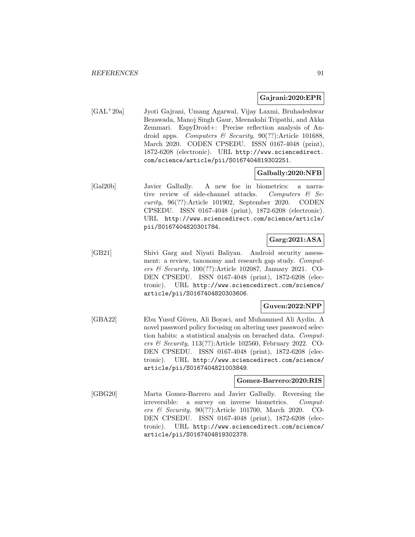#### **Gajrani:2020:EPR**

[GAL<sup>+</sup>20a] Jyoti Gajrani, Umang Agarwal, Vijay Laxmi, Bruhadeshwar Bezawada, Manoj Singh Gaur, Meenakshi Tripathi, and Akka Zemmari. EspyDroid+: Precise reflection analysis of Android apps. Computers & Security,  $90(??)$ :Article 101688, March 2020. CODEN CPSEDU. ISSN 0167-4048 (print), 1872-6208 (electronic). URL http://www.sciencedirect. com/science/article/pii/S0167404819302251.

#### **Galbally:2020:NFB**

[Gal20b] Javier Galbally. A new foe in biometrics: a narrative review of side-channel attacks. Computers & Security, 96(??):Article 101902, September 2020. CODEN CPSEDU. ISSN 0167-4048 (print), 1872-6208 (electronic). URL http://www.sciencedirect.com/science/article/ pii/S0167404820301784.

## **Garg:2021:ASA**

[GB21] Shivi Garg and Niyati Baliyan. Android security assessment: a review, taxonomy and research gap study. Computers & Security, 100(??):Article 102087, January 2021. CO-DEN CPSEDU. ISSN 0167-4048 (print), 1872-6208 (electronic). URL http://www.sciencedirect.com/science/ article/pii/S0167404820303606.

## **Guven:2022:NPP**

[GBA22] Ebu Yusuf Güven, Ali Boyaci, and Muhammed Ali Aydin. A novel password policy focusing on altering user password selection habits: a statistical analysis on breached data. Computers & Security, 113(??):Article 102560, February 2022. CO-DEN CPSEDU. ISSN 0167-4048 (print), 1872-6208 (electronic). URL http://www.sciencedirect.com/science/ article/pii/S0167404821003849.

#### **Gomez-Barrero:2020:RIS**

[GBG20] Marta Gomez-Barrero and Javier Galbally. Reversing the irreversible: a survey on inverse biometrics. Computers & Security, 90(??):Article 101700, March 2020. CO-DEN CPSEDU. ISSN 0167-4048 (print), 1872-6208 (electronic). URL http://www.sciencedirect.com/science/ article/pii/S0167404819302378.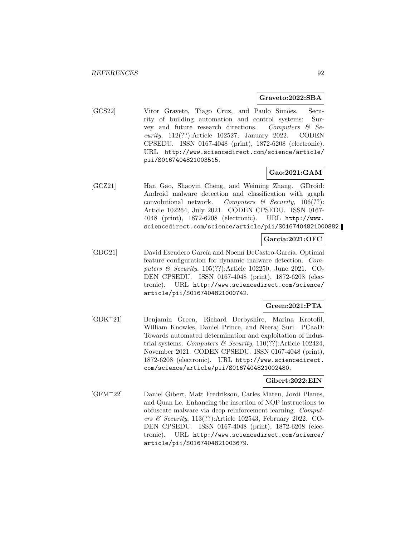#### **Graveto:2022:SBA**

[GCS22] Vitor Graveto, Tiago Cruz, and Paulo Simöes. Security of building automation and control systems: Survey and future research directions. Computers  $\mathcal{C}$  Security, 112(??):Article 102527, January 2022. CODEN CPSEDU. ISSN 0167-4048 (print), 1872-6208 (electronic). URL http://www.sciencedirect.com/science/article/ pii/S0167404821003515.

## **Gao:2021:GAM**

[GCZ21] Han Gao, Shaoyin Cheng, and Weiming Zhang. GDroid: Android malware detection and classification with graph convolutional network. Computers  $\mathcal{C}$  Security, 106(??): Article 102264, July 2021. CODEN CPSEDU. ISSN 0167- 4048 (print), 1872-6208 (electronic). URL http://www. sciencedirect.com/science/article/pii/S0167404821000882.

## **Garcia:2021:OFC**

[GDG21] David Escudero García and Noemí DeCastro-García. Optimal feature configuration for dynamic malware detection. Computers & Security, 105(??):Article 102250, June 2021. CO-DEN CPSEDU. ISSN 0167-4048 (print), 1872-6208 (electronic). URL http://www.sciencedirect.com/science/ article/pii/S0167404821000742.

## **Green:2021:PTA**

[GDK<sup>+</sup>21] Benjamin Green, Richard Derbyshire, Marina Krotofil, William Knowles, Daniel Prince, and Neeraj Suri. PCaaD: Towards automated determination and exploitation of industrial systems. Computers & Security,  $110(??)$ : Article 102424, November 2021. CODEN CPSEDU. ISSN 0167-4048 (print), 1872-6208 (electronic). URL http://www.sciencedirect. com/science/article/pii/S0167404821002480.

### **Gibert:2022:EIN**

[GFM<sup>+</sup>22] Daniel Gibert, Matt Fredrikson, Carles Mateu, Jordi Planes, and Quan Le. Enhancing the insertion of NOP instructions to obfuscate malware via deep reinforcement learning. Computers & Security, 113(??):Article 102543, February 2022. CO-DEN CPSEDU. ISSN 0167-4048 (print), 1872-6208 (electronic). URL http://www.sciencedirect.com/science/ article/pii/S0167404821003679.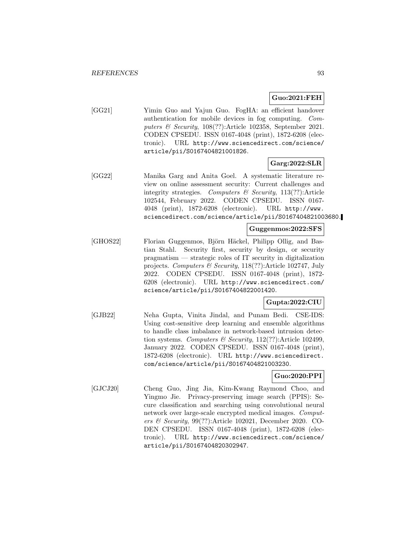## **Guo:2021:FEH**

[GG21] Yimin Guo and Yajun Guo. FogHA: an efficient handover authentication for mobile devices in fog computing. Computers & Security, 108(??):Article 102358, September 2021. CODEN CPSEDU. ISSN 0167-4048 (print), 1872-6208 (electronic). URL http://www.sciencedirect.com/science/ article/pii/S0167404821001826.

## **Garg:2022:SLR**

[GG22] Manika Garg and Anita Goel. A systematic literature review on online assessment security: Current challenges and integrity strategies. Computers  $\mathcal C$  Security, 113(??): Article 102544, February 2022. CODEN CPSEDU. ISSN 0167- 4048 (print), 1872-6208 (electronic). URL http://www. sciencedirect.com/science/article/pii/S0167404821003680.

#### **Guggenmos:2022:SFS**

[GHOS22] Florian Guggenmos, Björn Häckel, Philipp Ollig, and Bastian Stahl. Security first, security by design, or security pragmatism — strategic roles of IT security in digitalization projects. Computers & Security, 118(??):Article 102747, July 2022. CODEN CPSEDU. ISSN 0167-4048 (print), 1872- 6208 (electronic). URL http://www.sciencedirect.com/ science/article/pii/S0167404822001420.

# **Gupta:2022:CIU**

[GJB22] Neha Gupta, Vinita Jindal, and Punam Bedi. CSE-IDS: Using cost-sensitive deep learning and ensemble algorithms to handle class imbalance in network-based intrusion detection systems. Computers & Security,  $112(??)$ :Article 102499, January 2022. CODEN CPSEDU. ISSN 0167-4048 (print), 1872-6208 (electronic). URL http://www.sciencedirect. com/science/article/pii/S0167404821003230.

# **Guo:2020:PPI**

[GJCJ20] Cheng Guo, Jing Jia, Kim-Kwang Raymond Choo, and Yingmo Jie. Privacy-preserving image search (PPIS): Secure classification and searching using convolutional neural network over large-scale encrypted medical images. Computers & Security, 99(??):Article 102021, December 2020. CO-DEN CPSEDU. ISSN 0167-4048 (print), 1872-6208 (electronic). URL http://www.sciencedirect.com/science/ article/pii/S0167404820302947.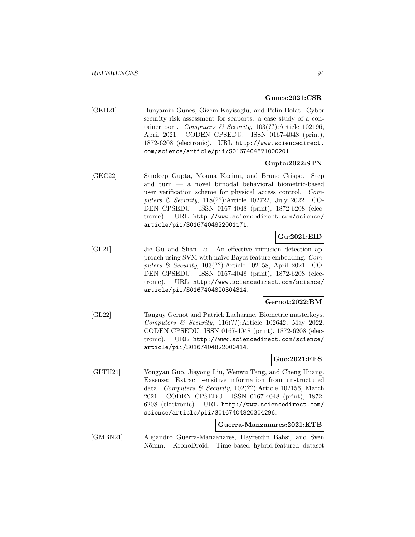#### **Gunes:2021:CSR**

[GKB21] Bunyamin Gunes, Gizem Kayisoglu, and Pelin Bolat. Cyber security risk assessment for seaports: a case study of a container port. Computers & Security, 103(??):Article 102196, April 2021. CODEN CPSEDU. ISSN 0167-4048 (print), 1872-6208 (electronic). URL http://www.sciencedirect. com/science/article/pii/S0167404821000201.

## **Gupta:2022:STN**

[GKC22] Sandeep Gupta, Mouna Kacimi, and Bruno Crispo. Step and turn — a novel bimodal behavioral biometric-based user verification scheme for physical access control. Computers & Security, 118(??):Article 102722, July 2022. CO-DEN CPSEDU. ISSN 0167-4048 (print), 1872-6208 (electronic). URL http://www.sciencedirect.com/science/ article/pii/S0167404822001171.

## **Gu:2021:EID**

[GL21] Jie Gu and Shan Lu. An effective intrusion detection approach using SVM with naïve Bayes feature embedding. Computers & Security, 103(??):Article 102158, April 2021. CO-DEN CPSEDU. ISSN 0167-4048 (print), 1872-6208 (electronic). URL http://www.sciencedirect.com/science/ article/pii/S0167404820304314.

## **Gernot:2022:BM**

[GL22] Tanguy Gernot and Patrick Lacharme. Biometric masterkeys. Computers & Security, 116(??):Article 102642, May 2022. CODEN CPSEDU. ISSN 0167-4048 (print), 1872-6208 (electronic). URL http://www.sciencedirect.com/science/ article/pii/S0167404822000414.

## **Guo:2021:EES**

[GLTH21] Yongyan Guo, Jiayong Liu, Wenwu Tang, and Cheng Huang. Exsense: Extract sensitive information from unstructured data. Computers & Security, 102(??):Article 102156, March 2021. CODEN CPSEDU. ISSN 0167-4048 (print), 1872- 6208 (electronic). URL http://www.sciencedirect.com/ science/article/pii/S0167404820304296.

#### **Guerra-Manzanares:2021:KTB**

[GMBN21] Alejandro Guerra-Manzanares, Hayretdin Bahsi, and Sven Nõmm. KronoDroid: Time-based hybrid-featured dataset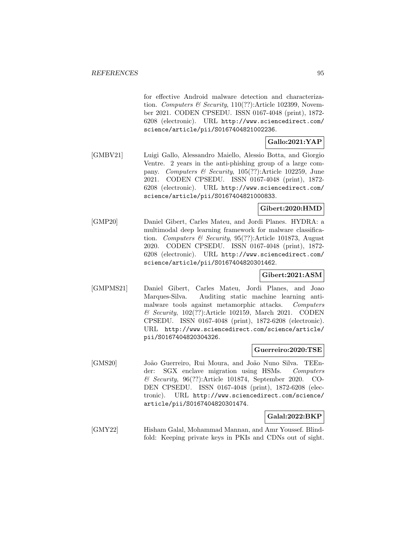for effective Android malware detection and characterization. Computers & Security,  $110(??)$ : Article 102399, November 2021. CODEN CPSEDU. ISSN 0167-4048 (print), 1872- 6208 (electronic). URL http://www.sciencedirect.com/ science/article/pii/S0167404821002236.

# **Gallo:2021:YAP**

[GMBV21] Luigi Gallo, Alessandro Maiello, Alessio Botta, and Giorgio Ventre. 2 years in the anti-phishing group of a large company. Computers & Security, 105(??):Article 102259, June 2021. CODEN CPSEDU. ISSN 0167-4048 (print), 1872- 6208 (electronic). URL http://www.sciencedirect.com/ science/article/pii/S0167404821000833.

## **Gibert:2020:HMD**

[GMP20] Daniel Gibert, Carles Mateu, and Jordi Planes. HYDRA: a multimodal deep learning framework for malware classification. Computers & Security, 95(??):Article 101873, August 2020. CODEN CPSEDU. ISSN 0167-4048 (print), 1872- 6208 (electronic). URL http://www.sciencedirect.com/ science/article/pii/S0167404820301462.

### **Gibert:2021:ASM**

[GMPMS21] Daniel Gibert, Carles Mateu, Jordi Planes, and Joao Marques-Silva. Auditing static machine learning antimalware tools against metamorphic attacks. Computers & Security, 102(??):Article 102159, March 2021. CODEN CPSEDU. ISSN 0167-4048 (print), 1872-6208 (electronic). URL http://www.sciencedirect.com/science/article/ pii/S0167404820304326.

### **Guerreiro:2020:TSE**

[GMS20] Jo˜ao Guerreiro, Rui Moura, and Jo˜ao Nuno Silva. TEEnder: SGX enclave migration using HSMs. Computers & Security, 96(??):Article 101874, September 2020. CO-DEN CPSEDU. ISSN 0167-4048 (print), 1872-6208 (electronic). URL http://www.sciencedirect.com/science/ article/pii/S0167404820301474.

### **Galal:2022:BKP**

[GMY22] Hisham Galal, Mohammad Mannan, and Amr Youssef. Blindfold: Keeping private keys in PKIs and CDNs out of sight.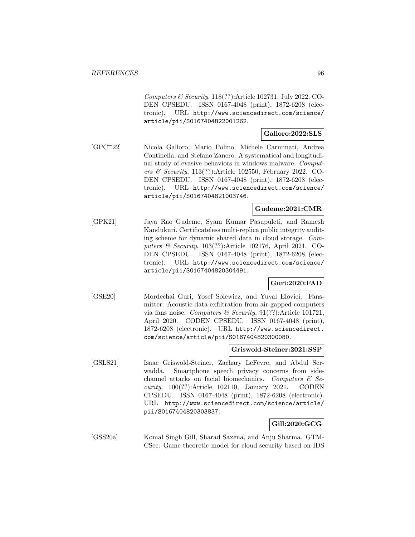Computers & Security, 118(??):Article 102731, July 2022. CO-DEN CPSEDU. ISSN 0167-4048 (print), 1872-6208 (electronic). URL http://www.sciencedirect.com/science/ article/pii/S0167404822001262.

### **Galloro:2022:SLS**

[GPC<sup>+</sup>22] Nicola Galloro, Mario Polino, Michele Carminati, Andrea Continella, and Stefano Zanero. A systematical and longitudinal study of evasive behaviors in windows malware. Computers & Security, 113(??):Article 102550, February 2022. CO-DEN CPSEDU. ISSN 0167-4048 (print), 1872-6208 (electronic). URL http://www.sciencedirect.com/science/ article/pii/S0167404821003746.

## **Gudeme:2021:CMR**

[GPK21] Jaya Rao Gudeme, Syam Kumar Pasupuleti, and Ramesh Kandukuri. Certificateless multi-replica public integrity auditing scheme for dynamic shared data in cloud storage. Computers & Security, 103(??):Article 102176, April 2021. CO-DEN CPSEDU. ISSN 0167-4048 (print), 1872-6208 (electronic). URL http://www.sciencedirect.com/science/ article/pii/S0167404820304491.

# **Guri:2020:FAD**

[GSE20] Mordechai Guri, Yosef Solewicz, and Yuval Elovici. Fansmitter: Acoustic data exfiltration from air-gapped computers via fans noise. Computers & Security,  $91(??)$ :Article 101721, April 2020. CODEN CPSEDU. ISSN 0167-4048 (print), 1872-6208 (electronic). URL http://www.sciencedirect. com/science/article/pii/S0167404820300080.

#### **Griswold-Steiner:2021:SSP**

[GSLS21] Isaac Griswold-Steiner, Zachary LeFevre, and Abdul Serwadda. Smartphone speech privacy concerns from sidechannel attacks on facial biomechanics. Computers  $\mathcal{B}$  Security, 100(??):Article 102110, January 2021. CODEN CPSEDU. ISSN 0167-4048 (print), 1872-6208 (electronic). URL http://www.sciencedirect.com/science/article/ pii/S0167404820303837.

# **Gill:2020:GCG**

[GSS20a] Komal Singh Gill, Sharad Saxena, and Anju Sharma. GTM-CSec: Game theoretic model for cloud security based on IDS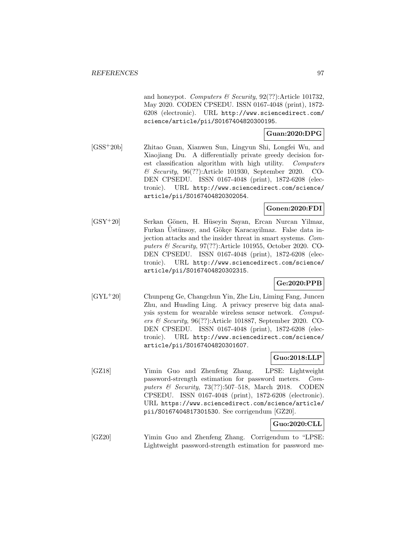and honeypot. Computers  $\mathcal B$  Security, 92(??):Article 101732, May 2020. CODEN CPSEDU. ISSN 0167-4048 (print), 1872- 6208 (electronic). URL http://www.sciencedirect.com/ science/article/pii/S0167404820300195.

# **Guan:2020:DPG**

[GSS<sup>+</sup>20b] Zhitao Guan, Xianwen Sun, Lingyun Shi, Longfei Wu, and Xiaojiang Du. A differentially private greedy decision forest classification algorithm with high utility. Computers & Security, 96(??):Article 101930, September 2020. CO-DEN CPSEDU. ISSN 0167-4048 (print), 1872-6208 (electronic). URL http://www.sciencedirect.com/science/ article/pii/S0167404820302054.

# **Gonen:2020:FDI**

[GSY<sup>+</sup>20] Serkan G¨onen, H. H¨useyin Sayan, Ercan Nurcan Yilmaz, Furkan Ustünsoy, and Gökçe Karacayilmaz. False data injection attacks and the insider threat in smart systems. Computers & Security, 97(??):Article 101955, October 2020. CO-DEN CPSEDU. ISSN 0167-4048 (print), 1872-6208 (electronic). URL http://www.sciencedirect.com/science/ article/pii/S0167404820302315.

# **Ge:2020:PPB**

[GYL<sup>+</sup>20] Chunpeng Ge, Changchun Yin, Zhe Liu, Liming Fang, Juncen Zhu, and Huading Ling. A privacy preserve big data analysis system for wearable wireless sensor network. Computers & Security, 96(??):Article 101887, September 2020. CO-DEN CPSEDU. ISSN 0167-4048 (print), 1872-6208 (electronic). URL http://www.sciencedirect.com/science/ article/pii/S0167404820301607.

# **Guo:2018:LLP**

[GZ18] Yimin Guo and Zhenfeng Zhang. LPSE: Lightweight password-strength estimation for password meters. Computers & Security, 73(??):507–518, March 2018. CODEN CPSEDU. ISSN 0167-4048 (print), 1872-6208 (electronic). URL https://www.sciencedirect.com/science/article/ pii/S0167404817301530. See corrigendum [GZ20].

# **Guo:2020:CLL**

[GZ20] Yimin Guo and Zhenfeng Zhang. Corrigendum to "LPSE: Lightweight password-strength estimation for password me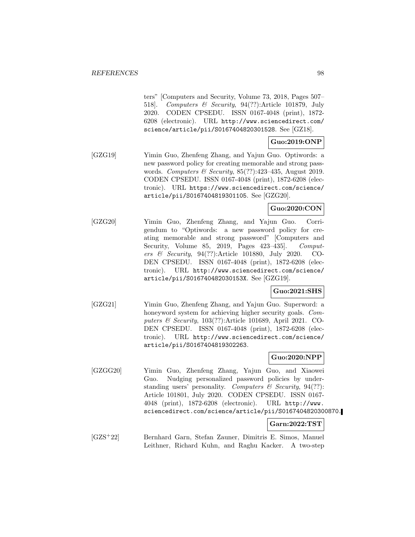ters" [Computers and Security, Volume 73, 2018, Pages 507– 518]. Computers & Security, 94(??):Article 101879, July 2020. CODEN CPSEDU. ISSN 0167-4048 (print), 1872- 6208 (electronic). URL http://www.sciencedirect.com/ science/article/pii/S0167404820301528. See [GZ18].

# **Guo:2019:ONP**

[GZG19] Yimin Guo, Zhenfeng Zhang, and Yajun Guo. Optiwords: a new password policy for creating memorable and strong passwords. Computers & Security, 85(??):423–435, August 2019. CODEN CPSEDU. ISSN 0167-4048 (print), 1872-6208 (electronic). URL https://www.sciencedirect.com/science/ article/pii/S0167404819301105. See [GZG20].

# **Guo:2020:CON**

[GZG20] Yimin Guo, Zhenfeng Zhang, and Yajun Guo. Corrigendum to "Optiwords: a new password policy for creating memorable and strong password" [Computers and Security, Volume 85, 2019, Pages 423-435. Computers & Security, 94(??):Article 101880, July 2020. CO-DEN CPSEDU. ISSN 0167-4048 (print), 1872-6208 (electronic). URL http://www.sciencedirect.com/science/ article/pii/S016740482030153X. See [GZG19].

# **Guo:2021:SHS**

[GZG21] Yimin Guo, Zhenfeng Zhang, and Yajun Guo. Superword: a honeyword system for achieving higher security goals. Computers & Security, 103(??):Article 101689, April 2021. CO-DEN CPSEDU. ISSN 0167-4048 (print), 1872-6208 (electronic). URL http://www.sciencedirect.com/science/ article/pii/S0167404819302263.

### **Guo:2020:NPP**

[GZGG20] Yimin Guo, Zhenfeng Zhang, Yajun Guo, and Xiaowei Guo. Nudging personalized password policies by understanding users' personality. Computers  $\mathcal C$  Security, 94(??): Article 101801, July 2020. CODEN CPSEDU. ISSN 0167- 4048 (print), 1872-6208 (electronic). URL http://www. sciencedirect.com/science/article/pii/S0167404820300870.

#### **Garn:2022:TST**

[GZS<sup>+</sup>22] Bernhard Garn, Stefan Zauner, Dimitris E. Simos, Manuel Leithner, Richard Kuhn, and Raghu Kacker. A two-step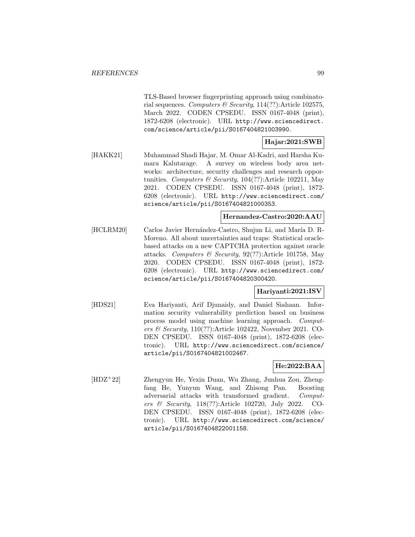TLS-Based browser fingerprinting approach using combinatorial sequences. Computers & Security,  $114(??)$ : Article 102575, March 2022. CODEN CPSEDU. ISSN 0167-4048 (print), 1872-6208 (electronic). URL http://www.sciencedirect. com/science/article/pii/S0167404821003990.

# **Hajar:2021:SWB**

[HAKK21] Muhammad Shadi Hajar, M. Omar Al-Kadri, and Harsha Kumara Kalutarage. A survey on wireless body area networks: architecture, security challenges and research opportunities. Computers & Security,  $104(??)$ :Article 102211, May 2021. CODEN CPSEDU. ISSN 0167-4048 (print), 1872- 6208 (electronic). URL http://www.sciencedirect.com/ science/article/pii/S0167404821000353.

### **Hernandez-Castro:2020:AAU**

[HCLRM20] Carlos Javier Hernández-Castro, Shujun Li, and María D. R-Moreno. All about uncertainties and traps: Statistical oraclebased attacks on a new CAPTCHA protection against oracle attacks. Computers & Security, 92(??):Article 101758, May 2020. CODEN CPSEDU. ISSN 0167-4048 (print), 1872- 6208 (electronic). URL http://www.sciencedirect.com/ science/article/pii/S0167404820300420.

# **Hariyanti:2021:ISV**

[HDS21] Eva Hariyanti, Arif Djunaidy, and Daniel Siahaan. Information security vulnerability prediction based on business process model using machine learning approach. Computers & Security, 110(??):Article 102422, November 2021. CO-DEN CPSEDU. ISSN 0167-4048 (print), 1872-6208 (electronic). URL http://www.sciencedirect.com/science/ article/pii/S0167404821002467.

# **He:2022:BAA**

[HDZ<sup>+</sup>22] Zhengyun He, Yexin Duan, Wu Zhang, Junhua Zou, Zhengfang He, Yunyun Wang, and Zhisong Pan. Boosting adversarial attacks with transformed gradient. Computers & Security, 118(??):Article 102720, July 2022. CO-DEN CPSEDU. ISSN 0167-4048 (print), 1872-6208 (electronic). URL http://www.sciencedirect.com/science/ article/pii/S0167404822001158.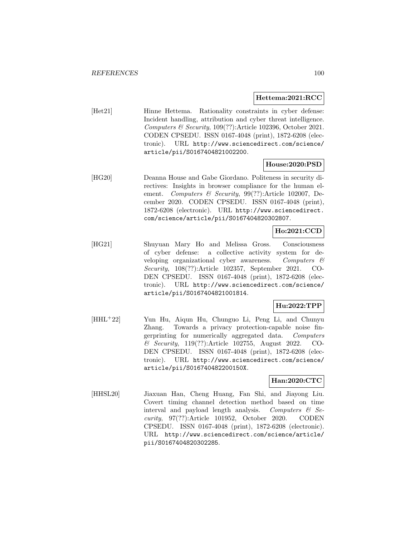#### **Hettema:2021:RCC**

[Het21] Hinne Hettema. Rationality constraints in cyber defense: Incident handling, attribution and cyber threat intelligence. Computers & Security, 109(??):Article 102396, October 2021. CODEN CPSEDU. ISSN 0167-4048 (print), 1872-6208 (electronic). URL http://www.sciencedirect.com/science/ article/pii/S0167404821002200.

## **House:2020:PSD**

[HG20] Deanna House and Gabe Giordano. Politeness in security directives: Insights in browser compliance for the human element. Computers & Security, 99(??):Article 102007, December 2020. CODEN CPSEDU. ISSN 0167-4048 (print), 1872-6208 (electronic). URL http://www.sciencedirect. com/science/article/pii/S0167404820302807.

# **Ho:2021:CCD**

[HG21] Shuyuan Mary Ho and Melissa Gross. Consciousness of cyber defense: a collective activity system for developing organizational cyber awareness. Computers & Security, 108(??):Article 102357, September 2021. CO-DEN CPSEDU. ISSN 0167-4048 (print), 1872-6208 (electronic). URL http://www.sciencedirect.com/science/ article/pii/S0167404821001814.

# **Hu:2022:TPP**

[HHL<sup>+</sup>22] Yun Hu, Aiqun Hu, Chunguo Li, Peng Li, and Chunyu Zhang. Towards a privacy protection-capable noise fingerprinting for numerically aggregated data. Computers & Security, 119(??):Article 102755, August 2022. CO-DEN CPSEDU. ISSN 0167-4048 (print), 1872-6208 (electronic). URL http://www.sciencedirect.com/science/ article/pii/S016740482200150X.

## **Han:2020:CTC**

[HHSL20] Jiaxuan Han, Cheng Huang, Fan Shi, and Jiayong Liu. Covert timing channel detection method based on time interval and payload length analysis. Computers  $\mathcal{C}$  Security, 97(??):Article 101952, October 2020. CODEN CPSEDU. ISSN 0167-4048 (print), 1872-6208 (electronic). URL http://www.sciencedirect.com/science/article/ pii/S0167404820302285.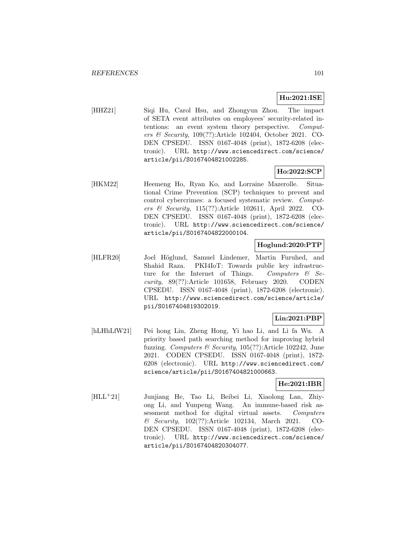# **Hu:2021:ISE**

[HHZ21] Siqi Hu, Carol Hsu, and Zhongyun Zhou. The impact of SETA event attributes on employees' security-related intentions: an event system theory perspective. Computers & Security, 109(??):Article 102404, October 2021. CO-DEN CPSEDU. ISSN 0167-4048 (print), 1872-6208 (electronic). URL http://www.sciencedirect.com/science/ article/pii/S0167404821002285.

## **Ho:2022:SCP**

[HKM22] Heemeng Ho, Ryan Ko, and Lorraine Mazerolle. Situational Crime Prevention (SCP) techniques to prevent and control cybercrimes: a focused systematic review. Computers & Security, 115(??):Article 102611, April 2022. CO-DEN CPSEDU. ISSN 0167-4048 (print), 1872-6208 (electronic). URL http://www.sciencedirect.com/science/ article/pii/S0167404822000104.

### **Hoglund:2020:PTP**

[HLFR20] Joel Höglund, Samuel Lindemer, Martin Furuhed, and Shahid Raza. PKI4IoT: Towards public key infrastructure for the Internet of Things. Computers  $\mathcal{B}$  Security, 89(??):Article 101658, February 2020. CODEN CPSEDU. ISSN 0167-4048 (print), 1872-6208 (electronic). URL http://www.sciencedirect.com/science/article/ pii/S0167404819302019.

## **Lin:2021:PBP**

[hLHhLfW21] Pei hong Lin, Zheng Hong, Yi hao Li, and Li fa Wu. A priority based path searching method for improving hybrid fuzzing. Computers & Security,  $105(??)$ : Article 102242, June 2021. CODEN CPSEDU. ISSN 0167-4048 (print), 1872- 6208 (electronic). URL http://www.sciencedirect.com/ science/article/pii/S0167404821000663.

## **He:2021:IBR**

[HLL<sup>+</sup>21] Junjiang He, Tao Li, Beibei Li, Xiaolong Lan, Zhiyong Li, and Yunpeng Wang. An immune-based risk assessment method for digital virtual assets. Computers & Security, 102(??):Article 102134, March 2021. CO-DEN CPSEDU. ISSN 0167-4048 (print), 1872-6208 (electronic). URL http://www.sciencedirect.com/science/ article/pii/S0167404820304077.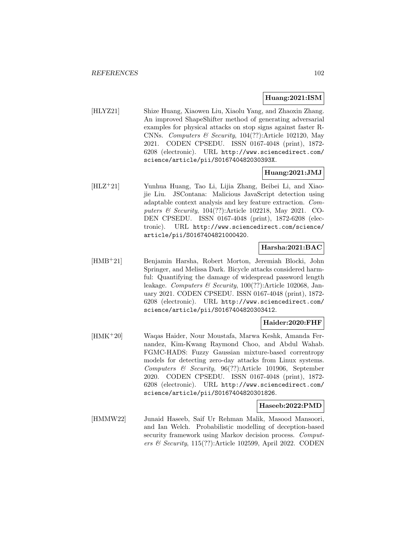### **Huang:2021:ISM**

[HLYZ21] Shize Huang, Xiaowen Liu, Xiaolu Yang, and Zhaoxin Zhang. An improved ShapeShifter method of generating adversarial examples for physical attacks on stop signs against faster R-CNNs. Computers & Security,  $104(??)$ :Article 102120, May 2021. CODEN CPSEDU. ISSN 0167-4048 (print), 1872- 6208 (electronic). URL http://www.sciencedirect.com/ science/article/pii/S016740482030393X.

## **Huang:2021:JMJ**

[HLZ<sup>+</sup>21] Yunhua Huang, Tao Li, Lijia Zhang, Beibei Li, and Xiaojie Liu. JSContana: Malicious JavaScript detection using adaptable context analysis and key feature extraction. Computers & Security, 104(??):Article 102218, May 2021. CO-DEN CPSEDU. ISSN 0167-4048 (print), 1872-6208 (electronic). URL http://www.sciencedirect.com/science/ article/pii/S0167404821000420.

## **Harsha:2021:BAC**

[HMB<sup>+</sup>21] Benjamin Harsha, Robert Morton, Jeremiah Blocki, John Springer, and Melissa Dark. Bicycle attacks considered harmful: Quantifying the damage of widespread password length leakage. Computers & Security, 100(??):Article 102068, January 2021. CODEN CPSEDU. ISSN 0167-4048 (print), 1872- 6208 (electronic). URL http://www.sciencedirect.com/ science/article/pii/S0167404820303412.

# **Haider:2020:FHF**

[HMK<sup>+</sup>20] Waqas Haider, Nour Moustafa, Marwa Keshk, Amanda Fernandez, Kim-Kwang Raymond Choo, and Abdul Wahab. FGMC-HADS: Fuzzy Gaussian mixture-based correntropy models for detecting zero-day attacks from Linux systems. Computers & Security, 96(??):Article 101906, September 2020. CODEN CPSEDU. ISSN 0167-4048 (print), 1872- 6208 (electronic). URL http://www.sciencedirect.com/ science/article/pii/S0167404820301826.

### **Haseeb:2022:PMD**

[HMMW22] Junaid Haseeb, Saif Ur Rehman Malik, Masood Mansoori, and Ian Welch. Probabilistic modelling of deception-based security framework using Markov decision process. Computers & Security, 115(??):Article 102599, April 2022. CODEN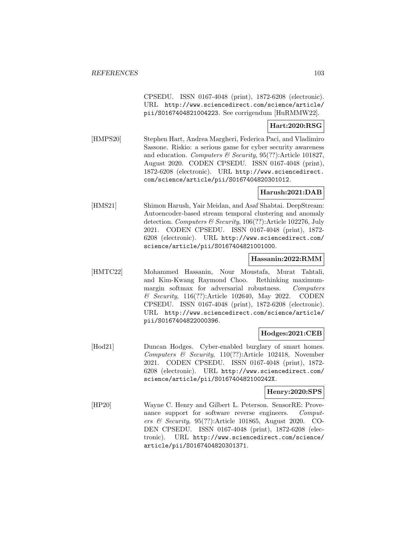CPSEDU. ISSN 0167-4048 (print), 1872-6208 (electronic). URL http://www.sciencedirect.com/science/article/ pii/S0167404821004223. See corrigendum [HuRMMW22].

## **Hart:2020:RSG**

[HMPS20] Stephen Hart, Andrea Margheri, Federica Paci, and Vladimiro Sassone. Riskio: a serious game for cyber security awareness and education. Computers & Security, 95(??):Article 101827, August 2020. CODEN CPSEDU. ISSN 0167-4048 (print), 1872-6208 (electronic). URL http://www.sciencedirect. com/science/article/pii/S0167404820301012.

### **Harush:2021:DAB**

[HMS21] Shimon Harush, Yair Meidan, and Asaf Shabtai. DeepStream: Autoencoder-based stream temporal clustering and anomaly detection. Computers & Security, 106(??):Article 102276, July 2021. CODEN CPSEDU. ISSN 0167-4048 (print), 1872- 6208 (electronic). URL http://www.sciencedirect.com/ science/article/pii/S0167404821001000.

### **Hassanin:2022:RMM**

[HMTC22] Mohammed Hassanin, Nour Moustafa, Murat Tahtali, and Kim-Kwang Raymond Choo. Rethinking maximummargin softmax for adversarial robustness. Computers & Security, 116(??):Article 102640, May 2022. CODEN CPSEDU. ISSN 0167-4048 (print), 1872-6208 (electronic). URL http://www.sciencedirect.com/science/article/ pii/S0167404822000396.

#### **Hodges:2021:CEB**

[Hod21] Duncan Hodges. Cyber-enabled burglary of smart homes. Computers & Security, 110(??):Article 102418, November 2021. CODEN CPSEDU. ISSN 0167-4048 (print), 1872- 6208 (electronic). URL http://www.sciencedirect.com/ science/article/pii/S016740482100242X.

### **Henry:2020:SPS**

[HP20] Wayne C. Henry and Gilbert L. Peterson. SensorRE: Provenance support for software reverse engineers. Computers & Security, 95(??):Article 101865, August 2020. CO-DEN CPSEDU. ISSN 0167-4048 (print), 1872-6208 (electronic). URL http://www.sciencedirect.com/science/ article/pii/S0167404820301371.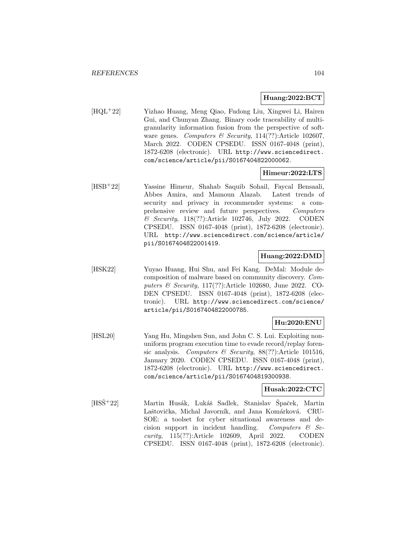#### **Huang:2022:BCT**

[HQL<sup>+</sup>22] Yizhao Huang, Meng Qiao, Fudong Liu, Xingwei Li, Hairen Gui, and Chunyan Zhang. Binary code traceability of multigranularity information fusion from the perspective of software genes. Computers & Security, 114(??):Article 102607, March 2022. CODEN CPSEDU. ISSN 0167-4048 (print), 1872-6208 (electronic). URL http://www.sciencedirect. com/science/article/pii/S0167404822000062.

## **Himeur:2022:LTS**

[HSB<sup>+</sup>22] Yassine Himeur, Shahab Saquib Sohail, Faycal Bensaali, Abbes Amira, and Mamoun Alazab. Latest trends of security and privacy in recommender systems: a comprehensive review and future perspectives. Computers & Security, 118(??):Article 102746, July 2022. CODEN CPSEDU. ISSN 0167-4048 (print), 1872-6208 (electronic). URL http://www.sciencedirect.com/science/article/ pii/S0167404822001419.

### **Huang:2022:DMD**

[HSK22] Yuyao Huang, Hui Shu, and Fei Kang. DeMal: Module decomposition of malware based on community discovery. Computers & Security, 117(??):Article 102680, June 2022. CO-DEN CPSEDU. ISSN 0167-4048 (print), 1872-6208 (electronic). URL http://www.sciencedirect.com/science/ article/pii/S0167404822000785.

# **Hu:2020:ENU**

[HSL20] Yang Hu, Mingshen Sun, and John C. S. Lui. Exploiting nonuniform program execution time to evade record/replay forensic analysis. Computers & Security,  $88(??)$ :Article 101516, January 2020. CODEN CPSEDU. ISSN 0167-4048 (print), 1872-6208 (electronic). URL http://www.sciencedirect. com/science/article/pii/S0167404819300938.

## **Husak:2022:CTC**

[HSŠ<sup>+</sup>22] Martin Husák, Lukáš Sadlek, Stanislav Špaček, Martin Laštovička, Michal Javorník, and Jana Komárková. CRU-SOE: a toolset for cyber situational awareness and decision support in incident handling. Computers  $\mathcal{B}$  Security, 115(??):Article 102609, April 2022. CODEN CPSEDU. ISSN 0167-4048 (print), 1872-6208 (electronic).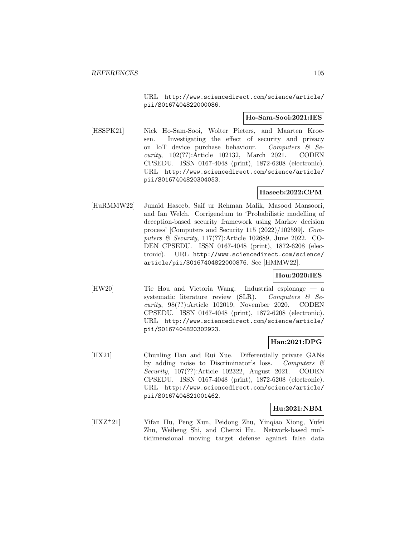URL http://www.sciencedirect.com/science/article/ pii/S0167404822000086.

## **Ho-Sam-Sooi:2021:IES**

[HSSPK21] Nick Ho-Sam-Sooi, Wolter Pieters, and Maarten Kroesen. Investigating the effect of security and privacy on IoT device purchase behaviour. Computers & Security, 102(??):Article 102132, March 2021. CODEN CPSEDU. ISSN 0167-4048 (print), 1872-6208 (electronic). URL http://www.sciencedirect.com/science/article/ pii/S0167404820304053.

## **Haseeb:2022:CPM**

[HuRMMW22] Junaid Haseeb, Saif ur Rehman Malik, Masood Mansoori, and Ian Welch. Corrigendum to 'Probabilistic modelling of deception-based security framework using Markov decision process' [Computers and Security 115 (2022)/102599]. Computers & Security, 117(??):Article 102689, June 2022. CO-DEN CPSEDU. ISSN 0167-4048 (print), 1872-6208 (electronic). URL http://www.sciencedirect.com/science/ article/pii/S0167404822000876. See [HMMW22].

# **Hou:2020:IES**

[HW20] Tie Hou and Victoria Wang. Industrial espionage — a systematic literature review (SLR). Computers  $\&$  Security, 98(??):Article 102019, November 2020. CODEN CPSEDU. ISSN 0167-4048 (print), 1872-6208 (electronic). URL http://www.sciencedirect.com/science/article/ pii/S0167404820302923.

### **Han:2021:DPG**

[HX21] Chunling Han and Rui Xue. Differentially private GANs by adding noise to Discriminator's loss. Computers & Security, 107(??):Article 102322, August 2021. CODEN CPSEDU. ISSN 0167-4048 (print), 1872-6208 (electronic). URL http://www.sciencedirect.com/science/article/ pii/S0167404821001462.

## **Hu:2021:NBM**

[HXZ<sup>+</sup>21] Yifan Hu, Peng Xun, Peidong Zhu, Yinqiao Xiong, Yufei Zhu, Weiheng Shi, and Chenxi Hu. Network-based multidimensional moving target defense against false data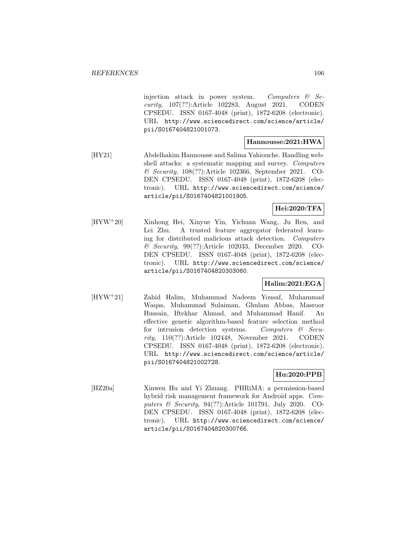injection attack in power system. Computers  $\mathcal{C}$  Security, 107(??):Article 102283, August 2021. CODEN CPSEDU. ISSN 0167-4048 (print), 1872-6208 (electronic). URL http://www.sciencedirect.com/science/article/ pii/S0167404821001073.

## **Hannousse:2021:HWA**

[HY21] Abdelhakim Hannousse and Salima Yahiouche. Handling webshell attacks: a systematic mapping and survey. Computers & Security, 108(??):Article 102366, September 2021. CO-DEN CPSEDU. ISSN 0167-4048 (print), 1872-6208 (electronic). URL http://www.sciencedirect.com/science/ article/pii/S0167404821001905.

# **Hei:2020:TFA**

[HYW<sup>+</sup>20] Xinhong Hei, Xinyue Yin, Yichuan Wang, Ju Ren, and Lei Zhu. A trusted feature aggregator federated learning for distributed malicious attack detection. Computers & Security, 99(??):Article 102033, December 2020. CO-DEN CPSEDU. ISSN 0167-4048 (print), 1872-6208 (electronic). URL http://www.sciencedirect.com/science/ article/pii/S0167404820303060.

# **Halim:2021:EGA**

[HYW<sup>+</sup>21] Zahid Halim, Muhammad Nadeem Yousaf, Muhammad Waqas, Muhammad Sulaiman, Ghulam Abbas, Masroor Hussain, Iftekhar Ahmad, and Muhammad Hanif. An effective genetic algorithm-based feature selection method for intrusion detection systems. Computers  $\mathcal{C}$  Security, 110(??):Article 102448, November 2021. CODEN CPSEDU. ISSN 0167-4048 (print), 1872-6208 (electronic). URL http://www.sciencedirect.com/science/article/ pii/S0167404821002728.

# **Hu:2020:PPB**

[HZ20a] Xinwen Hu and Yi Zhuang. PHRiMA: a permission-based hybrid risk management framework for Android apps. Computers & Security, 94(??):Article 101791, July 2020. CO-DEN CPSEDU. ISSN 0167-4048 (print), 1872-6208 (electronic). URL http://www.sciencedirect.com/science/ article/pii/S0167404820300766.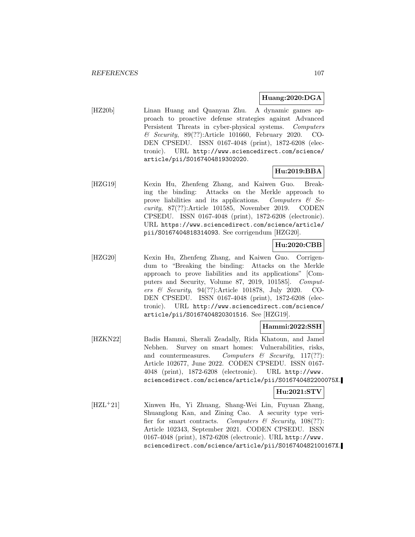## **Huang:2020:DGA**

[HZ20b] Linan Huang and Quanyan Zhu. A dynamic games approach to proactive defense strategies against Advanced Persistent Threats in cyber-physical systems. Computers & Security, 89(??):Article 101660, February 2020. CO-DEN CPSEDU. ISSN 0167-4048 (print), 1872-6208 (electronic). URL http://www.sciencedirect.com/science/ article/pii/S0167404819302020.

# **Hu:2019:BBA**

[HZG19] Kexin Hu, Zhenfeng Zhang, and Kaiwen Guo. Breaking the binding: Attacks on the Merkle approach to prove liabilities and its applications. Computers  $\mathcal{C}$  Security, 87(??):Article 101585, November 2019. CODEN CPSEDU. ISSN 0167-4048 (print), 1872-6208 (electronic). URL https://www.sciencedirect.com/science/article/ pii/S0167404818314093. See corrigendum [HZG20].

# **Hu:2020:CBB**

[HZG20] Kexin Hu, Zhenfeng Zhang, and Kaiwen Guo. Corrigendum to "Breaking the binding: Attacks on the Merkle approach to prove liabilities and its applications" [Computers and Security, Volume 87, 2019, 101585]. Computers & Security, 94(??):Article 101878, July 2020. CO-DEN CPSEDU. ISSN 0167-4048 (print), 1872-6208 (electronic). URL http://www.sciencedirect.com/science/ article/pii/S0167404820301516. See [HZG19].

## **Hammi:2022:SSH**

[HZKN22] Badis Hammi, Sherali Zeadally, Rida Khatoun, and Jamel Nebhen. Survey on smart homes: Vulnerabilities, risks, and countermeasures. Computers  $\mathcal{C}$  Security, 117(??): Article 102677, June 2022. CODEN CPSEDU. ISSN 0167- 4048 (print), 1872-6208 (electronic). URL http://www. sciencedirect.com/science/article/pii/S016740482200075X.

# **Hu:2021:STV**

[HZL<sup>+</sup>21] Xinwen Hu, Yi Zhuang, Shang-Wei Lin, Fuyuan Zhang, Shuanglong Kan, and Zining Cao. A security type verifier for smart contracts. Computers  $\mathcal{C}$  Security, 108(??): Article 102343, September 2021. CODEN CPSEDU. ISSN 0167-4048 (print), 1872-6208 (electronic). URL http://www. sciencedirect.com/science/article/pii/S016740482100167X.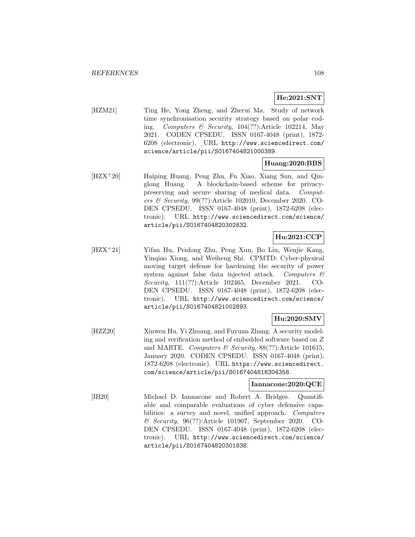## **He:2021:SNT**

[HZM21] Ting He, Yong Zheng, and Zherui Ma. Study of network time synchronisation security strategy based on polar coding. Computers & Security, 104(??):Article 102214, May 2021. CODEN CPSEDU. ISSN 0167-4048 (print), 1872- 6208 (electronic). URL http://www.sciencedirect.com/ science/article/pii/S0167404821000389.

## **Huang:2020:BBS**

[HZX<sup>+</sup>20] Haiping Huang, Peng Zhu, Fu Xiao, Xiang Sun, and Qinglong Huang. A blockchain-based scheme for privacypreserving and secure sharing of medical data. Computers & Security, 99(??):Article 102010, December 2020. CO-DEN CPSEDU. ISSN 0167-4048 (print), 1872-6208 (electronic). URL http://www.sciencedirect.com/science/ article/pii/S0167404820302832.

# **Hu:2021:CCP**

[HZX<sup>+</sup>21] Yifan Hu, Peidong Zhu, Peng Xun, Bo Liu, Wenjie Kang, Yinqiao Xiong, and Weiheng Shi. CPMTD: Cyber-physical moving target defense for hardening the security of power system against false data injected attack. Computers & Security, 111(??):Article 102465, December 2021. CO-DEN CPSEDU. ISSN 0167-4048 (print), 1872-6208 (electronic). URL http://www.sciencedirect.com/science/ article/pii/S0167404821002893.

# **Hu:2020:SMV**

[HZZ20] Xinwen Hu, Yi Zhuang, and Fuyuan Zhang. A security modeling and verification method of embedded software based on Z and MARTE. Computers & Security,  $88(??)$ :Article 101615, January 2020. CODEN CPSEDU. ISSN 0167-4048 (print), 1872-6208 (electronic). URL https://www.sciencedirect. com/science/article/pii/S0167404818304358.

### **Iannacone:2020:QCE**

[IB20] Michael D. Iannacone and Robert A. Bridges. Quantifiable and comparable evaluations of cyber defensive capabilities: a survey and novel, unified approach. Computers & Security, 96(??):Article 101907, September 2020. CO-DEN CPSEDU. ISSN 0167-4048 (print), 1872-6208 (electronic). URL http://www.sciencedirect.com/science/ article/pii/S0167404820301838.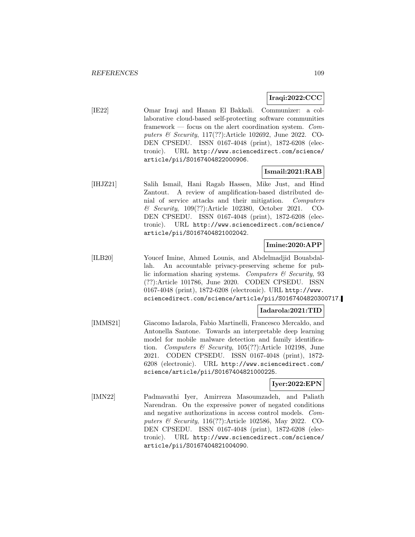### **Iraqi:2022:CCC**

[IE22] Omar Iraqi and Hanan El Bakkali. Communizer: a collaborative cloud-based self-protecting software communities framework — focus on the alert coordination system. Computers & Security, 117(??):Article 102692, June 2022. CO-DEN CPSEDU. ISSN 0167-4048 (print), 1872-6208 (electronic). URL http://www.sciencedirect.com/science/ article/pii/S0167404822000906.

### **Ismail:2021:RAB**

[IHJZ21] Salih Ismail, Hani Ragab Hassen, Mike Just, and Hind Zantout. A review of amplification-based distributed denial of service attacks and their mitigation. Computers & Security, 109(??):Article 102380, October 2021. CO-DEN CPSEDU. ISSN 0167-4048 (print), 1872-6208 (electronic). URL http://www.sciencedirect.com/science/ article/pii/S0167404821002042.

## **Imine:2020:APP**

[ILB20] Youcef Imine, Ahmed Lounis, and Abdelmadjid Bouabdallah. An accountable privacy-preserving scheme for public information sharing systems. Computers  $\mathcal C$  Security, 93 (??):Article 101786, June 2020. CODEN CPSEDU. ISSN 0167-4048 (print), 1872-6208 (electronic). URL http://www. sciencedirect.com/science/article/pii/S0167404820300717.

#### **Iadarola:2021:TID**

[IMMS21] Giacomo Iadarola, Fabio Martinelli, Francesco Mercaldo, and Antonella Santone. Towards an interpretable deep learning model for mobile malware detection and family identification. Computers & Security, 105(??):Article 102198, June 2021. CODEN CPSEDU. ISSN 0167-4048 (print), 1872- 6208 (electronic). URL http://www.sciencedirect.com/ science/article/pii/S0167404821000225.

#### **Iyer:2022:EPN**

[IMN22] Padmavathi Iyer, Amirreza Masoumzadeh, and Paliath Narendran. On the expressive power of negated conditions and negative authorizations in access control models. Computers & Security, 116(??):Article 102586, May 2022. CO-DEN CPSEDU. ISSN 0167-4048 (print), 1872-6208 (electronic). URL http://www.sciencedirect.com/science/ article/pii/S0167404821004090.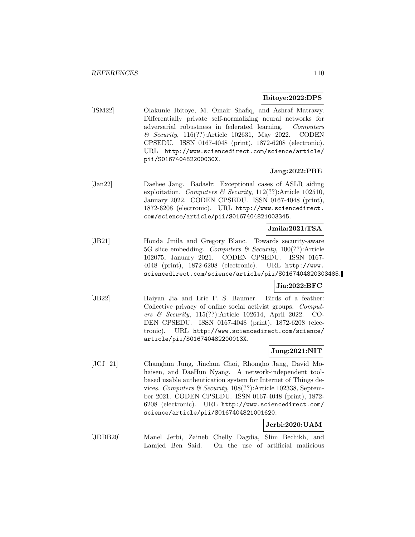#### **Ibitoye:2022:DPS**

[ISM22] Olakunle Ibitoye, M. Omair Shafiq, and Ashraf Matrawy. Differentially private self-normalizing neural networks for adversarial robustness in federated learning. Computers & Security, 116(??):Article 102631, May 2022. CODEN CPSEDU. ISSN 0167-4048 (print), 1872-6208 (electronic). URL http://www.sciencedirect.com/science/article/ pii/S016740482200030X.

### **Jang:2022:PBE**

[Jan22] Daehee Jang. Badaslr: Exceptional cases of ASLR aiding exploitation. Computers & Security,  $112(??)$ :Article 102510, January 2022. CODEN CPSEDU. ISSN 0167-4048 (print), 1872-6208 (electronic). URL http://www.sciencedirect. com/science/article/pii/S0167404821003345.

#### **Jmila:2021:TSA**

[JB21] Houda Jmila and Gregory Blanc. Towards security-aware 5G slice embedding. Computers & Security,  $100(??)$ : Article 102075, January 2021. CODEN CPSEDU. ISSN 0167- 4048 (print), 1872-6208 (electronic). URL http://www. sciencedirect.com/science/article/pii/S0167404820303485.

#### **Jia:2022:BFC**

[JB22] Haiyan Jia and Eric P. S. Baumer. Birds of a feather: Collective privacy of online social activist groups. Computers & Security, 115(??):Article 102614, April 2022. CO-DEN CPSEDU. ISSN 0167-4048 (print), 1872-6208 (electronic). URL http://www.sciencedirect.com/science/ article/pii/S016740482200013X.

### **Jung:2021:NIT**

[JCJ<sup>+</sup>21] Changhun Jung, Jinchun Choi, Rhongho Jang, David Mohaisen, and DaeHun Nyang. A network-independent toolbased usable authentication system for Internet of Things devices. Computers & Security, 108(??):Article 102338, September 2021. CODEN CPSEDU. ISSN 0167-4048 (print), 1872- 6208 (electronic). URL http://www.sciencedirect.com/ science/article/pii/S0167404821001620.

## **Jerbi:2020:UAM**

[JDBB20] Manel Jerbi, Zaineb Chelly Dagdia, Slim Bechikh, and Lamjed Ben Said. On the use of artificial malicious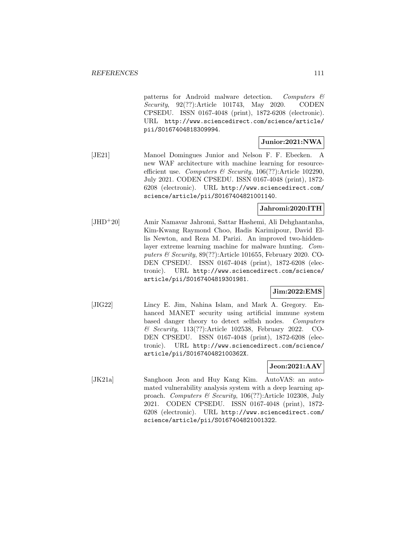patterns for Android malware detection. Computers  $\mathcal{C}$ Security, 92(??):Article 101743, May 2020. CODEN CPSEDU. ISSN 0167-4048 (print), 1872-6208 (electronic). URL http://www.sciencedirect.com/science/article/ pii/S0167404818309994.

#### **Junior:2021:NWA**

[JE21] Manoel Domingues Junior and Nelson F. F. Ebecken. A new WAF architecture with machine learning for resourceefficient use. Computers & Security,  $106(??)$ :Article 102290, July 2021. CODEN CPSEDU. ISSN 0167-4048 (print), 1872- 6208 (electronic). URL http://www.sciencedirect.com/ science/article/pii/S0167404821001140.

### **Jahromi:2020:ITH**

[JHD<sup>+</sup>20] Amir Namavar Jahromi, Sattar Hashemi, Ali Dehghantanha, Kim-Kwang Raymond Choo, Hadis Karimipour, David Ellis Newton, and Reza M. Parizi. An improved two-hiddenlayer extreme learning machine for malware hunting. Computers & Security, 89(??):Article 101655, February 2020. CO-DEN CPSEDU. ISSN 0167-4048 (print), 1872-6208 (electronic). URL http://www.sciencedirect.com/science/ article/pii/S0167404819301981.

### **Jim:2022:EMS**

[JIG22] Lincy E. Jim, Nahina Islam, and Mark A. Gregory. Enhanced MANET security using artificial immune system based danger theory to detect selfish nodes. Computers & Security, 113(??):Article 102538, February 2022. CO-DEN CPSEDU. ISSN 0167-4048 (print), 1872-6208 (electronic). URL http://www.sciencedirect.com/science/ article/pii/S016740482100362X.

#### **Jeon:2021:AAV**

[JK21a] Sanghoon Jeon and Huy Kang Kim. AutoVAS: an automated vulnerability analysis system with a deep learning approach. Computers & Security, 106(??):Article 102308, July 2021. CODEN CPSEDU. ISSN 0167-4048 (print), 1872- 6208 (electronic). URL http://www.sciencedirect.com/ science/article/pii/S0167404821001322.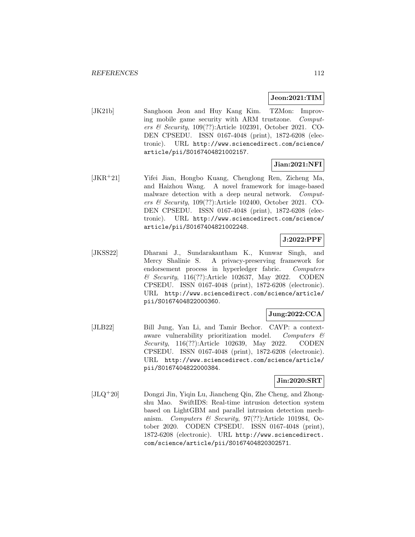### **Jeon:2021:TIM**

[JK21b] Sanghoon Jeon and Huy Kang Kim. TZMon: Improving mobile game security with ARM trustzone. Computers & Security, 109(??):Article 102391, October 2021. CO-DEN CPSEDU. ISSN 0167-4048 (print), 1872-6208 (electronic). URL http://www.sciencedirect.com/science/ article/pii/S0167404821002157.

## **Jian:2021:NFI**

[JKR<sup>+</sup>21] Yifei Jian, Hongbo Kuang, Chenglong Ren, Zicheng Ma, and Haizhou Wang. A novel framework for image-based malware detection with a deep neural network. Computers & Security, 109(??):Article 102400, October 2021. CO-DEN CPSEDU. ISSN 0167-4048 (print), 1872-6208 (electronic). URL http://www.sciencedirect.com/science/ article/pii/S0167404821002248.

## **J:2022:PPF**

[JKSS22] Dharani J., Sundarakantham K., Kunwar Singh, and Mercy Shalinie S. A privacy-preserving framework for endorsement process in hyperledger fabric. Computers & Security, 116(??):Article 102637, May 2022. CODEN CPSEDU. ISSN 0167-4048 (print), 1872-6208 (electronic). URL http://www.sciencedirect.com/science/article/ pii/S0167404822000360.

## **Jung:2022:CCA**

[JLB22] Bill Jung, Yan Li, and Tamir Bechor. CAVP: a contextaware vulnerability prioritization model. Computers & Security, 116(??):Article 102639, May 2022. CODEN CPSEDU. ISSN 0167-4048 (print), 1872-6208 (electronic). URL http://www.sciencedirect.com/science/article/ pii/S0167404822000384.

## **Jin:2020:SRT**

[JLQ<sup>+</sup>20] Dongzi Jin, Yiqin Lu, Jiancheng Qin, Zhe Cheng, and Zhongshu Mao. SwiftIDS: Real-time intrusion detection system based on LightGBM and parallel intrusion detection mechanism. Computers & Security, 97(??):Article 101984, October 2020. CODEN CPSEDU. ISSN 0167-4048 (print), 1872-6208 (electronic). URL http://www.sciencedirect. com/science/article/pii/S0167404820302571.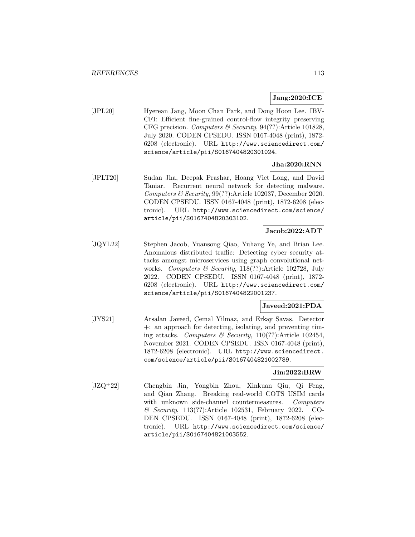## **Jang:2020:ICE**

[JPL20] Hyerean Jang, Moon Chan Park, and Dong Hoon Lee. IBV-CFI: Efficient fine-grained control-flow integrity preserving CFG precision. Computers & Security,  $94(??)$ : Article 101828, July 2020. CODEN CPSEDU. ISSN 0167-4048 (print), 1872- 6208 (electronic). URL http://www.sciencedirect.com/ science/article/pii/S0167404820301024.

## **Jha:2020:RNN**

[JPLT20] Sudan Jha, Deepak Prashar, Hoang Viet Long, and David Taniar. Recurrent neural network for detecting malware. Computers & Security, 99(??):Article 102037, December 2020. CODEN CPSEDU. ISSN 0167-4048 (print), 1872-6208 (electronic). URL http://www.sciencedirect.com/science/ article/pii/S0167404820303102.

## **Jacob:2022:ADT**

[JQYL22] Stephen Jacob, Yuansong Qiao, Yuhang Ye, and Brian Lee. Anomalous distributed traffic: Detecting cyber security attacks amongst microservices using graph convolutional networks. Computers & Security, 118(??):Article 102728, July 2022. CODEN CPSEDU. ISSN 0167-4048 (print), 1872- 6208 (electronic). URL http://www.sciencedirect.com/ science/article/pii/S0167404822001237.

#### **Javeed:2021:PDA**

[JYS21] Arsalan Javeed, Cemal Yilmaz, and Erkay Savas. Detector +: an approach for detecting, isolating, and preventing timing attacks. Computers & Security, 110(??):Article 102454, November 2021. CODEN CPSEDU. ISSN 0167-4048 (print), 1872-6208 (electronic). URL http://www.sciencedirect. com/science/article/pii/S0167404821002789.

#### **Jin:2022:BRW**

[JZQ<sup>+</sup>22] Chengbin Jin, Yongbin Zhou, Xinkuan Qiu, Qi Feng, and Qian Zhang. Breaking real-world COTS USIM cards with unknown side-channel countermeasures. Computers & Security, 113(??):Article 102531, February 2022. CO-DEN CPSEDU. ISSN 0167-4048 (print), 1872-6208 (electronic). URL http://www.sciencedirect.com/science/ article/pii/S0167404821003552.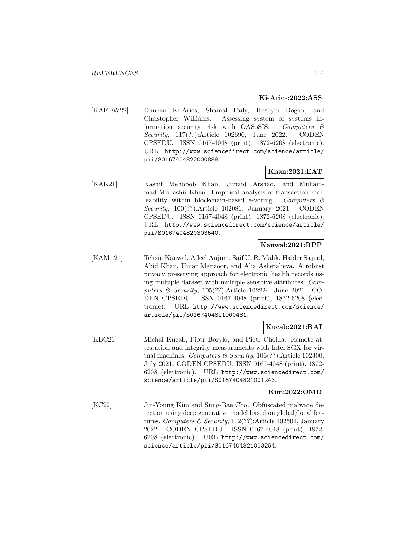#### **Ki-Aries:2022:ASS**

[KAFDW22] Duncan Ki-Aries, Shamal Faily, Huseyin Dogan, and Christopher Williams. Assessing system of systems information security risk with OASoSIS. Computers  $\mathcal{C}$ Security, 117(??):Article 102690, June 2022. CODEN CPSEDU. ISSN 0167-4048 (print), 1872-6208 (electronic). URL http://www.sciencedirect.com/science/article/ pii/S0167404822000888.

### **Khan:2021:EAT**

[KAK21] Kashif Mehboob Khan, Junaid Arshad, and Muhammad Mubashir Khan. Empirical analysis of transaction malleability within blockchain-based e-voting. Computers  $\mathcal{C}$ Security, 100(??):Article 102081, January 2021. CODEN CPSEDU. ISSN 0167-4048 (print), 1872-6208 (electronic). URL http://www.sciencedirect.com/science/article/ pii/S0167404820303540.

#### **Kanwal:2021:RPP**

[KAM<sup>+</sup>21] Tehsin Kanwal, Adeel Anjum, Saif U. R. Malik, Haider Sajjad, Abid Khan, Umar Manzoor, and Alia Asheralieva. A robust privacy preserving approach for electronic health records using multiple dataset with multiple sensitive attributes. Computers & Security, 105(??):Article 102224, June 2021. CO-DEN CPSEDU. ISSN 0167-4048 (print), 1872-6208 (electronic). URL http://www.sciencedirect.com/science/ article/pii/S0167404821000481.

## **Kucab:2021:RAI**

[KBC21] Michał Kucab, Piotr Boryło, and Piotr Chołda. Remote attestation and integrity measurements with Intel SGX for virtual machines. Computers  $\mathcal B$  Security, 106(??):Article 102300, July 2021. CODEN CPSEDU. ISSN 0167-4048 (print), 1872- 6208 (electronic). URL http://www.sciencedirect.com/ science/article/pii/S0167404821001243.

#### **Kim:2022:OMD**

[KC22] Jin-Young Kim and Sung-Bae Cho. Obfuscated malware detection using deep generative model based on global/local features. Computers & Security,  $112(??)$ : Article 102501, January 2022. CODEN CPSEDU. ISSN 0167-4048 (print), 1872- 6208 (electronic). URL http://www.sciencedirect.com/ science/article/pii/S0167404821003254.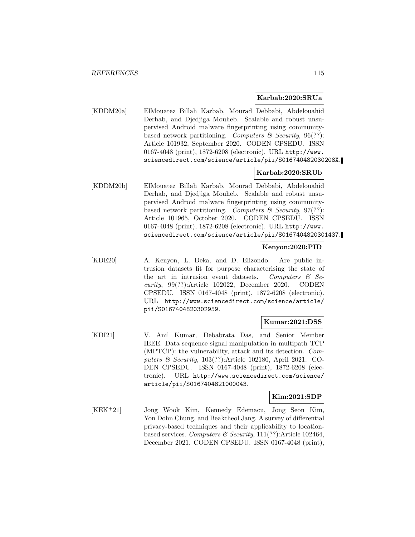#### **Karbab:2020:SRUa**

[KDDM20a] ElMouatez Billah Karbab, Mourad Debbabi, Abdelouahid Derhab, and Djedjiga Mouheb. Scalable and robust unsupervised Android malware fingerprinting using communitybased network partitioning. Computers & Security,  $96(??)$ : Article 101932, September 2020. CODEN CPSEDU. ISSN 0167-4048 (print), 1872-6208 (electronic). URL http://www. sciencedirect.com/science/article/pii/S016740482030208X.

### **Karbab:2020:SRUb**

[KDDM20b] ElMouatez Billah Karbab, Mourad Debbabi, Abdelouahid Derhab, and Djedjiga Mouheb. Scalable and robust unsupervised Android malware fingerprinting using communitybased network partitioning. Computers  $\mathcal{B}$  Security, 97(??): Article 101965, October 2020. CODEN CPSEDU. ISSN 0167-4048 (print), 1872-6208 (electronic). URL http://www. sciencedirect.com/science/article/pii/S0167404820301437.

#### **Kenyon:2020:PID**

[KDE20] A. Kenyon, L. Deka, and D. Elizondo. Are public intrusion datasets fit for purpose characterising the state of the art in intrusion event datasets. Computers  $\mathcal{B}$  Security, 99(??):Article 102022, December 2020. CODEN CPSEDU. ISSN 0167-4048 (print), 1872-6208 (electronic). URL http://www.sciencedirect.com/science/article/ pii/S0167404820302959.

#### **Kumar:2021:DSS**

[KDI21] V. Anil Kumar, Debabrata Das, and Senior Member IEEE. Data sequence signal manipulation in multipath TCP (MPTCP): the vulnerability, attack and its detection. Computers & Security, 103(??):Article 102180, April 2021. CO-DEN CPSEDU. ISSN 0167-4048 (print), 1872-6208 (electronic). URL http://www.sciencedirect.com/science/ article/pii/S0167404821000043.

#### **Kim:2021:SDP**

[KEK<sup>+</sup>21] Jong Wook Kim, Kennedy Edemacu, Jong Seon Kim, Yon Dohn Chung, and Beakcheol Jang. A survey of differential privacy-based techniques and their applicability to locationbased services. Computers & Security,  $111(??)$ :Article 102464, December 2021. CODEN CPSEDU. ISSN 0167-4048 (print),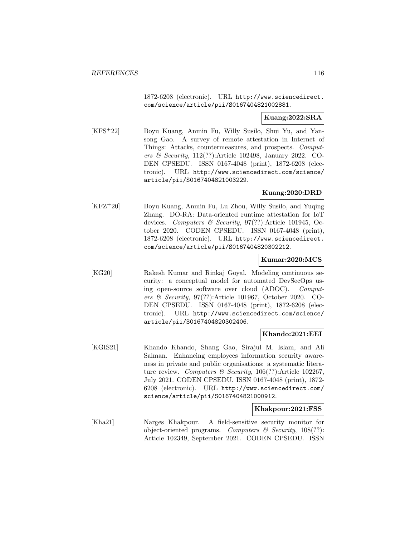1872-6208 (electronic). URL http://www.sciencedirect. com/science/article/pii/S0167404821002881.

### **Kuang:2022:SRA**

[KFS<sup>+</sup>22] Boyu Kuang, Anmin Fu, Willy Susilo, Shui Yu, and Yansong Gao. A survey of remote attestation in Internet of Things: Attacks, countermeasures, and prospects. Computers & Security, 112(??):Article 102498, January 2022. CO-DEN CPSEDU. ISSN 0167-4048 (print), 1872-6208 (electronic). URL http://www.sciencedirect.com/science/ article/pii/S0167404821003229.

### **Kuang:2020:DRD**

[KFZ<sup>+</sup>20] Boyu Kuang, Anmin Fu, Lu Zhou, Willy Susilo, and Yuqing Zhang. DO-RA: Data-oriented runtime attestation for IoT devices. Computers & Security, 97(??):Article 101945, October 2020. CODEN CPSEDU. ISSN 0167-4048 (print), 1872-6208 (electronic). URL http://www.sciencedirect. com/science/article/pii/S0167404820302212.

### **Kumar:2020:MCS**

[KG20] Rakesh Kumar and Rinkaj Goyal. Modeling continuous security: a conceptual model for automated DevSecOps using open-source software over cloud (ADOC). Computers & Security, 97(??):Article 101967, October 2020. CO-DEN CPSEDU. ISSN 0167-4048 (print), 1872-6208 (electronic). URL http://www.sciencedirect.com/science/ article/pii/S0167404820302406.

#### **Khando:2021:EEI**

[KGIS21] Khando Khando, Shang Gao, Sirajul M. Islam, and Ali Salman. Enhancing employees information security awareness in private and public organisations: a systematic literature review. Computers & Security,  $106(??)$ : Article 102267, July 2021. CODEN CPSEDU. ISSN 0167-4048 (print), 1872- 6208 (electronic). URL http://www.sciencedirect.com/ science/article/pii/S0167404821000912.

#### **Khakpour:2021:FSS**

[Kha21] Narges Khakpour. A field-sensitive security monitor for object-oriented programs. Computers  $\mathcal B$  Security, 108(??): Article 102349, September 2021. CODEN CPSEDU. ISSN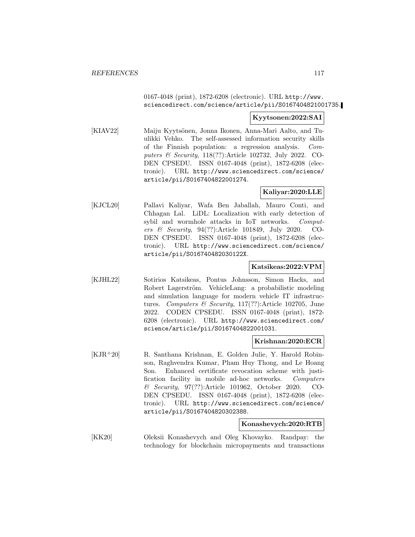0167-4048 (print), 1872-6208 (electronic). URL http://www. sciencedirect.com/science/article/pii/S0167404821001735.

#### **Kyytsonen:2022:SAI**

[KIAV22] Maiju Kyytsönen, Jonna Ikonen, Anna-Mari Aalto, and Tuulikki Vehko. The self-assessed information security skills of the Finnish population: a regression analysis. Computers & Security, 118(??):Article 102732, July 2022. CO-DEN CPSEDU. ISSN 0167-4048 (print), 1872-6208 (electronic). URL http://www.sciencedirect.com/science/ article/pii/S0167404822001274.

## **Kaliyar:2020:LLE**

[KJCL20] Pallavi Kaliyar, Wafa Ben Jaballah, Mauro Conti, and Chhagan Lal. LiDL: Localization with early detection of sybil and wormhole attacks in IoT networks. Computers & Security, 94(??):Article 101849, July 2020. CO-DEN CPSEDU. ISSN 0167-4048 (print), 1872-6208 (electronic). URL http://www.sciencedirect.com/science/ article/pii/S016740482030122X.

#### **Katsikeas:2022:VPM**

[KJHL22] Sotirios Katsikeas, Pontus Johnsson, Simon Hacks, and Robert Lagerström. VehicleLang: a probabilistic modeling and simulation language for modern vehicle IT infrastructures. Computers & Security,  $117(??)$ :Article 102705, June 2022. CODEN CPSEDU. ISSN 0167-4048 (print), 1872- 6208 (electronic). URL http://www.sciencedirect.com/ science/article/pii/S0167404822001031.

#### **Krishnan:2020:ECR**

[KJR<sup>+</sup>20] R. Santhana Krishnan, E. Golden Julie, Y. Harold Robinson, Raghvendra Kumar, Pham Huy Thong, and Le Hoang Son. Enhanced certificate revocation scheme with justification facility in mobile ad-hoc networks. Computers & Security, 97(??):Article 101962, October 2020. CO-DEN CPSEDU. ISSN 0167-4048 (print), 1872-6208 (electronic). URL http://www.sciencedirect.com/science/ article/pii/S0167404820302388.

#### **Konashevych:2020:RTB**

[KK20] Oleksii Konashevych and Oleg Khovayko. Randpay: the technology for blockchain micropayments and transactions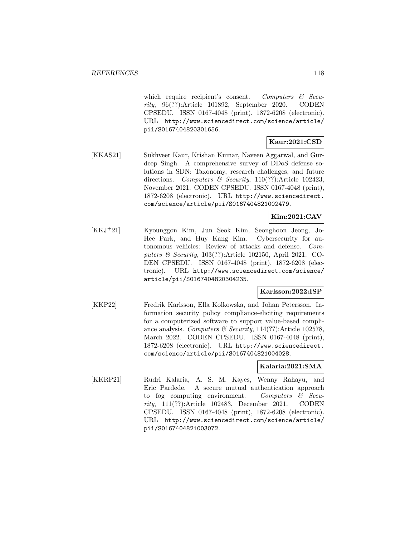which require recipient's consent. Computers  $\mathcal{B}$  Security, 96(??):Article 101892, September 2020. CODEN CPSEDU. ISSN 0167-4048 (print), 1872-6208 (electronic). URL http://www.sciencedirect.com/science/article/ pii/S0167404820301656.

## **Kaur:2021:CSD**

[KKAS21] Sukhveer Kaur, Krishan Kumar, Naveen Aggarwal, and Gurdeep Singh. A comprehensive survey of DDoS defense solutions in SDN: Taxonomy, research challenges, and future directions. Computers & Security, 110(??):Article 102423, November 2021. CODEN CPSEDU. ISSN 0167-4048 (print), 1872-6208 (electronic). URL http://www.sciencedirect. com/science/article/pii/S0167404821002479.

#### **Kim:2021:CAV**

[KKJ<sup>+</sup>21] Kyounggon Kim, Jun Seok Kim, Seonghoon Jeong, Jo-Hee Park, and Huy Kang Kim. Cybersecurity for autonomous vehicles: Review of attacks and defense. Computers & Security, 103(??):Article 102150, April 2021. CO-DEN CPSEDU. ISSN 0167-4048 (print), 1872-6208 (electronic). URL http://www.sciencedirect.com/science/ article/pii/S0167404820304235.

### **Karlsson:2022:ISP**

[KKP22] Fredrik Karlsson, Ella Kolkowska, and Johan Petersson. Information security policy compliance-eliciting requirements for a computerized software to support value-based compliance analysis. Computers  $\mathcal B$  Security, 114(??):Article 102578, March 2022. CODEN CPSEDU. ISSN 0167-4048 (print), 1872-6208 (electronic). URL http://www.sciencedirect. com/science/article/pii/S0167404821004028.

#### **Kalaria:2021:SMA**

[KKRP21] Rudri Kalaria, A. S. M. Kayes, Wenny Rahayu, and Eric Pardede. A secure mutual authentication approach to fog computing environment. Computers  $\mathcal{C}$  Security, 111(??):Article 102483, December 2021. CODEN CPSEDU. ISSN 0167-4048 (print), 1872-6208 (electronic). URL http://www.sciencedirect.com/science/article/ pii/S0167404821003072.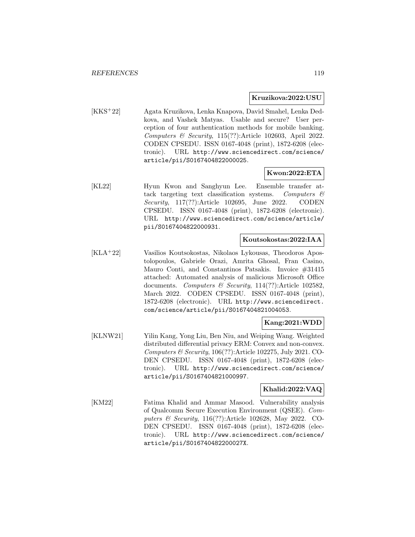#### **Kruzikova:2022:USU**

[KKS<sup>+</sup>22] Agata Kruzikova, Lenka Knapova, David Smahel, Lenka Dedkova, and Vashek Matyas. Usable and secure? User perception of four authentication methods for mobile banking. Computers  $\mathcal C$  Security, 115(??):Article 102603, April 2022. CODEN CPSEDU. ISSN 0167-4048 (print), 1872-6208 (electronic). URL http://www.sciencedirect.com/science/ article/pii/S0167404822000025.

### **Kwon:2022:ETA**

[KL22] Hyun Kwon and Sanghyun Lee. Ensemble transfer attack targeting text classification systems. Computers  $\mathcal{C}$ Security, 117(??):Article 102695, June 2022. CODEN CPSEDU. ISSN 0167-4048 (print), 1872-6208 (electronic). URL http://www.sciencedirect.com/science/article/ pii/S0167404822000931.

#### **Koutsokostas:2022:IAA**

[KLA<sup>+</sup>22] Vasilios Koutsokostas, Nikolaos Lykousas, Theodoros Apostolopoulos, Gabriele Orazi, Amrita Ghosal, Fran Casino, Mauro Conti, and Constantinos Patsakis. Invoice #31415 attached: Automated analysis of malicious Microsoft Office documents. Computers & Security, 114(??):Article 102582, March 2022. CODEN CPSEDU. ISSN 0167-4048 (print), 1872-6208 (electronic). URL http://www.sciencedirect. com/science/article/pii/S0167404821004053.

#### **Kang:2021:WDD**

[KLNW21] Yilin Kang, Yong Liu, Ben Niu, and Weiping Wang. Weighted distributed differential privacy ERM: Convex and non-convex. Computers  $\mathcal C$  Security, 106(??):Article 102275, July 2021. CO-DEN CPSEDU. ISSN 0167-4048 (print), 1872-6208 (electronic). URL http://www.sciencedirect.com/science/ article/pii/S0167404821000997.

#### **Khalid:2022:VAQ**

[KM22] Fatima Khalid and Ammar Masood. Vulnerability analysis of Qualcomm Secure Execution Environment (QSEE). Computers & Security, 116(??):Article 102628, May 2022. CO-DEN CPSEDU. ISSN 0167-4048 (print), 1872-6208 (electronic). URL http://www.sciencedirect.com/science/ article/pii/S016740482200027X.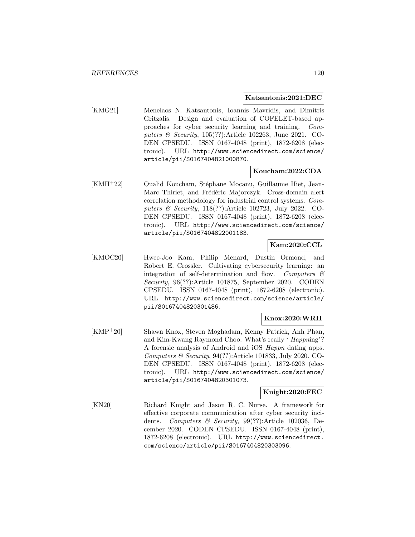#### **Katsantonis:2021:DEC**

[KMG21] Menelaos N. Katsantonis, Ioannis Mavridis, and Dimitris Gritzalis. Design and evaluation of COFELET-based approaches for cyber security learning and training. Computers & Security, 105(??):Article 102263, June 2021. CO-DEN CPSEDU. ISSN 0167-4048 (print), 1872-6208 (electronic). URL http://www.sciencedirect.com/science/ article/pii/S0167404821000870.

#### **Koucham:2022:CDA**

[KMH<sup>+</sup>22] Oualid Koucham, Stéphane Mocanu, Guillaume Hiet, Jean-Marc Thiriet, and Frédéric Majorczyk. Cross-domain alert correlation methodology for industrial control systems. Computers & Security, 118(??):Article 102723, July 2022. CO-DEN CPSEDU. ISSN 0167-4048 (print), 1872-6208 (electronic). URL http://www.sciencedirect.com/science/ article/pii/S0167404822001183.

### **Kam:2020:CCL**

[KMOC20] Hwee-Joo Kam, Philip Menard, Dustin Ormond, and Robert E. Crossler. Cultivating cybersecurity learning: an integration of self-determination and flow. Computers  $\mathcal{C}$ Security, 96(??):Article 101875, September 2020. CODEN CPSEDU. ISSN 0167-4048 (print), 1872-6208 (electronic). URL http://www.sciencedirect.com/science/article/ pii/S0167404820301486.

## **Knox:2020:WRH**

[KMP<sup>+</sup>20] Shawn Knox, Steven Moghadam, Kenny Patrick, Anh Phan, and Kim-Kwang Raymond Choo. What's really ' Happning'? A forensic analysis of Android and iOS Happn dating apps. Computers  $\mathcal B$  Security, 94(??): Article 101833, July 2020. CO-DEN CPSEDU. ISSN 0167-4048 (print), 1872-6208 (electronic). URL http://www.sciencedirect.com/science/ article/pii/S0167404820301073.

## **Knight:2020:FEC**

[KN20] Richard Knight and Jason R. C. Nurse. A framework for effective corporate communication after cyber security incidents. Computers & Security, 99(??):Article 102036, December 2020. CODEN CPSEDU. ISSN 0167-4048 (print), 1872-6208 (electronic). URL http://www.sciencedirect. com/science/article/pii/S0167404820303096.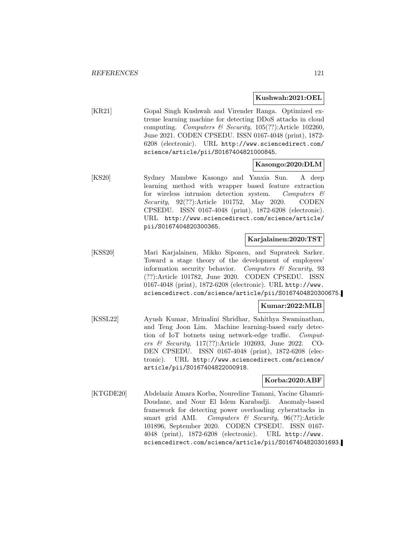#### **Kushwah:2021:OEL**

[KR21] Gopal Singh Kushwah and Virender Ranga. Optimized extreme learning machine for detecting DDoS attacks in cloud computing. Computers & Security,  $105(??)$ :Article  $102260$ , June 2021. CODEN CPSEDU. ISSN 0167-4048 (print), 1872- 6208 (electronic). URL http://www.sciencedirect.com/ science/article/pii/S0167404821000845.

#### **Kasongo:2020:DLM**

[KS20] Sydney Mambwe Kasongo and Yanxia Sun. A deep learning method with wrapper based feature extraction for wireless intrusion detection system. Computers  $\mathcal{C}$ Security, 92(??):Article 101752, May 2020. CODEN CPSEDU. ISSN 0167-4048 (print), 1872-6208 (electronic). URL http://www.sciencedirect.com/science/article/ pii/S0167404820300365.

#### **Karjalainen:2020:TST**

[KSS20] Mari Karjalainen, Mikko Siponen, and Suprateek Sarker. Toward a stage theory of the development of employees' information security behavior. Computers  $\mathcal{C}$  Security, 93 (??):Article 101782, June 2020. CODEN CPSEDU. ISSN 0167-4048 (print), 1872-6208 (electronic). URL http://www. sciencedirect.com/science/article/pii/S0167404820300675.

#### **Kumar:2022:MLB**

[KSSL22] Ayush Kumar, Mrinalini Shridhar, Sahithya Swaminathan, and Teng Joon Lim. Machine learning-based early detection of IoT botnets using network-edge traffic. Computers & Security, 117(??):Article 102693, June 2022. CO-DEN CPSEDU. ISSN 0167-4048 (print), 1872-6208 (electronic). URL http://www.sciencedirect.com/science/ article/pii/S0167404822000918.

#### **Korba:2020:ABF**

[KTGDE20] Abdelaziz Amara Korba, Nouredine Tamani, Yacine Ghamri-Doudane, and Nour El Islem Karabadji. Anomaly-based framework for detecting power overloading cyberattacks in smart grid AMI. Computers  $\mathcal C$  Security, 96(??): Article 101896, September 2020. CODEN CPSEDU. ISSN 0167- 4048 (print), 1872-6208 (electronic). URL http://www. sciencedirect.com/science/article/pii/S0167404820301693.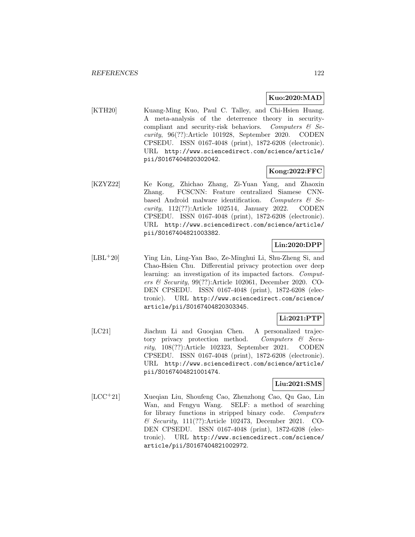### **Kuo:2020:MAD**

[KTH20] Kuang-Ming Kuo, Paul C. Talley, and Chi-Hsien Huang. A meta-analysis of the deterrence theory in securitycompliant and security-risk behaviors. Computers  $\mathcal{C}$  Security, 96(??):Article 101928, September 2020. CODEN CPSEDU. ISSN 0167-4048 (print), 1872-6208 (electronic). URL http://www.sciencedirect.com/science/article/ pii/S0167404820302042.

## **Kong:2022:FFC**

[KZYZ22] Ke Kong, Zhichao Zhang, Zi-Yuan Yang, and Zhaoxin Zhang. FCSCNN: Feature centralized Siamese CNNbased Android malware identification. Computers  $\mathcal{B}$  Security, 112(??):Article 102514, January 2022. CODEN CPSEDU. ISSN 0167-4048 (print), 1872-6208 (electronic). URL http://www.sciencedirect.com/science/article/ pii/S0167404821003382.

## **Lin:2020:DPP**

[LBL<sup>+</sup>20] Ying Lin, Ling-Yan Bao, Ze-Minghui Li, Shu-Zheng Si, and Chao-Hsien Chu. Differential privacy protection over deep learning: an investigation of its impacted factors. Computers & Security, 99(??):Article 102061, December 2020. CO-DEN CPSEDU. ISSN 0167-4048 (print), 1872-6208 (electronic). URL http://www.sciencedirect.com/science/ article/pii/S0167404820303345.

## **Li:2021:PTP**

[LC21] Jiachun Li and Guoqian Chen. A personalized trajectory privacy protection method. Computers & Security, 108(??):Article 102323, September 2021. CODEN CPSEDU. ISSN 0167-4048 (print), 1872-6208 (electronic). URL http://www.sciencedirect.com/science/article/ pii/S0167404821001474.

## **Liu:2021:SMS**

[LCC<sup>+</sup>21] Xueqian Liu, Shoufeng Cao, Zhenzhong Cao, Qu Gao, Lin Wan, and Fengyu Wang. SELF: a method of searching for library functions in stripped binary code. Computers & Security, 111(??):Article 102473, December 2021. CO-DEN CPSEDU. ISSN 0167-4048 (print), 1872-6208 (electronic). URL http://www.sciencedirect.com/science/ article/pii/S0167404821002972.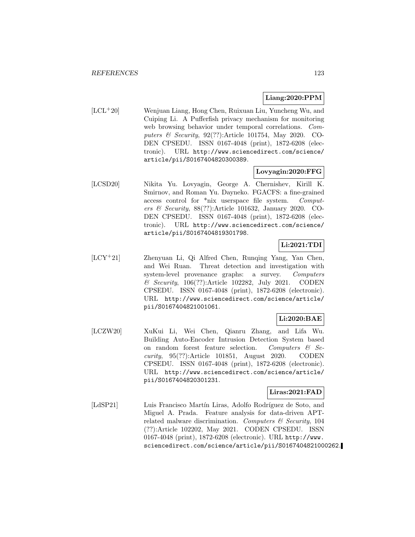## **Liang:2020:PPM**

[LCL<sup>+</sup>20] Wenjuan Liang, Hong Chen, Ruixuan Liu, Yuncheng Wu, and Cuiping Li. A Pufferfish privacy mechanism for monitoring web browsing behavior under temporal correlations. Computers & Security, 92(??):Article 101754, May 2020. CO-DEN CPSEDU. ISSN 0167-4048 (print), 1872-6208 (electronic). URL http://www.sciencedirect.com/science/ article/pii/S0167404820300389.

### **Lovyagin:2020:FFG**

[LCSD20] Nikita Yu. Lovyagin, George A. Chernishev, Kirill K. Smirnov, and Roman Yu. Dayneko. FGACFS: a fine-grained access control for \*nix userspace file system. Computers & Security, 88(??):Article 101632, January 2020. CO-DEN CPSEDU. ISSN 0167-4048 (print), 1872-6208 (electronic). URL http://www.sciencedirect.com/science/ article/pii/S0167404819301798.

# **Li:2021:TDI**

[LCY<sup>+</sup>21] Zhenyuan Li, Qi Alfred Chen, Runqing Yang, Yan Chen, and Wei Ruan. Threat detection and investigation with system-level provenance graphs: a survey. Computers & Security, 106(??):Article 102282, July 2021. CODEN CPSEDU. ISSN 0167-4048 (print), 1872-6208 (electronic). URL http://www.sciencedirect.com/science/article/ pii/S0167404821001061.

## **Li:2020:BAE**

[LCZW20] XuKui Li, Wei Chen, Qianru Zhang, and Lifa Wu. Building Auto-Encoder Intrusion Detection System based on random forest feature selection. Computers  $\mathcal{C}$  Security, 95(??):Article 101851, August 2020. CODEN CPSEDU. ISSN 0167-4048 (print), 1872-6208 (electronic). URL http://www.sciencedirect.com/science/article/ pii/S0167404820301231.

## **Liras:2021:FAD**

[LdSP21] Luis Francisco Martín Liras, Adolfo Rodríguez de Soto, and Miguel A. Prada. Feature analysis for data-driven APTrelated malware discrimination. Computers  $\mathcal C$  Security, 104 (??):Article 102202, May 2021. CODEN CPSEDU. ISSN 0167-4048 (print), 1872-6208 (electronic). URL http://www. sciencedirect.com/science/article/pii/S0167404821000262.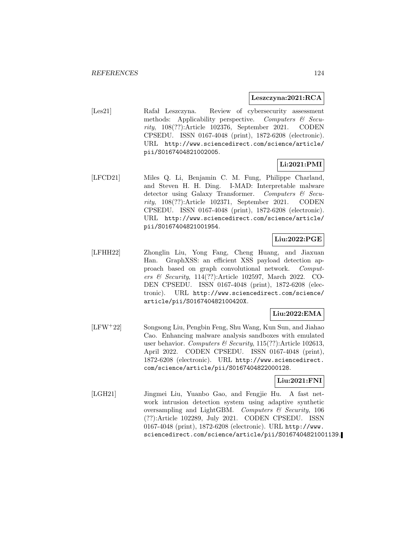#### **Leszczyna:2021:RCA**

[Les21] Rafał Leszczyna. Review of cybersecurity assessment methods: Applicability perspective. Computers  $\mathcal{C}$  Security, 108(??):Article 102376, September 2021. CODEN CPSEDU. ISSN 0167-4048 (print), 1872-6208 (electronic). URL http://www.sciencedirect.com/science/article/ pii/S0167404821002005.

## **Li:2021:PMI**

[LFCD21] Miles Q. Li, Benjamin C. M. Fung, Philippe Charland, and Steven H. H. Ding. I-MAD: Interpretable malware detector using Galaxy Transformer. Computers & Security, 108(??):Article 102371, September 2021. CODEN CPSEDU. ISSN 0167-4048 (print), 1872-6208 (electronic). URL http://www.sciencedirect.com/science/article/ pii/S0167404821001954.

## **Liu:2022:PGE**

[LFHH22] Zhonglin Liu, Yong Fang, Cheng Huang, and Jiaxuan Han. GraphXSS: an efficient XSS payload detection approach based on graph convolutional network. Computers & Security, 114(??):Article 102597, March 2022. CO-DEN CPSEDU. ISSN 0167-4048 (print), 1872-6208 (electronic). URL http://www.sciencedirect.com/science/ article/pii/S016740482100420X.

## **Liu:2022:EMA**

[LFW<sup>+</sup>22] Songsong Liu, Pengbin Feng, Shu Wang, Kun Sun, and Jiahao Cao. Enhancing malware analysis sandboxes with emulated user behavior. Computers & Security,  $115(??)$ : Article 102613, April 2022. CODEN CPSEDU. ISSN 0167-4048 (print), 1872-6208 (electronic). URL http://www.sciencedirect. com/science/article/pii/S0167404822000128.

### **Liu:2021:FNI**

[LGH21] Jingmei Liu, Yuanbo Gao, and Fengjie Hu. A fast network intrusion detection system using adaptive synthetic oversampling and LightGBM. Computers  $\mathcal C$  Security, 106 (??):Article 102289, July 2021. CODEN CPSEDU. ISSN 0167-4048 (print), 1872-6208 (electronic). URL http://www. sciencedirect.com/science/article/pii/S0167404821001139.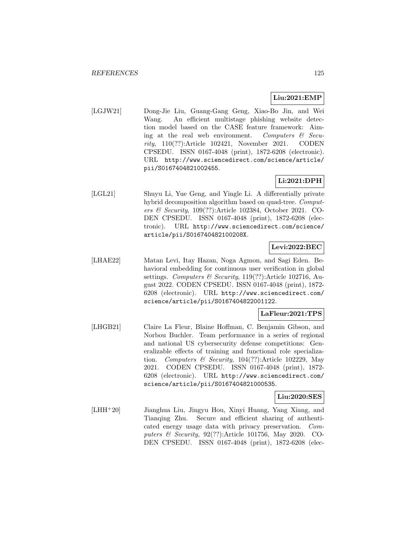## **Liu:2021:EMP**

[LGJW21] Dong-Jie Liu, Guang-Gang Geng, Xiao-Bo Jin, and Wei Wang. An efficient multistage phishing website detection model based on the CASE feature framework: Aiming at the real web environment. Computers  $\mathcal{C}$  Security, 110(??):Article 102421, November 2021. CODEN CPSEDU. ISSN 0167-4048 (print), 1872-6208 (electronic). URL http://www.sciencedirect.com/science/article/ pii/S0167404821002455.

# **Li:2021:DPH**

[LGL21] Shuyu Li, Yue Geng, and Yingle Li. A differentially private hybrid decomposition algorithm based on quad-tree. *Comput*ers & Security, 109(??):Article 102384, October 2021. CO-DEN CPSEDU. ISSN 0167-4048 (print), 1872-6208 (electronic). URL http://www.sciencedirect.com/science/ article/pii/S016740482100208X.

## **Levi:2022:BEC**

[LHAE22] Matan Levi, Itay Hazan, Noga Agmon, and Sagi Eden. Behavioral embedding for continuous user verification in global settings. Computers & Security, 119(??):Article 102716, August 2022. CODEN CPSEDU. ISSN 0167-4048 (print), 1872- 6208 (electronic). URL http://www.sciencedirect.com/ science/article/pii/S0167404822001122.

## **LaFleur:2021:TPS**

[LHGB21] Claire La Fleur, Blaine Hoffman, C. Benjamin Gibson, and Norbou Buchler. Team performance in a series of regional and national US cybersecurity defense competitions: Generalizable effects of training and functional role specialization. Computers & Security,  $104(??)$ :Article 102229, May 2021. CODEN CPSEDU. ISSN 0167-4048 (print), 1872- 6208 (electronic). URL http://www.sciencedirect.com/ science/article/pii/S0167404821000535.

#### **Liu:2020:SES**

[LHH<sup>+</sup>20] Jianghua Liu, Jingyu Hou, Xinyi Huang, Yang Xiang, and Tianqing Zhu. Secure and efficient sharing of authenticated energy usage data with privacy preservation. Computers & Security, 92(??):Article 101756, May 2020. CO-DEN CPSEDU. ISSN 0167-4048 (print), 1872-6208 (elec-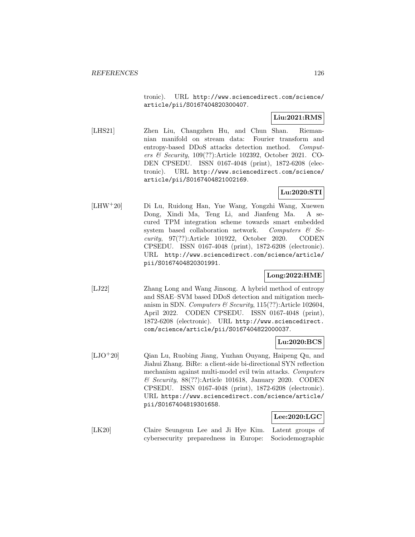tronic). URL http://www.sciencedirect.com/science/ article/pii/S0167404820300407.

## **Liu:2021:RMS**

[LHS21] Zhen Liu, Changzhen Hu, and Chun Shan. Riemannian manifold on stream data: Fourier transform and entropy-based DDoS attacks detection method. Computers & Security, 109(??):Article 102392, October 2021. CO-DEN CPSEDU. ISSN 0167-4048 (print), 1872-6208 (electronic). URL http://www.sciencedirect.com/science/ article/pii/S0167404821002169.

## **Lu:2020:STI**

[LHW<sup>+</sup>20] Di Lu, Ruidong Han, Yue Wang, Yongzhi Wang, Xuewen Dong, Xindi Ma, Teng Li, and Jianfeng Ma. A secured TPM integration scheme towards smart embedded system based collaboration network. Computers  $\&$  Security, 97(??):Article 101922, October 2020. CODEN CPSEDU. ISSN 0167-4048 (print), 1872-6208 (electronic). URL http://www.sciencedirect.com/science/article/ pii/S0167404820301991.

## **Long:2022:HME**

[LJ22] Zhang Long and Wang Jinsong. A hybrid method of entropy and SSAE–SVM based DDoS detection and mitigation mechanism in SDN. Computers & Security,  $115(??)$ : Article 102604, April 2022. CODEN CPSEDU. ISSN 0167-4048 (print), 1872-6208 (electronic). URL http://www.sciencedirect. com/science/article/pii/S0167404822000037.

## **Lu:2020:BCS**

[LJO<sup>+</sup>20] Qian Lu, Ruobing Jiang, Yuzhan Ouyang, Haipeng Qu, and Jiahui Zhang. BiRe: a client-side bi-directional SYN reflection mechanism against multi-model evil twin attacks. Computers & Security, 88(??):Article 101618, January 2020. CODEN CPSEDU. ISSN 0167-4048 (print), 1872-6208 (electronic). URL https://www.sciencedirect.com/science/article/ pii/S0167404819301658.

#### **Lee:2020:LGC**

[LK20] Claire Seungeun Lee and Ji Hye Kim. Latent groups of cybersecurity preparedness in Europe: Sociodemographic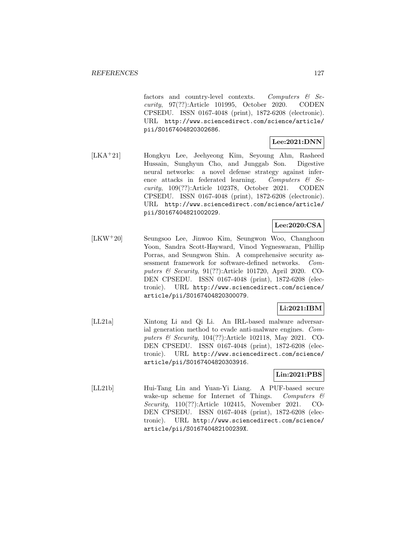factors and country-level contexts. Computers & Security, 97(??):Article 101995, October 2020. CODEN CPSEDU. ISSN 0167-4048 (print), 1872-6208 (electronic). URL http://www.sciencedirect.com/science/article/ pii/S0167404820302686.

## **Lee:2021:DNN**

[LKA<sup>+</sup>21] Hongkyu Lee, Jeehyeong Kim, Seyoung Ahn, Rasheed Hussain, Sunghyun Cho, and Junggab Son. Digestive neural networks: a novel defense strategy against inference attacks in federated learning. Computers  $\mathcal{C}$  Security, 109(??):Article 102378, October 2021. CODEN CPSEDU. ISSN 0167-4048 (print), 1872-6208 (electronic). URL http://www.sciencedirect.com/science/article/ pii/S0167404821002029.

## **Lee:2020:CSA**

[LKW<sup>+</sup>20] Seungsoo Lee, Jinwoo Kim, Seungwon Woo, Changhoon Yoon, Sandra Scott-Hayward, Vinod Yegneswaran, Phillip Porras, and Seungwon Shin. A comprehensive security assessment framework for software-defined networks. Computers & Security, 91(??):Article 101720, April 2020. CO-DEN CPSEDU. ISSN 0167-4048 (print), 1872-6208 (electronic). URL http://www.sciencedirect.com/science/ article/pii/S0167404820300079.

## **Li:2021:IBM**

[LL21a] Xintong Li and Qi Li. An IRL-based malware adversarial generation method to evade anti-malware engines. Computers & Security, 104(??):Article 102118, May 2021. CO-DEN CPSEDU. ISSN 0167-4048 (print), 1872-6208 (electronic). URL http://www.sciencedirect.com/science/ article/pii/S0167404820303916.

## **Lin:2021:PBS**

[LL21b] Hui-Tang Lin and Yuan-Yi Liang. A PUF-based secure wake-up scheme for Internet of Things. Computers & Security, 110(??):Article 102415, November 2021. CO-DEN CPSEDU. ISSN 0167-4048 (print), 1872-6208 (electronic). URL http://www.sciencedirect.com/science/ article/pii/S016740482100239X.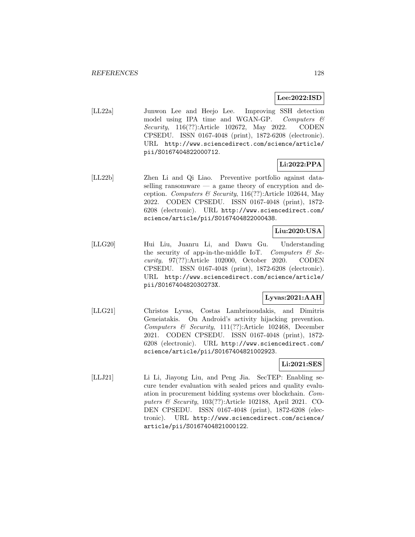### **Lee:2022:ISD**

[LL22a] Junwon Lee and Heejo Lee. Improving SSH detection model using IPA time and WGAN-GP. Computers  $\mathcal C$ Security, 116(??):Article 102672, May 2022. CODEN CPSEDU. ISSN 0167-4048 (print), 1872-6208 (electronic). URL http://www.sciencedirect.com/science/article/ pii/S0167404822000712.

## **Li:2022:PPA**

[LL22b] Zhen Li and Qi Liao. Preventive portfolio against dataselling ransomware — a game theory of encryption and deception. Computers & Security, 116(??):Article 102644, May 2022. CODEN CPSEDU. ISSN 0167-4048 (print), 1872- 6208 (electronic). URL http://www.sciencedirect.com/ science/article/pii/S0167404822000438.

## **Liu:2020:USA**

[LLG20] Hui Liu, Juanru Li, and Dawu Gu. Understanding the security of app-in-the-middle IoT. Computers  $\mathcal{B}$  Security, 97(??):Article 102000, October 2020. CODEN CPSEDU. ISSN 0167-4048 (print), 1872-6208 (electronic). URL http://www.sciencedirect.com/science/article/ pii/S016740482030273X.

## **Lyvas:2021:AAH**

[LLG21] Christos Lyvas, Costas Lambrinoudakis, and Dimitris Geneiatakis. On Android's activity hijacking prevention. Computers & Security, 111(??):Article 102468, December 2021. CODEN CPSEDU. ISSN 0167-4048 (print), 1872- 6208 (electronic). URL http://www.sciencedirect.com/ science/article/pii/S0167404821002923.

## **Li:2021:SES**

[LLJ21] Li Li, Jiayong Liu, and Peng Jia. SecTEP: Enabling secure tender evaluation with sealed prices and quality evaluation in procurement bidding systems over blockchain. Computers & Security, 103(??):Article 102188, April 2021. CO-DEN CPSEDU. ISSN 0167-4048 (print), 1872-6208 (electronic). URL http://www.sciencedirect.com/science/ article/pii/S0167404821000122.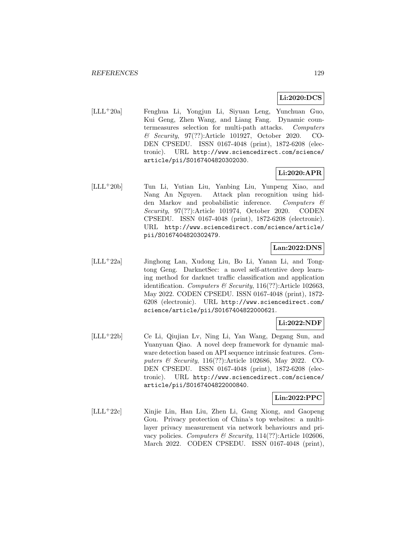## **Li:2020:DCS**

[LLL<sup>+</sup>20a] Fenghua Li, Yongjun Li, Siyuan Leng, Yunchuan Guo, Kui Geng, Zhen Wang, and Liang Fang. Dynamic countermeasures selection for multi-path attacks. Computers & Security, 97(??):Article 101927, October 2020. CO-DEN CPSEDU. ISSN 0167-4048 (print), 1872-6208 (electronic). URL http://www.sciencedirect.com/science/ article/pii/S0167404820302030.

## **Li:2020:APR**

[LLL<sup>+</sup>20b] Tun Li, Yutian Liu, Yanbing Liu, Yunpeng Xiao, and Nang An Nguyen. Attack plan recognition using hidden Markov and probabilistic inference. Computers & Security, 97(??):Article 101974, October 2020. CODEN CPSEDU. ISSN 0167-4048 (print), 1872-6208 (electronic). URL http://www.sciencedirect.com/science/article/ pii/S0167404820302479.

## **Lan:2022:DNS**

[LLL<sup>+</sup>22a] Jinghong Lan, Xudong Liu, Bo Li, Yanan Li, and Tongtong Geng. DarknetSec: a novel self-attentive deep learning method for darknet traffic classification and application identification. Computers & Security, 116(??):Article 102663, May 2022. CODEN CPSEDU. ISSN 0167-4048 (print), 1872- 6208 (electronic). URL http://www.sciencedirect.com/ science/article/pii/S0167404822000621.

#### **Li:2022:NDF**

[LLL<sup>+</sup>22b] Ce Li, Qiujian Lv, Ning Li, Yan Wang, Degang Sun, and Yuanyuan Qiao. A novel deep framework for dynamic malware detection based on API sequence intrinsic features. Computers & Security, 116(??):Article 102686, May 2022. CO-DEN CPSEDU. ISSN 0167-4048 (print), 1872-6208 (electronic). URL http://www.sciencedirect.com/science/ article/pii/S0167404822000840.

#### **Lin:2022:PPC**

[LLL<sup>+</sup>22c] Xinjie Lin, Han Liu, Zhen Li, Gang Xiong, and Gaopeng Gou. Privacy protection of China's top websites: a multilayer privacy measurement via network behaviours and privacy policies. Computers & Security,  $114(??)$ : Article 102606, March 2022. CODEN CPSEDU. ISSN 0167-4048 (print),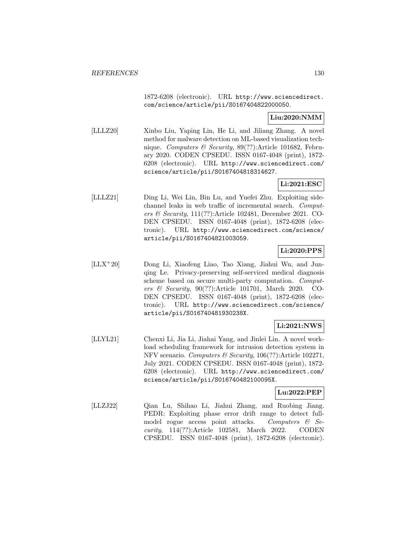1872-6208 (electronic). URL http://www.sciencedirect. com/science/article/pii/S0167404822000050.

## **Liu:2020:NMM**

[LLLZ20] Xinbo Liu, Yaping Lin, He Li, and Jiliang Zhang. A novel method for malware detection on ML-based visualization technique. Computers & Security, 89(??):Article 101682, February 2020. CODEN CPSEDU. ISSN 0167-4048 (print), 1872- 6208 (electronic). URL http://www.sciencedirect.com/ science/article/pii/S0167404818314627.

## **Li:2021:ESC**

[LLLZ21] Ding Li, Wei Lin, Bin Lu, and Yuefei Zhu. Exploiting sidechannel leaks in web traffic of incremental search. Computers & Security, 111(??):Article 102481, December 2021. CO-DEN CPSEDU. ISSN 0167-4048 (print), 1872-6208 (electronic). URL http://www.sciencedirect.com/science/ article/pii/S0167404821003059.

## **Li:2020:PPS**

[LLX<sup>+</sup>20] Dong Li, Xiaofeng Liao, Tao Xiang, Jiahui Wu, and Junqing Le. Privacy-preserving self-serviced medical diagnosis scheme based on secure multi-party computation. Computers & Security, 90(??):Article 101701, March 2020. CO-DEN CPSEDU. ISSN 0167-4048 (print), 1872-6208 (electronic). URL http://www.sciencedirect.com/science/ article/pii/S016740481930238X.

## **Li:2021:NWS**

[LLYL21] Chenxi Li, Jia Li, Jiahai Yang, and Jinlei Lin. A novel workload scheduling framework for intrusion detection system in NFV scenario. Computers & Security, 106(??):Article 102271, July 2021. CODEN CPSEDU. ISSN 0167-4048 (print), 1872- 6208 (electronic). URL http://www.sciencedirect.com/ science/article/pii/S016740482100095X.

### **Lu:2022:PEP**

[LLZJ22] Qian Lu, Shihao Li, Jiahui Zhang, and Ruobing Jiang. PEDR: Exploiting phase error drift range to detect fullmodel rogue access point attacks. Computers  $\mathcal{C}$  Security, 114(??):Article 102581, March 2022. CODEN CPSEDU. ISSN 0167-4048 (print), 1872-6208 (electronic).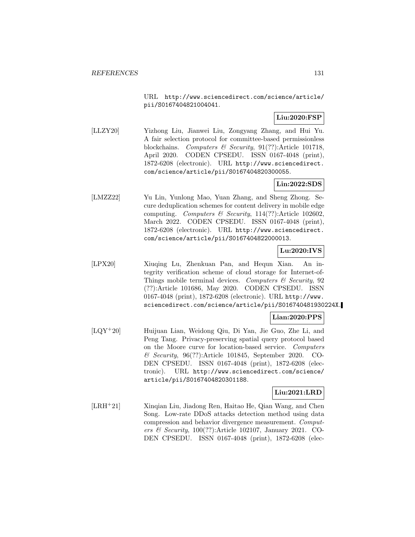URL http://www.sciencedirect.com/science/article/ pii/S0167404821004041.

### **Liu:2020:FSP**

[LLZY20] Yizhong Liu, Jianwei Liu, Zongyang Zhang, and Hui Yu. A fair selection protocol for committee-based permissionless blockchains. Computers & Security, 91(??):Article 101718, April 2020. CODEN CPSEDU. ISSN 0167-4048 (print), 1872-6208 (electronic). URL http://www.sciencedirect. com/science/article/pii/S0167404820300055.

### **Lin:2022:SDS**

[LMZZ22] Yu Lin, Yunlong Mao, Yuan Zhang, and Sheng Zhong. Secure deduplication schemes for content delivery in mobile edge computing. Computers & Security, 114(??):Article 102602, March 2022. CODEN CPSEDU. ISSN 0167-4048 (print), 1872-6208 (electronic). URL http://www.sciencedirect. com/science/article/pii/S0167404822000013.

## **Lu:2020:IVS**

[LPX20] Xiuqing Lu, Zhenkuan Pan, and Hequn Xian. An integrity verification scheme of cloud storage for Internet-of-Things mobile terminal devices. Computers  $\mathcal C$  Security, 92 (??):Article 101686, May 2020. CODEN CPSEDU. ISSN 0167-4048 (print), 1872-6208 (electronic). URL http://www. sciencedirect.com/science/article/pii/S016740481930224X.

## **Lian:2020:PPS**

[LQY<sup>+</sup>20] Huijuan Lian, Weidong Qiu, Di Yan, Jie Guo, Zhe Li, and Peng Tang. Privacy-preserving spatial query protocol based on the Moore curve for location-based service. Computers & Security, 96(??):Article 101845, September 2020. CO-DEN CPSEDU. ISSN 0167-4048 (print), 1872-6208 (electronic). URL http://www.sciencedirect.com/science/ article/pii/S0167404820301188.

### **Liu:2021:LRD**

[LRH<sup>+</sup>21] Xinqian Liu, Jiadong Ren, Haitao He, Qian Wang, and Chen Song. Low-rate DDoS attacks detection method using data compression and behavior divergence measurement. Computers & Security, 100(??):Article 102107, January 2021. CO-DEN CPSEDU. ISSN 0167-4048 (print), 1872-6208 (elec-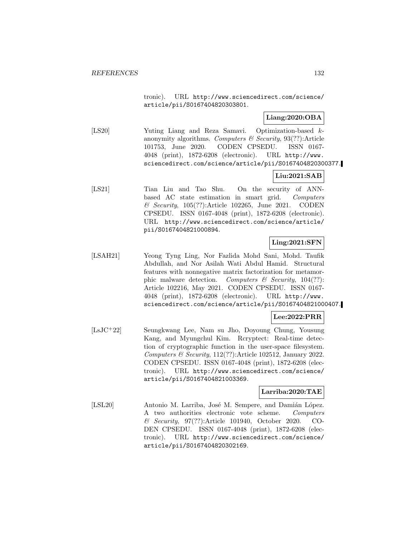tronic). URL http://www.sciencedirect.com/science/ article/pii/S0167404820303801.

### **Liang:2020:OBA**

[LS20] Yuting Liang and Reza Samavi. Optimization-based kanonymity algorithms. Computers  $\mathcal C$  Security, 93(??): Article 101753, June 2020. CODEN CPSEDU. ISSN 0167- 4048 (print), 1872-6208 (electronic). URL http://www. sciencedirect.com/science/article/pii/S0167404820300377.

# **Liu:2021:SAB**

[LS21] Tian Liu and Tao Shu. On the security of ANNbased AC state estimation in smart grid. Computers  $\&$  Security, 105(??):Article 102265, June 2021. CODEN CPSEDU. ISSN 0167-4048 (print), 1872-6208 (electronic). URL http://www.sciencedirect.com/science/article/ pii/S0167404821000894.

## **Ling:2021:SFN**

[LSAH21] Yeong Tyng Ling, Nor Fazlida Mohd Sani, Mohd. Taufik Abdullah, and Nor Asilah Wati Abdul Hamid. Structural features with nonnegative matrix factorization for metamorphic malware detection. Computers  $\mathcal{C}$  Security, 104(??): Article 102216, May 2021. CODEN CPSEDU. ISSN 0167- 4048 (print), 1872-6208 (electronic). URL http://www. sciencedirect.com/science/article/pii/S0167404821000407.

### **Lee:2022:PRR**

[LsJC<sup>+</sup>22] Seungkwang Lee, Nam su Jho, Doyoung Chung, Yousung Kang, and Myungchul Kim. Rcryptect: Real-time detection of cryptographic function in the user-space filesystem. Computers & Security, 112(??):Article 102512, January 2022. CODEN CPSEDU. ISSN 0167-4048 (print), 1872-6208 (electronic). URL http://www.sciencedirect.com/science/ article/pii/S0167404821003369.

#### **Larriba:2020:TAE**

[LSL20] Antonio M. Larriba, José M. Sempere, and Damián López. A two authorities electronic vote scheme. Computers & Security, 97(??):Article 101940, October 2020. CO-DEN CPSEDU. ISSN 0167-4048 (print), 1872-6208 (electronic). URL http://www.sciencedirect.com/science/ article/pii/S0167404820302169.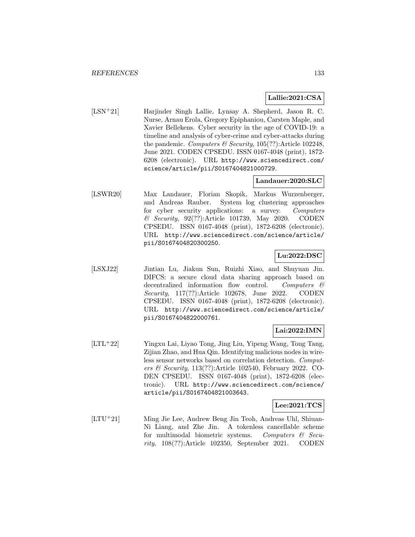### **Lallie:2021:CSA**

[LSN<sup>+</sup>21] Harjinder Singh Lallie, Lynsay A. Shepherd, Jason R. C. Nurse, Arnau Erola, Gregory Epiphaniou, Carsten Maple, and Xavier Bellekens. Cyber security in the age of COVID-19: a timeline and analysis of cyber-crime and cyber-attacks during the pandemic. Computers & Security,  $105(??)$ : Article 102248, June 2021. CODEN CPSEDU. ISSN 0167-4048 (print), 1872- 6208 (electronic). URL http://www.sciencedirect.com/ science/article/pii/S0167404821000729.

## **Landauer:2020:SLC**

[LSWR20] Max Landauer, Florian Skopik, Markus Wurzenberger, and Andreas Rauber. System log clustering approaches for cyber security applications: a survey. Computers & Security, 92(??):Article 101739, May 2020. CODEN CPSEDU. ISSN 0167-4048 (print), 1872-6208 (electronic). URL http://www.sciencedirect.com/science/article/ pii/S0167404820300250.

## **Lu:2022:DSC**

[LSXJ22] Jintian Lu, Jiakun Sun, Ruizhi Xiao, and Shuyuan Jin. DIFCS: a secure cloud data sharing approach based on decentralized information flow control. Computers & Security, 117(??):Article 102678, June 2022. CODEN CPSEDU. ISSN 0167-4048 (print), 1872-6208 (electronic). URL http://www.sciencedirect.com/science/article/ pii/S0167404822000761.

## **Lai:2022:IMN**

[LTL<sup>+</sup>22] Yingxu Lai, Liyao Tong, Jing Liu, Yipeng Wang, Tong Tang, Zijian Zhao, and Hua Qin. Identifying malicious nodes in wireless sensor networks based on correlation detection. Computers & Security, 113(??):Article 102540, February 2022. CO-DEN CPSEDU. ISSN 0167-4048 (print), 1872-6208 (electronic). URL http://www.sciencedirect.com/science/ article/pii/S0167404821003643.

## **Lee:2021:TCS**

[LTU<sup>+</sup>21] Ming Jie Lee, Andrew Beng Jin Teoh, Andreas Uhl, Shiuan-Ni Liang, and Zhe Jin. A tokenless cancellable scheme for multimodal biometric systems. Computers  $\mathcal{C}$  Security, 108(??):Article 102350, September 2021. CODEN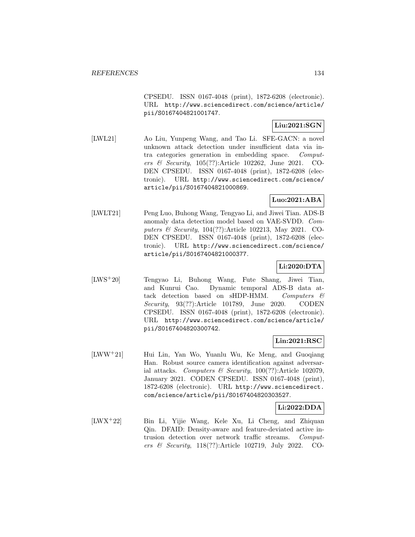CPSEDU. ISSN 0167-4048 (print), 1872-6208 (electronic). URL http://www.sciencedirect.com/science/article/ pii/S0167404821001747.

## **Liu:2021:SGN**

[LWL21] Ao Liu, Yunpeng Wang, and Tao Li. SFE-GACN: a novel unknown attack detection under insufficient data via intra categories generation in embedding space. Computers & Security, 105(??):Article 102262, June 2021. CO-DEN CPSEDU. ISSN 0167-4048 (print), 1872-6208 (electronic). URL http://www.sciencedirect.com/science/ article/pii/S0167404821000869.

## **Luo:2021:ABA**

[LWLT21] Peng Luo, Buhong Wang, Tengyao Li, and Jiwei Tian. ADS-B anomaly data detection model based on VAE-SVDD. Computers & Security, 104(??):Article 102213, May 2021. CO-DEN CPSEDU. ISSN 0167-4048 (print), 1872-6208 (electronic). URL http://www.sciencedirect.com/science/ article/pii/S0167404821000377.

# **Li:2020:DTA**

[LWS<sup>+</sup>20] Tengyao Li, Buhong Wang, Fute Shang, Jiwei Tian, and Kunrui Cao. Dynamic temporal ADS-B data attack detection based on sHDP-HMM. Computers  $\mathcal C$ Security, 93(??):Article 101789, June 2020. CODEN CPSEDU. ISSN 0167-4048 (print), 1872-6208 (electronic). URL http://www.sciencedirect.com/science/article/ pii/S0167404820300742.

## **Lin:2021:RSC**

[LWW<sup>+</sup>21] Hui Lin, Yan Wo, Yuanlu Wu, Ke Meng, and Guoqiang Han. Robust source camera identification against adversarial attacks. Computers & Security,  $100(??)$ :Article 102079, January 2021. CODEN CPSEDU. ISSN 0167-4048 (print), 1872-6208 (electronic). URL http://www.sciencedirect. com/science/article/pii/S0167404820303527.

## **Li:2022:DDA**

[LWX<sup>+</sup>22] Bin Li, Yijie Wang, Kele Xu, Li Cheng, and Zhiquan Qin. DFAID: Density-aware and feature-deviated active intrusion detection over network traffic streams. Computers & Security, 118(??):Article 102719, July 2022. CO-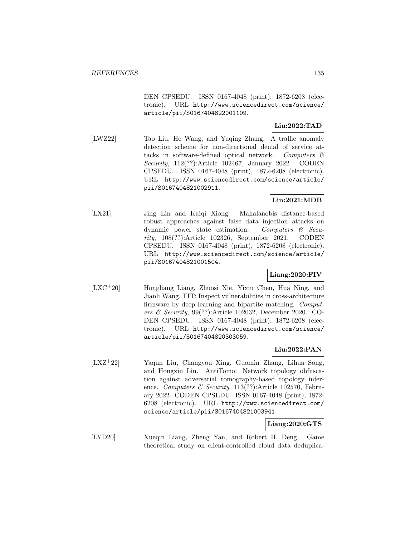DEN CPSEDU. ISSN 0167-4048 (print), 1872-6208 (electronic). URL http://www.sciencedirect.com/science/ article/pii/S0167404822001109.

## **Liu:2022:TAD**

[LWZ22] Tao Liu, He Wang, and Yuqing Zhang. A traffic anomaly detection scheme for non-directional denial of service attacks in software-defined optical network. Computers  $\mathcal{C}$ Security, 112(??):Article 102467, January 2022. CODEN CPSEDU. ISSN 0167-4048 (print), 1872-6208 (electronic). URL http://www.sciencedirect.com/science/article/ pii/S0167404821002911.

## **Lin:2021:MDB**

[LX21] Jing Lin and Kaiqi Xiong. Mahalanobis distance-based robust approaches against false data injection attacks on dynamic power state estimation. Computers & Security, 108(??):Article 102326, September 2021. CODEN CPSEDU. ISSN 0167-4048 (print), 1872-6208 (electronic). URL http://www.sciencedirect.com/science/article/ pii/S0167404821001504.

## **Liang:2020:FIV**

[LXC<sup>+</sup>20] Hongliang Liang, Zhuosi Xie, Yixiu Chen, Hua Ning, and Jianli Wang. FIT: Inspect vulnerabilities in cross-architecture firmware by deep learning and bipartite matching. Computers & Security, 99(??):Article 102032, December 2020. CO-DEN CPSEDU. ISSN 0167-4048 (print), 1872-6208 (electronic). URL http://www.sciencedirect.com/science/ article/pii/S0167404820303059.

### **Liu:2022:PAN**

[LXZ<sup>+</sup>22] Yaqun Liu, Changyou Xing, Guomin Zhang, Lihua Song, and Hongxiu Lin. AntiTomo: Network topology obfuscation against adversarial tomography-based topology inference. Computers & Security, 113(??):Article 102570, February 2022. CODEN CPSEDU. ISSN 0167-4048 (print), 1872- 6208 (electronic). URL http://www.sciencedirect.com/ science/article/pii/S0167404821003941.

## **Liang:2020:GTS**

[LYD20] Xueqin Liang, Zheng Yan, and Robert H. Deng. Game theoretical study on client-controlled cloud data deduplica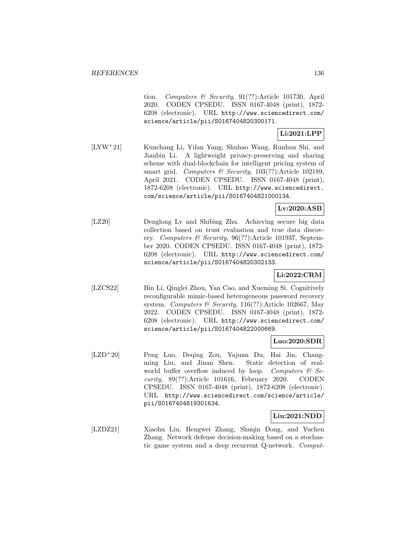tion. Computers & Security, 91(??):Article 101730, April 2020. CODEN CPSEDU. ISSN 0167-4048 (print), 1872- 6208 (electronic). URL http://www.sciencedirect.com/ science/article/pii/S0167404820300171.

## **Li:2021:LPP**

[LYW<sup>+</sup>21] Kunchang Li, Yifan Yang, Shuhao Wang, Runhua Shi, and Jianbin Li. A lightweight privacy-preserving and sharing scheme with dual-blockchain for intelligent pricing system of smart grid. Computers & Security,  $103(??)$ :Article 102189, April 2021. CODEN CPSEDU. ISSN 0167-4048 (print), 1872-6208 (electronic). URL http://www.sciencedirect. com/science/article/pii/S0167404821000134.

## **Lv:2020:ASB**

[LZ20] Denglong Lv and Shibing Zhu. Achieving secure big data collection based on trust evaluation and true data discovery. Computers & Security, 96(??):Article 101937, September 2020. CODEN CPSEDU. ISSN 0167-4048 (print), 1872- 6208 (electronic). URL http://www.sciencedirect.com/ science/article/pii/S0167404820302133.

## **Li:2022:CRM**

[LZCS22] Bin Li, Qinglei Zhou, Yan Cao, and Xueming Si. Cognitively reconfigurable mimic-based heterogeneous password recovery system. Computers & Security, 116(??):Article 102667, May 2022. CODEN CPSEDU. ISSN 0167-4048 (print), 1872- 6208 (electronic). URL http://www.sciencedirect.com/ science/article/pii/S0167404822000669.

#### **Luo:2020:SDR**

[LZD<sup>+</sup>20] Peng Luo, Deqing Zou, Yajuan Du, Hai Jin, Changming Liu, and Jinan Shen. Static detection of realworld buffer overflow induced by loop. Computers  $\mathcal{C}$  Security, 89(??):Article 101616, February 2020. CODEN CPSEDU. ISSN 0167-4048 (print), 1872-6208 (electronic). URL http://www.sciencedirect.com/science/article/ pii/S0167404819301634.

#### **Liu:2021:NDD**

[LZDZ21] Xiaohu Liu, Hengwei Zhang, Shuqin Dong, and Yuchen Zhang. Network defense decision-making based on a stochastic game system and a deep recurrent Q-network. Comput-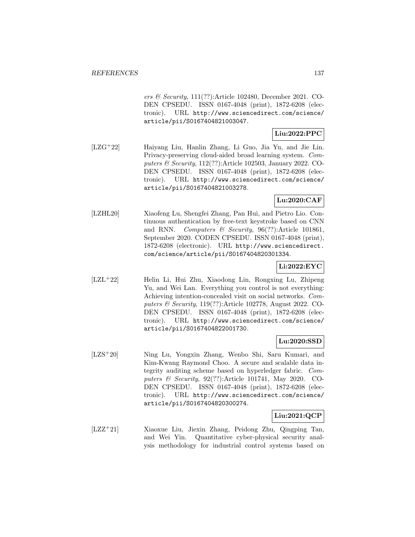ers & Security, 111(??):Article 102480, December 2021. CO-DEN CPSEDU. ISSN 0167-4048 (print), 1872-6208 (electronic). URL http://www.sciencedirect.com/science/ article/pii/S0167404821003047.

## **Liu:2022:PPC**

[LZG<sup>+</sup>22] Haiyang Liu, Hanlin Zhang, Li Guo, Jia Yu, and Jie Lin. Privacy-preserving cloud-aided broad learning system. Computers & Security, 112(??):Article 102503, January 2022. CO-DEN CPSEDU. ISSN 0167-4048 (print), 1872-6208 (electronic). URL http://www.sciencedirect.com/science/ article/pii/S0167404821003278.

## **Lu:2020:CAF**

[LZHL20] Xiaofeng Lu, Shengfei Zhang, Pan Hui, and Pietro Lio. Continuous authentication by free-text keystroke based on CNN and RNN. Computers & Security, 96(??):Article 101861, September 2020. CODEN CPSEDU. ISSN 0167-4048 (print), 1872-6208 (electronic). URL http://www.sciencedirect. com/science/article/pii/S0167404820301334.

# **Li:2022:EYC**

[LZL<sup>+</sup>22] Helin Li, Hui Zhu, Xiaodong Lin, Rongxing Lu, Zhipeng Yu, and Wei Lan. Everything you control is not everything: Achieving intention-concealed visit on social networks. Computers & Security, 119(??):Article 102778, August 2022. CO-DEN CPSEDU. ISSN 0167-4048 (print), 1872-6208 (electronic). URL http://www.sciencedirect.com/science/ article/pii/S0167404822001730.

#### **Lu:2020:SSD**

[LZS<sup>+</sup>20] Ning Lu, Yongxin Zhang, Wenbo Shi, Saru Kumari, and Kim-Kwang Raymond Choo. A secure and scalable data integrity auditing scheme based on hyperledger fabric. Computers & Security, 92(??):Article 101741, May 2020. CO-DEN CPSEDU. ISSN 0167-4048 (print), 1872-6208 (electronic). URL http://www.sciencedirect.com/science/ article/pii/S0167404820300274.

## **Liu:2021:QCP**

[LZZ<sup>+</sup>21] Xiaoxue Liu, Jiexin Zhang, Peidong Zhu, Qingping Tan, and Wei Yin. Quantitative cyber-physical security analysis methodology for industrial control systems based on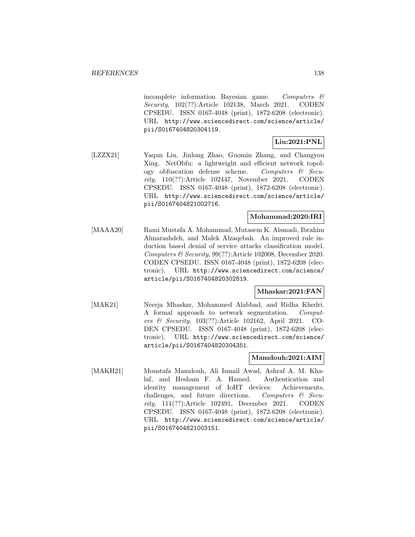incomplete information Bayesian game. Computers  $\mathcal{C}$ Security, 102(??):Article 102138, March 2021. CODEN CPSEDU. ISSN 0167-4048 (print), 1872-6208 (electronic). URL http://www.sciencedirect.com/science/article/ pii/S0167404820304119.

# **Liu:2021:PNL**

[LZZX21] Yaqun Liu, Jinlong Zhao, Guomin Zhang, and Changyou Xing. NetObfu: a lightweight and efficient network topology obfuscation defense scheme. Computers  $\mathcal{C}$  Security, 110(??):Article 102447, November 2021. CODEN CPSEDU. ISSN 0167-4048 (print), 1872-6208 (electronic). URL http://www.sciencedirect.com/science/article/ pii/S0167404821002716.

### **Mohammad:2020:IRI**

[MAAA20] Rami Mustafa A. Mohammad, Mutasem K. Alsmadi, Ibrahim Almarashdeh, and Malek Alzaqebah. An improved rule induction based denial of service attacks classification model. Computers & Security, 99(??):Article 102008, December 2020. CODEN CPSEDU. ISSN 0167-4048 (print), 1872-6208 (electronic). URL http://www.sciencedirect.com/science/ article/pii/S0167404820302819.

## **Mhaskar:2021:FAN**

[MAK21] Neerja Mhaskar, Mohammed Alabbad, and Ridha Khedri. A formal approach to network segmentation. Computers & Security, 103(??):Article 102162, April 2021. CO-DEN CPSEDU. ISSN 0167-4048 (print), 1872-6208 (electronic). URL http://www.sciencedirect.com/science/ article/pii/S0167404820304351.

## **Mamdouh:2021:AIM**

[MAKH21] Moustafa Mamdouh, Ali Ismail Awad, Ashraf A. M. Khalaf, and Hesham F. A. Hamed. Authentication and identity management of IoHT devices: Achievements, challenges, and future directions. Computers & Security, 111(??):Article 102491, December 2021. CODEN CPSEDU. ISSN 0167-4048 (print), 1872-6208 (electronic). URL http://www.sciencedirect.com/science/article/ pii/S0167404821003151.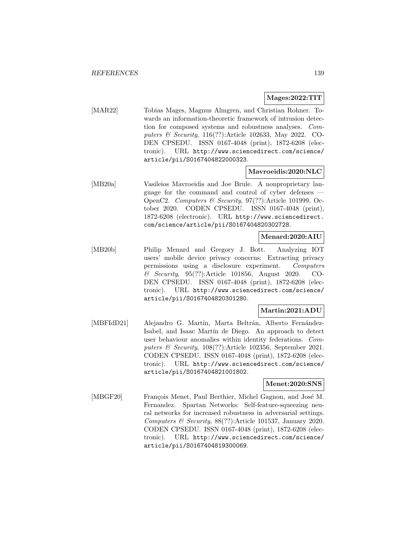### **Mages:2022:TIT**

[MAR22] Tobias Mages, Magnus Almgren, and Christian Rohner. Towards an information-theoretic framework of intrusion detection for composed systems and robustness analyses. Computers & Security, 116(??):Article 102633, May 2022. CO-DEN CPSEDU. ISSN 0167-4048 (print), 1872-6208 (electronic). URL http://www.sciencedirect.com/science/ article/pii/S0167404822000323.

#### **Mavroeidis:2020:NLC**

[MB20a] Vasileios Mavroeidis and Joe Brule. A nonproprietary language for the command and control of cyber defenses — OpenC2. Computers & Security, 97(??):Article 101999, October 2020. CODEN CPSEDU. ISSN 0167-4048 (print), 1872-6208 (electronic). URL http://www.sciencedirect. com/science/article/pii/S0167404820302728.

### **Menard:2020:AIU**

[MB20b] Philip Menard and Gregory J. Bott. Analyzing IOT users' mobile device privacy concerns: Extracting privacy permissions using a disclosure experiment. Computers & Security, 95(??):Article 101856, August 2020. CO-DEN CPSEDU. ISSN 0167-4048 (print), 1872-6208 (electronic). URL http://www.sciencedirect.com/science/ article/pii/S0167404820301280.

#### **Martin:2021:ADU**

[MBFIdD21] Alejandro G. Martín, Marta Beltrán, Alberto Fernández-Isabel, and Isaac Martín de Diego. An approach to detect user behaviour anomalies within identity federations. Computers & Security, 108(??):Article 102356, September 2021. CODEN CPSEDU. ISSN 0167-4048 (print), 1872-6208 (electronic). URL http://www.sciencedirect.com/science/ article/pii/S0167404821001802.

#### **Menet:2020:SNS**

[MBGF20] François Menet, Paul Berthier, Michel Gagnon, and José M. Fernandez. Spartan Networks: Self-feature-squeezing neural networks for increased robustness in adversarial settings. Computers & Security, 88(??):Article 101537, January 2020. CODEN CPSEDU. ISSN 0167-4048 (print), 1872-6208 (electronic). URL http://www.sciencedirect.com/science/ article/pii/S0167404819300069.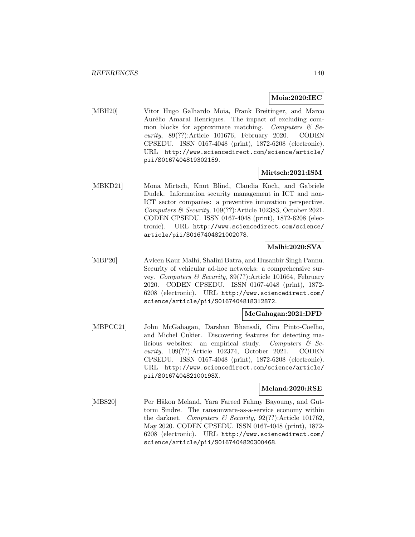### **Moia:2020:IEC**

[MBH20] Vitor Hugo Galhardo Moia, Frank Breitinger, and Marco Aurélio Amaral Henriques. The impact of excluding common blocks for approximate matching. Computers  $\mathcal{C}$  Security, 89(??):Article 101676, February 2020. CODEN CPSEDU. ISSN 0167-4048 (print), 1872-6208 (electronic). URL http://www.sciencedirect.com/science/article/ pii/S0167404819302159.

#### **Mirtsch:2021:ISM**

[MBKD21] Mona Mirtsch, Knut Blind, Claudia Koch, and Gabriele Dudek. Information security management in ICT and non-ICT sector companies: a preventive innovation perspective. Computers & Security, 109(??):Article 102383, October 2021. CODEN CPSEDU. ISSN 0167-4048 (print), 1872-6208 (electronic). URL http://www.sciencedirect.com/science/ article/pii/S0167404821002078.

## **Malhi:2020:SVA**

[MBP20] Avleen Kaur Malhi, Shalini Batra, and Husanbir Singh Pannu. Security of vehicular ad-hoc networks: a comprehensive survey. Computers & Security, 89(??):Article 101664, February 2020. CODEN CPSEDU. ISSN 0167-4048 (print), 1872- 6208 (electronic). URL http://www.sciencedirect.com/ science/article/pii/S0167404818312872.

#### **McGahagan:2021:DFD**

[MBPCC21] John McGahagan, Darshan Bhansali, Ciro Pinto-Coelho, and Michel Cukier. Discovering features for detecting malicious websites: an empirical study. Computers  $\mathcal{C}$  Security, 109(??):Article 102374, October 2021. CODEN CPSEDU. ISSN 0167-4048 (print), 1872-6208 (electronic). URL http://www.sciencedirect.com/science/article/ pii/S016740482100198X.

#### **Meland:2020:RSE**

[MBS20] Per Håkon Meland, Yara Fareed Fahmy Bayoumy, and Guttorm Sindre. The ransomware-as-a-service economy within the darknet. Computers  $\mathcal B$  Security, 92(??):Article 101762, May 2020. CODEN CPSEDU. ISSN 0167-4048 (print), 1872- 6208 (electronic). URL http://www.sciencedirect.com/ science/article/pii/S0167404820300468.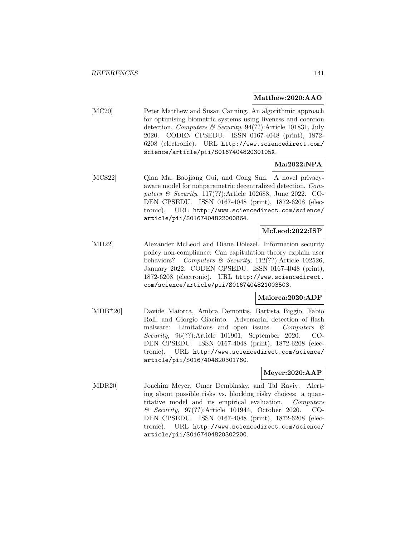#### **Matthew:2020:AAO**

[MC20] Peter Matthew and Susan Canning. An algorithmic approach for optimising biometric systems using liveness and coercion detection. Computers & Security, 94(??):Article 101831, July 2020. CODEN CPSEDU. ISSN 0167-4048 (print), 1872- 6208 (electronic). URL http://www.sciencedirect.com/ science/article/pii/S016740482030105X.

## **Ma:2022:NPA**

[MCS22] Qian Ma, Baojiang Cui, and Cong Sun. A novel privacyaware model for nonparametric decentralized detection. Computers & Security, 117(??):Article 102688, June 2022. CO-DEN CPSEDU. ISSN 0167-4048 (print), 1872-6208 (electronic). URL http://www.sciencedirect.com/science/ article/pii/S0167404822000864.

### **McLeod:2022:ISP**

[MD22] Alexander McLeod and Diane Dolezel. Information security policy non-compliance: Can capitulation theory explain user behaviors? Computers & Security, 112(??):Article 102526, January 2022. CODEN CPSEDU. ISSN 0167-4048 (print), 1872-6208 (electronic). URL http://www.sciencedirect. com/science/article/pii/S0167404821003503.

#### **Maiorca:2020:ADF**

[MDB<sup>+</sup>20] Davide Maiorca, Ambra Demontis, Battista Biggio, Fabio Roli, and Giorgio Giacinto. Adversarial detection of flash malware: Limitations and open issues. Computers  $\mathcal{C}$ Security, 96(??):Article 101901, September 2020. CO-DEN CPSEDU. ISSN 0167-4048 (print), 1872-6208 (electronic). URL http://www.sciencedirect.com/science/ article/pii/S0167404820301760.

### **Meyer:2020:AAP**

[MDR20] Joachim Meyer, Omer Dembinsky, and Tal Raviv. Alerting about possible risks vs. blocking risky choices: a quantitative model and its empirical evaluation. Computers & Security, 97(??):Article 101944, October 2020. CO-DEN CPSEDU. ISSN 0167-4048 (print), 1872-6208 (electronic). URL http://www.sciencedirect.com/science/ article/pii/S0167404820302200.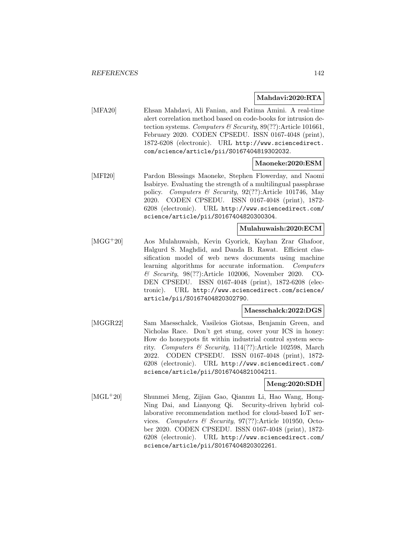#### **Mahdavi:2020:RTA**

[MFA20] Ehsan Mahdavi, Ali Fanian, and Fatima Amini. A real-time alert correlation method based on code-books for intrusion detection systems. Computers & Security,  $89(??)$ : Article 101661, February 2020. CODEN CPSEDU. ISSN 0167-4048 (print), 1872-6208 (electronic). URL http://www.sciencedirect. com/science/article/pii/S0167404819302032.

#### **Maoneke:2020:ESM**

[MFI20] Pardon Blessings Maoneke, Stephen Flowerday, and Naomi Isabirye. Evaluating the strength of a multilingual passphrase policy. Computers & Security, 92(??):Article 101746, May 2020. CODEN CPSEDU. ISSN 0167-4048 (print), 1872- 6208 (electronic). URL http://www.sciencedirect.com/ science/article/pii/S0167404820300304.

#### **Mulahuwaish:2020:ECM**

[MGG<sup>+</sup>20] Aos Mulahuwaish, Kevin Gyorick, Kayhan Zrar Ghafoor, Halgurd S. Maghdid, and Danda B. Rawat. Efficient classification model of web news documents using machine learning algorithms for accurate information. Computers & Security, 98(??):Article 102006, November 2020. CO-DEN CPSEDU. ISSN 0167-4048 (print), 1872-6208 (electronic). URL http://www.sciencedirect.com/science/ article/pii/S0167404820302790.

#### **Maesschalck:2022:DGS**

[MGGR22] Sam Maesschalck, Vasileios Giotsas, Benjamin Green, and Nicholas Race. Don't get stung, cover your ICS in honey: How do honeypots fit within industrial control system security. Computers & Security,  $114(??)$ :Article 102598, March 2022. CODEN CPSEDU. ISSN 0167-4048 (print), 1872- 6208 (electronic). URL http://www.sciencedirect.com/ science/article/pii/S0167404821004211.

#### **Meng:2020:SDH**

[MGL<sup>+</sup>20] Shunmei Meng, Zijian Gao, Qianmu Li, Hao Wang, Hong-Ning Dai, and Lianyong Qi. Security-driven hybrid collaborative recommendation method for cloud-based IoT services. Computers & Security, 97(??):Article 101950, October 2020. CODEN CPSEDU. ISSN 0167-4048 (print), 1872- 6208 (electronic). URL http://www.sciencedirect.com/ science/article/pii/S0167404820302261.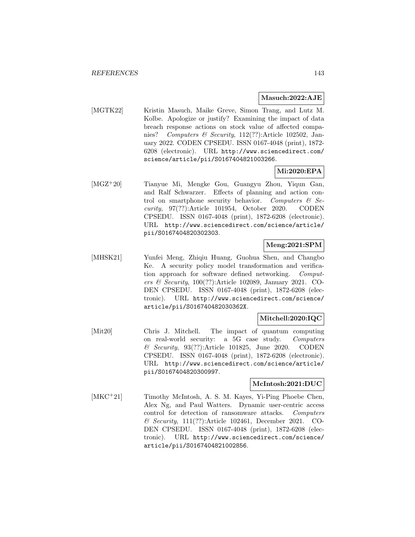#### **Masuch:2022:AJE**

[MGTK22] Kristin Masuch, Maike Greve, Simon Trang, and Lutz M. Kolbe. Apologize or justify? Examining the impact of data breach response actions on stock value of affected companies? Computers & Security, 112(??):Article 102502, January 2022. CODEN CPSEDU. ISSN 0167-4048 (print), 1872- 6208 (electronic). URL http://www.sciencedirect.com/ science/article/pii/S0167404821003266.

### **Mi:2020:EPA**

[MGZ<sup>+</sup>20] Tianyue Mi, Mengke Gou, Guangyu Zhou, Yiqun Gan, and Ralf Schwarzer. Effects of planning and action control on smartphone security behavior. Computers  $\mathcal{C}$  Security, 97(??):Article 101954, October 2020. CODEN CPSEDU. ISSN 0167-4048 (print), 1872-6208 (electronic). URL http://www.sciencedirect.com/science/article/ pii/S0167404820302303.

## **Meng:2021:SPM**

[MHSK21] Yunfei Meng, Zhiqiu Huang, Guohua Shen, and Changbo Ke. A security policy model transformation and verification approach for software defined networking. Computers & Security, 100(??):Article 102089, January 2021. CO-DEN CPSEDU. ISSN 0167-4048 (print), 1872-6208 (electronic). URL http://www.sciencedirect.com/science/ article/pii/S016740482030362X.

#### **Mitchell:2020:IQC**

[Mit20] Chris J. Mitchell. The impact of quantum computing on real-world security: a 5G case study. Computers & Security, 93(??):Article 101825, June 2020. CODEN CPSEDU. ISSN 0167-4048 (print), 1872-6208 (electronic). URL http://www.sciencedirect.com/science/article/ pii/S0167404820300997.

### **McIntosh:2021:DUC**

[MKC<sup>+</sup>21] Timothy McIntosh, A. S. M. Kayes, Yi-Ping Phoebe Chen, Alex Ng, and Paul Watters. Dynamic user-centric access control for detection of ransomware attacks. Computers & Security, 111(??):Article 102461, December 2021. CO-DEN CPSEDU. ISSN 0167-4048 (print), 1872-6208 (electronic). URL http://www.sciencedirect.com/science/ article/pii/S0167404821002856.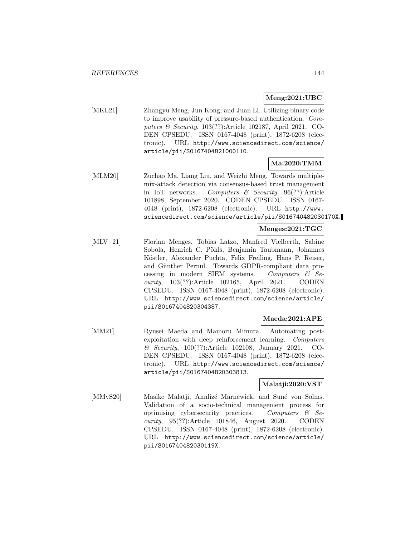### **Meng:2021:UBC**

[MKL21] Zhangyu Meng, Jun Kong, and Juan Li. Utilizing binary code to improve usability of pressure-based authentication. Computers & Security, 103(??):Article 102187, April 2021. CO-DEN CPSEDU. ISSN 0167-4048 (print), 1872-6208 (electronic). URL http://www.sciencedirect.com/science/ article/pii/S0167404821000110.

## **Ma:2020:TMM**

[MLM20] Zuchao Ma, Liang Liu, and Weizhi Meng. Towards multiplemix-attack detection via consensus-based trust management in IoT networks. Computers  $\mathcal C$  Security, 96(??):Article 101898, September 2020. CODEN CPSEDU. ISSN 0167- 4048 (print), 1872-6208 (electronic). URL http://www. sciencedirect.com/science/article/pii/S016740482030170X.

### **Menges:2021:TGC**

[MLV<sup>+</sup>21] Florian Menges, Tobias Latzo, Manfred Vielberth, Sabine Sobola, Henrich C. Pöhls, Benjamin Taubmann, Johannes Köstler, Alexander Puchta, Felix Freiling, Hans P. Reiser, and Günther Pernul. Towards GDPR-compliant data processing in modern SIEM systems. Computers  $\mathcal{C}$  Security, 103(??):Article 102165, April 2021. CODEN CPSEDU. ISSN 0167-4048 (print), 1872-6208 (electronic). URL http://www.sciencedirect.com/science/article/ pii/S0167404820304387.

## **Maeda:2021:APE**

[MM21] Ryusei Maeda and Mamoru Mimura. Automating postexploitation with deep reinforcement learning. Computers & Security, 100(??):Article 102108, January 2021. CO-DEN CPSEDU. ISSN 0167-4048 (print), 1872-6208 (electronic). URL http://www.sciencedirect.com/science/ article/pii/S0167404820303813.

## **Malatji:2020:VST**

[MMvS20] Masike Malatji, Annliz´e Marnewick, and Sun´e von Solms. Validation of a socio-technical management process for optimising cybersecurity practices. Computers  $\mathcal{C}$  Security, 95(??):Article 101846, August 2020. CODEN CPSEDU. ISSN 0167-4048 (print), 1872-6208 (electronic). URL http://www.sciencedirect.com/science/article/ pii/S016740482030119X.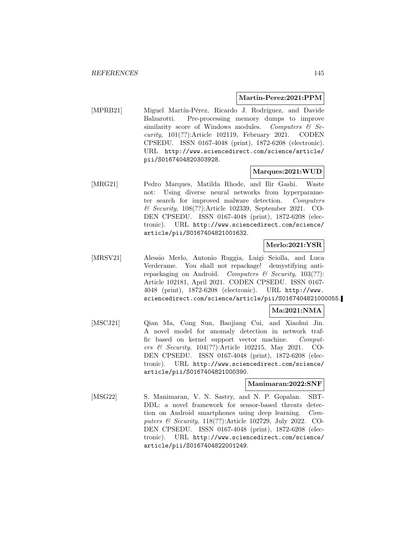#### **Martin-Perez:2021:PPM**

[MPRB21] Miguel Martín-Pérez, Ricardo J. Rodríguez, and Davide Balzarotti. Pre-processing memory dumps to improve similarity score of Windows modules. Computers  $\mathcal{C}$  Security, 101(??):Article 102119, February 2021. CODEN CPSEDU. ISSN 0167-4048 (print), 1872-6208 (electronic). URL http://www.sciencedirect.com/science/article/ pii/S0167404820303928.

# **Marques:2021:WUD**

[MRG21] Pedro Marques, Matilda Rhode, and Ilir Gashi. Waste not: Using diverse neural networks from hyperparameter search for improved malware detection. Computers & Security, 108(??):Article 102339, September 2021. CO-DEN CPSEDU. ISSN 0167-4048 (print), 1872-6208 (electronic). URL http://www.sciencedirect.com/science/ article/pii/S0167404821001632.

# **Merlo:2021:YSR**

[MRSV21] Alessio Merlo, Antonio Ruggia, Luigi Sciolla, and Luca Verderame. You shall not repackage! demystifying antirepackaging on Android. Computers  $\mathcal C$  Security, 103(??): Article 102181, April 2021. CODEN CPSEDU. ISSN 0167- 4048 (print), 1872-6208 (electronic). URL http://www. sciencedirect.com/science/article/pii/S0167404821000055.

# **Ma:2021:NMA**

[MSCJ21] Qian Ma, Cong Sun, Baojiang Cui, and Xiaohui Jin. A novel model for anomaly detection in network traffic based on kernel support vector machine. Computers & Security, 104(??):Article 102215, May 2021. CO-DEN CPSEDU. ISSN 0167-4048 (print), 1872-6208 (electronic). URL http://www.sciencedirect.com/science/ article/pii/S0167404821000390.

#### **Manimaran:2022:SNF**

[MSG22] S. Manimaran, V. N. Sastry, and N. P. Gopalan. SBT-DDL: a novel framework for sensor-based threats detection on Android smartphones using deep learning. Computers & Security, 118(??):Article 102729, July 2022. CO-DEN CPSEDU. ISSN 0167-4048 (print), 1872-6208 (electronic). URL http://www.sciencedirect.com/science/ article/pii/S0167404822001249.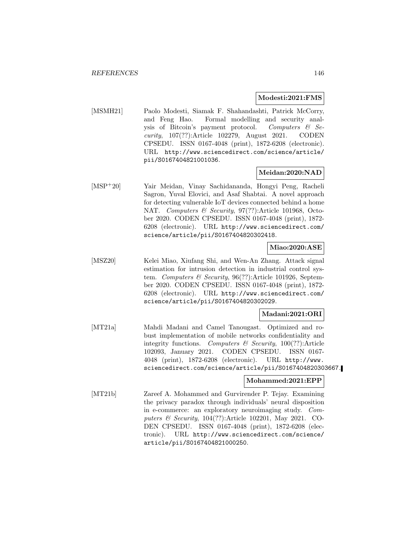#### **Modesti:2021:FMS**

[MSMH21] Paolo Modesti, Siamak F. Shahandashti, Patrick McCorry, and Feng Hao. Formal modelling and security analysis of Bitcoin's payment protocol. Computers  $\mathcal{C}$  Se*curity*,  $107(??)$ :Article  $102279$ , August  $2021$ . CODEN CPSEDU. ISSN 0167-4048 (print), 1872-6208 (electronic). URL http://www.sciencedirect.com/science/article/ pii/S0167404821001036.

# **Meidan:2020:NAD**

[MSP<sup>+</sup>20] Yair Meidan, Vinay Sachidananda, Hongyi Peng, Racheli Sagron, Yuval Elovici, and Asaf Shabtai. A novel approach for detecting vulnerable IoT devices connected behind a home NAT. Computers & Security, 97(??):Article 101968, October 2020. CODEN CPSEDU. ISSN 0167-4048 (print), 1872- 6208 (electronic). URL http://www.sciencedirect.com/ science/article/pii/S0167404820302418.

# **Miao:2020:ASE**

[MSZ20] Kelei Miao, Xiufang Shi, and Wen-An Zhang. Attack signal estimation for intrusion detection in industrial control system. Computers & Security,  $96(??)$ :Article 101926, September 2020. CODEN CPSEDU. ISSN 0167-4048 (print), 1872- 6208 (electronic). URL http://www.sciencedirect.com/ science/article/pii/S0167404820302029.

# **Madani:2021:ORI**

[MT21a] Mahdi Madani and Camel Tanougast. Optimized and robust implementation of mobile networks confidentiality and integrity functions. Computers  $\mathcal C$  Security, 100(??):Article 102093, January 2021. CODEN CPSEDU. ISSN 0167- 4048 (print), 1872-6208 (electronic). URL http://www. sciencedirect.com/science/article/pii/S0167404820303667.

# **Mohammed:2021:EPP**

[MT21b] Zareef A. Mohammed and Gurvirender P. Tejay. Examining the privacy paradox through individuals' neural disposition in e-commerce: an exploratory neuroimaging study. Computers & Security, 104(??):Article 102201, May 2021. CO-DEN CPSEDU. ISSN 0167-4048 (print), 1872-6208 (electronic). URL http://www.sciencedirect.com/science/ article/pii/S0167404821000250.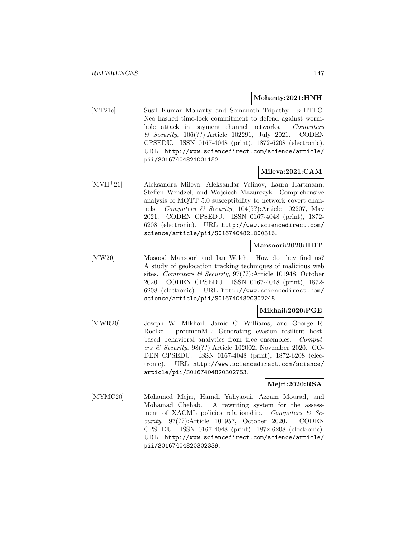# **Mohanty:2021:HNH**

[MT21c] Susil Kumar Mohanty and Somanath Tripathy. *n*-HTLC: Neo hashed time-lock commitment to defend against wormhole attack in payment channel networks. Computers & Security, 106(??):Article 102291, July 2021. CODEN CPSEDU. ISSN 0167-4048 (print), 1872-6208 (electronic). URL http://www.sciencedirect.com/science/article/ pii/S0167404821001152.

# **Mileva:2021:CAM**

[MVH<sup>+</sup>21] Aleksandra Mileva, Aleksandar Velinov, Laura Hartmann, Steffen Wendzel, and Wojciech Mazurczyk. Comprehensive analysis of MQTT 5.0 susceptibility to network covert channels. Computers & Security, 104(??):Article 102207, May 2021. CODEN CPSEDU. ISSN 0167-4048 (print), 1872- 6208 (electronic). URL http://www.sciencedirect.com/ science/article/pii/S0167404821000316.

# **Mansoori:2020:HDT**

[MW20] Masood Mansoori and Ian Welch. How do they find us? A study of geolocation tracking techniques of malicious web sites. Computers & Security, 97(??):Article 101948, October 2020. CODEN CPSEDU. ISSN 0167-4048 (print), 1872- 6208 (electronic). URL http://www.sciencedirect.com/ science/article/pii/S0167404820302248.

# **Mikhail:2020:PGE**

[MWR20] Joseph W. Mikhail, Jamie C. Williams, and George R. Roelke. procmonML: Generating evasion resilient hostbased behavioral analytics from tree ensembles. Computers & Security, 98(??):Article 102002, November 2020. CO-DEN CPSEDU. ISSN 0167-4048 (print), 1872-6208 (electronic). URL http://www.sciencedirect.com/science/ article/pii/S0167404820302753.

# **Mejri:2020:RSA**

[MYMC20] Mohamed Mejri, Hamdi Yahyaoui, Azzam Mourad, and Mohamad Chehab. A rewriting system for the assessment of XACML policies relationship. Computers  $\mathcal{C}$  Security, 97(??):Article 101957, October 2020. CODEN CPSEDU. ISSN 0167-4048 (print), 1872-6208 (electronic). URL http://www.sciencedirect.com/science/article/ pii/S0167404820302339.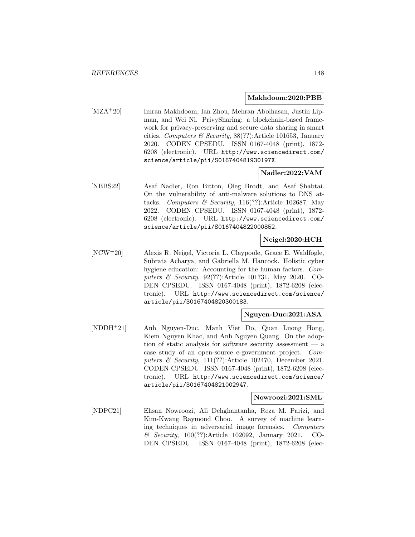#### **Makhdoom:2020:PBB**

[MZA<sup>+</sup>20] Imran Makhdoom, Ian Zhou, Mehran Abolhasan, Justin Lipman, and Wei Ni. PrivySharing: a blockchain-based framework for privacy-preserving and secure data sharing in smart cities. Computers & Security,  $88(??)$ : Article 101653, January 2020. CODEN CPSEDU. ISSN 0167-4048 (print), 1872- 6208 (electronic). URL http://www.sciencedirect.com/ science/article/pii/S016740481930197X.

# **Nadler:2022:VAM**

[NBBS22] Asaf Nadler, Ron Bitton, Oleg Brodt, and Asaf Shabtai. On the vulnerability of anti-malware solutions to DNS attacks. Computers & Security,  $116(??)$ :Article 102687, May 2022. CODEN CPSEDU. ISSN 0167-4048 (print), 1872- 6208 (electronic). URL http://www.sciencedirect.com/ science/article/pii/S0167404822000852.

# **Neigel:2020:HCH**

[NCW<sup>+</sup>20] Alexis R. Neigel, Victoria L. Claypoole, Grace E. Waldfogle, Subrata Acharya, and Gabriella M. Hancock. Holistic cyber hygiene education: Accounting for the human factors. Computers & Security, 92(??):Article 101731, May 2020. CO-DEN CPSEDU. ISSN 0167-4048 (print), 1872-6208 (electronic). URL http://www.sciencedirect.com/science/ article/pii/S0167404820300183.

# **Nguyen-Duc:2021:ASA**

[NDDH<sup>+</sup>21] Anh Nguyen-Duc, Manh Viet Do, Quan Luong Hong, Kiem Nguyen Khac, and Anh Nguyen Quang. On the adoption of static analysis for software security assessment  $-$  a case study of an open-source e-government project. Computers & Security, 111(??):Article 102470, December 2021. CODEN CPSEDU. ISSN 0167-4048 (print), 1872-6208 (electronic). URL http://www.sciencedirect.com/science/ article/pii/S0167404821002947.

#### **Nowroozi:2021:SML**

[NDPC21] Ehsan Nowroozi, Ali Dehghantanha, Reza M. Parizi, and Kim-Kwang Raymond Choo. A survey of machine learning techniques in adversarial image forensics. Computers & Security, 100(??):Article 102092, January 2021. CO-DEN CPSEDU. ISSN 0167-4048 (print), 1872-6208 (elec-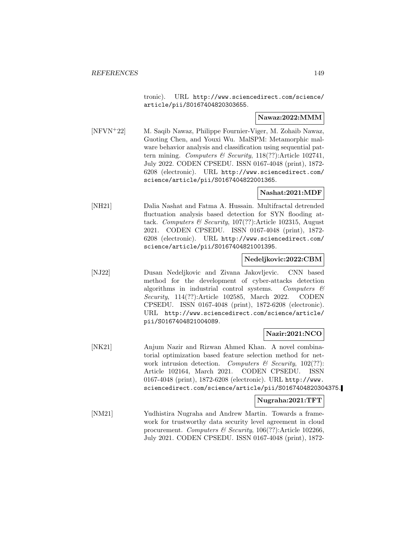tronic). URL http://www.sciencedirect.com/science/ article/pii/S0167404820303655.

# **Nawaz:2022:MMM**

[NFVN<sup>+</sup>22] M. Saqib Nawaz, Philippe Fournier-Viger, M. Zohaib Nawaz, Guoting Chen, and Youxi Wu. MalSPM: Metamorphic malware behavior analysis and classification using sequential pattern mining. Computers & Security, 118(??):Article 102741, July 2022. CODEN CPSEDU. ISSN 0167-4048 (print), 1872- 6208 (electronic). URL http://www.sciencedirect.com/ science/article/pii/S0167404822001365.

# **Nashat:2021:MDF**

[NH21] Dalia Nashat and Fatma A. Hussain. Multifractal detrended fluctuation analysis based detection for SYN flooding attack. Computers & Security, 107(??):Article 102315, August 2021. CODEN CPSEDU. ISSN 0167-4048 (print), 1872- 6208 (electronic). URL http://www.sciencedirect.com/ science/article/pii/S0167404821001395.

# **Nedeljkovic:2022:CBM**

[NJ22] Dusan Nedeljkovic and Zivana Jakovljevic. CNN based method for the development of cyber-attacks detection algorithms in industrial control systems. Computers & Security, 114(??):Article 102585, March 2022. CODEN CPSEDU. ISSN 0167-4048 (print), 1872-6208 (electronic). URL http://www.sciencedirect.com/science/article/ pii/S0167404821004089.

# **Nazir:2021:NCO**

[NK21] Anjum Nazir and Rizwan Ahmed Khan. A novel combinatorial optimization based feature selection method for network intrusion detection. Computers  $\mathcal C$  Security, 102(??): Article 102164, March 2021. CODEN CPSEDU. ISSN 0167-4048 (print), 1872-6208 (electronic). URL http://www. sciencedirect.com/science/article/pii/S0167404820304375.

# **Nugraha:2021:TFT**

[NM21] Yudhistira Nugraha and Andrew Martin. Towards a framework for trustworthy data security level agreement in cloud procurement. Computers & Security, 106(??):Article 102266, July 2021. CODEN CPSEDU. ISSN 0167-4048 (print), 1872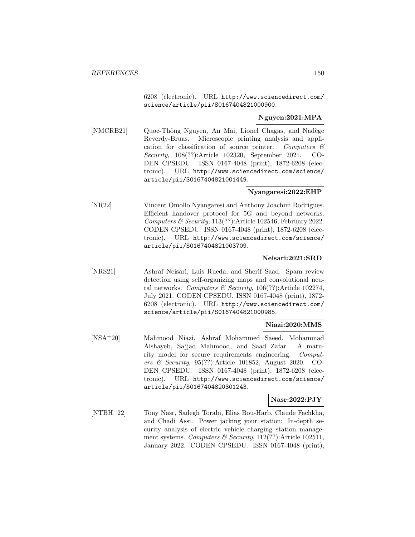6208 (electronic). URL http://www.sciencedirect.com/ science/article/pii/S0167404821000900.

# **Nguyen:2021:MPA**

[NMCRB21] Quoc-Thông Nguyen, An Mai, Lionel Chagas, and Nadège Reverdy-Bruas. Microscopic printing analysis and application for classification of source printer. Computers  $\mathcal{C}$ Security, 108(??):Article 102320, September 2021. CO-DEN CPSEDU. ISSN 0167-4048 (print), 1872-6208 (electronic). URL http://www.sciencedirect.com/science/ article/pii/S0167404821001449.

# **Nyangaresi:2022:EHP**

[NR22] Vincent Omollo Nyangaresi and Anthony Joachim Rodrigues. Efficient handover protocol for 5G and beyond networks. Computers  $\mathcal B$  Security, 113(??): Article 102546, February 2022. CODEN CPSEDU. ISSN 0167-4048 (print), 1872-6208 (electronic). URL http://www.sciencedirect.com/science/ article/pii/S0167404821003709.

# **Neisari:2021:SRD**

[NRS21] Ashraf Neisari, Luis Rueda, and Sherif Saad. Spam review detection using self-organizing maps and convolutional neural networks. Computers & Security,  $106(?)$ : Article 102274, July 2021. CODEN CPSEDU. ISSN 0167-4048 (print), 1872- 6208 (electronic). URL http://www.sciencedirect.com/ science/article/pii/S0167404821000985.

# **Niazi:2020:MMS**

[NSA<sup>+</sup>20] Mahmood Niazi, Ashraf Mohammed Saeed, Mohammad Alshayeb, Sajjad Mahmood, and Saad Zafar. A maturity model for secure requirements engineering. Computers & Security, 95(??):Article 101852, August 2020. CO-DEN CPSEDU. ISSN 0167-4048 (print), 1872-6208 (electronic). URL http://www.sciencedirect.com/science/ article/pii/S0167404820301243.

# **Nasr:2022:PJY**

[NTBH<sup>+</sup>22] Tony Nasr, Sadegh Torabi, Elias Bou-Harb, Claude Fachkha, and Chadi Assi. Power jacking your station: In-depth security analysis of electric vehicle charging station management systems. Computers & Security, 112(??):Article 102511, January 2022. CODEN CPSEDU. ISSN 0167-4048 (print),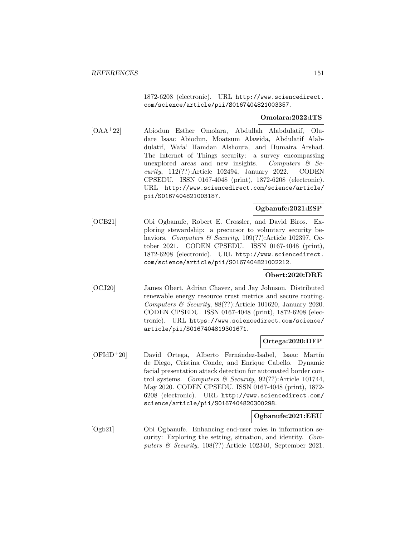1872-6208 (electronic). URL http://www.sciencedirect. com/science/article/pii/S0167404821003357.

# **Omolara:2022:ITS**

[OAA<sup>+</sup>22] Abiodun Esther Omolara, Abdullah Alabdulatif, Oludare Isaac Abiodun, Moatsum Alawida, Abdulatif Alabdulatif, Wafa' Hamdan Alshoura, and Humaira Arshad. The Internet of Things security: a survey encompassing unexplored areas and new insights. Computers  $\mathcal{C}$  Security, 112(??):Article 102494, January 2022. CODEN CPSEDU. ISSN 0167-4048 (print), 1872-6208 (electronic). URL http://www.sciencedirect.com/science/article/ pii/S0167404821003187.

# **Ogbanufe:2021:ESP**

[OCB21] Obi Ogbanufe, Robert E. Crossler, and David Biros. Exploring stewardship: a precursor to voluntary security behaviors. Computers & Security, 109(??):Article 102397, October 2021. CODEN CPSEDU. ISSN 0167-4048 (print), 1872-6208 (electronic). URL http://www.sciencedirect. com/science/article/pii/S0167404821002212.

# **Obert:2020:DRE**

[OCJ20] James Obert, Adrian Chavez, and Jay Johnson. Distributed renewable energy resource trust metrics and secure routing. Computers & Security, 88(??):Article 101620, January 2020. CODEN CPSEDU. ISSN 0167-4048 (print), 1872-6208 (electronic). URL https://www.sciencedirect.com/science/ article/pii/S0167404819301671.

# **Ortega:2020:DFP**

[OFIdD<sup>+</sup>20] David Ortega, Alberto Fernández-Isabel, Isaac Martín de Diego, Cristina Conde, and Enrique Cabello. Dynamic facial presentation attack detection for automated border control systems. Computers & Security,  $92(??)$ :Article 101744, May 2020. CODEN CPSEDU. ISSN 0167-4048 (print), 1872- 6208 (electronic). URL http://www.sciencedirect.com/ science/article/pii/S0167404820300298.

# **Ogbanufe:2021:EEU**

[Ogb21] Obi Ogbanufe. Enhancing end-user roles in information security: Exploring the setting, situation, and identity. Computers  $\mathcal B$  Security, 108(??):Article 102340, September 2021.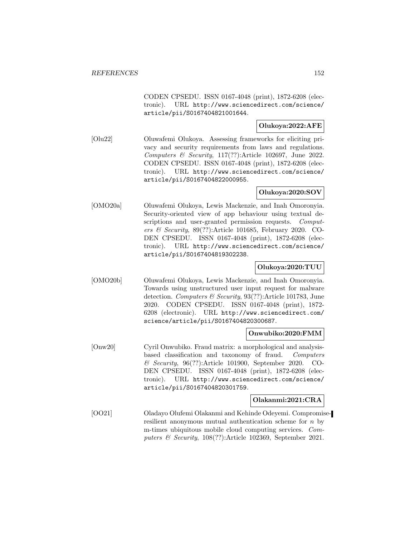CODEN CPSEDU. ISSN 0167-4048 (print), 1872-6208 (electronic). URL http://www.sciencedirect.com/science/ article/pii/S0167404821001644.

# **Olukoya:2022:AFE**

[Olu22] Oluwafemi Olukoya. Assessing frameworks for eliciting privacy and security requirements from laws and regulations. Computers & Security, 117(??):Article 102697, June 2022. CODEN CPSEDU. ISSN 0167-4048 (print), 1872-6208 (electronic). URL http://www.sciencedirect.com/science/ article/pii/S0167404822000955.

# **Olukoya:2020:SOV**

[OMO20a] Oluwafemi Olukoya, Lewis Mackenzie, and Inah Omoronyia. Security-oriented view of app behaviour using textual descriptions and user-granted permission requests. Computers & Security,  $89(??)$ :Article 101685, February 2020. CO-DEN CPSEDU. ISSN 0167-4048 (print), 1872-6208 (electronic). URL http://www.sciencedirect.com/science/ article/pii/S0167404819302238.

# **Olukoya:2020:TUU**

[OMO20b] Oluwafemi Olukoya, Lewis Mackenzie, and Inah Omoronyia. Towards using unstructured user input request for malware detection. Computers & Security, 93(??):Article 101783, June 2020. CODEN CPSEDU. ISSN 0167-4048 (print), 1872- 6208 (electronic). URL http://www.sciencedirect.com/ science/article/pii/S0167404820300687.

#### **Onwubiko:2020:FMM**

[Onw20] Cyril Onwubiko. Fraud matrix: a morphological and analysisbased classification and taxonomy of fraud. Computers & Security, 96(??):Article 101900, September 2020. CO-DEN CPSEDU. ISSN 0167-4048 (print), 1872-6208 (electronic). URL http://www.sciencedirect.com/science/ article/pii/S0167404820301759.

#### **Olakanmi:2021:CRA**

[OO21] Oladayo Olufemi Olakanmi and Kehinde Odeyemi. Compromiseresilient anonymous mutual authentication scheme for  $n$  by m-times ubiquitous mobile cloud computing services. Computers & Security, 108(??):Article 102369, September 2021.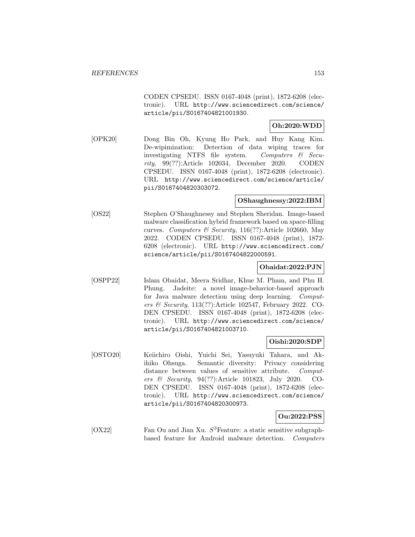CODEN CPSEDU. ISSN 0167-4048 (print), 1872-6208 (electronic). URL http://www.sciencedirect.com/science/ article/pii/S0167404821001930.

# **Oh:2020:WDD**

[OPK20] Dong Bin Oh, Kyung Ho Park, and Huy Kang Kim. De-wipimization: Detection of data wiping traces for investigating NTFS file system. Computers  $\mathcal{C}$  Security, 99(??):Article 102034, December 2020. CODEN CPSEDU. ISSN 0167-4048 (print), 1872-6208 (electronic). URL http://www.sciencedirect.com/science/article/ pii/S0167404820303072.

# **OShaughnessy:2022:IBM**

[OS22] Stephen O'Shaughnessy and Stephen Sheridan. Image-based malware classification hybrid framework based on space-filling curves. Computers & Security, 116(??):Article 102660, May 2022. CODEN CPSEDU. ISSN 0167-4048 (print), 1872- 6208 (electronic). URL http://www.sciencedirect.com/ science/article/pii/S0167404822000591.

# **Obaidat:2022:PJN**

[OSPP22] Islam Obaidat, Meera Sridhar, Khue M. Pham, and Phu H. Phung. Jadeite: a novel image-behavior-based approach for Java malware detection using deep learning. Computers & Security, 113(??):Article 102547, February 2022. CO-DEN CPSEDU. ISSN 0167-4048 (print), 1872-6208 (electronic). URL http://www.sciencedirect.com/science/ article/pii/S0167404821003710.

# **Oishi:2020:SDP**

[OSTO20] Keiichiro Oishi, Yuichi Sei, Yasuyuki Tahara, and Akihiko Ohsuga. Semantic diversity: Privacy considering distance between values of sensitive attribute. Computers & Security, 94(??):Article 101823, July 2020. CO-DEN CPSEDU. ISSN 0167-4048 (print), 1872-6208 (electronic). URL http://www.sciencedirect.com/science/ article/pii/S0167404820300973.

#### **Ou:2022:PSS**

[OX22] Fan Ou and Jian Xu.  $S<sup>3</sup>$  Feature: a static sensitive subgraphbased feature for Android malware detection. Computers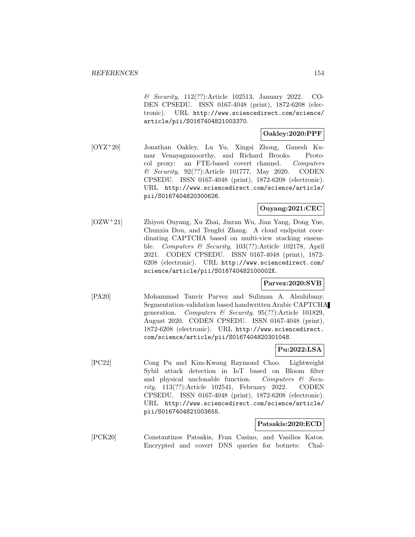& Security, 112(??):Article 102513, January 2022. CO-DEN CPSEDU. ISSN 0167-4048 (print), 1872-6208 (electronic). URL http://www.sciencedirect.com/science/ article/pii/S0167404821003370.

# **Oakley:2020:PPF**

[OYZ<sup>+</sup>20] Jonathan Oakley, Lu Yu, Xingsi Zhong, Ganesh Kumar Venayagamoorthy, and Richard Brooks. Protocol proxy: an FTE-based covert channel. Computers & Security, 92(??):Article 101777, May 2020. CODEN CPSEDU. ISSN 0167-4048 (print), 1872-6208 (electronic). URL http://www.sciencedirect.com/science/article/ pii/S0167404820300626.

# **Ouyang:2021:CEC**

[OZW<sup>+</sup>21] Zhiyou Ouyang, Xu Zhai, Jinran Wu, Jian Yang, Dong Yue, Chunxia Dou, and Tengfei Zhang. A cloud endpoint coordinating CAPTCHA based on multi-view stacking ensemble. Computers & Security, 103(??):Article 102178, April 2021. CODEN CPSEDU. ISSN 0167-4048 (print), 1872- 6208 (electronic). URL http://www.sciencedirect.com/ science/article/pii/S016740482100002X.

# **Parvez:2020:SVB**

[PA20] Mohammad Tanvir Parvez and Suliman A. Alsuhibany. Segmentation-validation based handwritten Arabic CAPTCHA generation. Computers & Security, 95(??):Article 101829, August 2020. CODEN CPSEDU. ISSN 0167-4048 (print), 1872-6208 (electronic). URL http://www.sciencedirect. com/science/article/pii/S0167404820301048.

# **Pu:2022:LSA**

[PC22] Cong Pu and Kim-Kwang Raymond Choo. Lightweight Sybil attack detection in IoT based on Bloom filter and physical unclonable function. Computers  $\mathcal{C}$  Security, 113(??):Article 102541, February 2022. CODEN CPSEDU. ISSN 0167-4048 (print), 1872-6208 (electronic). URL http://www.sciencedirect.com/science/article/ pii/S0167404821003655.

# **Patsakis:2020:ECD**

[PCK20] Constantinos Patsakis, Fran Casino, and Vasilios Katos. Encrypted and covert DNS queries for botnets: Chal-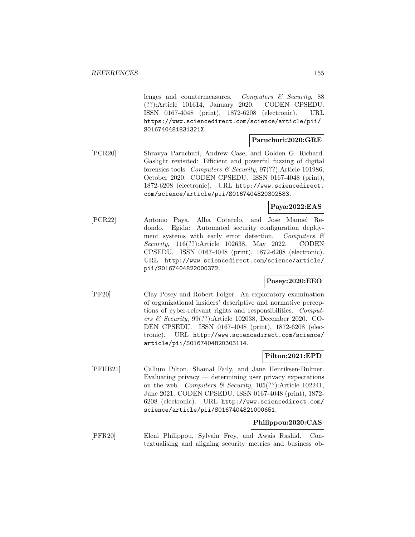lenges and countermeasures. Computers & Security, 88 (??):Article 101614, January 2020. CODEN CPSEDU. ISSN 0167-4048 (print), 1872-6208 (electronic). URL https://www.sciencedirect.com/science/article/pii/ S016740481831321X.

# **Paruchuri:2020:GRE**

[PCR20] Shravya Paruchuri, Andrew Case, and Golden G. Richard. Gaslight revisited: Efficient and powerful fuzzing of digital forensics tools. Computers & Security,  $97(??)$ : Article 101986, October 2020. CODEN CPSEDU. ISSN 0167-4048 (print), 1872-6208 (electronic). URL http://www.sciencedirect. com/science/article/pii/S0167404820302583.

# **Paya:2022:EAS**

[PCR22] Antonio Paya, Alba Cotarelo, and Jose Manuel Redondo. Egida: Automated security configuration deployment systems with early error detection. Computers  $\mathcal{C}$ Security, 116(??):Article 102638, May 2022. CODEN CPSEDU. ISSN 0167-4048 (print), 1872-6208 (electronic). URL http://www.sciencedirect.com/science/article/ pii/S0167404822000372.

# **Posey:2020:EEO**

[PF20] Clay Posey and Robert Folger. An exploratory examination of organizational insiders' descriptive and normative perceptions of cyber-relevant rights and responsibilities. Computers & Security, 99(??):Article 102038, December 2020. CO-DEN CPSEDU. ISSN 0167-4048 (print), 1872-6208 (electronic). URL http://www.sciencedirect.com/science/ article/pii/S0167404820303114.

# **Pilton:2021:EPD**

[PFHB21] Callum Pilton, Shamal Faily, and Jane Henriksen-Bulmer. Evaluating privacy — determining user privacy expectations on the web. Computers & Security,  $105(??)$ : Article 102241, June 2021. CODEN CPSEDU. ISSN 0167-4048 (print), 1872- 6208 (electronic). URL http://www.sciencedirect.com/ science/article/pii/S0167404821000651.

# **Philippou:2020:CAS**

[PFR20] Eleni Philippou, Sylvain Frey, and Awais Rashid. Contextualising and aligning security metrics and business ob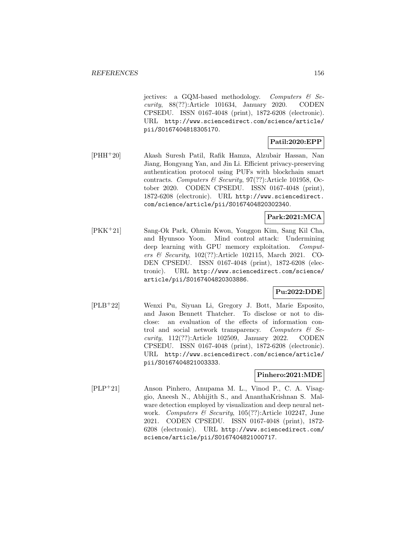jectives: a GQM-based methodology. Computers  $\mathcal{B}$  Security, 88(??):Article 101634, January 2020. CODEN CPSEDU. ISSN 0167-4048 (print), 1872-6208 (electronic). URL http://www.sciencedirect.com/science/article/ pii/S0167404818305170.

# **Patil:2020:EPP**

[PHH<sup>+</sup>20] Akash Suresh Patil, Rafik Hamza, Alzubair Hassan, Nan Jiang, Hongyang Yan, and Jin Li. Efficient privacy-preserving authentication protocol using PUFs with blockchain smart contracts. Computers  $\mathcal B$  Security, 97(??):Article 101958, October 2020. CODEN CPSEDU. ISSN 0167-4048 (print), 1872-6208 (electronic). URL http://www.sciencedirect. com/science/article/pii/S0167404820302340.

# **Park:2021:MCA**

[PKK<sup>+</sup>21] Sang-Ok Park, Ohmin Kwon, Yonggon Kim, Sang Kil Cha, and Hyunsoo Yoon. Mind control attack: Undermining deep learning with GPU memory exploitation. Computers & Security, 102(??):Article 102115, March 2021. CO-DEN CPSEDU. ISSN 0167-4048 (print), 1872-6208 (electronic). URL http://www.sciencedirect.com/science/ article/pii/S0167404820303886.

# **Pu:2022:DDE**

[PLB<sup>+</sup>22] Wenxi Pu, Siyuan Li, Gregory J. Bott, Marie Esposito, and Jason Bennett Thatcher. To disclose or not to disclose: an evaluation of the effects of information control and social network transparency. Computers  $\mathcal{C}$  Security, 112(??):Article 102509, January 2022. CODEN CPSEDU. ISSN 0167-4048 (print), 1872-6208 (electronic). URL http://www.sciencedirect.com/science/article/ pii/S0167404821003333.

# **Pinhero:2021:MDE**

[PLP<sup>+</sup>21] Anson Pinhero, Anupama M. L., Vinod P., C. A. Visaggio, Aneesh N., Abhijith S., and AnanthaKrishnan S. Malware detection employed by visualization and deep neural network. Computers & Security, 105(??):Article 102247, June 2021. CODEN CPSEDU. ISSN 0167-4048 (print), 1872- 6208 (electronic). URL http://www.sciencedirect.com/ science/article/pii/S0167404821000717.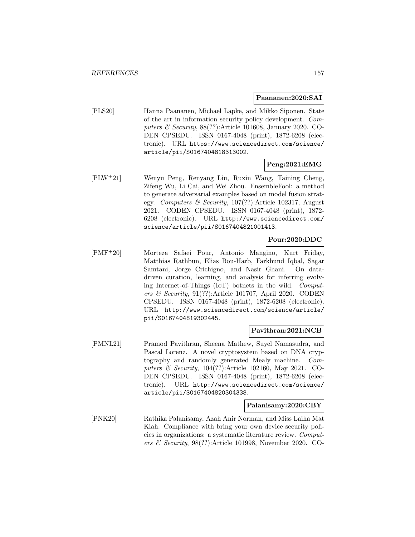#### **Paananen:2020:SAI**

[PLS20] Hanna Paananen, Michael Lapke, and Mikko Siponen. State of the art in information security policy development. Computers & Security, 88(??):Article 101608, January 2020. CO-DEN CPSEDU. ISSN 0167-4048 (print), 1872-6208 (electronic). URL https://www.sciencedirect.com/science/ article/pii/S0167404818313002.

# **Peng:2021:EMG**

[PLW<sup>+</sup>21] Wenyu Peng, Renyang Liu, Ruxin Wang, Taining Cheng, Zifeng Wu, Li Cai, and Wei Zhou. EnsembleFool: a method to generate adversarial examples based on model fusion strategy. Computers & Security, 107(??):Article 102317, August 2021. CODEN CPSEDU. ISSN 0167-4048 (print), 1872- 6208 (electronic). URL http://www.sciencedirect.com/ science/article/pii/S0167404821001413.

# **Pour:2020:DDC**

[PMF<sup>+</sup>20] Morteza Safaei Pour, Antonio Mangino, Kurt Friday, Matthias Rathbun, Elias Bou-Harb, Farkhund Iqbal, Sagar Samtani, Jorge Crichigno, and Nasir Ghani. On datadriven curation, learning, and analysis for inferring evolving Internet-of-Things (IoT) botnets in the wild. Computers  $\mathcal B$  Security, 91(??):Article 101707, April 2020. CODEN CPSEDU. ISSN 0167-4048 (print), 1872-6208 (electronic). URL http://www.sciencedirect.com/science/article/ pii/S0167404819302445.

# **Pavithran:2021:NCB**

[PMNL21] Pramod Pavithran, Sheena Mathew, Suyel Namasudra, and Pascal Lorenz. A novel cryptosystem based on DNA cryptography and randomly generated Mealy machine. Computers & Security, 104(??):Article 102160, May 2021. CO-DEN CPSEDU. ISSN 0167-4048 (print), 1872-6208 (electronic). URL http://www.sciencedirect.com/science/ article/pii/S0167404820304338.

# **Palanisamy:2020:CBY**

[PNK20] Rathika Palanisamy, Azah Anir Norman, and Miss Laiha Mat Kiah. Compliance with bring your own device security policies in organizations: a systematic literature review. Computers & Security, 98(??):Article 101998, November 2020. CO-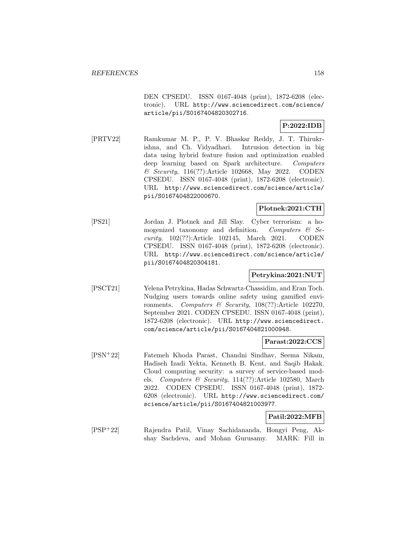DEN CPSEDU. ISSN 0167-4048 (print), 1872-6208 (electronic). URL http://www.sciencedirect.com/science/ article/pii/S0167404820302716.

# **P:2022:IDB**

[PRTV22] Ramkumar M. P., P. V. Bhaskar Reddy, J. T. Thirukrishna, and Ch. Vidyadhari. Intrusion detection in big data using hybrid feature fusion and optimization enabled deep learning based on Spark architecture. Computers & Security, 116(??):Article 102668, May 2022. CODEN CPSEDU. ISSN 0167-4048 (print), 1872-6208 (electronic). URL http://www.sciencedirect.com/science/article/ pii/S0167404822000670.

# **Plotnek:2021:CTH**

[PS21] Jordan J. Plotnek and Jill Slay. Cyber terrorism: a homogenized taxonomy and definition. Computers  $\mathcal{C}$  Security, 102(??):Article 102145, March 2021. CODEN CPSEDU. ISSN 0167-4048 (print), 1872-6208 (electronic). URL http://www.sciencedirect.com/science/article/ pii/S0167404820304181.

# **Petrykina:2021:NUT**

[PSCT21] Yelena Petrykina, Hadas Schwartz-Chassidim, and Eran Toch. Nudging users towards online safety using gamified environments. Computers & Security, 108(??):Article 102270, September 2021. CODEN CPSEDU. ISSN 0167-4048 (print), 1872-6208 (electronic). URL http://www.sciencedirect. com/science/article/pii/S0167404821000948.

# **Parast:2022:CCS**

[PSN<sup>+</sup>22] Fatemeh Khoda Parast, Chandni Sindhav, Seema Nikam, Hadiseh Izadi Yekta, Kenneth B. Kent, and Saqib Hakak. Cloud computing security: a survey of service-based models. Computers & Security, 114(??):Article 102580, March 2022. CODEN CPSEDU. ISSN 0167-4048 (print), 1872- 6208 (electronic). URL http://www.sciencedirect.com/ science/article/pii/S0167404821003977.

# **Patil:2022:MFB**

[PSP<sup>+</sup>22] Rajendra Patil, Vinay Sachidananda, Hongyi Peng, Akshay Sachdeva, and Mohan Gurusamy. MARK: Fill in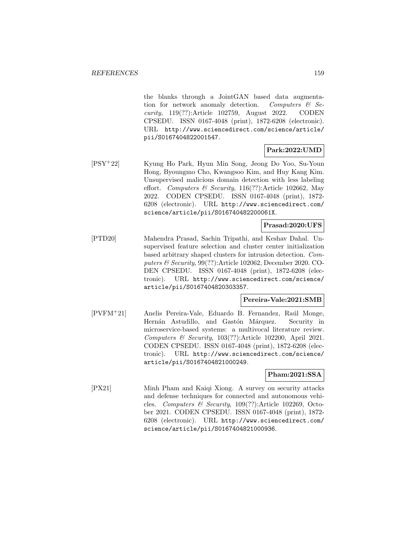the blanks through a JointGAN based data augmentation for network anomaly detection. Computers  $\mathcal{C}$  Security, 119(??):Article 102759, August 2022. CODEN CPSEDU. ISSN 0167-4048 (print), 1872-6208 (electronic). URL http://www.sciencedirect.com/science/article/ pii/S0167404822001547.

# **Park:2022:UMD**

[PSY<sup>+</sup>22] Kyung Ho Park, Hyun Min Song, Jeong Do Yoo, Su-Youn Hong, Byoungmo Cho, Kwangsoo Kim, and Huy Kang Kim. Unsupervised malicious domain detection with less labeling effort. Computers & Security,  $116(??)$ :Article 102662, May 2022. CODEN CPSEDU. ISSN 0167-4048 (print), 1872- 6208 (electronic). URL http://www.sciencedirect.com/ science/article/pii/S016740482200061X.

# **Prasad:2020:UFS**

[PTD20] Mahendra Prasad, Sachin Tripathi, and Keshav Dahal. Unsupervised feature selection and cluster center initialization based arbitrary shaped clusters for intrusion detection. Computers & Security, 99(??):Article 102062, December 2020. CO-DEN CPSEDU. ISSN 0167-4048 (print), 1872-6208 (electronic). URL http://www.sciencedirect.com/science/ article/pii/S0167404820303357.

#### **Pereira-Vale:2021:SMB**

[PVFM<sup>+</sup>21] Anelis Pereira-Vale, Eduardo B. Fernandez, Ra´ul Monge, Hernán Astudillo, and Gastón Márquez. Security in microservice-based systems: a multivocal literature review. Computers & Security, 103(??):Article 102200, April 2021. CODEN CPSEDU. ISSN 0167-4048 (print), 1872-6208 (electronic). URL http://www.sciencedirect.com/science/ article/pii/S0167404821000249.

# **Pham:2021:SSA**

[PX21] Minh Pham and Kaiqi Xiong. A survey on security attacks and defense techniques for connected and autonomous vehicles. Computers & Security, 109(??):Article 102269, October 2021. CODEN CPSEDU. ISSN 0167-4048 (print), 1872- 6208 (electronic). URL http://www.sciencedirect.com/ science/article/pii/S0167404821000936.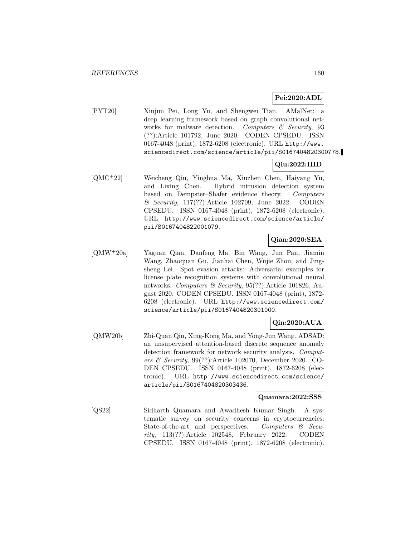# **Pei:2020:ADL**

[PYT20] Xinjun Pei, Long Yu, and Shengwei Tian. AMalNet: a deep learning framework based on graph convolutional networks for malware detection. Computers  $\mathcal C$  Security, 93 (??):Article 101792, June 2020. CODEN CPSEDU. ISSN 0167-4048 (print), 1872-6208 (electronic). URL http://www. sciencedirect.com/science/article/pii/S0167404820300778.

# **Qiu:2022:HID**

[QMC<sup>+</sup>22] Weicheng Qiu, Yinghua Ma, Xiuzhen Chen, Haiyang Yu, and Lixing Chen. Hybrid intrusion detection system based on Dempster–Shafer evidence theory. Computers & Security, 117(??):Article 102709, June 2022. CODEN CPSEDU. ISSN 0167-4048 (print), 1872-6208 (electronic). URL http://www.sciencedirect.com/science/article/ pii/S0167404822001079.

# **Qian:2020:SEA**

[QMW<sup>+</sup>20a] Yaguan Qian, Danfeng Ma, Bin Wang, Jun Pan, Jiamin Wang, Zhaoquan Gu, Jianhai Chen, Wujie Zhou, and Jingsheng Lei. Spot evasion attacks: Adversarial examples for license plate recognition systems with convolutional neural networks. Computers & Security, 95(??):Article 101826, August 2020. CODEN CPSEDU. ISSN 0167-4048 (print), 1872- 6208 (electronic). URL http://www.sciencedirect.com/ science/article/pii/S0167404820301000.

# **Qin:2020:AUA**

[QMW20b] Zhi-Quan Qin, Xing-Kong Ma, and Yong-Jun Wang. ADSAD: an unsupervised attention-based discrete sequence anomaly detection framework for network security analysis. Computers & Security, 99(??):Article 102070, December 2020. CO-DEN CPSEDU. ISSN 0167-4048 (print), 1872-6208 (electronic). URL http://www.sciencedirect.com/science/ article/pii/S0167404820303436.

#### **Quamara:2022:SSS**

[QS22] Sidharth Quamara and Awadhesh Kumar Singh. A systematic survey on security concerns in cryptocurrencies: State-of-the-art and perspectives. Computers  $\mathcal{C}$  Security, 113(??):Article 102548, February 2022. CODEN CPSEDU. ISSN 0167-4048 (print), 1872-6208 (electronic).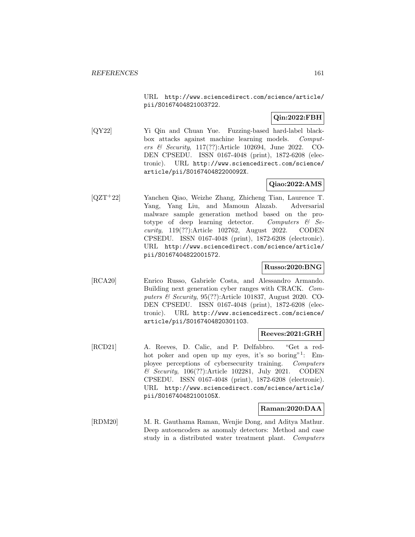URL http://www.sciencedirect.com/science/article/ pii/S0167404821003722.

# **Qin:2022:FBH**

[QY22] Yi Qin and Chuan Yue. Fuzzing-based hard-label blackbox attacks against machine learning models. Computers & Security, 117(??):Article 102694, June 2022. CO-DEN CPSEDU. ISSN 0167-4048 (print), 1872-6208 (electronic). URL http://www.sciencedirect.com/science/ article/pii/S016740482200092X.

# **Qiao:2022:AMS**

[QZT<sup>+</sup>22] Yanchen Qiao, Weizhe Zhang, Zhicheng Tian, Laurence T. Yang, Yang Liu, and Mamoun Alazab. Adversarial malware sample generation method based on the prototype of deep learning detector. Computers  $\mathcal{C}$  Security, 119(??):Article 102762, August 2022. CODEN CPSEDU. ISSN 0167-4048 (print), 1872-6208 (electronic). URL http://www.sciencedirect.com/science/article/ pii/S0167404822001572.

# **Russo:2020:BNG**

[RCA20] Enrico Russo, Gabriele Costa, and Alessandro Armando. Building next generation cyber ranges with CRACK. Computers  $\mathcal C$  Security, 95(??):Article 101837, August 2020. CO-DEN CPSEDU. ISSN 0167-4048 (print), 1872-6208 (electronic). URL http://www.sciencedirect.com/science/ article/pii/S0167404820301103.

# **Reeves:2021:GRH**

[RCD21] A. Reeves, D. Calic, and P. Delfabbro. "Get a redhot poker and open up my eyes, it's so boring"<sup>1</sup>: Employee perceptions of cybersecurity training. Computers & Security, 106(??):Article 102281, July 2021. CODEN CPSEDU. ISSN 0167-4048 (print), 1872-6208 (electronic). URL http://www.sciencedirect.com/science/article/ pii/S016740482100105X.

# **Raman:2020:DAA**

[RDM20] M. R. Gauthama Raman, Wenjie Dong, and Aditya Mathur. Deep autoencoders as anomaly detectors: Method and case study in a distributed water treatment plant. Computers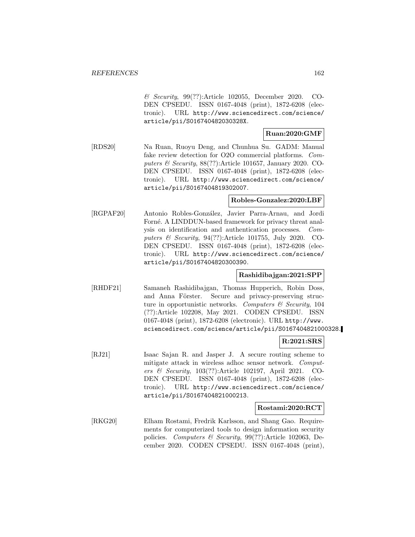& Security, 99(??):Article 102055, December 2020. CO-DEN CPSEDU. ISSN 0167-4048 (print), 1872-6208 (electronic). URL http://www.sciencedirect.com/science/ article/pii/S016740482030328X.

# **Ruan:2020:GMF**

[RDS20] Na Ruan, Ruoyu Deng, and Chunhua Su. GADM: Manual fake review detection for O2O commercial platforms. Computers & Security, 88(??):Article 101657, January 2020. CO-DEN CPSEDU. ISSN 0167-4048 (print), 1872-6208 (electronic). URL http://www.sciencedirect.com/science/ article/pii/S0167404819302007.

# **Robles-Gonzalez:2020:LBF**

[RGPAF20] Antonio Robles-González, Javier Parra-Arnau, and Jordi Forné. A LINDDUN-based framework for privacy threat analysis on identification and authentication processes. Computers & Security, 94(??):Article 101755, July 2020. CO-DEN CPSEDU. ISSN 0167-4048 (print), 1872-6208 (electronic). URL http://www.sciencedirect.com/science/ article/pii/S0167404820300390.

# **Rashidibajgan:2021:SPP**

[RHDF21] Samaneh Rashidibajgan, Thomas Hupperich, Robin Doss, and Anna Förster. Secure and privacy-preserving structure in opportunistic networks. Computers  $\mathcal C$  Security, 104 (??):Article 102208, May 2021. CODEN CPSEDU. ISSN 0167-4048 (print), 1872-6208 (electronic). URL http://www. sciencedirect.com/science/article/pii/S0167404821000328.

# **R:2021:SRS**

[RJ21] Isaac Sajan R. and Jasper J. A secure routing scheme to mitigate attack in wireless adhoc sensor network. Computers & Security, 103(??):Article 102197, April 2021. CO-DEN CPSEDU. ISSN 0167-4048 (print), 1872-6208 (electronic). URL http://www.sciencedirect.com/science/ article/pii/S0167404821000213.

# **Rostami:2020:RCT**

[RKG20] Elham Rostami, Fredrik Karlsson, and Shang Gao. Requirements for computerized tools to design information security policies. Computers & Security, 99(??):Article 102063, December 2020. CODEN CPSEDU. ISSN 0167-4048 (print),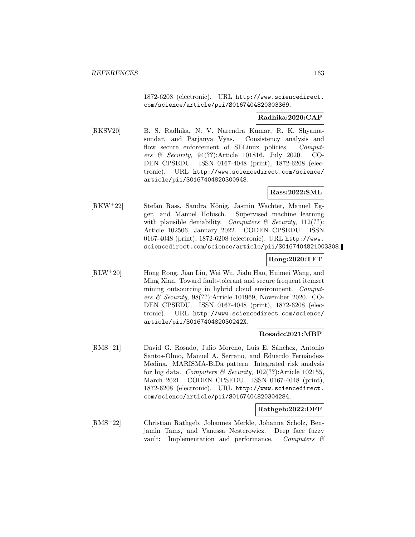1872-6208 (electronic). URL http://www.sciencedirect. com/science/article/pii/S0167404820303369.

# **Radhika:2020:CAF**

[RKSV20] B. S. Radhika, N. V. Narendra Kumar, R. K. Shyamasundar, and Parjanya Vyas. Consistency analysis and flow secure enforcement of SELinux policies. Computers & Security, 94(??):Article 101816, July 2020. CO-DEN CPSEDU. ISSN 0167-4048 (print), 1872-6208 (electronic). URL http://www.sciencedirect.com/science/ article/pii/S0167404820300948.

# **Rass:2022:SML**

[RKW<sup>+</sup>22] Stefan Rass, Sandra K¨onig, Jasmin Wachter, Manuel Egger, and Manuel Hobisch. Supervised machine learning with plausible deniability. Computers  $\mathcal C$  Security, 112(??): Article 102506, January 2022. CODEN CPSEDU. ISSN 0167-4048 (print), 1872-6208 (electronic). URL http://www. sciencedirect.com/science/article/pii/S0167404821003308.

# **Rong:2020:TFT**

[RLW<sup>+</sup>20] Hong Rong, Jian Liu, Wei Wu, Jialu Hao, Huimei Wang, and Ming Xian. Toward fault-tolerant and secure frequent itemset mining outsourcing in hybrid cloud environment. *Comput*ers & Security, 98(??):Article 101969, November 2020. CO-DEN CPSEDU. ISSN 0167-4048 (print), 1872-6208 (electronic). URL http://www.sciencedirect.com/science/ article/pii/S016740482030242X.

#### **Rosado:2021:MBP**

[RMS<sup>+</sup>21] David G. Rosado, Julio Moreno, Luis E. Sánchez, Antonio Santos-Olmo, Manuel A. Serrano, and Eduardo Fernández-Medina. MARISMA-BiDa pattern: Integrated risk analysis for big data. Computers & Security,  $102(??)$ : Article 102155, March 2021. CODEN CPSEDU. ISSN 0167-4048 (print), 1872-6208 (electronic). URL http://www.sciencedirect. com/science/article/pii/S0167404820304284.

# **Rathgeb:2022:DFF**

[RMS<sup>+</sup>22] Christian Rathgeb, Johannes Merkle, Johanna Scholz, Benjamin Tams, and Vanessa Nesterowicz. Deep face fuzzy vault: Implementation and performance. Computers &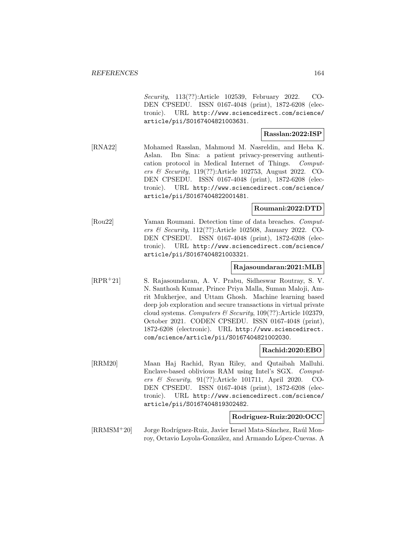Security, 113(??):Article 102539, February 2022. CO-DEN CPSEDU. ISSN 0167-4048 (print), 1872-6208 (electronic). URL http://www.sciencedirect.com/science/ article/pii/S0167404821003631.

# **Rasslan:2022:ISP**

[RNA22] Mohamed Rasslan, Mahmoud M. Nasreldin, and Heba K. Aslan. Ibn Sina: a patient privacy-preserving authentication protocol in Medical Internet of Things. Computers & Security, 119(??):Article 102753, August 2022. CO-DEN CPSEDU. ISSN 0167-4048 (print), 1872-6208 (electronic). URL http://www.sciencedirect.com/science/ article/pii/S0167404822001481.

# **Roumani:2022:DTD**

[Rou22] Yaman Roumani. Detection time of data breaches. Computers & Security, 112(??):Article 102508, January 2022. CO-DEN CPSEDU. ISSN 0167-4048 (print), 1872-6208 (electronic). URL http://www.sciencedirect.com/science/ article/pii/S0167404821003321.

#### **Rajasoundaran:2021:MLB**

[RPR<sup>+</sup>21] S. Rajasoundaran, A. V. Prabu, Sidheswar Routray, S. V. N. Santhosh Kumar, Prince Priya Malla, Suman Maloji, Amrit Mukherjee, and Uttam Ghosh. Machine learning based deep job exploration and secure transactions in virtual private cloud systems. Computers  $\mathcal B$  Security, 109(??):Article 102379, October 2021. CODEN CPSEDU. ISSN 0167-4048 (print), 1872-6208 (electronic). URL http://www.sciencedirect. com/science/article/pii/S0167404821002030.

#### **Rachid:2020:EBO**

[RRM20] Maan Haj Rachid, Ryan Riley, and Qutaibah Malluhi. Enclave-based oblivious RAM using Intel's SGX. Computers & Security, 91(??):Article 101711, April 2020. CO-DEN CPSEDU. ISSN 0167-4048 (print), 1872-6208 (electronic). URL http://www.sciencedirect.com/science/ article/pii/S0167404819302482.

#### **Rodriguez-Ruiz:2020:OCC**

[RRMSM<sup>+</sup>20] Jorge Rodríguez-Ruiz, Javier Israel Mata-Sánchez, Raúl Monroy, Octavio Loyola-González, and Armando López-Cuevas. A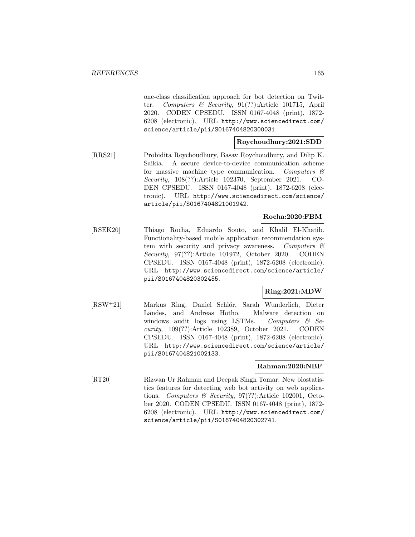one-class classification approach for bot detection on Twitter. Computers & Security, 91(??):Article 101715, April 2020. CODEN CPSEDU. ISSN 0167-4048 (print), 1872- 6208 (electronic). URL http://www.sciencedirect.com/ science/article/pii/S0167404820300031.

# **Roychoudhury:2021:SDD**

[RRS21] Probidita Roychoudhury, Basav Roychoudhury, and Dilip K. Saikia. A secure device-to-device communication scheme for massive machine type communication. Computers  $\mathcal{C}$ Security, 108(??):Article 102370, September 2021. CO-DEN CPSEDU. ISSN 0167-4048 (print), 1872-6208 (electronic). URL http://www.sciencedirect.com/science/ article/pii/S0167404821001942.

# **Rocha:2020:FBM**

[RSEK20] Thiago Rocha, Eduardo Souto, and Khalil El-Khatib. Functionality-based mobile application recommendation system with security and privacy awareness. Computers  $\mathcal{C}$ Security, 97(??):Article 101972, October 2020. CODEN CPSEDU. ISSN 0167-4048 (print), 1872-6208 (electronic). URL http://www.sciencedirect.com/science/article/ pii/S0167404820302455.

# **Ring:2021:MDW**

[RSW<sup>+</sup>21] Markus Ring, Daniel Schlör, Sarah Wunderlich, Dieter Landes, and Andreas Hotho. Malware detection on windows audit logs using LSTMs. Computers  $\mathcal{C}$  Security, 109(??):Article 102389, October 2021. CODEN CPSEDU. ISSN 0167-4048 (print), 1872-6208 (electronic). URL http://www.sciencedirect.com/science/article/ pii/S0167404821002133.

# **Rahman:2020:NBF**

[RT20] Rizwan Ur Rahman and Deepak Singh Tomar. New biostatistics features for detecting web bot activity on web applications. Computers & Security, 97(??):Article 102001, October 2020. CODEN CPSEDU. ISSN 0167-4048 (print), 1872- 6208 (electronic). URL http://www.sciencedirect.com/ science/article/pii/S0167404820302741.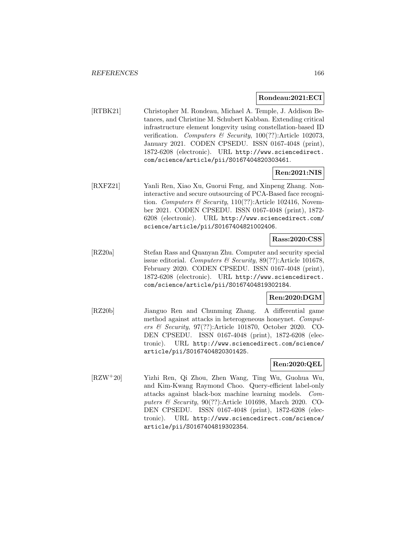#### **Rondeau:2021:ECI**

[RTBK21] Christopher M. Rondeau, Michael A. Temple, J. Addison Betances, and Christine M. Schubert Kabban. Extending critical infrastructure element longevity using constellation-based ID verification. Computers & Security,  $100(??)$ : Article 102073, January 2021. CODEN CPSEDU. ISSN 0167-4048 (print), 1872-6208 (electronic). URL http://www.sciencedirect. com/science/article/pii/S0167404820303461.

# **Ren:2021:NIS**

[RXFZ21] Yanli Ren, Xiao Xu, Guorui Feng, and Xinpeng Zhang. Noninteractive and secure outsourcing of PCA-Based face recognition. Computers & Security,  $110(??)$ : Article 102416, November 2021. CODEN CPSEDU. ISSN 0167-4048 (print), 1872- 6208 (electronic). URL http://www.sciencedirect.com/ science/article/pii/S0167404821002406.

#### **Rass:2020:CSS**

[RZ20a] Stefan Rass and Quanyan Zhu. Computer and security special issue editorial. Computers & Security,  $89(??)$ :Article 101678, February 2020. CODEN CPSEDU. ISSN 0167-4048 (print), 1872-6208 (electronic). URL http://www.sciencedirect. com/science/article/pii/S0167404819302184.

# **Ren:2020:DGM**

[RZ20b] Jianguo Ren and Chunming Zhang. A differential game method against attacks in heterogeneous honeynet. Computers & Security, 97(??):Article 101870, October 2020. CO-DEN CPSEDU. ISSN 0167-4048 (print), 1872-6208 (electronic). URL http://www.sciencedirect.com/science/ article/pii/S0167404820301425.

# **Ren:2020:QEL**

[RZW<sup>+</sup>20] Yizhi Ren, Qi Zhou, Zhen Wang, Ting Wu, Guohua Wu, and Kim-Kwang Raymond Choo. Query-efficient label-only attacks against black-box machine learning models. Computers & Security, 90(??):Article 101698, March 2020. CO-DEN CPSEDU. ISSN 0167-4048 (print), 1872-6208 (electronic). URL http://www.sciencedirect.com/science/ article/pii/S0167404819302354.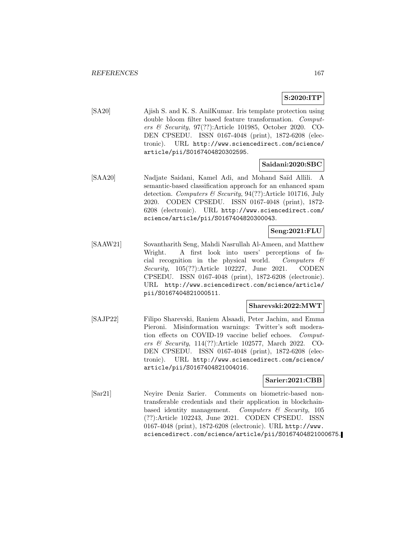# **S:2020:ITP**

[SA20] Ajish S. and K. S. AnilKumar. Iris template protection using double bloom filter based feature transformation. Computers & Security, 97(??):Article 101985, October 2020. CO-DEN CPSEDU. ISSN 0167-4048 (print), 1872-6208 (electronic). URL http://www.sciencedirect.com/science/ article/pii/S0167404820302595.

# **Saidani:2020:SBC**

[SAA20] Nadjate Saidani, Kamel Adi, and Mohand Saïd Allili. A semantic-based classification approach for an enhanced spam detection. Computers & Security, 94(??):Article 101716, July 2020. CODEN CPSEDU. ISSN 0167-4048 (print), 1872- 6208 (electronic). URL http://www.sciencedirect.com/ science/article/pii/S0167404820300043.

# **Seng:2021:FLU**

[SAAW21] Sovantharith Seng, Mahdi Nasrullah Al-Ameen, and Matthew Wright. A first look into users' perceptions of facial recognition in the physical world. Computers  $\mathcal{C}$ Security, 105(??):Article 102227, June 2021. CODEN CPSEDU. ISSN 0167-4048 (print), 1872-6208 (electronic). URL http://www.sciencedirect.com/science/article/ pii/S0167404821000511.

# **Sharevski:2022:MWT**

[SAJP22] Filipo Sharevski, Raniem Alsaadi, Peter Jachim, and Emma Pieroni. Misinformation warnings: Twitter's soft moderation effects on COVID-19 vaccine belief echoes. Computers & Security, 114(??):Article 102577, March 2022. CO-DEN CPSEDU. ISSN 0167-4048 (print), 1872-6208 (electronic). URL http://www.sciencedirect.com/science/ article/pii/S0167404821004016.

# **Sarier:2021:CBB**

[Sar21] Neyire Deniz Sarier. Comments on biometric-based nontransferable credentials and their application in blockchainbased identity management. Computers & Security, 105 (??):Article 102243, June 2021. CODEN CPSEDU. ISSN 0167-4048 (print), 1872-6208 (electronic). URL http://www. sciencedirect.com/science/article/pii/S0167404821000675.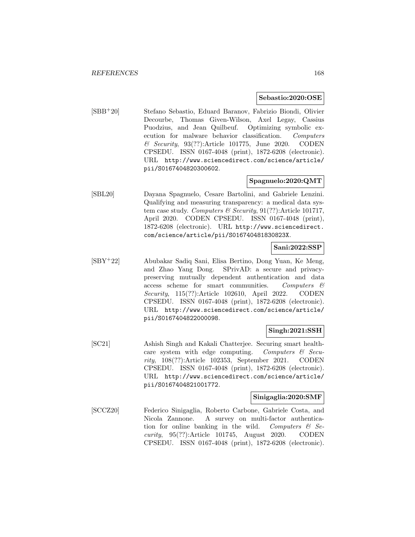#### **Sebastio:2020:OSE**

[SBB<sup>+</sup>20] Stefano Sebastio, Eduard Baranov, Fabrizio Biondi, Olivier Decourbe, Thomas Given-Wilson, Axel Legay, Cassius Puodzius, and Jean Quilbeuf. Optimizing symbolic execution for malware behavior classification. Computers & Security, 93(??):Article 101775, June 2020. CODEN CPSEDU. ISSN 0167-4048 (print), 1872-6208 (electronic). URL http://www.sciencedirect.com/science/article/ pii/S0167404820300602.

# **Spagnuelo:2020:QMT**

[SBL20] Dayana Spagnuelo, Cesare Bartolini, and Gabriele Lenzini. Qualifying and measuring transparency: a medical data system case study. Computers & Security,  $91(?)$ : Article 101717, April 2020. CODEN CPSEDU. ISSN 0167-4048 (print), 1872-6208 (electronic). URL http://www.sciencedirect. com/science/article/pii/S016740481830823X.

# **Sani:2022:SSP**

[SBY<sup>+</sup>22] Abubakar Sadiq Sani, Elisa Bertino, Dong Yuan, Ke Meng, and Zhao Yang Dong. SPrivAD: a secure and privacypreserving mutually dependent authentication and data access scheme for smart communities. Computers & Security, 115(??):Article 102610, April 2022. CODEN CPSEDU. ISSN 0167-4048 (print), 1872-6208 (electronic). URL http://www.sciencedirect.com/science/article/ pii/S0167404822000098.

# **Singh:2021:SSH**

[SC21] Ashish Singh and Kakali Chatterjee. Securing smart healthcare system with edge computing. Computers  $\mathcal{C}$  Security, 108(??):Article 102353, September 2021. CODEN CPSEDU. ISSN 0167-4048 (print), 1872-6208 (electronic). URL http://www.sciencedirect.com/science/article/ pii/S0167404821001772.

#### **Sinigaglia:2020:SMF**

[SCCZ20] Federico Sinigaglia, Roberto Carbone, Gabriele Costa, and Nicola Zannone. A survey on multi-factor authentication for online banking in the wild. Computers  $\mathcal{C}$  Security, 95(??):Article 101745, August 2020. CODEN CPSEDU. ISSN 0167-4048 (print), 1872-6208 (electronic).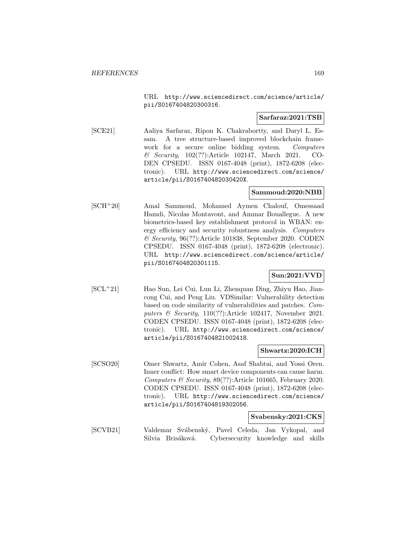URL http://www.sciencedirect.com/science/article/ pii/S0167404820300316.

# **Sarfaraz:2021:TSB**

[SCE21] Aaliya Sarfaraz, Ripon K. Chakrabortty, and Daryl L. Essam. A tree structure-based improved blockchain framework for a secure online bidding system. Computers & Security, 102(??):Article 102147, March 2021. CO-DEN CPSEDU. ISSN 0167-4048 (print), 1872-6208 (electronic). URL http://www.sciencedirect.com/science/ article/pii/S016740482030420X.

# **Sammoud:2020:NBB**

[SCH<sup>+</sup>20] Amal Sammoud, Mohamed Aymen Chalouf, Omessaad Hamdi, Nicolas Montavont, and Ammar Bouallegue. A new biometrics-based key establishment protocol in WBAN: energy efficiency and security robustness analysis. Computers & Security, 96(??):Article 101838, September 2020. CODEN CPSEDU. ISSN 0167-4048 (print), 1872-6208 (electronic). URL http://www.sciencedirect.com/science/article/ pii/S0167404820301115.

# **Sun:2021:VVD**

[SCL<sup>+</sup>21] Hao Sun, Lei Cui, Lun Li, Zhenquan Ding, Zhiyu Hao, Jiancong Cui, and Peng Liu. VDSimilar: Vulnerability detection based on code similarity of vulnerabilities and patches. Computers & Security, 110(??):Article 102417, November 2021. CODEN CPSEDU. ISSN 0167-4048 (print), 1872-6208 (electronic). URL http://www.sciencedirect.com/science/ article/pii/S0167404821002418.

### **Shwartz:2020:ICH**

[SCSO20] Omer Shwartz, Amir Cohen, Asaf Shabtai, and Yossi Oren. Inner conflict: How smart device components can cause harm. Computers & Security, 89(??):Article 101665, February 2020. CODEN CPSEDU. ISSN 0167-4048 (print), 1872-6208 (electronic). URL http://www.sciencedirect.com/science/ article/pii/S0167404819302056.

#### **Svabensky:2021:CKS**

[SCVB21] Valdemar Svábenský, Pavel Celeda, Jan Vykopal, and Silvia Brisáková. Cybersecurity knowledge and skills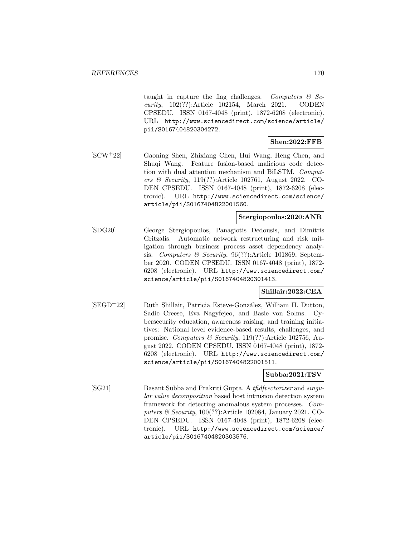taught in capture the flag challenges. Computers  $\mathcal{B}$  Security, 102(??):Article 102154, March 2021. CODEN CPSEDU. ISSN 0167-4048 (print), 1872-6208 (electronic). URL http://www.sciencedirect.com/science/article/ pii/S0167404820304272.

# **Shen:2022:FFB**

[SCW<sup>+</sup>22] Gaoning Shen, Zhixiang Chen, Hui Wang, Heng Chen, and Shuqi Wang. Feature fusion-based malicious code detection with dual attention mechanism and BiLSTM. Computers & Security, 119(??):Article 102761, August 2022. CO-DEN CPSEDU. ISSN 0167-4048 (print), 1872-6208 (electronic). URL http://www.sciencedirect.com/science/ article/pii/S0167404822001560.

# **Stergiopoulos:2020:ANR**

[SDG20] George Stergiopoulos, Panagiotis Dedousis, and Dimitris Gritzalis. Automatic network restructuring and risk mitigation through business process asset dependency analysis. Computers & Security, 96(??):Article 101869, September 2020. CODEN CPSEDU. ISSN 0167-4048 (print), 1872- 6208 (electronic). URL http://www.sciencedirect.com/ science/article/pii/S0167404820301413.

# **Shillair:2022:CEA**

[SEGD<sup>+</sup>22] Ruth Shillair, Patricia Esteve-González, William H. Dutton, Sadie Creese, Eva Nagyfejeo, and Basie von Solms. Cybersecurity education, awareness raising, and training initiatives: National level evidence-based results, challenges, and promise. Computers & Security, 119(??):Article 102756, August 2022. CODEN CPSEDU. ISSN 0167-4048 (print), 1872- 6208 (electronic). URL http://www.sciencedirect.com/ science/article/pii/S0167404822001511.

# **Subba:2021:TSV**

[SG21] Basant Subba and Prakriti Gupta. A tfidfvectorizer and singular value decomposition based host intrusion detection system framework for detecting anomalous system processes. Computers & Security, 100(??):Article 102084, January 2021. CO-DEN CPSEDU. ISSN 0167-4048 (print), 1872-6208 (electronic). URL http://www.sciencedirect.com/science/ article/pii/S0167404820303576.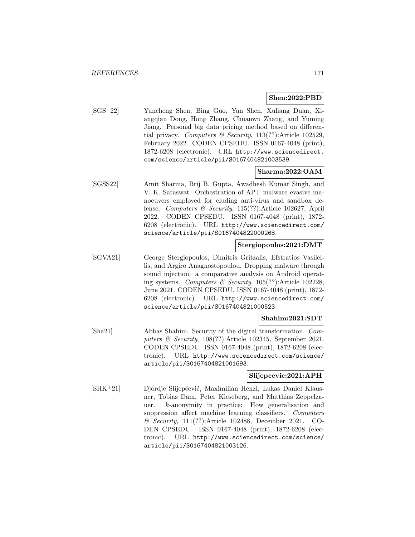### **Shen:2022:PBD**

[SGS<sup>+</sup>22] Yuncheng Shen, Bing Guo, Yan Shen, Xuliang Duan, Xiangqian Dong, Hong Zhang, Chuanwu Zhang, and Yuming Jiang. Personal big data pricing method based on differential privacy. Computers & Security, 113(??):Article 102529, February 2022. CODEN CPSEDU. ISSN 0167-4048 (print), 1872-6208 (electronic). URL http://www.sciencedirect. com/science/article/pii/S0167404821003539.

### **Sharma:2022:OAM**

[SGSS22] Amit Sharma, Brij B. Gupta, Awadhesh Kumar Singh, and V. K. Saraswat. Orchestration of APT malware evasive manoeuvers employed for eluding anti-virus and sandbox defense. Computers & Security, 115(??):Article 102627, April 2022. CODEN CPSEDU. ISSN 0167-4048 (print), 1872- 6208 (electronic). URL http://www.sciencedirect.com/ science/article/pii/S0167404822000268.

# **Stergiopoulos:2021:DMT**

[SGVA21] George Stergiopoulos, Dimitris Gritzalis, Efstratios Vasilellis, and Argiro Anagnostopoulou. Dropping malware through sound injection: a comparative analysis on Android operating systems. Computers & Security, 105(??):Article 102228, June 2021. CODEN CPSEDU. ISSN 0167-4048 (print), 1872- 6208 (electronic). URL http://www.sciencedirect.com/ science/article/pii/S0167404821000523.

#### **Shahim:2021:SDT**

[Sha21] Abbas Shahim. Security of the digital transformation. Computers & Security, 108(??):Article 102345, September 2021. CODEN CPSEDU. ISSN 0167-4048 (print), 1872-6208 (electronic). URL http://www.sciencedirect.com/science/ article/pii/S0167404821001693.

# **Slijepcevic:2021:APH**

[SHK<sup>+</sup>21] Djordje Slijepčević, Maximilian Henzl, Lukas Daniel Klausner, Tobias Dam, Peter Kieseberg, and Matthias Zeppelzauer. k-anonymity in practice: How generalisation and suppression affect machine learning classifiers. Computers & Security, 111(??):Article 102488, December 2021. CO-DEN CPSEDU. ISSN 0167-4048 (print), 1872-6208 (electronic). URL http://www.sciencedirect.com/science/ article/pii/S0167404821003126.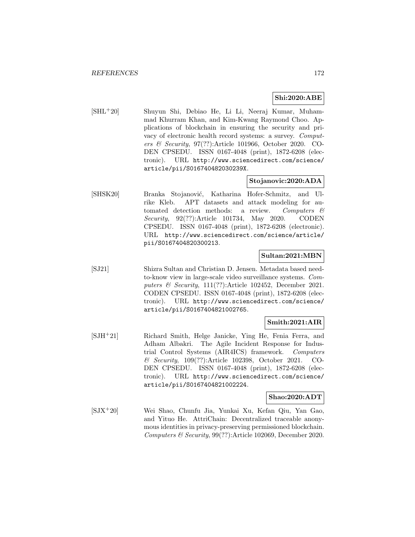# **Shi:2020:ABE**

[SHL<sup>+</sup>20] Shuyun Shi, Debiao He, Li Li, Neeraj Kumar, Muhammad Khurram Khan, and Kim-Kwang Raymond Choo. Applications of blockchain in ensuring the security and privacy of electronic health record systems: a survey. Computers & Security, 97(??):Article 101966, October 2020. CO-DEN CPSEDU. ISSN 0167-4048 (print), 1872-6208 (electronic). URL http://www.sciencedirect.com/science/ article/pii/S016740482030239X.

# **Stojanovic:2020:ADA**

[SHSK20] Branka Stojanović, Katharina Hofer-Schmitz, and Ulrike Kleb. APT datasets and attack modeling for automated detection methods: a review. Computers & Security, 92(??):Article 101734, May 2020. CODEN CPSEDU. ISSN 0167-4048 (print), 1872-6208 (electronic). URL http://www.sciencedirect.com/science/article/ pii/S0167404820300213.

# **Sultan:2021:MBN**

[SJ21] Shizra Sultan and Christian D. Jensen. Metadata based needto-know view in large-scale video surveillance systems. Computers & Security, 111(??):Article 102452, December 2021. CODEN CPSEDU. ISSN 0167-4048 (print), 1872-6208 (electronic). URL http://www.sciencedirect.com/science/ article/pii/S0167404821002765.

# **Smith:2021:AIR**

[SJH<sup>+</sup>21] Richard Smith, Helge Janicke, Ying He, Fenia Ferra, and Adham Albakri. The Agile Incident Response for Industrial Control Systems (AIR4ICS) framework. Computers & Security, 109(??):Article 102398, October 2021. CO-DEN CPSEDU. ISSN 0167-4048 (print), 1872-6208 (electronic). URL http://www.sciencedirect.com/science/ article/pii/S0167404821002224.

# **Shao:2020:ADT**

[SJX<sup>+</sup>20] Wei Shao, Chunfu Jia, Yunkai Xu, Kefan Qiu, Yan Gao, and Yituo He. AttriChain: Decentralized traceable anonymous identities in privacy-preserving permissioned blockchain. Computers & Security, 99(??):Article 102069, December 2020.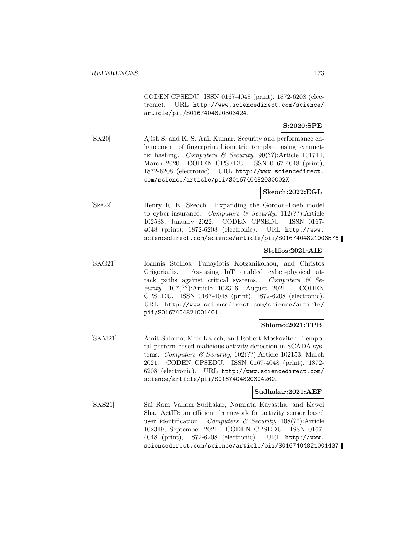CODEN CPSEDU. ISSN 0167-4048 (print), 1872-6208 (electronic). URL http://www.sciencedirect.com/science/ article/pii/S0167404820303424.

# **S:2020:SPE**

[SK20] Ajish S. and K. S. Anil Kumar. Security and performance enhancement of fingerprint biometric template using symmetric hashing. Computers & Security,  $90(??)$ :Article 101714, March 2020. CODEN CPSEDU. ISSN 0167-4048 (print), 1872-6208 (electronic). URL http://www.sciencedirect. com/science/article/pii/S016740482030002X.

# **Skeoch:2022:EGL**

[Ske22] Henry R. K. Skeoch. Expanding the Gordon–Loeb model to cyber-insurance. Computers  $\mathcal C$  Security, 112(??): Article 102533, January 2022. CODEN CPSEDU. ISSN 0167- 4048 (print), 1872-6208 (electronic). URL http://www. sciencedirect.com/science/article/pii/S0167404821003576.

# **Stellios:2021:AIE**

[SKG21] Ioannis Stellios, Panayiotis Kotzanikolaou, and Christos Grigoriadis. Assessing IoT enabled cyber-physical attack paths against critical systems. Computers  $\mathcal{C}$  Security, 107(??):Article 102316, August 2021. CODEN CPSEDU. ISSN 0167-4048 (print), 1872-6208 (electronic). URL http://www.sciencedirect.com/science/article/ pii/S0167404821001401.

# **Shlomo:2021:TPB**

[SKM21] Amit Shlomo, Meir Kalech, and Robert Moskovitch. Temporal pattern-based malicious activity detection in SCADA systems. Computers & Security, 102(??):Article 102153, March 2021. CODEN CPSEDU. ISSN 0167-4048 (print), 1872- 6208 (electronic). URL http://www.sciencedirect.com/ science/article/pii/S0167404820304260.

# **Sudhakar:2021:AEF**

[SKS21] Sai Ram Vallam Sudhakar, Namrata Kayastha, and Kewei Sha. ActID: an efficient framework for activity sensor based user identification. Computers  $\mathcal{B}$  Security, 108(??):Article 102319, September 2021. CODEN CPSEDU. ISSN 0167- 4048 (print), 1872-6208 (electronic). URL http://www. sciencedirect.com/science/article/pii/S0167404821001437.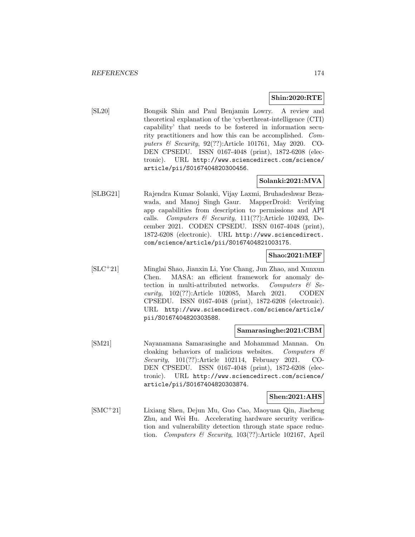# **Shin:2020:RTE**

[SL20] Bongsik Shin and Paul Benjamin Lowry. A review and theoretical explanation of the 'cyberthreat-intelligence (CTI) capability' that needs to be fostered in information security practitioners and how this can be accomplished. Computers & Security, 92(??):Article 101761, May 2020. CO-DEN CPSEDU. ISSN 0167-4048 (print), 1872-6208 (electronic). URL http://www.sciencedirect.com/science/ article/pii/S0167404820300456.

# **Solanki:2021:MVA**

[SLBG21] Rajendra Kumar Solanki, Vijay Laxmi, Bruhadeshwar Bezawada, and Manoj Singh Gaur. MapperDroid: Verifying app capabilities from description to permissions and API calls. Computers & Security,  $111(??)$ :Article 102493, December 2021. CODEN CPSEDU. ISSN 0167-4048 (print), 1872-6208 (electronic). URL http://www.sciencedirect. com/science/article/pii/S0167404821003175.

# **Shao:2021:MEF**

[SLC<sup>+</sup>21] Minglai Shao, Jianxin Li, Yue Chang, Jun Zhao, and Xunxun Chen. MASA: an efficient framework for anomaly detection in multi-attributed networks. Computers & Security, 102(??):Article 102085, March 2021. CODEN CPSEDU. ISSN 0167-4048 (print), 1872-6208 (electronic). URL http://www.sciencedirect.com/science/article/ pii/S0167404820303588.

# **Samarasinghe:2021:CBM**

[SM21] Nayanamana Samarasinghe and Mohammad Mannan. On cloaking behaviors of malicious websites. Computers  $\mathcal{C}$ Security, 101(??):Article 102114, February 2021. CO-DEN CPSEDU. ISSN 0167-4048 (print), 1872-6208 (electronic). URL http://www.sciencedirect.com/science/ article/pii/S0167404820303874.

# **Shen:2021:AHS**

[SMC<sup>+</sup>21] Lixiang Shen, Dejun Mu, Guo Cao, Maoyuan Qin, Jiacheng Zhu, and Wei Hu. Accelerating hardware security verification and vulnerability detection through state space reduction. Computers & Security,  $103(??)$ :Article 102167, April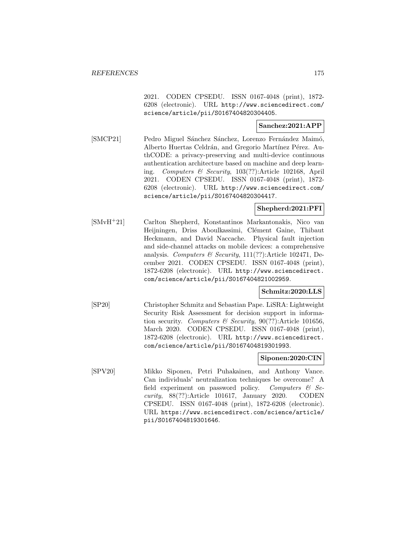2021. CODEN CPSEDU. ISSN 0167-4048 (print), 1872- 6208 (electronic). URL http://www.sciencedirect.com/ science/article/pii/S0167404820304405.

# **Sanchez:2021:APP**

[SMCP21] Pedro Miguel Sánchez Sánchez, Lorenzo Fernández Maimó, Alberto Huertas Celdrán, and Gregorio Martínez Pérez. AuthCODE: a privacy-preserving and multi-device continuous authentication architecture based on machine and deep learning. Computers & Security, 103(??):Article 102168, April 2021. CODEN CPSEDU. ISSN 0167-4048 (print), 1872- 6208 (electronic). URL http://www.sciencedirect.com/ science/article/pii/S0167404820304417.

# **Shepherd:2021:PFI**

[SMvH<sup>+</sup>21] Carlton Shepherd, Konstantinos Markantonakis, Nico van Heijningen, Driss Aboulkassimi, Clément Gaine, Thibaut Heckmann, and David Naccache. Physical fault injection and side-channel attacks on mobile devices: a comprehensive analysis. Computers & Security,  $111(??)$ :Article 102471, December 2021. CODEN CPSEDU. ISSN 0167-4048 (print), 1872-6208 (electronic). URL http://www.sciencedirect. com/science/article/pii/S0167404821002959.

# **Schmitz:2020:LLS**

[SP20] Christopher Schmitz and Sebastian Pape. LiSRA: Lightweight Security Risk Assessment for decision support in information security. Computers & Security,  $90(??)$ : Article 101656, March 2020. CODEN CPSEDU. ISSN 0167-4048 (print), 1872-6208 (electronic). URL http://www.sciencedirect. com/science/article/pii/S0167404819301993.

# **Siponen:2020:CIN**

[SPV20] Mikko Siponen, Petri Puhakainen, and Anthony Vance. Can individuals' neutralization techniques be overcome? A field experiment on password policy. Computers  $\mathcal{C}$  Security, 88(??):Article 101617, January 2020. CODEN CPSEDU. ISSN 0167-4048 (print), 1872-6208 (electronic). URL https://www.sciencedirect.com/science/article/ pii/S0167404819301646.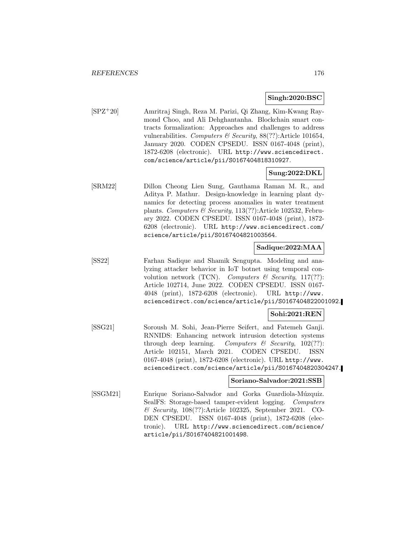### **Singh:2020:BSC**

[SPZ<sup>+</sup>20] Amritraj Singh, Reza M. Parizi, Qi Zhang, Kim-Kwang Raymond Choo, and Ali Dehghantanha. Blockchain smart contracts formalization: Approaches and challenges to address vulnerabilities. Computers & Security,  $88(??)$ : Article 101654, January 2020. CODEN CPSEDU. ISSN 0167-4048 (print), 1872-6208 (electronic). URL http://www.sciencedirect. com/science/article/pii/S0167404818310927.

# **Sung:2022:DKL**

[SRM22] Dillon Cheong Lien Sung, Gauthama Raman M. R., and Aditya P. Mathur. Design-knowledge in learning plant dynamics for detecting process anomalies in water treatment plants. Computers & Security, 113(??):Article 102532, February 2022. CODEN CPSEDU. ISSN 0167-4048 (print), 1872- 6208 (electronic). URL http://www.sciencedirect.com/ science/article/pii/S0167404821003564.

# **Sadique:2022:MAA**

[SS22] Farhan Sadique and Shamik Sengupta. Modeling and analyzing attacker behavior in IoT botnet using temporal convolution network (TCN). Computers  $\mathcal C$  Security, 117(??): Article 102714, June 2022. CODEN CPSEDU. ISSN 0167- 4048 (print), 1872-6208 (electronic). URL http://www. sciencedirect.com/science/article/pii/S0167404822001092.

# **Sohi:2021:REN**

[SSG21] Soroush M. Sohi, Jean-Pierre Seifert, and Fatemeh Ganji. RNNIDS: Enhancing network intrusion detection systems through deep learning. Computers  $\mathcal B$  Security, 102(??): Article 102151, March 2021. CODEN CPSEDU. ISSN 0167-4048 (print), 1872-6208 (electronic). URL http://www. sciencedirect.com/science/article/pii/S0167404820304247.

# **Soriano-Salvador:2021:SSB**

[SSGM21] Enrique Soriano-Salvador and Gorka Guardiola-Múzquiz. SealFS: Storage-based tamper-evident logging. Computers & Security, 108(??):Article 102325, September 2021. CO-DEN CPSEDU. ISSN 0167-4048 (print), 1872-6208 (electronic). URL http://www.sciencedirect.com/science/ article/pii/S0167404821001498.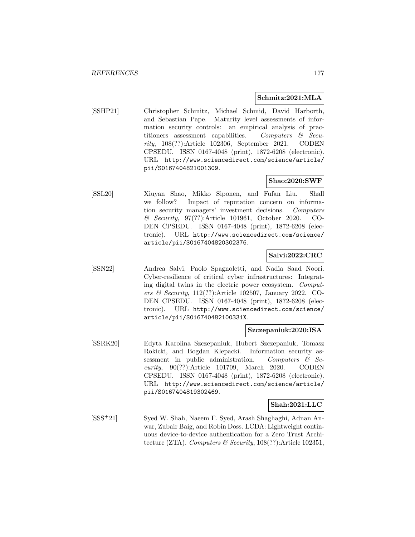# **Schmitz:2021:MLA**

[SSHP21] Christopher Schmitz, Michael Schmid, David Harborth, and Sebastian Pape. Maturity level assessments of information security controls: an empirical analysis of practitioners assessment capabilities. Computers  $\&$  Security, 108(??):Article 102306, September 2021. CODEN CPSEDU. ISSN 0167-4048 (print), 1872-6208 (electronic). URL http://www.sciencedirect.com/science/article/ pii/S0167404821001309.

# **Shao:2020:SWF**

[SSL20] Xiuyan Shao, Mikko Siponen, and Fufan Liu. Shall we follow? Impact of reputation concern on information security managers' investment decisions. Computers & Security, 97(??):Article 101961, October 2020. CO-DEN CPSEDU. ISSN 0167-4048 (print), 1872-6208 (electronic). URL http://www.sciencedirect.com/science/ article/pii/S0167404820302376.

# **Salvi:2022:CRC**

[SSN22] Andrea Salvi, Paolo Spagnoletti, and Nadia Saad Noori. Cyber-resilience of critical cyber infrastructures: Integrating digital twins in the electric power ecosystem. Computers & Security, 112(??):Article 102507, January 2022. CO-DEN CPSEDU. ISSN 0167-4048 (print), 1872-6208 (electronic). URL http://www.sciencedirect.com/science/ article/pii/S016740482100331X.

#### **Szczepaniuk:2020:ISA**

[SSRK20] Edyta Karolina Szczepaniuk, Hubert Szczepaniuk, Tomasz Rokicki, and Bogdan Klepacki. Information security assessment in public administration. Computers  $\mathcal{B}$  Security, 90(??):Article 101709, March 2020. CODEN CPSEDU. ISSN 0167-4048 (print), 1872-6208 (electronic). URL http://www.sciencedirect.com/science/article/ pii/S0167404819302469.

# **Shah:2021:LLC**

[SSS<sup>+</sup>21] Syed W. Shah, Naeem F. Syed, Arash Shaghaghi, Adnan Anwar, Zubair Baig, and Robin Doss. LCDA: Lightweight continuous device-to-device authentication for a Zero Trust Architecture (ZTA). Computers & Security,  $108(??)$ : Article 102351,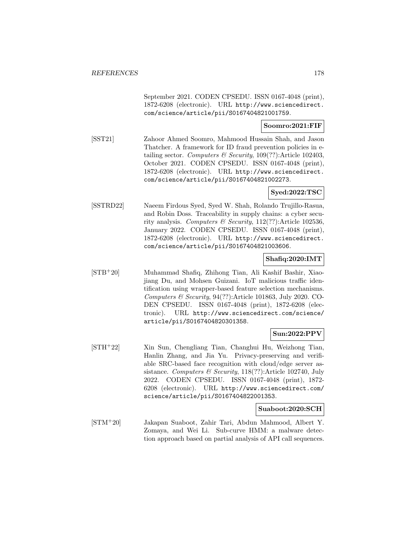September 2021. CODEN CPSEDU. ISSN 0167-4048 (print), 1872-6208 (electronic). URL http://www.sciencedirect. com/science/article/pii/S0167404821001759.

## **Soomro:2021:FIF**

[SST21] Zahoor Ahmed Soomro, Mahmood Hussain Shah, and Jason Thatcher. A framework for ID fraud prevention policies in etailing sector. Computers & Security,  $109(??)$ : Article 102403, October 2021. CODEN CPSEDU. ISSN 0167-4048 (print), 1872-6208 (electronic). URL http://www.sciencedirect. com/science/article/pii/S0167404821002273.

# **Syed:2022:TSC**

[SSTRD22] Naeem Firdous Syed, Syed W. Shah, Rolando Trujillo-Rasua, and Robin Doss. Traceability in supply chains: a cyber security analysis. Computers & Security,  $112(??)$ : Article 102536, January 2022. CODEN CPSEDU. ISSN 0167-4048 (print), 1872-6208 (electronic). URL http://www.sciencedirect. com/science/article/pii/S0167404821003606.

#### **Shafiq:2020:IMT**

[STB<sup>+</sup>20] Muhammad Shafiq, Zhihong Tian, Ali Kashif Bashir, Xiaojiang Du, and Mohsen Guizani. IoT malicious traffic identification using wrapper-based feature selection mechanisms. Computers  $\mathcal B$  Security, 94(??): Article 101863, July 2020. CO-DEN CPSEDU. ISSN 0167-4048 (print), 1872-6208 (electronic). URL http://www.sciencedirect.com/science/ article/pii/S0167404820301358.

# **Sun:2022:PPV**

[STH<sup>+</sup>22] Xin Sun, Chengliang Tian, Changhui Hu, Weizhong Tian, Hanlin Zhang, and Jia Yu. Privacy-preserving and verifiable SRC-based face recognition with cloud/edge server assistance. Computers & Security,  $118(??)$ :Article 102740, July 2022. CODEN CPSEDU. ISSN 0167-4048 (print), 1872- 6208 (electronic). URL http://www.sciencedirect.com/ science/article/pii/S0167404822001353.

# **Suaboot:2020:SCH**

[STM<sup>+</sup>20] Jakapan Suaboot, Zahir Tari, Abdun Mahmood, Albert Y. Zomaya, and Wei Li. Sub-curve HMM: a malware detection approach based on partial analysis of API call sequences.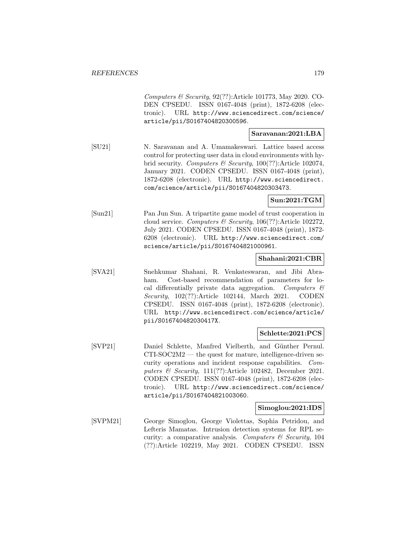Computers & Security, 92(??):Article 101773, May 2020. CO-DEN CPSEDU. ISSN 0167-4048 (print), 1872-6208 (electronic). URL http://www.sciencedirect.com/science/ article/pii/S0167404820300596.

# **Saravanan:2021:LBA**

[SU21] N. Saravanan and A. Umamakeswari. Lattice based access control for protecting user data in cloud environments with hybrid security. Computers & Security, 100(??):Article 102074, January 2021. CODEN CPSEDU. ISSN 0167-4048 (print), 1872-6208 (electronic). URL http://www.sciencedirect. com/science/article/pii/S0167404820303473.

# **Sun:2021:TGM**

[Sun21] Pan Jun Sun. A tripartite game model of trust cooperation in cloud service. Computers & Security,  $106(??)$ : Article 102272, July 2021. CODEN CPSEDU. ISSN 0167-4048 (print), 1872- 6208 (electronic). URL http://www.sciencedirect.com/ science/article/pii/S0167404821000961.

#### **Shahani:2021:CBR**

[SVA21] Snehkumar Shahani, R. Venkateswaran, and Jibi Abraham. Cost-based recommendation of parameters for local differentially private data aggregation. Computers  $\mathcal{C}$ Security, 102(??):Article 102144, March 2021. CODEN CPSEDU. ISSN 0167-4048 (print), 1872-6208 (electronic). URL http://www.sciencedirect.com/science/article/ pii/S016740482030417X.

#### **Schlette:2021:PCS**

[SVP21] Daniel Schlette, Manfred Vielberth, and Günther Pernul. CTI-SOC2M2 — the quest for mature, intelligence-driven security operations and incident response capabilities. Computers & Security,  $111(??)$ :Article 102482, December 2021. CODEN CPSEDU. ISSN 0167-4048 (print), 1872-6208 (electronic). URL http://www.sciencedirect.com/science/ article/pii/S0167404821003060.

#### **Simoglou:2021:IDS**

[SVPM21] George Simoglou, George Violettas, Sophia Petridou, and Lefteris Mamatas. Intrusion detection systems for RPL security: a comparative analysis. Computers  $\mathcal C$  Security, 104 (??):Article 102219, May 2021. CODEN CPSEDU. ISSN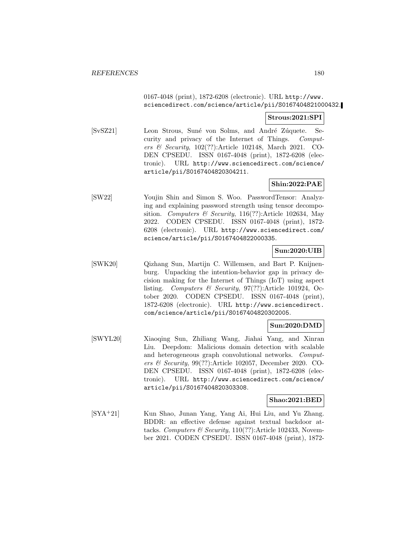# 0167-4048 (print), 1872-6208 (electronic). URL http://www. sciencedirect.com/science/article/pii/S0167404821000432.

# **Strous:2021:SPI**

[SvSZ21] Leon Strous, Suné von Solms, and André Zúquete. Security and privacy of the Internet of Things. Computers & Security, 102(??):Article 102148, March 2021. CO-DEN CPSEDU. ISSN 0167-4048 (print), 1872-6208 (electronic). URL http://www.sciencedirect.com/science/ article/pii/S0167404820304211.

# **Shin:2022:PAE**

[SW22] Youjin Shin and Simon S. Woo. PasswordTensor: Analyzing and explaining password strength using tensor decomposition. Computers & Security, 116(??):Article 102634, May 2022. CODEN CPSEDU. ISSN 0167-4048 (print), 1872- 6208 (electronic). URL http://www.sciencedirect.com/ science/article/pii/S0167404822000335.

# **Sun:2020:UIB**

[SWK20] Qizhang Sun, Martijn C. Willemsen, and Bart P. Knijnenburg. Unpacking the intention-behavior gap in privacy decision making for the Internet of Things (IoT) using aspect listing. Computers & Security, 97(??):Article 101924, October 2020. CODEN CPSEDU. ISSN 0167-4048 (print), 1872-6208 (electronic). URL http://www.sciencedirect. com/science/article/pii/S0167404820302005.

# **Sun:2020:DMD**

[SWYL20] Xiaoqing Sun, Zhiliang Wang, Jiahai Yang, and Xinran Liu. Deepdom: Malicious domain detection with scalable and heterogeneous graph convolutional networks. Computers & Security, 99(??):Article 102057, December 2020. CO-DEN CPSEDU. ISSN 0167-4048 (print), 1872-6208 (electronic). URL http://www.sciencedirect.com/science/ article/pii/S0167404820303308.

# **Shao:2021:BED**

[SYA<sup>+</sup>21] Kun Shao, Junan Yang, Yang Ai, Hui Liu, and Yu Zhang. BDDR: an effective defense against textual backdoor attacks. Computers & Security, 110(??):Article 102433, November 2021. CODEN CPSEDU. ISSN 0167-4048 (print), 1872-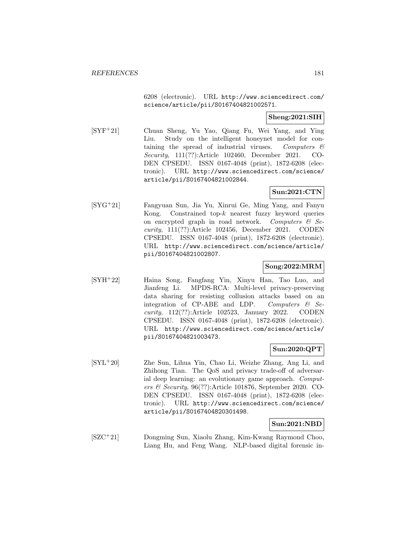6208 (electronic). URL http://www.sciencedirect.com/ science/article/pii/S0167404821002571.

### **Sheng:2021:SIH**

[SYF<sup>+</sup>21] Chuan Sheng, Yu Yao, Qiang Fu, Wei Yang, and Ying Liu. Study on the intelligent honeynet model for containing the spread of industrial viruses. Computers  $\mathcal{C}$ Security, 111(??):Article 102460, December 2021. CO-DEN CPSEDU. ISSN 0167-4048 (print), 1872-6208 (electronic). URL http://www.sciencedirect.com/science/ article/pii/S0167404821002844.

### **Sun:2021:CTN**

[SYG<sup>+</sup>21] Fangyuan Sun, Jia Yu, Xinrui Ge, Ming Yang, and Fanyu Kong. Constrained top- $k$  nearest fuzzy keyword queries on encrypted graph in road network. Computers  $\mathcal{C}$  Security, 111(??):Article 102456, December 2021. CODEN CPSEDU. ISSN 0167-4048 (print), 1872-6208 (electronic). URL http://www.sciencedirect.com/science/article/ pii/S0167404821002807.

## **Song:2022:MRM**

[SYH<sup>+</sup>22] Haina Song, Fangfang Yin, Xinyu Han, Tao Luo, and Jianfeng Li. MPDS-RCA: Multi-level privacy-preserving data sharing for resisting collusion attacks based on an integration of CP-ABE and LDP. Computers  $\mathcal{C}$  Security, 112(??):Article 102523, January 2022. CODEN CPSEDU. ISSN 0167-4048 (print), 1872-6208 (electronic). URL http://www.sciencedirect.com/science/article/ pii/S0167404821003473.

### **Sun:2020:QPT**

[SYL<sup>+</sup>20] Zhe Sun, Lihua Yin, Chao Li, Weizhe Zhang, Ang Li, and Zhihong Tian. The QoS and privacy trade-off of adversarial deep learning: an evolutionary game approach. *Comput*ers & Security, 96(??):Article 101876, September 2020. CO-DEN CPSEDU. ISSN 0167-4048 (print), 1872-6208 (electronic). URL http://www.sciencedirect.com/science/ article/pii/S0167404820301498.

#### **Sun:2021:NBD**

[SZC<sup>+</sup>21] Dongming Sun, Xiaolu Zhang, Kim-Kwang Raymond Choo, Liang Hu, and Feng Wang. NLP-based digital forensic in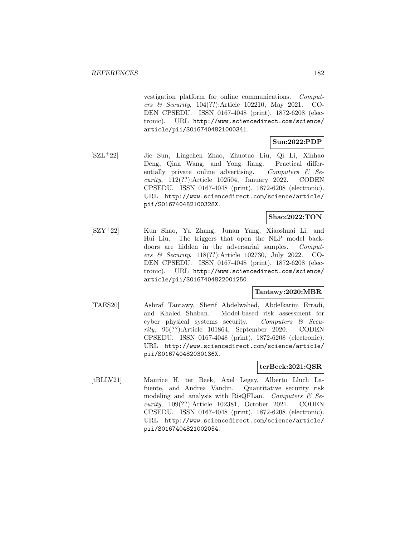vestigation platform for online communications. Computers & Security, 104(??):Article 102210, May 2021. CO-DEN CPSEDU. ISSN 0167-4048 (print), 1872-6208 (electronic). URL http://www.sciencedirect.com/science/ article/pii/S0167404821000341.

## **Sun:2022:PDP**

[SZL<sup>+</sup>22] Jie Sun, Lingchen Zhao, Zhuotao Liu, Qi Li, Xinhao Deng, Qian Wang, and Yong Jiang. Practical differentially private online advertising. Computers  $\mathcal{C}$  Security, 112(??):Article 102504, January 2022. CODEN CPSEDU. ISSN 0167-4048 (print), 1872-6208 (electronic). URL http://www.sciencedirect.com/science/article/ pii/S016740482100328X.

## **Shao:2022:TON**

[SZY<sup>+</sup>22] Kun Shao, Yu Zhang, Junan Yang, Xiaoshuai Li, and Hui Liu. The triggers that open the NLP model backdoors are hidden in the adversarial samples. Computers & Security, 118(??):Article 102730, July 2022. CO-DEN CPSEDU. ISSN 0167-4048 (print), 1872-6208 (electronic). URL http://www.sciencedirect.com/science/ article/pii/S0167404822001250.

#### **Tantawy:2020:MBR**

[TAES20] Ashraf Tantawy, Sherif Abdelwahed, Abdelkarim Erradi, and Khaled Shaban. Model-based risk assessment for cyber physical systems security. Computers  $\mathcal{C}$  Security, 96(??):Article 101864, September 2020. CODEN CPSEDU. ISSN 0167-4048 (print), 1872-6208 (electronic). URL http://www.sciencedirect.com/science/article/ pii/S016740482030136X.

#### **terBeek:2021:QSR**

[tBLLV21] Maurice H. ter Beek, Axel Legay, Alberto Lluch Lafuente, and Andrea Vandin. Quantitative security risk modeling and analysis with RisQFLan. Computers  $\mathcal{C}$  Security, 109(??):Article 102381, October 2021. CODEN CPSEDU. ISSN 0167-4048 (print), 1872-6208 (electronic). URL http://www.sciencedirect.com/science/article/ pii/S0167404821002054.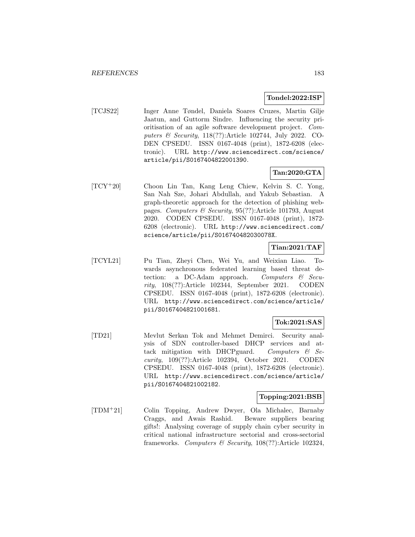#### **Tondel:2022:ISP**

[TCJS22] Inger Anne Tøndel, Daniela Soares Cruzes, Martin Gilje Jaatun, and Guttorm Sindre. Influencing the security prioritisation of an agile software development project. Computers & Security, 118(??):Article 102744, July 2022. CO-DEN CPSEDU. ISSN 0167-4048 (print), 1872-6208 (electronic). URL http://www.sciencedirect.com/science/ article/pii/S0167404822001390.

# **Tan:2020:GTA**

[TCY<sup>+</sup>20] Choon Lin Tan, Kang Leng Chiew, Kelvin S. C. Yong, San Nah Sze, Johari Abdullah, and Yakub Sebastian. A graph-theoretic approach for the detection of phishing webpages. Computers & Security, 95(??):Article 101793, August 2020. CODEN CPSEDU. ISSN 0167-4048 (print), 1872- 6208 (electronic). URL http://www.sciencedirect.com/ science/article/pii/S016740482030078X.

## **Tian:2021:TAF**

[TCYL21] Pu Tian, Zheyi Chen, Wei Yu, and Weixian Liao. Towards asynchronous federated learning based threat detection: a DC-Adam approach. Computers  $\mathcal{C}$  Security, 108(??):Article 102344, September 2021. CODEN CPSEDU. ISSN 0167-4048 (print), 1872-6208 (electronic). URL http://www.sciencedirect.com/science/article/ pii/S0167404821001681.

## **Tok:2021:SAS**

[TD21] Mevlut Serkan Tok and Mehmet Demirci. Security analysis of SDN controller-based DHCP services and attack mitigation with DHCPguard. Computers  $\mathcal{B}$  Security, 109(??):Article 102394, October 2021. CODEN CPSEDU. ISSN 0167-4048 (print), 1872-6208 (electronic). URL http://www.sciencedirect.com/science/article/ pii/S0167404821002182.

#### **Topping:2021:BSB**

[TDM<sup>+</sup>21] Colin Topping, Andrew Dwyer, Ola Michalec, Barnaby Craggs, and Awais Rashid. Beware suppliers bearing gifts!: Analysing coverage of supply chain cyber security in critical national infrastructure sectorial and cross-sectorial frameworks. Computers & Security,  $108(??)$ :Article 102324,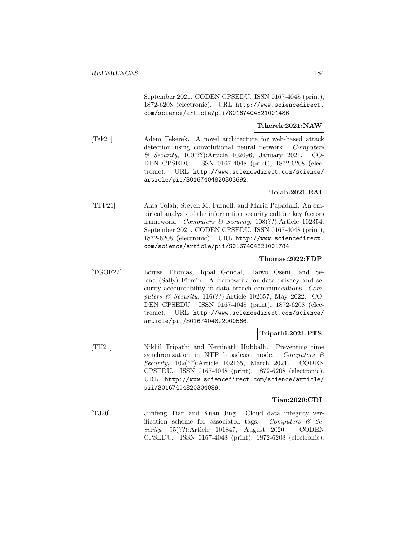September 2021. CODEN CPSEDU. ISSN 0167-4048 (print), 1872-6208 (electronic). URL http://www.sciencedirect. com/science/article/pii/S0167404821001486.

#### **Tekerek:2021:NAW**

[Tek21] Adem Tekerek. A novel architecture for web-based attack detection using convolutional neural network. Computers & Security, 100(??):Article 102096, January 2021. CO-DEN CPSEDU. ISSN 0167-4048 (print), 1872-6208 (electronic). URL http://www.sciencedirect.com/science/ article/pii/S0167404820303692.

### **Tolah:2021:EAI**

[TFP21] Alaa Tolah, Steven M. Furnell, and Maria Papadaki. An empirical analysis of the information security culture key factors framework. Computers & Security, 108(??):Article 102354, September 2021. CODEN CPSEDU. ISSN 0167-4048 (print), 1872-6208 (electronic). URL http://www.sciencedirect. com/science/article/pii/S0167404821001784.

#### **Thomas:2022:FDP**

[TGOF22] Louise Thomas, Iqbal Gondal, Taiwo Oseni, and Selena (Sally) Firmin. A framework for data privacy and security accountability in data breach communications. Computers & Security, 116(??):Article 102657, May 2022. CO-DEN CPSEDU. ISSN 0167-4048 (print), 1872-6208 (electronic). URL http://www.sciencedirect.com/science/ article/pii/S0167404822000566.

#### **Tripathi:2021:PTS**

[TH21] Nikhil Tripathi and Neminath Hubballi. Preventing time synchronization in NTP broadcast mode. Computers  $\mathcal{C}$ Security, 102(??):Article 102135, March 2021. CODEN CPSEDU. ISSN 0167-4048 (print), 1872-6208 (electronic). URL http://www.sciencedirect.com/science/article/ pii/S0167404820304089.

#### **Tian:2020:CDI**

[TJ20] Junfeng Tian and Xuan Jing. Cloud data integrity verification scheme for associated tags. Computers  $\mathcal{B}$  Security, 95(??):Article 101847, August 2020. CODEN CPSEDU. ISSN 0167-4048 (print), 1872-6208 (electronic).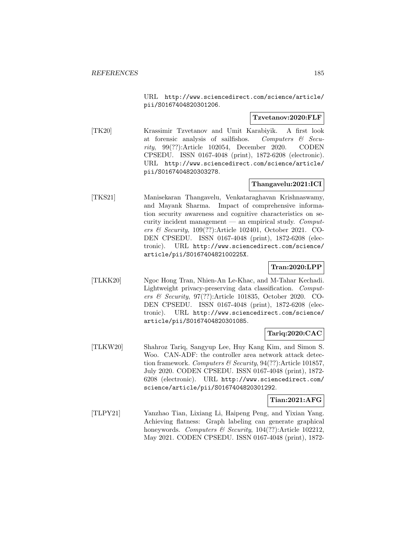URL http://www.sciencedirect.com/science/article/ pii/S0167404820301206.

#### **Tzvetanov:2020:FLF**

[TK20] Krassimir Tzvetanov and Umit Karabiyik. A first look at forensic analysis of sailfishos. Computers  $\mathcal{C}$  Security, 99(??):Article 102054, December 2020. CODEN CPSEDU. ISSN 0167-4048 (print), 1872-6208 (electronic). URL http://www.sciencedirect.com/science/article/ pii/S0167404820303278.

# **Thangavelu:2021:ICI**

[TKS21] Manisekaran Thangavelu, Venkataraghavan Krishnaswamy, and Mayank Sharma. Impact of comprehensive information security awareness and cognitive characteristics on security incident management — an empirical study.  $Comput$ ers & Security, 109(??):Article 102401, October 2021. CO-DEN CPSEDU. ISSN 0167-4048 (print), 1872-6208 (electronic). URL http://www.sciencedirect.com/science/ article/pii/S016740482100225X.

## **Tran:2020:LPP**

[TLKK20] Ngoc Hong Tran, Nhien-An Le-Khac, and M-Tahar Kechadi. Lightweight privacy-preserving data classification. Computers & Security, 97(??):Article 101835, October 2020. CO-DEN CPSEDU. ISSN 0167-4048 (print), 1872-6208 (electronic). URL http://www.sciencedirect.com/science/ article/pii/S0167404820301085.

#### **Tariq:2020:CAC**

[TLKW20] Shahroz Tariq, Sangyup Lee, Huy Kang Kim, and Simon S. Woo. CAN-ADF: the controller area network attack detection framework. Computers & Security,  $94(??)$ :Article 101857, July 2020. CODEN CPSEDU. ISSN 0167-4048 (print), 1872- 6208 (electronic). URL http://www.sciencedirect.com/ science/article/pii/S0167404820301292.

#### **Tian:2021:AFG**

[TLPY21] Yanzhao Tian, Lixiang Li, Haipeng Peng, and Yixian Yang. Achieving flatness: Graph labeling can generate graphical honeywords. Computers & Security, 104(??):Article 102212, May 2021. CODEN CPSEDU. ISSN 0167-4048 (print), 1872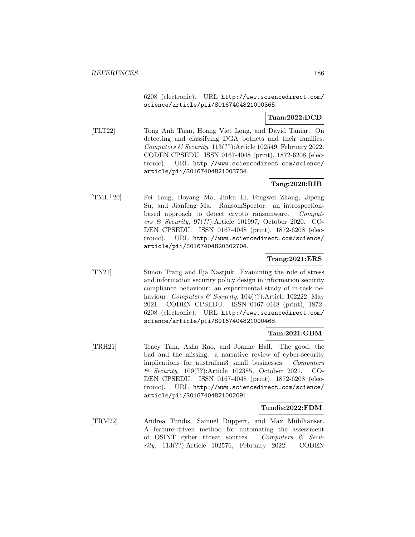6208 (electronic). URL http://www.sciencedirect.com/ science/article/pii/S0167404821000365.

#### **Tuan:2022:DCD**

[TLT22] Tong Anh Tuan, Hoang Viet Long, and David Taniar. On detecting and classifying DGA botnets and their families. Computers & Security, 113(??):Article 102549, February 2022. CODEN CPSEDU. ISSN 0167-4048 (print), 1872-6208 (electronic). URL http://www.sciencedirect.com/science/ article/pii/S0167404821003734.

# **Tang:2020:RIB**

[TML<sup>+</sup>20] Fei Tang, Boyang Ma, Jinku Li, Fengwei Zhang, Jipeng Su, and Jianfeng Ma. RansomSpector: an introspectionbased approach to detect crypto ransomware. Computers & Security, 97(??):Article 101997, October 2020. CO-DEN CPSEDU. ISSN 0167-4048 (print), 1872-6208 (electronic). URL http://www.sciencedirect.com/science/ article/pii/S0167404820302704.

#### **Trang:2021:ERS**

[TN21] Simon Trang and Ilja Nastjuk. Examining the role of stress and information security policy design in information security compliance behaviour: an experimental study of in-task behaviour. Computers & Security, 104(??):Article 102222, May 2021. CODEN CPSEDU. ISSN 0167-4048 (print), 1872- 6208 (electronic). URL http://www.sciencedirect.com/ science/article/pii/S0167404821000468.

#### **Tam:2021:GBM**

[TRH21] Tracy Tam, Asha Rao, and Joanne Hall. The good, the bad and the missing: a narrative review of cyber-security implications for australian3 small businesses. Computers & Security, 109(??):Article 102385, October 2021. CO-DEN CPSEDU. ISSN 0167-4048 (print), 1872-6208 (electronic). URL http://www.sciencedirect.com/science/ article/pii/S0167404821002091.

#### **Tundis:2022:FDM**

[TRM22] Andrea Tundis, Samuel Ruppert, and Max Mühlhäuser. A feature-driven method for automating the assessment of OSINT cyber threat sources. Computers  $\mathcal{C}$  Security, 113(??):Article 102576, February 2022. CODEN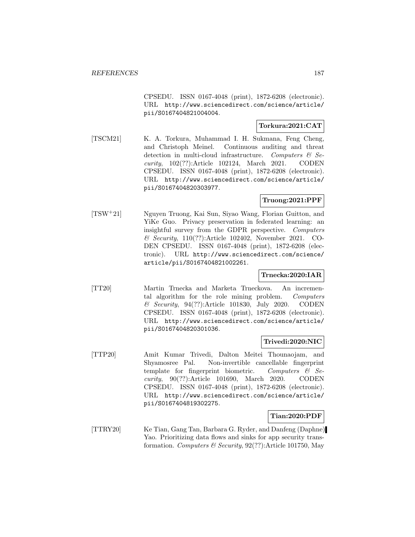CPSEDU. ISSN 0167-4048 (print), 1872-6208 (electronic). URL http://www.sciencedirect.com/science/article/ pii/S0167404821004004.

# **Torkura:2021:CAT**

[TSCM21] K. A. Torkura, Muhammad I. H. Sukmana, Feng Cheng, and Christoph Meinel. Continuous auditing and threat detection in multi-cloud infrastructure. Computers  $\mathcal{C}$  Security, 102(??):Article 102124, March 2021. CODEN CPSEDU. ISSN 0167-4048 (print), 1872-6208 (electronic). URL http://www.sciencedirect.com/science/article/ pii/S0167404820303977.

# **Truong:2021:PPF**

[TSW<sup>+</sup>21] Nguyen Truong, Kai Sun, Siyao Wang, Florian Guitton, and YiKe Guo. Privacy preservation in federated learning: an insightful survey from the GDPR perspective. Computers & Security, 110(??):Article 102402, November 2021. CO-DEN CPSEDU. ISSN 0167-4048 (print), 1872-6208 (electronic). URL http://www.sciencedirect.com/science/ article/pii/S0167404821002261.

#### **Trnecka:2020:IAR**

[TT20] Martin Trnecka and Marketa Trneckova. An incremental algorithm for the role mining problem. Computers & Security, 94(??):Article 101830, July 2020. CODEN CPSEDU. ISSN 0167-4048 (print), 1872-6208 (electronic). URL http://www.sciencedirect.com/science/article/ pii/S0167404820301036.

#### **Trivedi:2020:NIC**

[TTP20] Amit Kumar Trivedi, Dalton Meitei Thounaojam, and Shyamosree Pal. Non-invertible cancellable fingerprint template for fingerprint biometric. Computers  $\mathcal{C}$  Security, 90(??):Article 101690, March 2020. CODEN CPSEDU. ISSN 0167-4048 (print), 1872-6208 (electronic). URL http://www.sciencedirect.com/science/article/ pii/S0167404819302275.

#### **Tian:2020:PDF**

[TTRY20] Ke Tian, Gang Tan, Barbara G. Ryder, and Danfeng (Daphne) Yao. Prioritizing data flows and sinks for app security transformation. Computers & Security,  $92(?)$ : Article 101750, May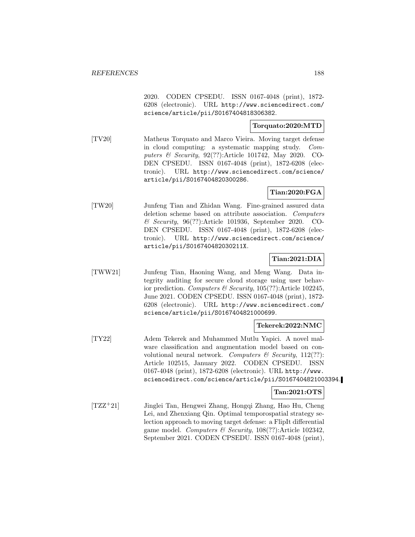2020. CODEN CPSEDU. ISSN 0167-4048 (print), 1872- 6208 (electronic). URL http://www.sciencedirect.com/ science/article/pii/S0167404818306382.

### **Torquato:2020:MTD**

[TV20] Matheus Torquato and Marco Vieira. Moving target defense in cloud computing: a systematic mapping study. Computers & Security, 92(??):Article 101742, May 2020. CO-DEN CPSEDU. ISSN 0167-4048 (print), 1872-6208 (electronic). URL http://www.sciencedirect.com/science/ article/pii/S0167404820300286.

### **Tian:2020:FGA**

[TW20] Junfeng Tian and Zhidan Wang. Fine-grained assured data deletion scheme based on attribute association. Computers & Security, 96(??):Article 101936, September 2020. CO-DEN CPSEDU. ISSN 0167-4048 (print), 1872-6208 (electronic). URL http://www.sciencedirect.com/science/ article/pii/S016740482030211X.

## **Tian:2021:DIA**

[TWW21] Junfeng Tian, Haoning Wang, and Meng Wang. Data integrity auditing for secure cloud storage using user behavior prediction. Computers & Security,  $105(??)$ : Article 102245, June 2021. CODEN CPSEDU. ISSN 0167-4048 (print), 1872- 6208 (electronic). URL http://www.sciencedirect.com/ science/article/pii/S0167404821000699.

#### **Tekerek:2022:NMC**

[TY22] Adem Tekerek and Muhammed Mutlu Yapici. A novel malware classification and augmentation model based on convolutional neural network. Computers  $\mathcal B$  Security, 112(??): Article 102515, January 2022. CODEN CPSEDU. ISSN 0167-4048 (print), 1872-6208 (electronic). URL http://www. sciencedirect.com/science/article/pii/S0167404821003394.

### **Tan:2021:OTS**

[TZZ<sup>+</sup>21] Jinglei Tan, Hengwei Zhang, Hongqi Zhang, Hao Hu, Cheng Lei, and Zhenxiang Qin. Optimal temporospatial strategy selection approach to moving target defense: a FlipIt differential game model. Computers & Security, 108(??):Article 102342, September 2021. CODEN CPSEDU. ISSN 0167-4048 (print),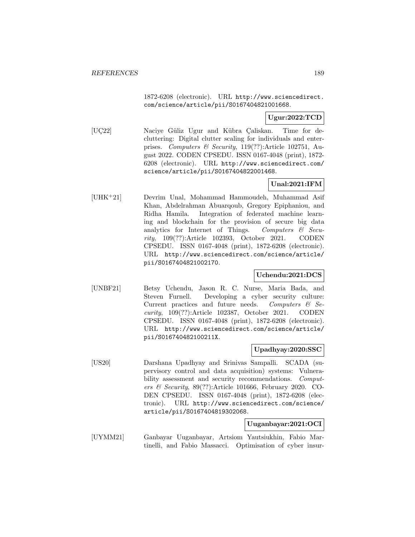1872-6208 (electronic). URL http://www.sciencedirect. com/science/article/pii/S0167404821001668.

# **Ugur:2022:TCD**

[UC22] Naciye Güliz Ugur and Kübra Çaliskan. Time for decluttering: Digital clutter scaling for individuals and enterprises. Computers & Security, 119(??):Article 102751, August 2022. CODEN CPSEDU. ISSN 0167-4048 (print), 1872- 6208 (electronic). URL http://www.sciencedirect.com/ science/article/pii/S0167404822001468.

# **Unal:2021:IFM**

[UHK<sup>+</sup>21] Devrim Unal, Mohammad Hammoudeh, Muhammad Asif Khan, Abdelrahman Abuarqoub, Gregory Epiphaniou, and Ridha Hamila. Integration of federated machine learning and blockchain for the provision of secure big data analytics for Internet of Things. Computers  $\mathcal{C}$  Security, 109(??):Article 102393, October 2021. CODEN CPSEDU. ISSN 0167-4048 (print), 1872-6208 (electronic). URL http://www.sciencedirect.com/science/article/ pii/S0167404821002170.

## **Uchendu:2021:DCS**

[UNBF21] Betsy Uchendu, Jason R. C. Nurse, Maria Bada, and Steven Furnell. Developing a cyber security culture: Current practices and future needs. Computers  $\mathcal{C}$  Security, 109(??):Article 102387, October 2021. CODEN CPSEDU. ISSN 0167-4048 (print), 1872-6208 (electronic). URL http://www.sciencedirect.com/science/article/ pii/S016740482100211X.

#### **Upadhyay:2020:SSC**

[US20] Darshana Upadhyay and Srinivas Sampalli. SCADA (supervisory control and data acquisition) systems: Vulnerability assessment and security recommendations. Computers & Security, 89(??):Article 101666, February 2020. CO-DEN CPSEDU. ISSN 0167-4048 (print), 1872-6208 (electronic). URL http://www.sciencedirect.com/science/ article/pii/S0167404819302068.

#### **Uuganbayar:2021:OCI**

[UYMM21] Ganbayar Uuganbayar, Artsiom Yautsiukhin, Fabio Martinelli, and Fabio Massacci. Optimisation of cyber insur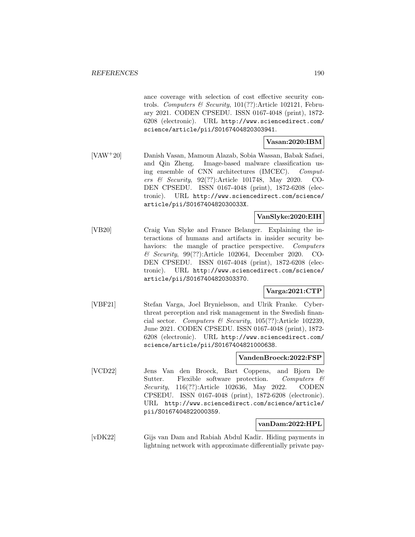ance coverage with selection of cost effective security controls. Computers & Security, 101(??):Article 102121, February 2021. CODEN CPSEDU. ISSN 0167-4048 (print), 1872- 6208 (electronic). URL http://www.sciencedirect.com/ science/article/pii/S0167404820303941.

# **Vasan:2020:IBM**

[VAW<sup>+</sup>20] Danish Vasan, Mamoun Alazab, Sobia Wassan, Babak Safaei, and Qin Zheng. Image-based malware classification using ensemble of CNN architectures (IMCEC). Computers & Security, 92(??):Article 101748, May 2020. CO-DEN CPSEDU. ISSN 0167-4048 (print), 1872-6208 (electronic). URL http://www.sciencedirect.com/science/ article/pii/S016740482030033X.

## **VanSlyke:2020:EIH**

[VB20] Craig Van Slyke and France Belanger. Explaining the interactions of humans and artifacts in insider security behaviors: the mangle of practice perspective. Computers & Security, 99(??):Article 102064, December 2020. CO-DEN CPSEDU. ISSN 0167-4048 (print), 1872-6208 (electronic). URL http://www.sciencedirect.com/science/ article/pii/S0167404820303370.

## **Varga:2021:CTP**

[VBF21] Stefan Varga, Joel Brynielsson, and Ulrik Franke. Cyberthreat perception and risk management in the Swedish financial sector. Computers & Security, 105(??):Article 102239, June 2021. CODEN CPSEDU. ISSN 0167-4048 (print), 1872- 6208 (electronic). URL http://www.sciencedirect.com/ science/article/pii/S0167404821000638.

#### **VandenBroeck:2022:FSP**

[VCD22] Jens Van den Broeck, Bart Coppens, and Bjorn De Sutter. Flexible software protection. Computers & Security, 116(??):Article 102636, May 2022. CODEN CPSEDU. ISSN 0167-4048 (print), 1872-6208 (electronic). URL http://www.sciencedirect.com/science/article/ pii/S0167404822000359.

### **vanDam:2022:HPL**

[vDK22] Gijs van Dam and Rabiah Abdul Kadir. Hiding payments in lightning network with approximate differentially private pay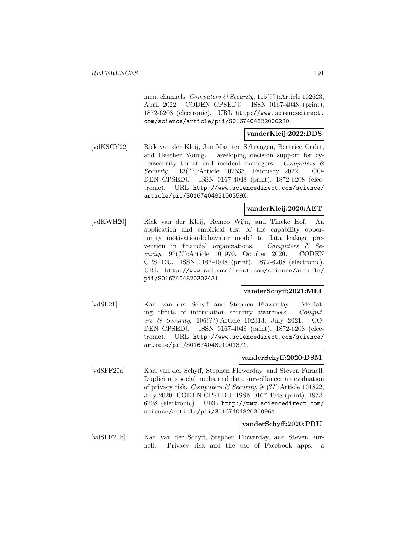ment channels. Computers & Security, 115(??):Article 102623, April 2022. CODEN CPSEDU. ISSN 0167-4048 (print), 1872-6208 (electronic). URL http://www.sciencedirect. com/science/article/pii/S0167404822000220.

### **vanderKleij:2022:DDS**

[vdKSCY22] Rick van der Kleij, Jan Maarten Schraagen, Beatrice Cadet, and Heather Young. Developing decision support for cybersecurity threat and incident managers. Computers & Security, 113(??):Article 102535, February 2022. CO-DEN CPSEDU. ISSN 0167-4048 (print), 1872-6208 (electronic). URL http://www.sciencedirect.com/science/ article/pii/S016740482100359X.

#### **vanderKleij:2020:AET**

[vdKWH20] Rick van der Kleij, Remco Wijn, and Tineke Hof. An application and empirical test of the capability opportunity motivation-behaviour model to data leakage prevention in financial organizations. Computers  $\&$  Security, 97(??):Article 101970, October 2020. CODEN CPSEDU. ISSN 0167-4048 (print), 1872-6208 (electronic). URL http://www.sciencedirect.com/science/article/ pii/S0167404820302431.

#### **vanderSchyff:2021:MEI**

[vdSF21] Karl van der Schyff and Stephen Flowerday. Mediating effects of information security awareness. Computers & Security, 106(??):Article 102313, July 2021. CO-DEN CPSEDU. ISSN 0167-4048 (print), 1872-6208 (electronic). URL http://www.sciencedirect.com/science/ article/pii/S0167404821001371.

#### **vanderSchyff:2020:DSM**

[vdSFF20a] Karl van der Schyff, Stephen Flowerday, and Steven Furnell. Duplicitous social media and data surveillance: an evaluation of privacy risk. Computers & Security, 94(??):Article 101822, July 2020. CODEN CPSEDU. ISSN 0167-4048 (print), 1872- 6208 (electronic). URL http://www.sciencedirect.com/ science/article/pii/S0167404820300961.

#### **vanderSchyff:2020:PRU**

[vdSFF20b] Karl van der Schyff, Stephen Flowerday, and Steven Furnell. Privacy risk and the use of Facebook apps: a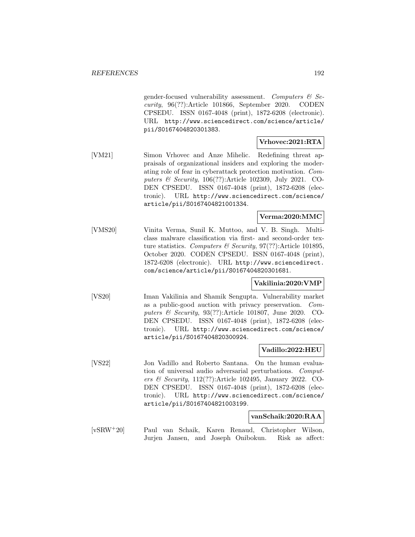gender-focused vulnerability assessment. Computers  $\mathcal{C}$  Security, 96(??):Article 101866, September 2020. CODEN CPSEDU. ISSN 0167-4048 (print), 1872-6208 (electronic). URL http://www.sciencedirect.com/science/article/ pii/S0167404820301383.

## **Vrhovec:2021:RTA**

[VM21] Simon Vrhovec and Anze Mihelic. Redefining threat appraisals of organizational insiders and exploring the moderating role of fear in cyberattack protection motivation. Computers & Security, 106(??):Article 102309, July 2021. CO-DEN CPSEDU. ISSN 0167-4048 (print), 1872-6208 (electronic). URL http://www.sciencedirect.com/science/ article/pii/S0167404821001334.

### **Verma:2020:MMC**

[VMS20] Vinita Verma, Sunil K. Muttoo, and V. B. Singh. Multiclass malware classification via first- and second-order texture statistics. Computers & Security, 97(??):Article 101895, October 2020. CODEN CPSEDU. ISSN 0167-4048 (print), 1872-6208 (electronic). URL http://www.sciencedirect. com/science/article/pii/S0167404820301681.

#### **Vakilinia:2020:VMP**

[VS20] Iman Vakilinia and Shamik Sengupta. Vulnerability market as a public-good auction with privacy preservation. Computers & Security, 93(??):Article 101807, June 2020. CO-DEN CPSEDU. ISSN 0167-4048 (print), 1872-6208 (electronic). URL http://www.sciencedirect.com/science/ article/pii/S0167404820300924.

#### **Vadillo:2022:HEU**

[VS22] Jon Vadillo and Roberto Santana. On the human evaluation of universal audio adversarial perturbations. Computers & Security, 112(??):Article 102495, January 2022. CO-DEN CPSEDU. ISSN 0167-4048 (print), 1872-6208 (electronic). URL http://www.sciencedirect.com/science/ article/pii/S0167404821003199.

#### **vanSchaik:2020:RAA**

[vSRW<sup>+</sup>20] Paul van Schaik, Karen Renaud, Christopher Wilson, Jurjen Jansen, and Joseph Onibokun. Risk as affect: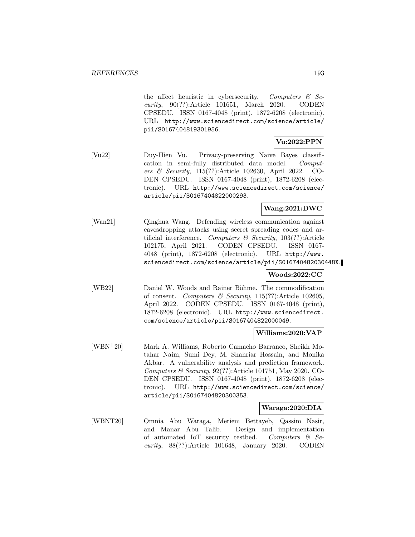the affect heuristic in cybersecurity. Computers  $\mathcal{C}$  Security, 90(??):Article 101651, March 2020. CODEN CPSEDU. ISSN 0167-4048 (print), 1872-6208 (electronic). URL http://www.sciencedirect.com/science/article/ pii/S0167404819301956.

# **Vu:2022:PPN**

[Vu22] Duy-Hien Vu. Privacy-preserving Naive Bayes classification in semi-fully distributed data model. Computers & Security, 115(??):Article 102630, April 2022. CO-DEN CPSEDU. ISSN 0167-4048 (print), 1872-6208 (electronic). URL http://www.sciencedirect.com/science/ article/pii/S0167404822000293.

# **Wang:2021:DWC**

[Wan21] Qinghua Wang. Defending wireless communication against eavesdropping attacks using secret spreading codes and artificial interference. Computers  $\mathcal{B}$  Security, 103(??):Article 102175, April 2021. CODEN CPSEDU. ISSN 0167- 4048 (print), 1872-6208 (electronic). URL http://www. sciencedirect.com/science/article/pii/S016740482030448X.

#### **Woods:2022:CC**

[WB22] Daniel W. Woods and Rainer Böhme. The commodification of consent. Computers & Security, 115(??):Article 102605, April 2022. CODEN CPSEDU. ISSN 0167-4048 (print), 1872-6208 (electronic). URL http://www.sciencedirect. com/science/article/pii/S0167404822000049.

#### **Williams:2020:VAP**

[WBN<sup>+</sup>20] Mark A. Williams, Roberto Camacho Barranco, Sheikh Motahar Naim, Sumi Dey, M. Shahriar Hossain, and Monika Akbar. A vulnerability analysis and prediction framework. Computers  $\mathcal C$  Security, 92(??):Article 101751, May 2020. CO-DEN CPSEDU. ISSN 0167-4048 (print), 1872-6208 (electronic). URL http://www.sciencedirect.com/science/ article/pii/S0167404820300353.

#### **Waraga:2020:DIA**

[WBNT20] Omnia Abu Waraga, Meriem Bettayeb, Qassim Nasir, and Manar Abu Talib. Design and implementation of automated IoT security testbed. Computers  $\mathcal{C}$  Security, 88(??):Article 101648, January 2020. CODEN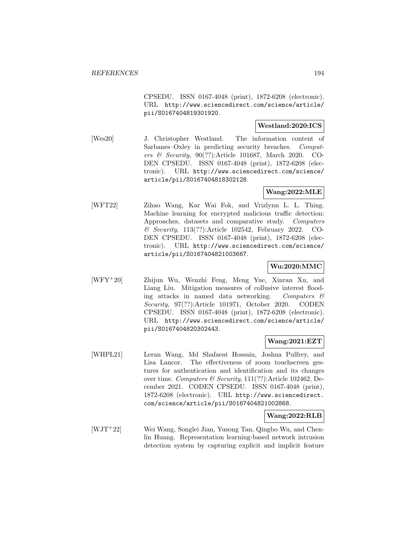CPSEDU. ISSN 0167-4048 (print), 1872-6208 (electronic). URL http://www.sciencedirect.com/science/article/ pii/S0167404819301920.

## **Westland:2020:ICS**

[Wes20] J. Christopher Westland. The information content of Sarbanes–Oxley in predicting security breaches. Computers & Security, 90(??):Article 101687, March 2020. CO-DEN CPSEDU. ISSN 0167-4048 (print), 1872-6208 (electronic). URL http://www.sciencedirect.com/science/ article/pii/S0167404818302128.

## **Wang:2022:MLE**

[WFT22] Zihao Wang, Kar Wai Fok, and Vrizlynn L. L. Thing. Machine learning for encrypted malicious traffic detection: Approaches, datasets and comparative study. Computers & Security, 113(??):Article 102542, February 2022. CO-DEN CPSEDU. ISSN 0167-4048 (print), 1872-6208 (electronic). URL http://www.sciencedirect.com/science/ article/pii/S0167404821003667.

### **Wu:2020:MMC**

[WFY<sup>+</sup>20] Zhijun Wu, Wenzhi Feng, Meng Yue, Xinran Xu, and Liang Liu. Mitigation measures of collusive interest flooding attacks in named data networking. Computers  $\mathcal{C}$ Security, 97(??):Article 101971, October 2020. CODEN CPSEDU. ISSN 0167-4048 (print), 1872-6208 (electronic). URL http://www.sciencedirect.com/science/article/ pii/S0167404820302443.

#### **Wang:2021:EZT**

[WHPL21] Leran Wang, Md Shafaeat Hossain, Joshua Pulfrey, and Lisa Lancor. The effectiveness of zoom touchscreen gestures for authentication and identification and its changes over time. Computers & Security, 111(??):Article 102462, December 2021. CODEN CPSEDU. ISSN 0167-4048 (print), 1872-6208 (electronic). URL http://www.sciencedirect. com/science/article/pii/S0167404821002868.

#### **Wang:2022:RLB**

[WJT<sup>+</sup>22] Wei Wang, Songlei Jian, Yusong Tan, Qingbo Wu, and Chenlin Huang. Representation learning-based network intrusion detection system by capturing explicit and implicit feature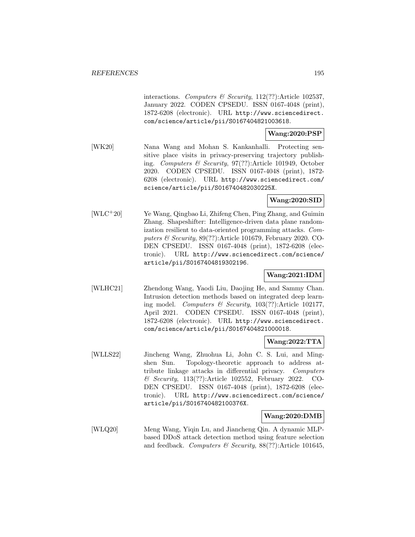interactions. Computers & Security, 112(??):Article 102537, January 2022. CODEN CPSEDU. ISSN 0167-4048 (print), 1872-6208 (electronic). URL http://www.sciencedirect. com/science/article/pii/S0167404821003618.

### **Wang:2020:PSP**

[WK20] Nana Wang and Mohan S. Kankanhalli. Protecting sensitive place visits in privacy-preserving trajectory publishing. Computers & Security, 97(??):Article 101949, October 2020. CODEN CPSEDU. ISSN 0167-4048 (print), 1872- 6208 (electronic). URL http://www.sciencedirect.com/ science/article/pii/S016740482030225X.

## **Wang:2020:SID**

[WLC<sup>+</sup>20] Ye Wang, Qingbao Li, Zhifeng Chen, Ping Zhang, and Guimin Zhang. Shapeshifter: Intelligence-driven data plane randomization resilient to data-oriented programming attacks. Computers & Security, 89(??):Article 101679, February 2020. CO-DEN CPSEDU. ISSN 0167-4048 (print), 1872-6208 (electronic). URL http://www.sciencedirect.com/science/ article/pii/S0167404819302196.

## **Wang:2021:IDM**

[WLHC21] Zhendong Wang, Yaodi Liu, Daojing He, and Sammy Chan. Intrusion detection methods based on integrated deep learning model. Computers & Security,  $103(??)$ : Article 102177, April 2021. CODEN CPSEDU. ISSN 0167-4048 (print), 1872-6208 (electronic). URL http://www.sciencedirect. com/science/article/pii/S0167404821000018.

## **Wang:2022:TTA**

[WLLS22] Jincheng Wang, Zhuohua Li, John C. S. Lui, and Mingshen Sun. Topology-theoretic approach to address attribute linkage attacks in differential privacy. Computers & Security, 113(??):Article 102552, February 2022. CO-DEN CPSEDU. ISSN 0167-4048 (print), 1872-6208 (electronic). URL http://www.sciencedirect.com/science/ article/pii/S016740482100376X.

#### **Wang:2020:DMB**

[WLQ20] Meng Wang, Yiqin Lu, and Jiancheng Qin. A dynamic MLPbased DDoS attack detection method using feature selection and feedback. Computers & Security,  $88(??)$ :Article 101645,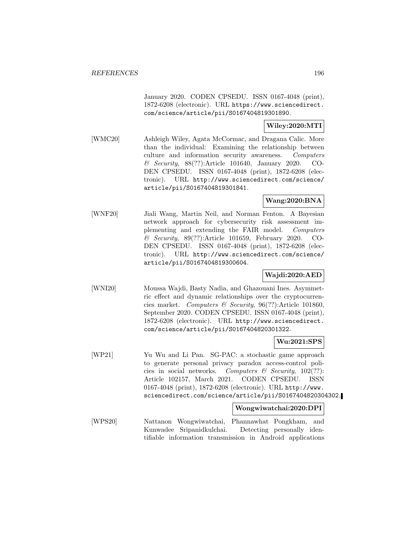January 2020. CODEN CPSEDU. ISSN 0167-4048 (print), 1872-6208 (electronic). URL https://www.sciencedirect. com/science/article/pii/S0167404819301890.

#### **Wiley:2020:MTI**

[WMC20] Ashleigh Wiley, Agata McCormac, and Dragana Calic. More than the individual: Examining the relationship between culture and information security awareness. Computers & Security, 88(??):Article 101640, January 2020. CO-DEN CPSEDU. ISSN 0167-4048 (print), 1872-6208 (electronic). URL http://www.sciencedirect.com/science/ article/pii/S0167404819301841.

# **Wang:2020:BNA**

[WNF20] Jiali Wang, Martin Neil, and Norman Fenton. A Bayesian network approach for cybersecurity risk assessment implementing and extending the FAIR model. Computers & Security, 89(??):Article 101659, February 2020. CO-DEN CPSEDU. ISSN 0167-4048 (print), 1872-6208 (electronic). URL http://www.sciencedirect.com/science/ article/pii/S0167404819300604.

## **Wajdi:2020:AED**

[WNI20] Moussa Wajdi, Basty Nadia, and Ghazouani Ines. Asymmetric effect and dynamic relationships over the cryptocurrencies market. Computers & Security, 96(??):Article 101860, September 2020. CODEN CPSEDU. ISSN 0167-4048 (print), 1872-6208 (electronic). URL http://www.sciencedirect. com/science/article/pii/S0167404820301322.

## **Wu:2021:SPS**

[WP21] Yu Wu and Li Pan. SG-PAC: a stochastic game approach to generate personal privacy paradox access-control policies in social networks. Computers  $\mathcal C$  Security, 102(??): Article 102157, March 2021. CODEN CPSEDU. ISSN 0167-4048 (print), 1872-6208 (electronic). URL http://www. sciencedirect.com/science/article/pii/S0167404820304302.

## **Wongwiwatchai:2020:DPI**

[WPS20] Nattanon Wongwiwatchai, Phannawhat Pongkham, and Kunwadee Sripanidkulchai. Detecting personally identifiable information transmission in Android applications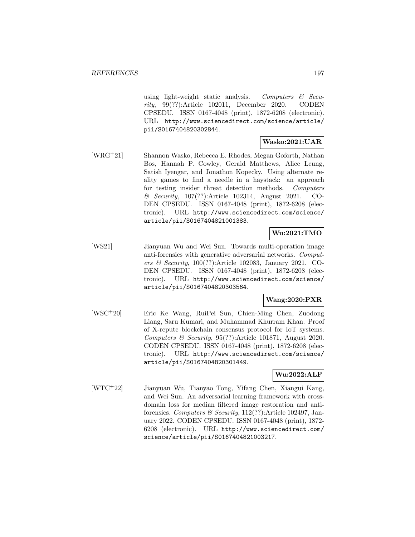using light-weight static analysis. Computers  $\mathcal{B}$  Security, 99(??):Article 102011, December 2020. CODEN CPSEDU. ISSN 0167-4048 (print), 1872-6208 (electronic). URL http://www.sciencedirect.com/science/article/ pii/S0167404820302844.

## **Wasko:2021:UAR**

[WRG<sup>+</sup>21] Shannon Wasko, Rebecca E. Rhodes, Megan Goforth, Nathan Bos, Hannah P. Cowley, Gerald Matthews, Alice Leung, Satish Iyengar, and Jonathon Kopecky. Using alternate reality games to find a needle in a haystack: an approach for testing insider threat detection methods. Computers & Security, 107(??):Article 102314, August 2021. CO-DEN CPSEDU. ISSN 0167-4048 (print), 1872-6208 (electronic). URL http://www.sciencedirect.com/science/ article/pii/S0167404821001383.

# **Wu:2021:TMO**

[WS21] Jianyuan Wu and Wei Sun. Towards multi-operation image anti-forensics with generative adversarial networks. Computers & Security, 100(??):Article 102083, January 2021. CO-DEN CPSEDU. ISSN 0167-4048 (print), 1872-6208 (electronic). URL http://www.sciencedirect.com/science/ article/pii/S0167404820303564.

# **Wang:2020:PXR**

[WSC<sup>+</sup>20] Eric Ke Wang, RuiPei Sun, Chien-Ming Chen, Zuodong Liang, Saru Kumari, and Muhammad Khurram Khan. Proof of X-repute blockchain consensus protocol for IoT systems. Computers & Security, 95(??):Article 101871, August 2020. CODEN CPSEDU. ISSN 0167-4048 (print), 1872-6208 (electronic). URL http://www.sciencedirect.com/science/ article/pii/S0167404820301449.

### **Wu:2022:ALF**

[WTC<sup>+</sup>22] Jianyuan Wu, Tianyao Tong, Yifang Chen, Xiangui Kang, and Wei Sun. An adversarial learning framework with crossdomain loss for median filtered image restoration and antiforensics. Computers  $\mathcal B$  Security, 112(??):Article 102497, January 2022. CODEN CPSEDU. ISSN 0167-4048 (print), 1872- 6208 (electronic). URL http://www.sciencedirect.com/ science/article/pii/S0167404821003217.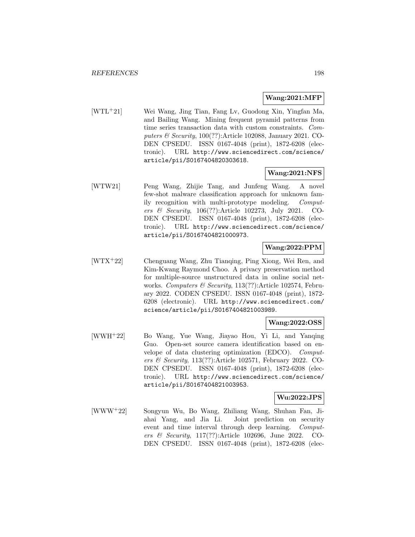### **Wang:2021:MFP**

[WTL<sup>+</sup>21] Wei Wang, Jing Tian, Fang Lv, Guodong Xin, Yingfan Ma, and Bailing Wang. Mining frequent pyramid patterns from time series transaction data with custom constraints. Computers  $\mathcal B$  Security, 100(??):Article 102088, January 2021. CO-DEN CPSEDU. ISSN 0167-4048 (print), 1872-6208 (electronic). URL http://www.sciencedirect.com/science/ article/pii/S0167404820303618.

### **Wang:2021:NFS**

[WTW21] Peng Wang, Zhijie Tang, and Junfeng Wang. A novel few-shot malware classification approach for unknown family recognition with multi-prototype modeling. Computers & Security, 106(??):Article 102273, July 2021. CO-DEN CPSEDU. ISSN 0167-4048 (print), 1872-6208 (electronic). URL http://www.sciencedirect.com/science/ article/pii/S0167404821000973.

### **Wang:2022:PPM**

[WTX<sup>+</sup>22] Chenguang Wang, Zhu Tianqing, Ping Xiong, Wei Ren, and Kim-Kwang Raymond Choo. A privacy preservation method for multiple-source unstructured data in online social networks. Computers & Security, 113(??):Article 102574, February 2022. CODEN CPSEDU. ISSN 0167-4048 (print), 1872- 6208 (electronic). URL http://www.sciencedirect.com/ science/article/pii/S0167404821003989.

### **Wang:2022:OSS**

[WWH<sup>+</sup>22] Bo Wang, Yue Wang, Jiayao Hou, Yi Li, and Yanqing Guo. Open-set source camera identification based on envelope of data clustering optimization (EDCO). Computers & Security, 113(??):Article 102571, February 2022. CO-DEN CPSEDU. ISSN 0167-4048 (print), 1872-6208 (electronic). URL http://www.sciencedirect.com/science/ article/pii/S0167404821003953.

#### **Wu:2022:JPS**

[WWW<sup>+</sup>22] Songyun Wu, Bo Wang, Zhiliang Wang, Shuhan Fan, Jiahai Yang, and Jia Li. Joint prediction on security event and time interval through deep learning. Computers & Security, 117(??):Article 102696, June 2022. CO-DEN CPSEDU. ISSN 0167-4048 (print), 1872-6208 (elec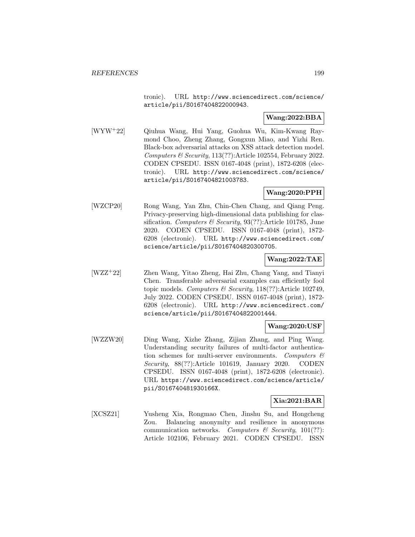tronic). URL http://www.sciencedirect.com/science/ article/pii/S0167404822000943.

## **Wang:2022:BBA**

[WYW<sup>+</sup>22] Qiuhua Wang, Hui Yang, Guohua Wu, Kim-Kwang Raymond Choo, Zheng Zhang, Gongxun Miao, and Yizhi Ren. Black-box adversarial attacks on XSS attack detection model. Computers  $\mathcal B$  Security, 113(??): Article 102554, February 2022. CODEN CPSEDU. ISSN 0167-4048 (print), 1872-6208 (electronic). URL http://www.sciencedirect.com/science/ article/pii/S0167404821003783.

## **Wang:2020:PPH**

[WZCP20] Rong Wang, Yan Zhu, Chin-Chen Chang, and Qiang Peng. Privacy-preserving high-dimensional data publishing for classification. Computers & Security,  $93(??)$ :Article 101785, June 2020. CODEN CPSEDU. ISSN 0167-4048 (print), 1872- 6208 (electronic). URL http://www.sciencedirect.com/ science/article/pii/S0167404820300705.

## **Wang:2022:TAE**

[WZZ<sup>+</sup>22] Zhen Wang, Yitao Zheng, Hai Zhu, Chang Yang, and Tianyi Chen. Transferable adversarial examples can efficiently fool topic models. Computers & Security, 118(??):Article 102749, July 2022. CODEN CPSEDU. ISSN 0167-4048 (print), 1872- 6208 (electronic). URL http://www.sciencedirect.com/ science/article/pii/S0167404822001444.

## **Wang:2020:USF**

[WZZW20] Ding Wang, Xizhe Zhang, Zijian Zhang, and Ping Wang. Understanding security failures of multi-factor authentication schemes for multi-server environments. Computers  $\mathcal{C}$ Security, 88(??):Article 101619, January 2020. CODEN CPSEDU. ISSN 0167-4048 (print), 1872-6208 (electronic). URL https://www.sciencedirect.com/science/article/ pii/S016740481930166X.

#### **Xia:2021:BAR**

[XCSZ21] Yusheng Xia, Rongmao Chen, Jinshu Su, and Hongcheng Zou. Balancing anonymity and resilience in anonymous communication networks. Computers  $\mathcal{C}$  Security, 101(??): Article 102106, February 2021. CODEN CPSEDU. ISSN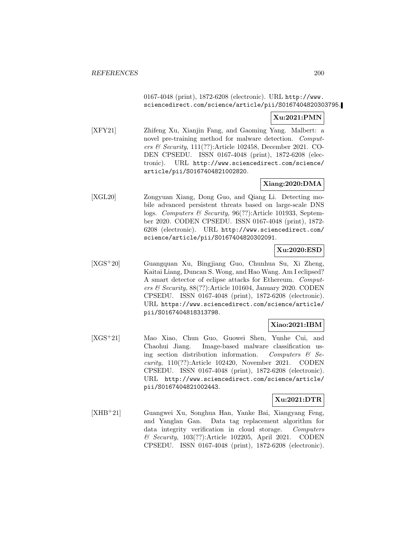## 0167-4048 (print), 1872-6208 (electronic). URL http://www. sciencedirect.com/science/article/pii/S0167404820303795.

# **Xu:2021:PMN**

[XFY21] Zhifeng Xu, Xianjin Fang, and Gaoming Yang. Malbert: a novel pre-training method for malware detection. Computers & Security, 111(??):Article 102458, December 2021. CO-DEN CPSEDU. ISSN 0167-4048 (print), 1872-6208 (electronic). URL http://www.sciencedirect.com/science/ article/pii/S0167404821002820.

# **Xiang:2020:DMA**

[XGL20] Zongyuan Xiang, Dong Guo, and Qiang Li. Detecting mobile advanced persistent threats based on large-scale DNS logs. Computers & Security, 96(??):Article 101933, September 2020. CODEN CPSEDU. ISSN 0167-4048 (print), 1872- 6208 (electronic). URL http://www.sciencedirect.com/ science/article/pii/S0167404820302091.

### **Xu:2020:ESD**

[XGS<sup>+</sup>20] Guangquan Xu, Bingjiang Guo, Chunhua Su, Xi Zheng, Kaitai Liang, Duncan S. Wong, and Hao Wang. Am I eclipsed? A smart detector of eclipse attacks for Ethereum. Computers  $\mathcal B$  Security, 88(??): Article 101604, January 2020. CODEN CPSEDU. ISSN 0167-4048 (print), 1872-6208 (electronic). URL https://www.sciencedirect.com/science/article/ pii/S0167404818313798.

## **Xiao:2021:IBM**

[XGS<sup>+</sup>21] Mao Xiao, Chun Guo, Guowei Shen, Yunhe Cui, and Chaohui Jiang. Image-based malware classification using section distribution information. Computers  $\mathcal{C}$  Security, 110(??):Article 102420, November 2021. CODEN CPSEDU. ISSN 0167-4048 (print), 1872-6208 (electronic). URL http://www.sciencedirect.com/science/article/ pii/S0167404821002443.

#### **Xu:2021:DTR**

[XHB<sup>+</sup>21] Guangwei Xu, Songhua Han, Yanke Bai, Xiangyang Feng, and Yanglan Gan. Data tag replacement algorithm for data integrity verification in cloud storage. Computers & Security, 103(??):Article 102205, April 2021. CODEN CPSEDU. ISSN 0167-4048 (print), 1872-6208 (electronic).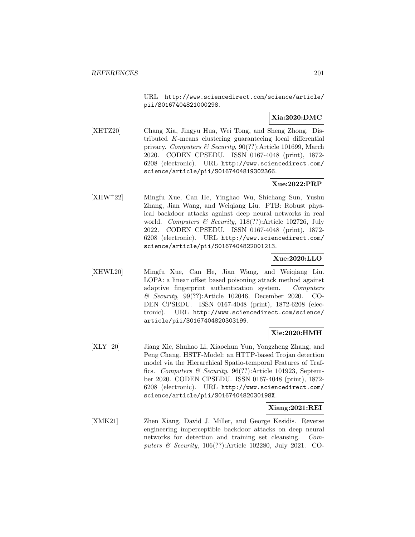URL http://www.sciencedirect.com/science/article/ pii/S0167404821000298.

## **Xia:2020:DMC**

[XHTZ20] Chang Xia, Jingyu Hua, Wei Tong, and Sheng Zhong. Distributed K-means clustering guaranteeing local differential privacy. Computers & Security, 90(??):Article 101699, March 2020. CODEN CPSEDU. ISSN 0167-4048 (print), 1872- 6208 (electronic). URL http://www.sciencedirect.com/ science/article/pii/S0167404819302366.

# **Xue:2022:PRP**

[XHW<sup>+</sup>22] Mingfu Xue, Can He, Yinghao Wu, Shichang Sun, Yushu Zhang, Jian Wang, and Weiqiang Liu. PTB: Robust physical backdoor attacks against deep neural networks in real world. Computers & Security, 118(??):Article 102726, July 2022. CODEN CPSEDU. ISSN 0167-4048 (print), 1872- 6208 (electronic). URL http://www.sciencedirect.com/ science/article/pii/S0167404822001213.

## **Xue:2020:LLO**

[XHWL20] Mingfu Xue, Can He, Jian Wang, and Weiqiang Liu. LOPA: a linear offset based poisoning attack method against adaptive fingerprint authentication system. Computers & Security, 99(??):Article 102046, December 2020. CO-DEN CPSEDU. ISSN 0167-4048 (print), 1872-6208 (electronic). URL http://www.sciencedirect.com/science/ article/pii/S0167404820303199.

#### **Xie:2020:HMH**

[XLY<sup>+</sup>20] Jiang Xie, Shuhao Li, Xiaochun Yun, Yongzheng Zhang, and Peng Chang. HSTF-Model: an HTTP-based Trojan detection model via the Hierarchical Spatio-temporal Features of Traffics. Computers & Security, 96(??):Article 101923, September 2020. CODEN CPSEDU. ISSN 0167-4048 (print), 1872- 6208 (electronic). URL http://www.sciencedirect.com/ science/article/pii/S016740482030198X.

## **Xiang:2021:REI**

[XMK21] Zhen Xiang, David J. Miller, and George Kesidis. Reverse engineering imperceptible backdoor attacks on deep neural networks for detection and training set cleansing. Computers  $\mathcal B$  Security, 106(??):Article 102280, July 2021. CO-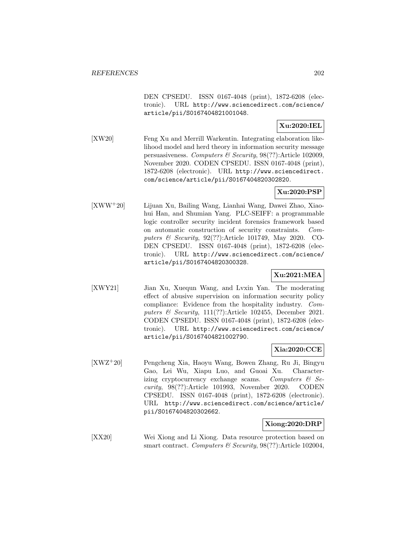DEN CPSEDU. ISSN 0167-4048 (print), 1872-6208 (electronic). URL http://www.sciencedirect.com/science/ article/pii/S0167404821001048.

# **Xu:2020:IEL**

[XW20] Feng Xu and Merrill Warkentin. Integrating elaboration likelihood model and herd theory in information security message persuasiveness. Computers & Security, 98(??):Article 102009, November 2020. CODEN CPSEDU. ISSN 0167-4048 (print), 1872-6208 (electronic). URL http://www.sciencedirect. com/science/article/pii/S0167404820302820.

### **Xu:2020:PSP**

[XWW<sup>+</sup>20] Lijuan Xu, Bailing Wang, Lianhai Wang, Dawei Zhao, Xiaohui Han, and Shumian Yang. PLC-SEIFF: a programmable logic controller security incident forensics framework based on automatic construction of security constraints. Computers & Security, 92(??):Article 101749, May 2020. CO-DEN CPSEDU. ISSN 0167-4048 (print), 1872-6208 (electronic). URL http://www.sciencedirect.com/science/ article/pii/S0167404820300328.

# **Xu:2021:MEA**

[XWY21] Jian Xu, Xuequn Wang, and Lvxin Yan. The moderating effect of abusive supervision on information security policy compliance: Evidence from the hospitality industry. Computers & Security, 111(??):Article 102455, December 2021. CODEN CPSEDU. ISSN 0167-4048 (print), 1872-6208 (electronic). URL http://www.sciencedirect.com/science/ article/pii/S0167404821002790.

### **Xia:2020:CCE**

[XWZ<sup>+</sup>20] Pengcheng Xia, Haoyu Wang, Bowen Zhang, Ru Ji, Bingyu Gao, Lei Wu, Xiapu Luo, and Guoai Xu. Characterizing cryptocurrency exchange scams. Computers & Security, 98(??):Article 101993, November 2020. CODEN CPSEDU. ISSN 0167-4048 (print), 1872-6208 (electronic). URL http://www.sciencedirect.com/science/article/ pii/S0167404820302662.

#### **Xiong:2020:DRP**

[XX20] Wei Xiong and Li Xiong. Data resource protection based on smart contract. Computers & Security, 98(??):Article 102004,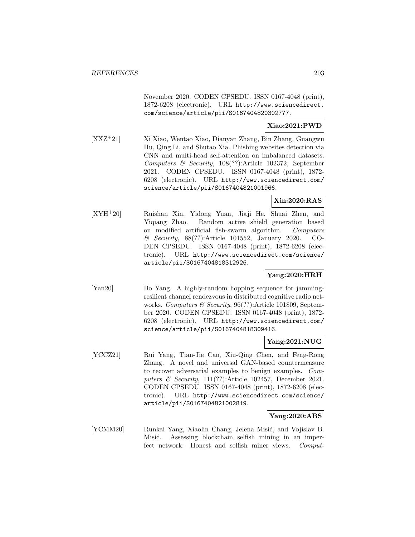November 2020. CODEN CPSEDU. ISSN 0167-4048 (print), 1872-6208 (electronic). URL http://www.sciencedirect. com/science/article/pii/S0167404820302777.

## **Xiao:2021:PWD**

[XXZ<sup>+</sup>21] Xi Xiao, Wentao Xiao, Dianyan Zhang, Bin Zhang, Guangwu Hu, Qing Li, and Shutao Xia. Phishing websites detection via CNN and multi-head self-attention on imbalanced datasets. Computers & Security, 108(??):Article 102372, September 2021. CODEN CPSEDU. ISSN 0167-4048 (print), 1872- 6208 (electronic). URL http://www.sciencedirect.com/ science/article/pii/S0167404821001966.

# **Xin:2020:RAS**

[XYH<sup>+</sup>20] Ruishan Xin, Yidong Yuan, Jiaji He, Shuai Zhen, and Yiqiang Zhao. Random active shield generation based on modified artificial fish-swarm algorithm. Computers & Security, 88(??):Article 101552, January 2020. CO-DEN CPSEDU. ISSN 0167-4048 (print), 1872-6208 (electronic). URL http://www.sciencedirect.com/science/ article/pii/S0167404818312926.

## **Yang:2020:HRH**

[Yan20] Bo Yang. A highly-random hopping sequence for jammingresilient channel rendezvous in distributed cognitive radio networks. Computers & Security, 96(??):Article 101809, September 2020. CODEN CPSEDU. ISSN 0167-4048 (print), 1872- 6208 (electronic). URL http://www.sciencedirect.com/ science/article/pii/S0167404818309416.

## **Yang:2021:NUG**

[YCCZ21] Rui Yang, Tian-Jie Cao, Xiu-Qing Chen, and Feng-Rong Zhang. A novel and universal GAN-based countermeasure to recover adversarial examples to benign examples. Computers  $\mathcal B$  Security, 111(??): Article 102457, December 2021. CODEN CPSEDU. ISSN 0167-4048 (print), 1872-6208 (electronic). URL http://www.sciencedirect.com/science/ article/pii/S0167404821002819.

#### **Yang:2020:ABS**

[YCMM20] Runkai Yang, Xiaolin Chang, Jelena Misić, and Vojislav B. Misić. Assessing blockchain selfish mining in an imperfect network: Honest and selfish miner views. Comput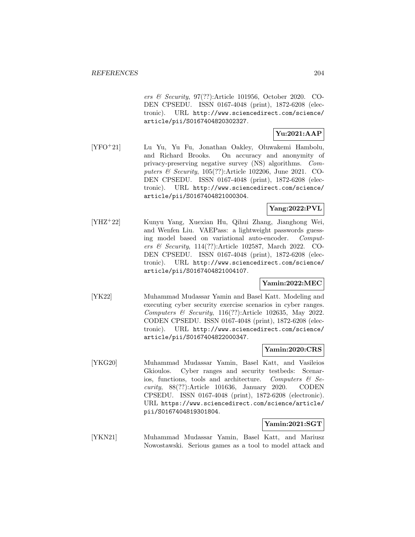ers & Security, 97(??):Article 101956, October 2020. CO-DEN CPSEDU. ISSN 0167-4048 (print), 1872-6208 (electronic). URL http://www.sciencedirect.com/science/ article/pii/S0167404820302327.

# **Yu:2021:AAP**

[YFO<sup>+</sup>21] Lu Yu, Yu Fu, Jonathan Oakley, Oluwakemi Hambolu, and Richard Brooks. On accuracy and anonymity of privacy-preserving negative survey (NS) algorithms. Computers & Security, 105(??):Article 102206, June 2021. CO-DEN CPSEDU. ISSN 0167-4048 (print), 1872-6208 (electronic). URL http://www.sciencedirect.com/science/ article/pii/S0167404821000304.

# **Yang:2022:PVL**

[YHZ<sup>+</sup>22] Kunyu Yang, Xuexian Hu, Qihui Zhang, Jianghong Wei, and Wenfen Liu. VAEPass: a lightweight passwords guessing model based on variational auto-encoder. Computers & Security, 114(??):Article 102587, March 2022. CO-DEN CPSEDU. ISSN 0167-4048 (print), 1872-6208 (electronic). URL http://www.sciencedirect.com/science/ article/pii/S0167404821004107.

### **Yamin:2022:MEC**

[YK22] Muhammad Mudassar Yamin and Basel Katt. Modeling and executing cyber security exercise scenarios in cyber ranges. Computers & Security, 116(??):Article 102635, May 2022. CODEN CPSEDU. ISSN 0167-4048 (print), 1872-6208 (electronic). URL http://www.sciencedirect.com/science/ article/pii/S0167404822000347.

#### **Yamin:2020:CRS**

[YKG20] Muhammad Mudassar Yamin, Basel Katt, and Vasileios Gkioulos. Cyber ranges and security testbeds: Scenarios, functions, tools and architecture. Computers  $\mathcal{C}$  Security, 88(??):Article 101636, January 2020. CODEN CPSEDU. ISSN 0167-4048 (print), 1872-6208 (electronic). URL https://www.sciencedirect.com/science/article/ pii/S0167404819301804.

#### **Yamin:2021:SGT**

[YKN21] Muhammad Mudassar Yamin, Basel Katt, and Mariusz Nowostawski. Serious games as a tool to model attack and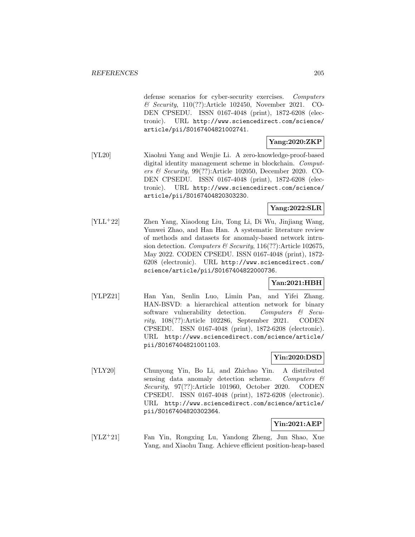defense scenarios for cyber-security exercises. Computers & Security, 110(??):Article 102450, November 2021. CO-DEN CPSEDU. ISSN 0167-4048 (print), 1872-6208 (electronic). URL http://www.sciencedirect.com/science/ article/pii/S0167404821002741.

# **Yang:2020:ZKP**

[YL20] Xiaohui Yang and Wenjie Li. A zero-knowledge-proof-based digital identity management scheme in blockchain. Computers & Security, 99(??):Article 102050, December 2020. CO-DEN CPSEDU. ISSN 0167-4048 (print), 1872-6208 (electronic). URL http://www.sciencedirect.com/science/ article/pii/S0167404820303230.

# **Yang:2022:SLR**

[YLL<sup>+</sup>22] Zhen Yang, Xiaodong Liu, Tong Li, Di Wu, Jinjiang Wang, Yunwei Zhao, and Han Han. A systematic literature review of methods and datasets for anomaly-based network intrusion detection. Computers & Security,  $116(??)$ : Article 102675, May 2022. CODEN CPSEDU. ISSN 0167-4048 (print), 1872- 6208 (electronic). URL http://www.sciencedirect.com/ science/article/pii/S0167404822000736.

### **Yan:2021:HBH**

[YLPZ21] Han Yan, Senlin Luo, Limin Pan, and Yifei Zhang. HAN-BSVD: a hierarchical attention network for binary software vulnerability detection. Computers & Security, 108(??):Article 102286, September 2021. CODEN CPSEDU. ISSN 0167-4048 (print), 1872-6208 (electronic). URL http://www.sciencedirect.com/science/article/ pii/S0167404821001103.

## **Yin:2020:DSD**

[YLY20] Chunyong Yin, Bo Li, and Zhichao Yin. A distributed sensing data anomaly detection scheme. Computers  $\mathcal{C}$ Security, 97(??):Article 101960, October 2020. CODEN CPSEDU. ISSN 0167-4048 (print), 1872-6208 (electronic). URL http://www.sciencedirect.com/science/article/ pii/S0167404820302364.

## **Yin:2021:AEP**

[YLZ<sup>+</sup>21] Fan Yin, Rongxing Lu, Yandong Zheng, Jun Shao, Xue Yang, and Xiaohu Tang. Achieve efficient position-heap-based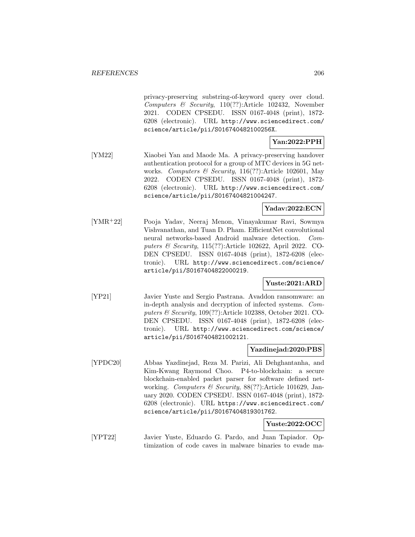privacy-preserving substring-of-keyword query over cloud. Computers & Security, 110(??):Article 102432, November 2021. CODEN CPSEDU. ISSN 0167-4048 (print), 1872- 6208 (electronic). URL http://www.sciencedirect.com/ science/article/pii/S016740482100256X.

# **Yan:2022:PPH**

[YM22] Xiaobei Yan and Maode Ma. A privacy-preserving handover authentication protocol for a group of MTC devices in 5G networks. Computers & Security, 116(??):Article 102601, May 2022. CODEN CPSEDU. ISSN 0167-4048 (print), 1872- 6208 (electronic). URL http://www.sciencedirect.com/ science/article/pii/S0167404821004247.

# **Yadav:2022:ECN**

[YMR<sup>+</sup>22] Pooja Yadav, Neeraj Menon, Vinayakumar Ravi, Sowmya Vishvanathan, and Tuan D. Pham. EfficientNet convolutional neural networks-based Android malware detection. Computers & Security, 115(??):Article 102622, April 2022. CO-DEN CPSEDU. ISSN 0167-4048 (print), 1872-6208 (electronic). URL http://www.sciencedirect.com/science/ article/pii/S0167404822000219.

#### **Yuste:2021:ARD**

[YP21] Javier Yuste and Sergio Pastrana. Avaddon ransomware: an in-depth analysis and decryption of infected systems. Computers & Security, 109(??):Article 102388, October 2021. CO-DEN CPSEDU. ISSN 0167-4048 (print), 1872-6208 (electronic). URL http://www.sciencedirect.com/science/ article/pii/S0167404821002121.

#### **Yazdinejad:2020:PBS**

[YPDC20] Abbas Yazdinejad, Reza M. Parizi, Ali Dehghantanha, and Kim-Kwang Raymond Choo. P4-to-blockchain: a secure blockchain-enabled packet parser for software defined networking. Computers & Security, 88(??):Article 101629, January 2020. CODEN CPSEDU. ISSN 0167-4048 (print), 1872- 6208 (electronic). URL https://www.sciencedirect.com/ science/article/pii/S0167404819301762.

# **Yuste:2022:OCC**

[YPT22] Javier Yuste, Eduardo G. Pardo, and Juan Tapiador. Optimization of code caves in malware binaries to evade ma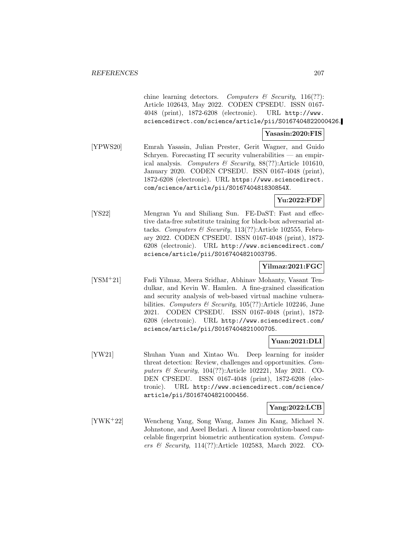chine learning detectors. Computers  $\mathcal{C}$  Security, 116(??): Article 102643, May 2022. CODEN CPSEDU. ISSN 0167- 4048 (print), 1872-6208 (electronic). URL http://www. sciencedirect.com/science/article/pii/S0167404822000426.

#### **Yasasin:2020:FIS**

[YPWS20] Emrah Yasasin, Julian Prester, Gerit Wagner, and Guido Schryen. Forecasting IT security vulnerabilities — an empirical analysis. Computers & Security, 88(??):Article 101610, January 2020. CODEN CPSEDU. ISSN 0167-4048 (print), 1872-6208 (electronic). URL https://www.sciencedirect. com/science/article/pii/S016740481830854X.

### **Yu:2022:FDF**

[YS22] Mengran Yu and Shiliang Sun. FE-DaST: Fast and effective data-free substitute training for black-box adversarial attacks. Computers & Security,  $113(??)$ :Article 102555, February 2022. CODEN CPSEDU. ISSN 0167-4048 (print), 1872- 6208 (electronic). URL http://www.sciencedirect.com/ science/article/pii/S0167404821003795.

### **Yilmaz:2021:FGC**

[YSM<sup>+</sup>21] Fadi Yilmaz, Meera Sridhar, Abhinav Mohanty, Vasant Tendulkar, and Kevin W. Hamlen. A fine-grained classification and security analysis of web-based virtual machine vulnerabilities. Computers & Security,  $105(??)$ :Article 102246, June 2021. CODEN CPSEDU. ISSN 0167-4048 (print), 1872- 6208 (electronic). URL http://www.sciencedirect.com/ science/article/pii/S0167404821000705.

## **Yuan:2021:DLI**

[YW21] Shuhan Yuan and Xintao Wu. Deep learning for insider threat detection: Review, challenges and opportunities. Computers & Security, 104(??):Article 102221, May 2021. CO-DEN CPSEDU. ISSN 0167-4048 (print), 1872-6208 (electronic). URL http://www.sciencedirect.com/science/ article/pii/S0167404821000456.

## **Yang:2022:LCB**

[YWK<sup>+</sup>22] Wencheng Yang, Song Wang, James Jin Kang, Michael N. Johnstone, and Aseel Bedari. A linear convolution-based cancelable fingerprint biometric authentication system. Computers & Security, 114(??):Article 102583, March 2022. CO-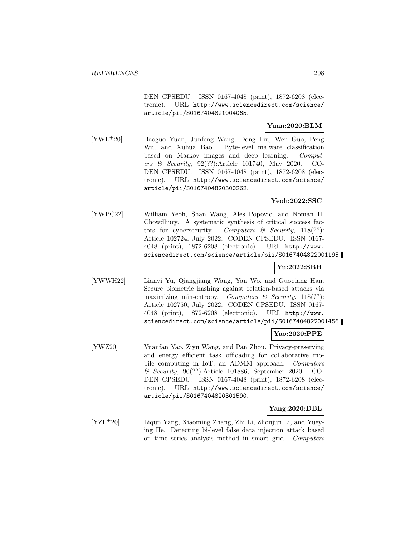DEN CPSEDU. ISSN 0167-4048 (print), 1872-6208 (electronic). URL http://www.sciencedirect.com/science/ article/pii/S0167404821004065.

### **Yuan:2020:BLM**

[YWL<sup>+</sup>20] Baoguo Yuan, Junfeng Wang, Dong Liu, Wen Guo, Peng Wu, and Xuhua Bao. Byte-level malware classification based on Markov images and deep learning. Computers & Security, 92(??):Article 101740, May 2020. CO-DEN CPSEDU. ISSN 0167-4048 (print), 1872-6208 (electronic). URL http://www.sciencedirect.com/science/ article/pii/S0167404820300262.

## **Yeoh:2022:SSC**

[YWPC22] William Yeoh, Shan Wang, Ales Popovic, and Noman H. Chowdhury. A systematic synthesis of critical success factors for cybersecurity. Computers  $\mathcal{B}$  Security, 118(??): Article 102724, July 2022. CODEN CPSEDU. ISSN 0167- 4048 (print), 1872-6208 (electronic). URL http://www. sciencedirect.com/science/article/pii/S0167404822001195.

# **Yu:2022:SBH**

[YWWH22] Lianyi Yu, Qiangjiang Wang, Yan Wo, and Guoqiang Han. Secure biometric hashing against relation-based attacks via maximizing min-entropy. Computers  $\mathscr$  Security, 118(??): Article 102750, July 2022. CODEN CPSEDU. ISSN 0167- 4048 (print), 1872-6208 (electronic). URL http://www. sciencedirect.com/science/article/pii/S0167404822001456.

## **Yao:2020:PPE**

[YWZ20] Yuanfan Yao, Ziyu Wang, and Pan Zhou. Privacy-preserving and energy efficient task offloading for collaborative mobile computing in IoT: an ADMM approach. Computers & Security, 96(??):Article 101886, September 2020. CO-DEN CPSEDU. ISSN 0167-4048 (print), 1872-6208 (electronic). URL http://www.sciencedirect.com/science/ article/pii/S0167404820301590.

## **Yang:2020:DBL**

[YZL<sup>+</sup>20] Liqun Yang, Xiaoming Zhang, Zhi Li, Zhoujun Li, and Yueying He. Detecting bi-level false data injection attack based on time series analysis method in smart grid. Computers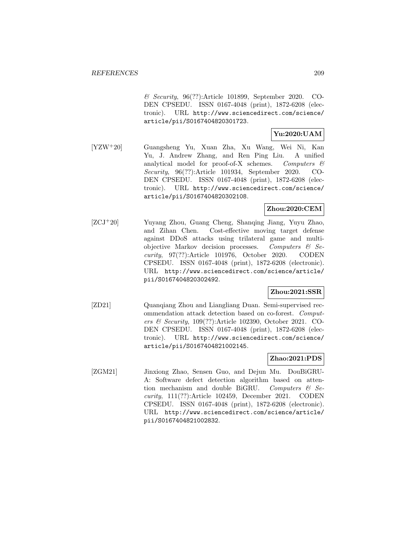& Security, 96(??):Article 101899, September 2020. CO-DEN CPSEDU. ISSN 0167-4048 (print), 1872-6208 (electronic). URL http://www.sciencedirect.com/science/ article/pii/S0167404820301723.

# **Yu:2020:UAM**

[YZW<sup>+</sup>20] Guangsheng Yu, Xuan Zha, Xu Wang, Wei Ni, Kan Yu, J. Andrew Zhang, and Ren Ping Liu. A unified analytical model for proof-of-X schemes. Computers & Security, 96(??):Article 101934, September 2020. CO-DEN CPSEDU. ISSN 0167-4048 (print), 1872-6208 (electronic). URL http://www.sciencedirect.com/science/ article/pii/S0167404820302108.

# **Zhou:2020:CEM**

[ZCJ<sup>+</sup>20] Yuyang Zhou, Guang Cheng, Shanqing Jiang, Yuyu Zhao, and Zihan Chen. Cost-effective moving target defense against DDoS attacks using trilateral game and multiobjective Markov decision processes. Computers & Security, 97(??):Article 101976, October 2020. CODEN CPSEDU. ISSN 0167-4048 (print), 1872-6208 (electronic). URL http://www.sciencedirect.com/science/article/ pii/S0167404820302492.

## **Zhou:2021:SSR**

[ZD21] Quanqiang Zhou and Liangliang Duan. Semi-supervised recommendation attack detection based on co-forest. Computers & Security, 109(??):Article 102390, October 2021. CO-DEN CPSEDU. ISSN 0167-4048 (print), 1872-6208 (electronic). URL http://www.sciencedirect.com/science/ article/pii/S0167404821002145.

# **Zhao:2021:PDS**

[ZGM21] Jinxiong Zhao, Sensen Guo, and Dejun Mu. DouBiGRU-A: Software defect detection algorithm based on attention mechanism and double BiGRU. Computers  $\mathcal{C}$  Security, 111(??):Article 102459, December 2021. CODEN CPSEDU. ISSN 0167-4048 (print), 1872-6208 (electronic). URL http://www.sciencedirect.com/science/article/ pii/S0167404821002832.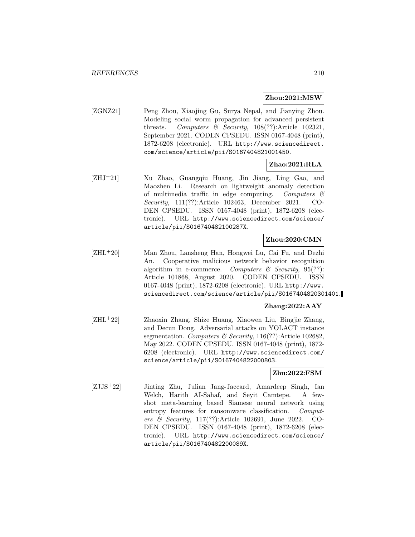#### **Zhou:2021:MSW**

[ZGNZ21] Peng Zhou, Xiaojing Gu, Surya Nepal, and Jianying Zhou. Modeling social worm propagation for advanced persistent threats. Computers & Security,  $108(??)$ :Article 102321, September 2021. CODEN CPSEDU. ISSN 0167-4048 (print), 1872-6208 (electronic). URL http://www.sciencedirect. com/science/article/pii/S0167404821001450.

### **Zhao:2021:RLA**

[ZHJ<sup>+</sup>21] Xu Zhao, Guangqiu Huang, Jin Jiang, Ling Gao, and Maozhen Li. Research on lightweight anomaly detection of multimedia traffic in edge computing. Computers  $\mathcal{C}$ Security, 111(??):Article 102463, December 2021. CO-DEN CPSEDU. ISSN 0167-4048 (print), 1872-6208 (electronic). URL http://www.sciencedirect.com/science/ article/pii/S016740482100287X.

## **Zhou:2020:CMN**

[ZHL<sup>+</sup>20] Man Zhou, Lansheng Han, Hongwei Lu, Cai Fu, and Dezhi An. Cooperative malicious network behavior recognition algorithm in e-commerce. Computers  $\mathcal C$  Security, 95(??): Article 101868, August 2020. CODEN CPSEDU. ISSN 0167-4048 (print), 1872-6208 (electronic). URL http://www. sciencedirect.com/science/article/pii/S0167404820301401.

# **Zhang:2022:AAY**

[ZHL<sup>+</sup>22] Zhaoxin Zhang, Shize Huang, Xiaowen Liu, Bingjie Zhang, and Decun Dong. Adversarial attacks on YOLACT instance segmentation. Computers & Security, 116(??):Article 102682, May 2022. CODEN CPSEDU. ISSN 0167-4048 (print), 1872- 6208 (electronic). URL http://www.sciencedirect.com/ science/article/pii/S0167404822000803.

# **Zhu:2022:FSM**

[ZJJS<sup>+</sup>22] Jinting Zhu, Julian Jang-Jaccard, Amardeep Singh, Ian Welch, Harith AI-Sahaf, and Seyit Camtepe. A fewshot meta-learning based Siamese neural network using entropy features for ransomware classification. Computers & Security, 117(??):Article 102691, June 2022. CO-DEN CPSEDU. ISSN 0167-4048 (print), 1872-6208 (electronic). URL http://www.sciencedirect.com/science/ article/pii/S016740482200089X.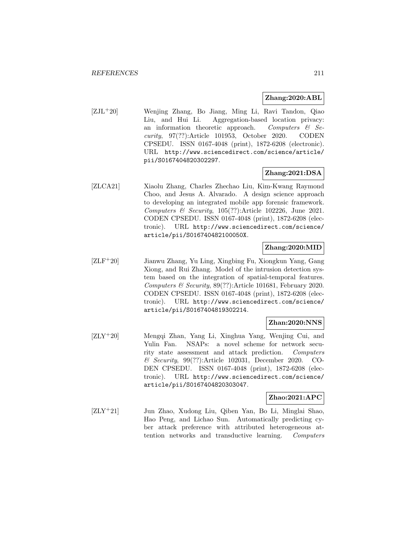#### **Zhang:2020:ABL**

[ZJL<sup>+</sup>20] Wenjing Zhang, Bo Jiang, Ming Li, Ravi Tandon, Qiao Liu, and Hui Li. Aggregation-based location privacy: an information theoretic approach. Computers  $\mathcal{C}$  Security, 97(??):Article 101953, October 2020. CODEN CPSEDU. ISSN 0167-4048 (print), 1872-6208 (electronic). URL http://www.sciencedirect.com/science/article/ pii/S0167404820302297.

#### **Zhang:2021:DSA**

[ZLCA21] Xiaolu Zhang, Charles Zhechao Liu, Kim-Kwang Raymond Choo, and Jesus A. Alvarado. A design science approach to developing an integrated mobile app forensic framework. Computers & Security, 105(??):Article 102226, June 2021. CODEN CPSEDU. ISSN 0167-4048 (print), 1872-6208 (electronic). URL http://www.sciencedirect.com/science/ article/pii/S016740482100050X.

## **Zhang:2020:MID**

[ZLF<sup>+</sup>20] Jianwu Zhang, Yu Ling, Xingbing Fu, Xiongkun Yang, Gang Xiong, and Rui Zhang. Model of the intrusion detection system based on the integration of spatial-temporal features. Computers & Security, 89(??):Article 101681, February 2020. CODEN CPSEDU. ISSN 0167-4048 (print), 1872-6208 (electronic). URL http://www.sciencedirect.com/science/ article/pii/S0167404819302214.

### **Zhan:2020:NNS**

[ZLY<sup>+</sup>20] Mengqi Zhan, Yang Li, Xinghua Yang, Wenjing Cui, and Yulin Fan. NSAPs: a novel scheme for network security state assessment and attack prediction. Computers & Security, 99(??):Article 102031, December 2020. CO-DEN CPSEDU. ISSN 0167-4048 (print), 1872-6208 (electronic). URL http://www.sciencedirect.com/science/ article/pii/S0167404820303047.

#### **Zhao:2021:APC**

[ZLY<sup>+</sup>21] Jun Zhao, Xudong Liu, Qiben Yan, Bo Li, Minglai Shao, Hao Peng, and Lichao Sun. Automatically predicting cyber attack preference with attributed heterogeneous attention networks and transductive learning. Computers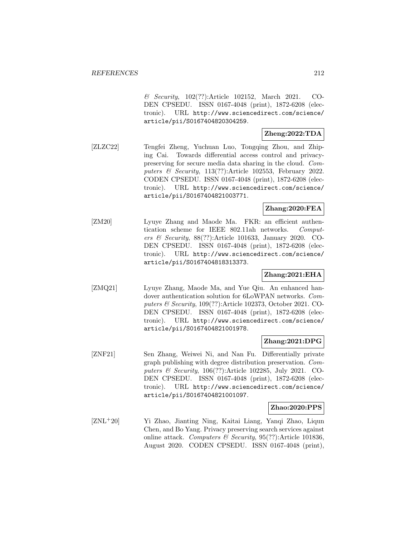& Security, 102(??):Article 102152, March 2021. CO-DEN CPSEDU. ISSN 0167-4048 (print), 1872-6208 (electronic). URL http://www.sciencedirect.com/science/ article/pii/S0167404820304259.

# **Zheng:2022:TDA**

[ZLZC22] Tengfei Zheng, Yuchuan Luo, Tongqing Zhou, and Zhiping Cai. Towards differential access control and privacypreserving for secure media data sharing in the cloud. Computers & Security, 113(??):Article 102553, February 2022. CODEN CPSEDU. ISSN 0167-4048 (print), 1872-6208 (electronic). URL http://www.sciencedirect.com/science/ article/pii/S0167404821003771.

# **Zhang:2020:FEA**

[ZM20] Lyuye Zhang and Maode Ma. FKR: an efficient authentication scheme for IEEE 802.11ah networks. Computers & Security, 88(??):Article 101633, January 2020. CO-DEN CPSEDU. ISSN 0167-4048 (print), 1872-6208 (electronic). URL http://www.sciencedirect.com/science/ article/pii/S0167404818313373.

## **Zhang:2021:EHA**

[ZMQ21] Lyuye Zhang, Maode Ma, and Yue Qiu. An enhanced handover authentication solution for 6LoWPAN networks. Computers & Security, 109(??):Article 102373, October 2021. CO-DEN CPSEDU. ISSN 0167-4048 (print), 1872-6208 (electronic). URL http://www.sciencedirect.com/science/ article/pii/S0167404821001978.

## **Zhang:2021:DPG**

[ZNF21] Sen Zhang, Weiwei Ni, and Nan Fu. Differentially private graph publishing with degree distribution preservation. Computers & Security, 106(??):Article 102285, July 2021. CO-DEN CPSEDU. ISSN 0167-4048 (print), 1872-6208 (electronic). URL http://www.sciencedirect.com/science/ article/pii/S0167404821001097.

#### **Zhao:2020:PPS**

[ZNL<sup>+</sup>20] Yi Zhao, Jianting Ning, Kaitai Liang, Yanqi Zhao, Liqun Chen, and Bo Yang. Privacy preserving search services against online attack. Computers & Security, 95(??):Article 101836, August 2020. CODEN CPSEDU. ISSN 0167-4048 (print),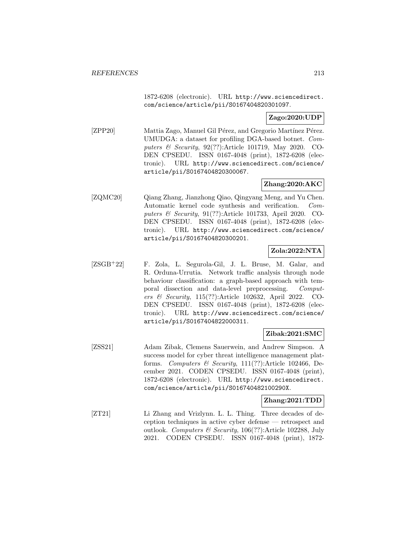1872-6208 (electronic). URL http://www.sciencedirect. com/science/article/pii/S0167404820301097.

### **Zago:2020:UDP**

[ZPP20] Mattia Zago, Manuel Gil Pérez, and Gregorio Martínez Pérez. UMUDGA: a dataset for profiling DGA-based botnet. Computers & Security, 92(??):Article 101719, May 2020. CO-DEN CPSEDU. ISSN 0167-4048 (print), 1872-6208 (electronic). URL http://www.sciencedirect.com/science/ article/pii/S0167404820300067.

# **Zhang:2020:AKC**

[ZQMC20] Qiang Zhang, Jianzhong Qiao, Qingyang Meng, and Yu Chen. Automatic kernel code synthesis and verification. Computers & Security, 91(??):Article 101733, April 2020. CO-DEN CPSEDU. ISSN 0167-4048 (print), 1872-6208 (electronic). URL http://www.sciencedirect.com/science/ article/pii/S0167404820300201.

## **Zola:2022:NTA**

[ZSGB<sup>+</sup>22] F. Zola, L. Segurola-Gil, J. L. Bruse, M. Galar, and R. Orduna-Urrutia. Network traffic analysis through node behaviour classification: a graph-based approach with temporal dissection and data-level preprocessing. Computers & Security, 115(??):Article 102632, April 2022. CO-DEN CPSEDU. ISSN 0167-4048 (print), 1872-6208 (electronic). URL http://www.sciencedirect.com/science/ article/pii/S0167404822000311.

#### **Zibak:2021:SMC**

[ZSS21] Adam Zibak, Clemens Sauerwein, and Andrew Simpson. A success model for cyber threat intelligence management platforms. Computers & Security,  $111(??)$ :Article 102466, December 2021. CODEN CPSEDU. ISSN 0167-4048 (print), 1872-6208 (electronic). URL http://www.sciencedirect. com/science/article/pii/S016740482100290X.

#### **Zhang:2021:TDD**

[ZT21] Li Zhang and Vrizlynn. L. L. Thing. Three decades of deception techniques in active cyber defense — retrospect and outlook. Computers & Security, 106(??):Article 102288, July 2021. CODEN CPSEDU. ISSN 0167-4048 (print), 1872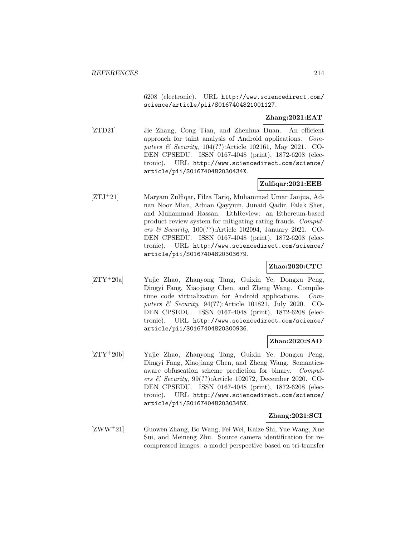6208 (electronic). URL http://www.sciencedirect.com/ science/article/pii/S0167404821001127.

# **Zhang:2021:EAT**

[ZTD21] Jie Zhang, Cong Tian, and Zhenhua Duan. An efficient approach for taint analysis of Android applications. Computers & Security, 104(??):Article 102161, May 2021. CO-DEN CPSEDU. ISSN 0167-4048 (print), 1872-6208 (electronic). URL http://www.sciencedirect.com/science/ article/pii/S016740482030434X.

### **Zulfiqar:2021:EEB**

[ZTJ<sup>+</sup>21] Maryam Zulfiqar, Filza Tariq, Muhammad Umar Janjua, Adnan Noor Mian, Adnan Qayyum, Junaid Qadir, Falak Sher, and Muhammad Hassan. EthReview: an Ethereum-based product review system for mitigating rating frauds. Computers & Security, 100(??):Article 102094, January 2021. CO-DEN CPSEDU. ISSN 0167-4048 (print), 1872-6208 (electronic). URL http://www.sciencedirect.com/science/ article/pii/S0167404820303679.

#### **Zhao:2020:CTC**

[ZTY<sup>+</sup>20a] Yujie Zhao, Zhanyong Tang, Guixin Ye, Dongxu Peng, Dingyi Fang, Xiaojiang Chen, and Zheng Wang. Compiletime code virtualization for Android applications. Computers & Security, 94(??):Article 101821, July 2020. CO-DEN CPSEDU. ISSN 0167-4048 (print), 1872-6208 (electronic). URL http://www.sciencedirect.com/science/ article/pii/S0167404820300936.

#### **Zhao:2020:SAO**

[ZTY<sup>+</sup>20b] Yujie Zhao, Zhanyong Tang, Guixin Ye, Dongxu Peng, Dingyi Fang, Xiaojiang Chen, and Zheng Wang. Semanticsaware obfuscation scheme prediction for binary. Computers & Security, 99(??):Article 102072, December 2020. CO-DEN CPSEDU. ISSN 0167-4048 (print), 1872-6208 (electronic). URL http://www.sciencedirect.com/science/ article/pii/S016740482030345X.

#### **Zhang:2021:SCI**

[ZWW<sup>+</sup>21] Guowen Zhang, Bo Wang, Fei Wei, Kaize Shi, Yue Wang, Xue Sui, and Meineng Zhu. Source camera identification for recompressed images: a model perspective based on tri-transfer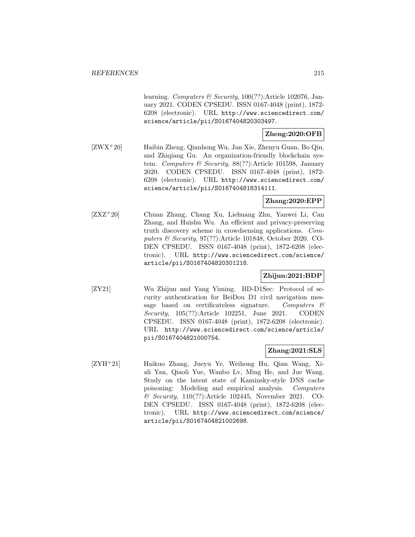learning. Computers & Security,  $100(??)$ :Article 102076, January 2021. CODEN CPSEDU. ISSN 0167-4048 (print), 1872- 6208 (electronic). URL http://www.sciencedirect.com/ science/article/pii/S0167404820303497.

## **Zheng:2020:OFB**

[ZWX<sup>+</sup>20] Haibin Zheng, Qianhong Wu, Jan Xie, Zhenyu Guan, Bo Qin, and Zhiqiang Gu. An organization-friendly blockchain system. Computers & Security, 88(??):Article 101598, January 2020. CODEN CPSEDU. ISSN 0167-4048 (print), 1872- 6208 (electronic). URL http://www.sciencedirect.com/ science/article/pii/S0167404818314111.

# **Zhang:2020:EPP**

[ZXZ<sup>+</sup>20] Chuan Zhang, Chang Xu, Liehuang Zhu, Yanwei Li, Can Zhang, and Huishu Wu. An efficient and privacy-preserving truth discovery scheme in crowdsensing applications. Computers & Security, 97(??):Article 101848, October 2020. CO-DEN CPSEDU. ISSN 0167-4048 (print), 1872-6208 (electronic). URL http://www.sciencedirect.com/science/ article/pii/S0167404820301218.

## **Zhijun:2021:BDP**

[ZY21] Wu Zhijun and Yang Yiming. BD-D1Sec: Protocol of security authentication for BeiDou D1 civil navigation message based on certificateless signature. Computers & Security, 105(??):Article 102251, June 2021. CODEN CPSEDU. ISSN 0167-4048 (print), 1872-6208 (electronic). URL http://www.sciencedirect.com/science/article/ pii/S0167404821000754.

## **Zhang:2021:SLS**

[ZYH<sup>+</sup>21] Haikuo Zhang, Jueyu Ye, Weihong Hu, Qian Wang, Xiali Yan, Qiaoli Yue, Wanbo Lv, Ming He, and Jue Wang. Study on the latent state of Kaminsky-style DNS cache poisoning: Modeling and empirical analysis. Computers & Security, 110(??):Article 102445, November 2021. CO-DEN CPSEDU. ISSN 0167-4048 (print), 1872-6208 (electronic). URL http://www.sciencedirect.com/science/ article/pii/S0167404821002698.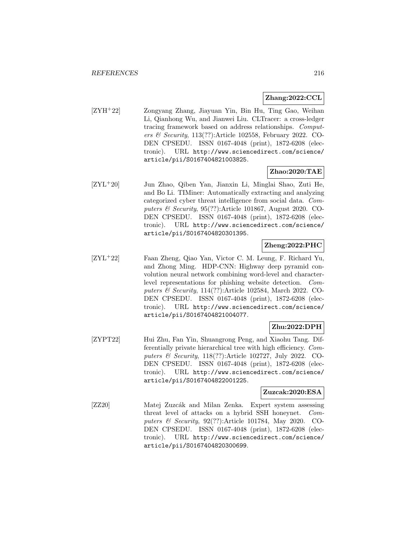### **Zhang:2022:CCL**

[ZYH<sup>+</sup>22] Zongyang Zhang, Jiayuan Yin, Bin Hu, Ting Gao, Weihan Li, Qianhong Wu, and Jianwei Liu. CLTracer: a cross-ledger tracing framework based on address relationships. Computers & Security,  $113(??)$ :Article 102558, February 2022. CO-DEN CPSEDU. ISSN 0167-4048 (print), 1872-6208 (electronic). URL http://www.sciencedirect.com/science/ article/pii/S0167404821003825.

### **Zhao:2020:TAE**

[ZYL<sup>+</sup>20] Jun Zhao, Qiben Yan, Jianxin Li, Minglai Shao, Zuti He, and Bo Li. TIMiner: Automatically extracting and analyzing categorized cyber threat intelligence from social data. Computers & Security, 95(??):Article 101867, August 2020. CO-DEN CPSEDU. ISSN 0167-4048 (print), 1872-6208 (electronic). URL http://www.sciencedirect.com/science/ article/pii/S0167404820301395.

# **Zheng:2022:PHC**

[ZYL<sup>+</sup>22] Faan Zheng, Qiao Yan, Victor C. M. Leung, F. Richard Yu, and Zhong Ming. HDP-CNN: Highway deep pyramid convolution neural network combining word-level and characterlevel representations for phishing website detection. Computers & Security, 114(??):Article 102584, March 2022. CO-DEN CPSEDU. ISSN 0167-4048 (print), 1872-6208 (electronic). URL http://www.sciencedirect.com/science/ article/pii/S0167404821004077.

## **Zhu:2022:DPH**

[ZYPT22] Hui Zhu, Fan Yin, Shuangrong Peng, and Xiaohu Tang. Differentially private hierarchical tree with high efficiency. Computers & Security, 118(??):Article 102727, July 2022. CO-DEN CPSEDU. ISSN 0167-4048 (print), 1872-6208 (electronic). URL http://www.sciencedirect.com/science/ article/pii/S0167404822001225.

#### **Zuzcak:2020:ESA**

[ZZ20] Matej Zuzcák and Milan Zenka. Expert system assessing threat level of attacks on a hybrid SSH honeynet. Computers & Security, 92(??):Article 101784, May 2020. CO-DEN CPSEDU. ISSN 0167-4048 (print), 1872-6208 (electronic). URL http://www.sciencedirect.com/science/ article/pii/S0167404820300699.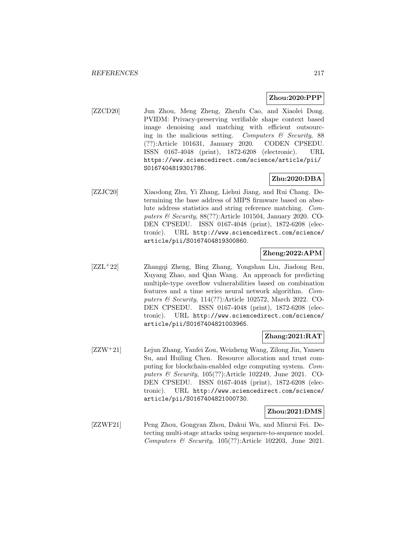### **Zhou:2020:PPP**

[ZZCD20] Jun Zhou, Meng Zheng, Zhenfu Cao, and Xiaolei Dong. PVIDM: Privacy-preserving verifiable shape context based image denoising and matching with efficient outsourcing in the malicious setting. Computers  $\mathcal C$  Security, 88 (??):Article 101631, January 2020. CODEN CPSEDU. ISSN 0167-4048 (print), 1872-6208 (electronic). URL https://www.sciencedirect.com/science/article/pii/ S0167404819301786.

# **Zhu:2020:DBA**

[ZZJC20] Xiaodong Zhu, Yi Zhang, Liehui Jiang, and Rui Chang. Determining the base address of MIPS firmware based on absolute address statistics and string reference matching. Computers  $\mathcal B$  Security, 88(??):Article 101504, January 2020. CO-DEN CPSEDU. ISSN 0167-4048 (print), 1872-6208 (electronic). URL http://www.sciencedirect.com/science/ article/pii/S0167404819300860.

### **Zheng:2022:APM**

[ZZL<sup>+</sup>22] Zhangqi Zheng, Bing Zhang, Yongshan Liu, Jiadong Ren, Xuyang Zhao, and Qian Wang. An approach for predicting multiple-type overflow vulnerabilities based on combination features and a time series neural network algorithm. Computers & Security, 114(??):Article 102572, March 2022. CO-DEN CPSEDU. ISSN 0167-4048 (print), 1872-6208 (electronic). URL http://www.sciencedirect.com/science/ article/pii/S0167404821003965.

## **Zhang:2021:RAT**

[ZZW<sup>+</sup>21] Lejun Zhang, Yanfei Zou, Weizheng Wang, Zilong Jin, Yansen Su, and Huiling Chen. Resource allocation and trust computing for blockchain-enabled edge computing system. Computers & Security, 105(??):Article 102249, June 2021. CO-DEN CPSEDU. ISSN 0167-4048 (print), 1872-6208 (electronic). URL http://www.sciencedirect.com/science/ article/pii/S0167404821000730.

#### **Zhou:2021:DMS**

[ZZWF21] Peng Zhou, Gongyan Zhou, Dakui Wu, and Minrui Fei. Detecting multi-stage attacks using sequence-to-sequence model. Computers & Security, 105(??):Article 102203, June 2021.